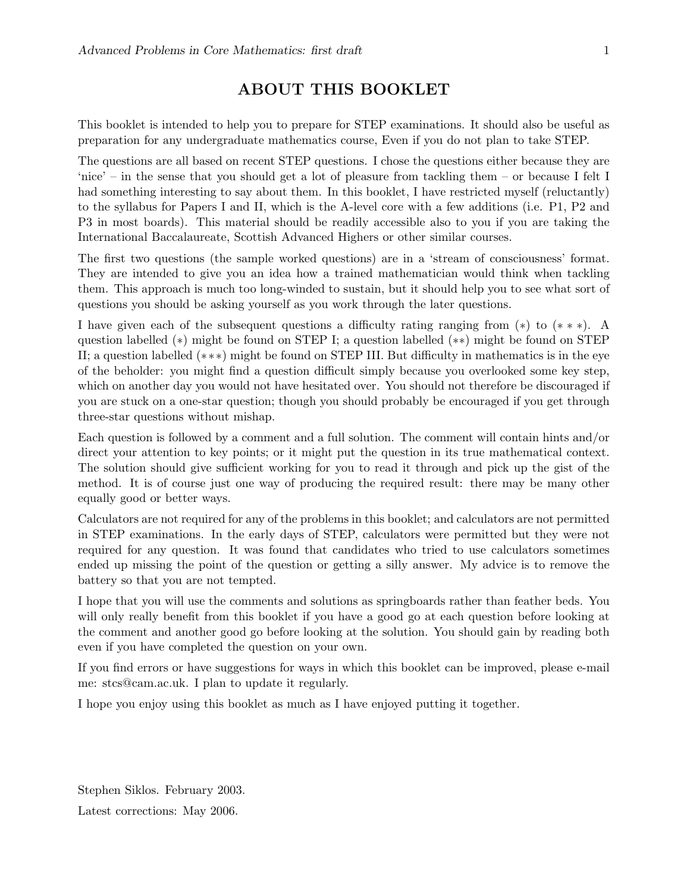# ABOUT THIS BOOKLET

This booklet is intended to help you to prepare for STEP examinations. It should also be useful as preparation for any undergraduate mathematics course, Even if you do not plan to take STEP.

The questions are all based on recent STEP questions. I chose the questions either because they are 'nice' – in the sense that you should get a lot of pleasure from tackling them – or because I felt I had something interesting to say about them. In this booklet, I have restricted myself (reluctantly) to the syllabus for Papers I and II, which is the A-level core with a few additions (i.e. P1, P2 and P3 in most boards). This material should be readily accessible also to you if you are taking the International Baccalaureate, Scottish Advanced Highers or other similar courses.

The first two questions (the sample worked questions) are in a 'stream of consciousness' format. They are intended to give you an idea how a trained mathematician would think when tackling them. This approach is much too long-winded to sustain, but it should help you to see what sort of questions you should be asking yourself as you work through the later questions.

I have given each of the subsequent questions a difficulty rating ranging from (∗) to (∗ ∗ ∗). A question labelled (∗) might be found on STEP I; a question labelled (∗∗) might be found on STEP II; a question labelled (∗ ∗ ∗) might be found on STEP III. But difficulty in mathematics is in the eye of the beholder: you might find a question difficult simply because you overlooked some key step, which on another day you would not have hesitated over. You should not therefore be discouraged if you are stuck on a one-star question; though you should probably be encouraged if you get through three-star questions without mishap.

Each question is followed by a comment and a full solution. The comment will contain hints and/or direct your attention to key points; or it might put the question in its true mathematical context. The solution should give sufficient working for you to read it through and pick up the gist of the method. It is of course just one way of producing the required result: there may be many other equally good or better ways.

Calculators are not required for any of the problems in this booklet; and calculators are not permitted in STEP examinations. In the early days of STEP, calculators were permitted but they were not required for any question. It was found that candidates who tried to use calculators sometimes ended up missing the point of the question or getting a silly answer. My advice is to remove the battery so that you are not tempted.

I hope that you will use the comments and solutions as springboards rather than feather beds. You will only really benefit from this booklet if you have a good go at each question before looking at the comment and another good go before looking at the solution. You should gain by reading both even if you have completed the question on your own.

If you find errors or have suggestions for ways in which this booklet can be improved, please e-mail me: stcs@cam.ac.uk. I plan to update it regularly.

I hope you enjoy using this booklet as much as I have enjoyed putting it together.

Stephen Siklos. February 2003. Latest corrections: May 2006.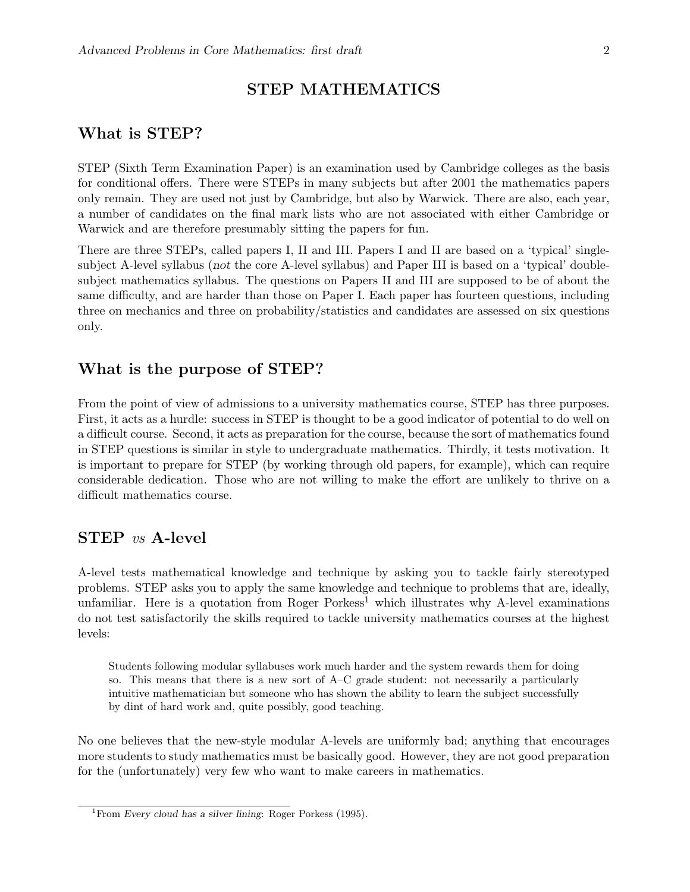# STEP MATHEMATICS

## What is STEP?

STEP (Sixth Term Examination Paper) is an examination used by Cambridge colleges as the basis for conditional offers. There were STEPs in many subjects but after 2001 the mathematics papers only remain. They are used not just by Cambridge, but also by Warwick. There are also, each year, a number of candidates on the final mark lists who are not associated with either Cambridge or Warwick and are therefore presumably sitting the papers for fun.

There are three STEPs, called papers I, II and III. Papers I and II are based on a 'typical' singlesubject A-level syllabus (not the core A-level syllabus) and Paper III is based on a 'typical' doublesubject mathematics syllabus. The questions on Papers II and III are supposed to be of about the same difficulty, and are harder than those on Paper I. Each paper has fourteen questions, including three on mechanics and three on probability/statistics and candidates are assessed on six questions only.

# What is the purpose of STEP?

From the point of view of admissions to a university mathematics course, STEP has three purposes. First, it acts as a hurdle: success in STEP is thought to be a good indicator of potential to do well on a difficult course. Second, it acts as preparation for the course, because the sort of mathematics found in STEP questions is similar in style to undergraduate mathematics. Thirdly, it tests motivation. It is important to prepare for STEP (by working through old papers, for example), which can require considerable dedication. Those who are not willing to make the effort are unlikely to thrive on a difficult mathematics course.

# STEP vs A-level

A-level tests mathematical knowledge and technique by asking you to tackle fairly stereotyped problems. STEP asks you to apply the same knowledge and technique to problems that are, ideally, unfamiliar. Here is a quotation from Roger Porkess<sup>1</sup> which illustrates why A-level examinations do not test satisfactorily the skills required to tackle university mathematics courses at the highest levels:

Students following modular syllabuses work much harder and the system rewards them for doing so. This means that there is a new sort of A–C grade student: not necessarily a particularly intuitive mathematician but someone who has shown the ability to learn the subject successfully by dint of hard work and, quite possibly, good teaching.

No one believes that the new-style modular A-levels are uniformly bad; anything that encourages more students to study mathematics must be basically good. However, they are not good preparation for the (unfortunately) very few who want to make careers in mathematics.

<sup>&</sup>lt;sup>1</sup>From Every cloud has a silver lining: Roger Porkess  $(1995)$ .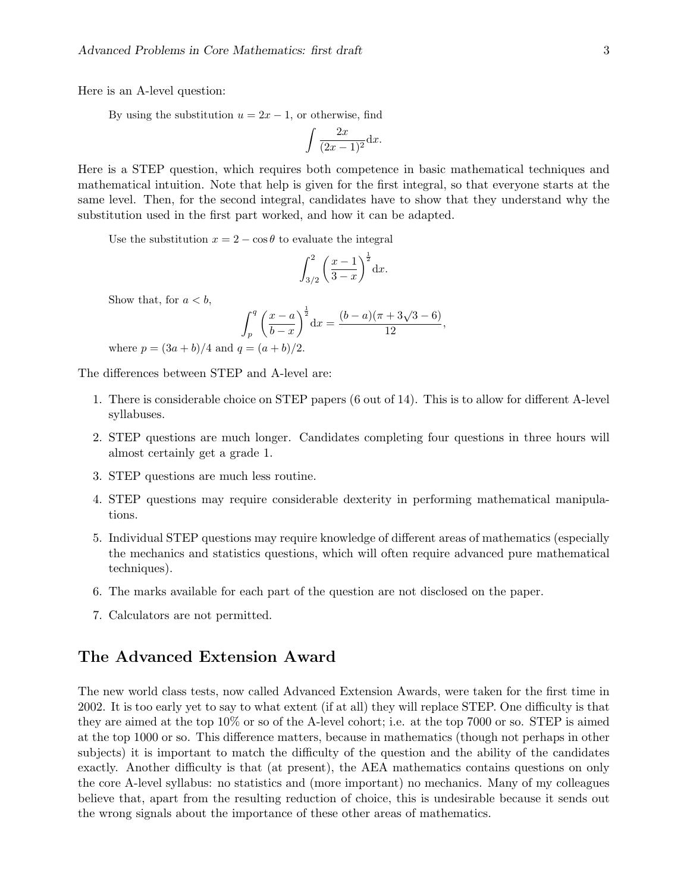Here is an A-level question:

By using the substitution  $u = 2x - 1$ , or otherwise, find

$$
\int \frac{2x}{(2x-1)^2} \mathrm{d}x.
$$

Here is a STEP question, which requires both competence in basic mathematical techniques and mathematical intuition. Note that help is given for the first integral, so that everyone starts at the same level. Then, for the second integral, candidates have to show that they understand why the substitution used in the first part worked, and how it can be adapted.

Use the substitution  $x = 2 - \cos \theta$  to evaluate the integral

$$
\int_{3/2}^{2} \left(\frac{x-1}{3-x}\right)^{\frac{1}{2}} \mathrm{d}x.
$$

Show that, for  $a < b$ ,

$$
\int_{p}^{q} \left(\frac{x-a}{b-x}\right)^{\frac{1}{2}} dx = \frac{(b-a)(\pi + 3\sqrt{3} - 6)}{12}
$$

,

where  $p = (3a + b)/4$  and  $q = (a + b)/2$ .

The differences between STEP and A-level are:

- 1. There is considerable choice on STEP papers (6 out of 14). This is to allow for different A-level syllabuses.
- 2. STEP questions are much longer. Candidates completing four questions in three hours will almost certainly get a grade 1.
- 3. STEP questions are much less routine.
- 4. STEP questions may require considerable dexterity in performing mathematical manipulations.
- 5. Individual STEP questions may require knowledge of different areas of mathematics (especially the mechanics and statistics questions, which will often require advanced pure mathematical techniques).
- 6. The marks available for each part of the question are not disclosed on the paper.
- 7. Calculators are not permitted.

# The Advanced Extension Award

The new world class tests, now called Advanced Extension Awards, were taken for the first time in 2002. It is too early yet to say to what extent (if at all) they will replace STEP. One difficulty is that they are aimed at the top  $10\%$  or so of the A-level cohort; i.e. at the top 7000 or so. STEP is aimed at the top 1000 or so. This difference matters, because in mathematics (though not perhaps in other subjects) it is important to match the difficulty of the question and the ability of the candidates exactly. Another difficulty is that (at present), the AEA mathematics contains questions on only the core A-level syllabus: no statistics and (more important) no mechanics. Many of my colleagues believe that, apart from the resulting reduction of choice, this is undesirable because it sends out the wrong signals about the importance of these other areas of mathematics.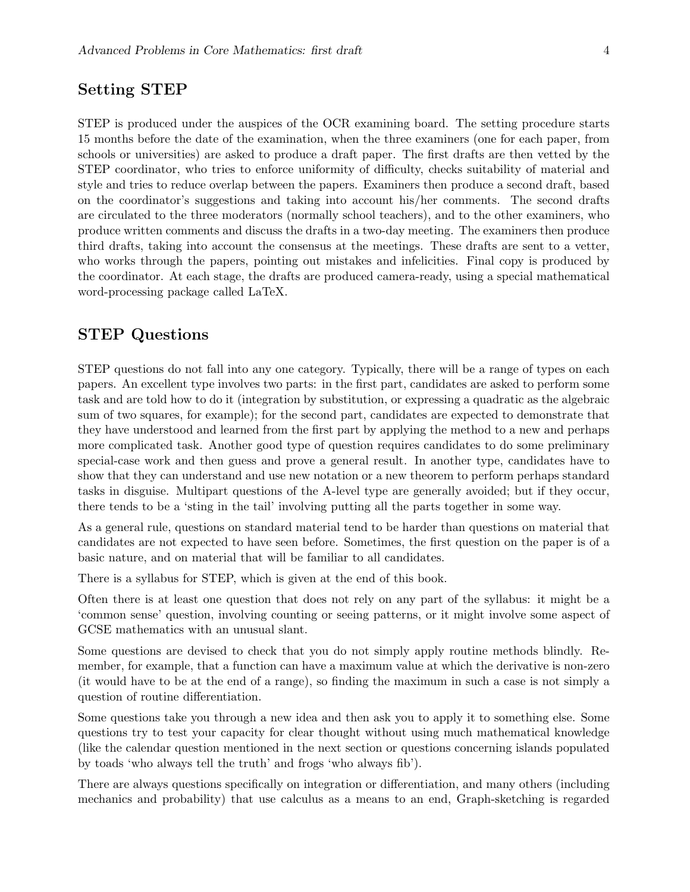# Setting STEP

STEP is produced under the auspices of the OCR examining board. The setting procedure starts 15 months before the date of the examination, when the three examiners (one for each paper, from schools or universities) are asked to produce a draft paper. The first drafts are then vetted by the STEP coordinator, who tries to enforce uniformity of difficulty, checks suitability of material and style and tries to reduce overlap between the papers. Examiners then produce a second draft, based on the coordinator's suggestions and taking into account his/her comments. The second drafts are circulated to the three moderators (normally school teachers), and to the other examiners, who produce written comments and discuss the drafts in a two-day meeting. The examiners then produce third drafts, taking into account the consensus at the meetings. These drafts are sent to a vetter, who works through the papers, pointing out mistakes and infelicities. Final copy is produced by the coordinator. At each stage, the drafts are produced camera-ready, using a special mathematical word-processing package called LaTeX.

# STEP Questions

STEP questions do not fall into any one category. Typically, there will be a range of types on each papers. An excellent type involves two parts: in the first part, candidates are asked to perform some task and are told how to do it (integration by substitution, or expressing a quadratic as the algebraic sum of two squares, for example); for the second part, candidates are expected to demonstrate that they have understood and learned from the first part by applying the method to a new and perhaps more complicated task. Another good type of question requires candidates to do some preliminary special-case work and then guess and prove a general result. In another type, candidates have to show that they can understand and use new notation or a new theorem to perform perhaps standard tasks in disguise. Multipart questions of the A-level type are generally avoided; but if they occur, there tends to be a 'sting in the tail' involving putting all the parts together in some way.

As a general rule, questions on standard material tend to be harder than questions on material that candidates are not expected to have seen before. Sometimes, the first question on the paper is of a basic nature, and on material that will be familiar to all candidates.

There is a syllabus for STEP, which is given at the end of this book.

Often there is at least one question that does not rely on any part of the syllabus: it might be a 'common sense' question, involving counting or seeing patterns, or it might involve some aspect of GCSE mathematics with an unusual slant.

Some questions are devised to check that you do not simply apply routine methods blindly. Remember, for example, that a function can have a maximum value at which the derivative is non-zero (it would have to be at the end of a range), so finding the maximum in such a case is not simply a question of routine differentiation.

Some questions take you through a new idea and then ask you to apply it to something else. Some questions try to test your capacity for clear thought without using much mathematical knowledge (like the calendar question mentioned in the next section or questions concerning islands populated by toads 'who always tell the truth' and frogs 'who always fib').

There are always questions specifically on integration or differentiation, and many others (including mechanics and probability) that use calculus as a means to an end, Graph-sketching is regarded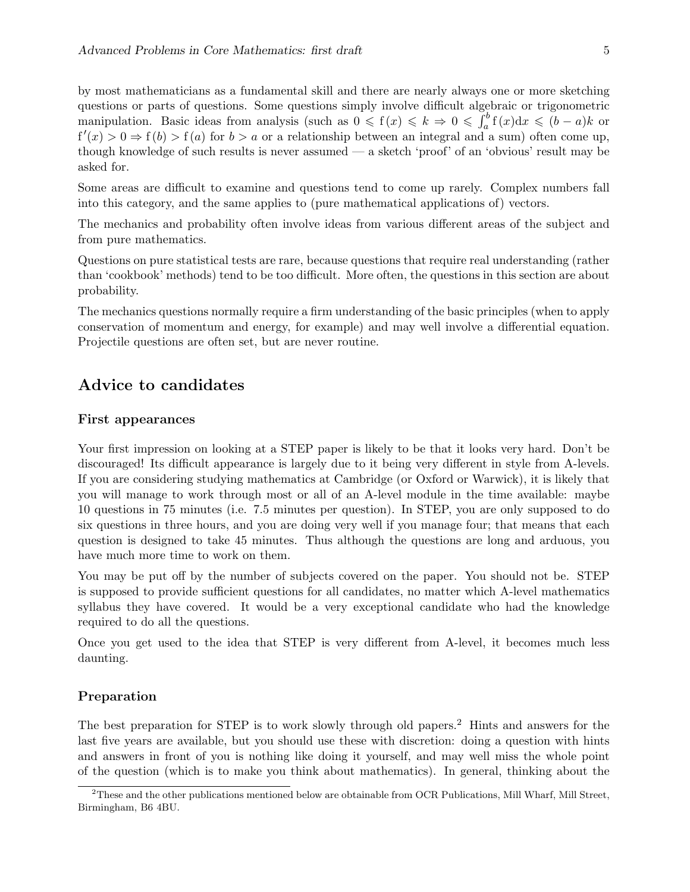by most mathematicians as a fundamental skill and there are nearly always one or more sketching questions or parts of questions. Some questions simply involve difficult algebraic or trigonometric manipulation. Basic ideas from analysis (such as  $0 \leq f(x) \leq k \Rightarrow 0 \leq \int_a^b f(x) dx \leq (b-a)k$  or  $f'(x) > 0 \Rightarrow f(b) > f(a)$  for  $b > a$  or a relationship between an integral and a sum) often come up, though knowledge of such results is never assumed — a sketch 'proof' of an 'obvious' result may be asked for.

Some areas are difficult to examine and questions tend to come up rarely. Complex numbers fall into this category, and the same applies to (pure mathematical applications of) vectors.

The mechanics and probability often involve ideas from various different areas of the subject and from pure mathematics.

Questions on pure statistical tests are rare, because questions that require real understanding (rather than 'cookbook' methods) tend to be too difficult. More often, the questions in this section are about probability.

The mechanics questions normally require a firm understanding of the basic principles (when to apply conservation of momentum and energy, for example) and may well involve a differential equation. Projectile questions are often set, but are never routine.

# Advice to candidates

### First appearances

Your first impression on looking at a STEP paper is likely to be that it looks very hard. Don't be discouraged! Its difficult appearance is largely due to it being very different in style from A-levels. If you are considering studying mathematics at Cambridge (or Oxford or Warwick), it is likely that you will manage to work through most or all of an A-level module in the time available: maybe 10 questions in 75 minutes (i.e. 7.5 minutes per question). In STEP, you are only supposed to do six questions in three hours, and you are doing very well if you manage four; that means that each question is designed to take 45 minutes. Thus although the questions are long and arduous, you have much more time to work on them.

You may be put off by the number of subjects covered on the paper. You should not be. STEP is supposed to provide sufficient questions for all candidates, no matter which A-level mathematics syllabus they have covered. It would be a very exceptional candidate who had the knowledge required to do all the questions.

Once you get used to the idea that STEP is very different from A-level, it becomes much less daunting.

### Preparation

The best preparation for STEP is to work slowly through old papers.<sup>2</sup> Hints and answers for the last five years are available, but you should use these with discretion: doing a question with hints and answers in front of you is nothing like doing it yourself, and may well miss the whole point of the question (which is to make you think about mathematics). In general, thinking about the

 $2$ These and the other publications mentioned below are obtainable from OCR Publications, Mill Wharf, Mill Street, Birmingham, B6 4BU.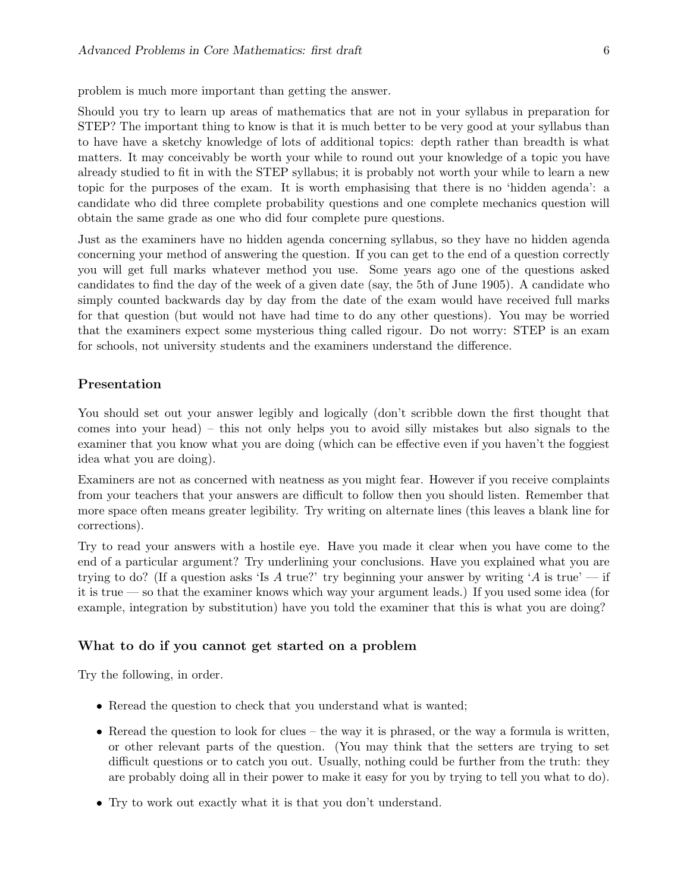problem is much more important than getting the answer.

Should you try to learn up areas of mathematics that are not in your syllabus in preparation for STEP? The important thing to know is that it is much better to be very good at your syllabus than to have have a sketchy knowledge of lots of additional topics: depth rather than breadth is what matters. It may conceivably be worth your while to round out your knowledge of a topic you have already studied to fit in with the STEP syllabus; it is probably not worth your while to learn a new topic for the purposes of the exam. It is worth emphasising that there is no 'hidden agenda': a candidate who did three complete probability questions and one complete mechanics question will obtain the same grade as one who did four complete pure questions.

Just as the examiners have no hidden agenda concerning syllabus, so they have no hidden agenda concerning your method of answering the question. If you can get to the end of a question correctly you will get full marks whatever method you use. Some years ago one of the questions asked candidates to find the day of the week of a given date (say, the 5th of June 1905). A candidate who simply counted backwards day by day from the date of the exam would have received full marks for that question (but would not have had time to do any other questions). You may be worried that the examiners expect some mysterious thing called rigour. Do not worry: STEP is an exam for schools, not university students and the examiners understand the difference.

## Presentation

You should set out your answer legibly and logically (don't scribble down the first thought that comes into your head) – this not only helps you to avoid silly mistakes but also signals to the examiner that you know what you are doing (which can be effective even if you haven't the foggiest idea what you are doing).

Examiners are not as concerned with neatness as you might fear. However if you receive complaints from your teachers that your answers are difficult to follow then you should listen. Remember that more space often means greater legibility. Try writing on alternate lines (this leaves a blank line for corrections).

Try to read your answers with a hostile eye. Have you made it clear when you have come to the end of a particular argument? Try underlining your conclusions. Have you explained what you are trying to do? (If a question asks 'Is A true?' try beginning your answer by writing 'A is true'  $-$  if it is true — so that the examiner knows which way your argument leads.) If you used some idea (for example, integration by substitution) have you told the examiner that this is what you are doing?

### What to do if you cannot get started on a problem

Try the following, in order.

- Reread the question to check that you understand what is wanted;
- Reread the question to look for clues the way it is phrased, or the way a formula is written, or other relevant parts of the question. (You may think that the setters are trying to set difficult questions or to catch you out. Usually, nothing could be further from the truth: they are probably doing all in their power to make it easy for you by trying to tell you what to do).
- Try to work out exactly what it is that you don't understand.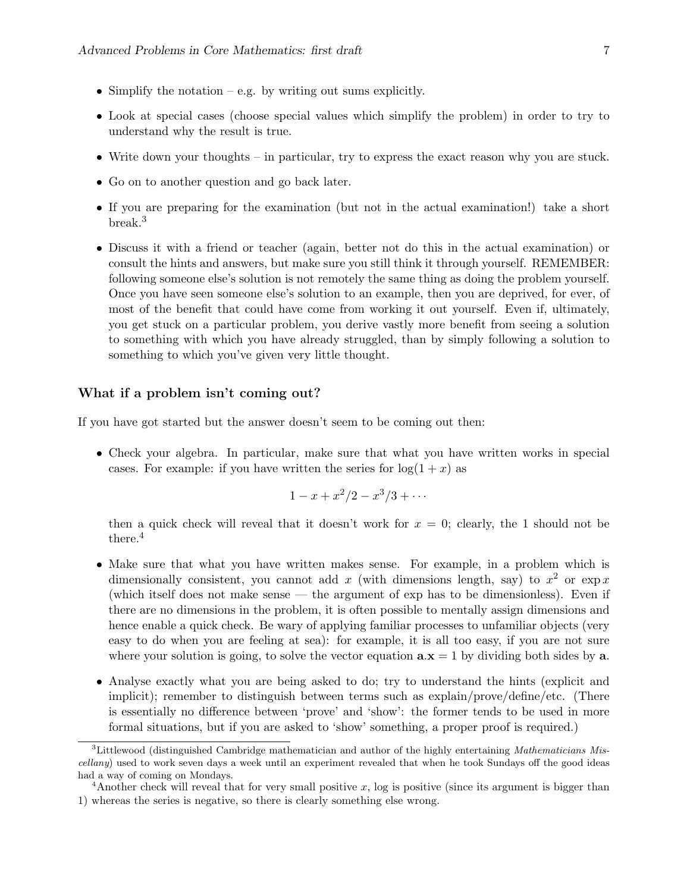- Simplify the notation e.g. by writing out sums explicitly.
- Look at special cases (choose special values which simplify the problem) in order to try to understand why the result is true.
- Write down your thoughts in particular, try to express the exact reason why you are stuck.
- Go on to another question and go back later.
- If you are preparing for the examination (but not in the actual examination!) take a short break.<sup>3</sup>
- Discuss it with a friend or teacher (again, better not do this in the actual examination) or consult the hints and answers, but make sure you still think it through yourself. REMEMBER: following someone else's solution is not remotely the same thing as doing the problem yourself. Once you have seen someone else's solution to an example, then you are deprived, for ever, of most of the benefit that could have come from working it out yourself. Even if, ultimately, you get stuck on a particular problem, you derive vastly more benefit from seeing a solution to something with which you have already struggled, than by simply following a solution to something to which you've given very little thought.

### What if a problem isn't coming out?

If you have got started but the answer doesn't seem to be coming out then:

• Check your algebra. In particular, make sure that what you have written works in special cases. For example: if you have written the series for  $log(1+x)$  as

$$
1 - x + x^2/2 - x^3/3 + \cdots
$$

then a quick check will reveal that it doesn't work for  $x = 0$ ; clearly, the 1 should not be there.<sup>4</sup>

- Make sure that what you have written makes sense. For example, in a problem which is dimensionally consistent, you cannot add x (with dimensions length, say) to  $x^2$  or  $\exp x$ (which itself does not make sense — the argument of exp has to be dimensionless). Even if there are no dimensions in the problem, it is often possible to mentally assign dimensions and hence enable a quick check. Be wary of applying familiar processes to unfamiliar objects (very easy to do when you are feeling at sea): for example, it is all too easy, if you are not sure where your solution is going, to solve the vector equation  $a.x = 1$  by dividing both sides by a.
- Analyse exactly what you are being asked to do; try to understand the hints (explicit and implicit); remember to distinguish between terms such as explain/prove/define/etc. (There is essentially no difference between 'prove' and 'show': the former tends to be used in more formal situations, but if you are asked to 'show' something, a proper proof is required.)

 $3$ Littlewood (distinguished Cambridge mathematician and author of the highly entertaining *Mathematicians Mis*cellany) used to work seven days a week until an experiment revealed that when he took Sundays off the good ideas had a way of coming on Mondays.

<sup>&</sup>lt;sup>4</sup>Another check will reveal that for very small positive  $x$ , log is positive (since its argument is bigger than 1) whereas the series is negative, so there is clearly something else wrong.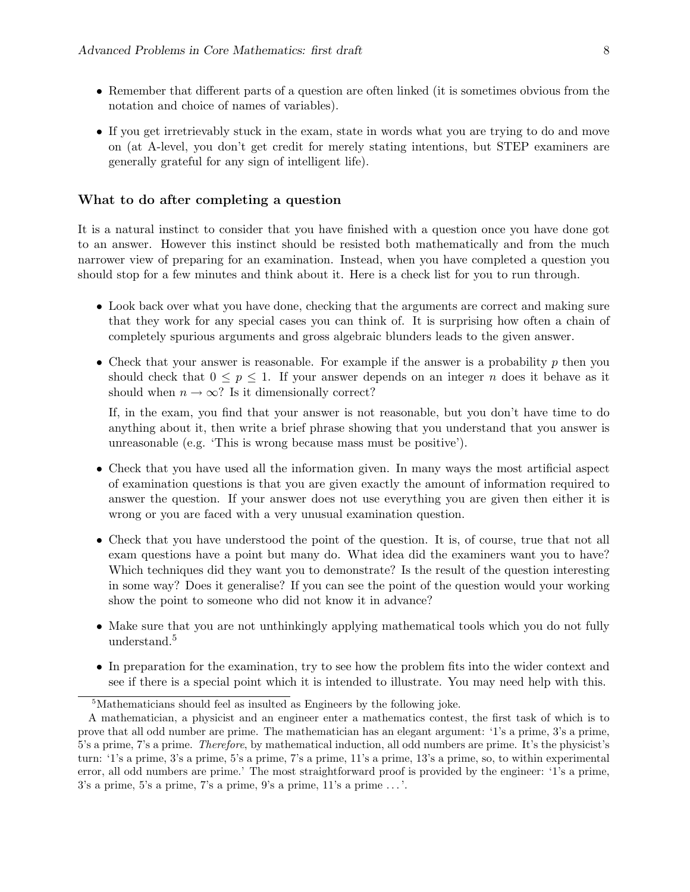- Remember that different parts of a question are often linked (it is sometimes obvious from the notation and choice of names of variables).
- If you get irretrievably stuck in the exam, state in words what you are trying to do and move on (at A-level, you don't get credit for merely stating intentions, but STEP examiners are generally grateful for any sign of intelligent life).

### What to do after completing a question

It is a natural instinct to consider that you have finished with a question once you have done got to an answer. However this instinct should be resisted both mathematically and from the much narrower view of preparing for an examination. Instead, when you have completed a question you should stop for a few minutes and think about it. Here is a check list for you to run through.

- Look back over what you have done, checking that the arguments are correct and making sure that they work for any special cases you can think of. It is surprising how often a chain of completely spurious arguments and gross algebraic blunders leads to the given answer.
- Check that your answer is reasonable. For example if the answer is a probability  $p$  then you should check that  $0 \leq p \leq 1$ . If your answer depends on an integer n does it behave as it should when  $n \to \infty$ ? Is it dimensionally correct?

If, in the exam, you find that your answer is not reasonable, but you don't have time to do anything about it, then write a brief phrase showing that you understand that you answer is unreasonable (e.g. 'This is wrong because mass must be positive').

- Check that you have used all the information given. In many ways the most artificial aspect of examination questions is that you are given exactly the amount of information required to answer the question. If your answer does not use everything you are given then either it is wrong or you are faced with a very unusual examination question.
- Check that you have understood the point of the question. It is, of course, true that not all exam questions have a point but many do. What idea did the examiners want you to have? Which techniques did they want you to demonstrate? Is the result of the question interesting in some way? Does it generalise? If you can see the point of the question would your working show the point to someone who did not know it in advance?
- Make sure that you are not unthinkingly applying mathematical tools which you do not fully understand.<sup>5</sup>
- In preparation for the examination, try to see how the problem fits into the wider context and see if there is a special point which it is intended to illustrate. You may need help with this.

<sup>5</sup>Mathematicians should feel as insulted as Engineers by the following joke.

A mathematician, a physicist and an engineer enter a mathematics contest, the first task of which is to prove that all odd number are prime. The mathematician has an elegant argument: '1's a prime, 3's a prime, 5's a prime, 7's a prime. Therefore, by mathematical induction, all odd numbers are prime. It's the physicist's turn: '1's a prime, 3's a prime, 5's a prime, 7's a prime, 11's a prime, 13's a prime, so, to within experimental error, all odd numbers are prime.' The most straightforward proof is provided by the engineer: '1's a prime,  $3's$  a prime,  $5's$  a prime,  $7's$  a prime,  $9's$  a prime,  $11's$  a prime  $\dots$ .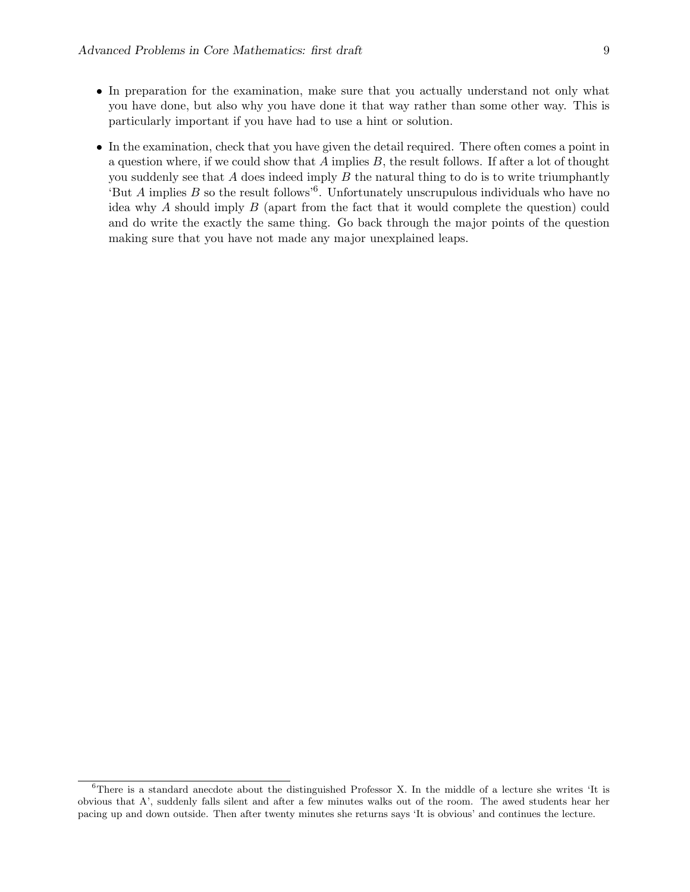- In preparation for the examination, make sure that you actually understand not only what you have done, but also why you have done it that way rather than some other way. This is particularly important if you have had to use a hint or solution.
- In the examination, check that you have given the detail required. There often comes a point in a question where, if we could show that  $A$  implies  $B$ , the result follows. If after a lot of thought you suddenly see that A does indeed imply B the natural thing to do is to write triumphantly 'But A implies  $B$  so the result follows'<sup>6</sup>. Unfortunately unscrupulous individuals who have no idea why  $A$  should imply  $B$  (apart from the fact that it would complete the question) could and do write the exactly the same thing. Go back through the major points of the question making sure that you have not made any major unexplained leaps.

<sup>6</sup>There is a standard anecdote about the distinguished Professor X. In the middle of a lecture she writes 'It is obvious that A', suddenly falls silent and after a few minutes walks out of the room. The awed students hear her pacing up and down outside. Then after twenty minutes she returns says 'It is obvious' and continues the lecture.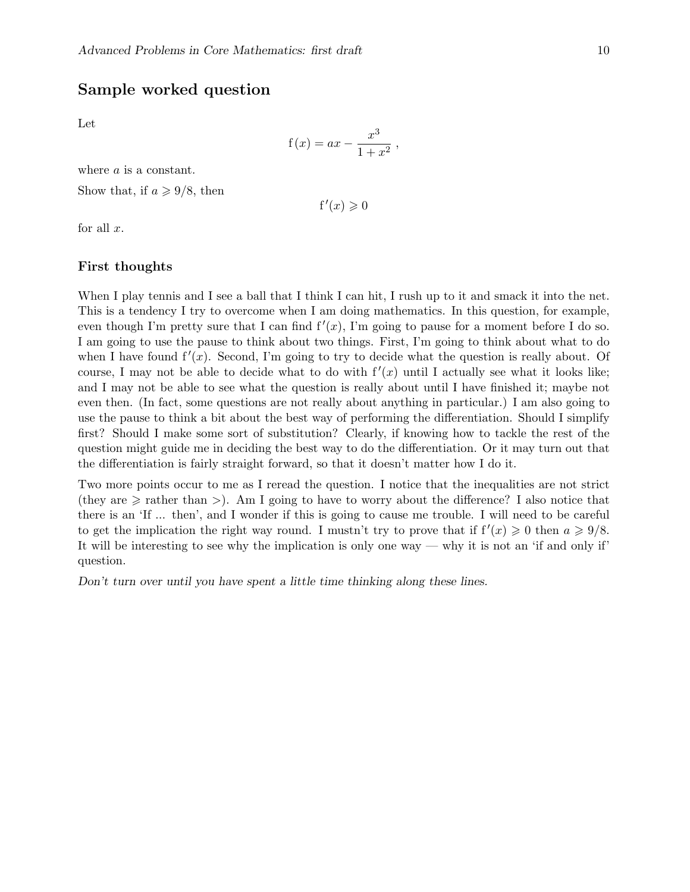# Sample worked question

Let

$$
f(x) = ax - \frac{x^3}{1 + x^2}
$$
,

where a is a constant.

Show that, if  $a \geqslant 9/8$ , then

 $f'(x) \geqslant 0$ 

for all  $x$ .

## First thoughts

When I play tennis and I see a ball that I think I can hit, I rush up to it and smack it into the net. This is a tendency I try to overcome when I am doing mathematics. In this question, for example, even though I'm pretty sure that I can find  $f'(x)$ , I'm going to pause for a moment before I do so. I am going to use the pause to think about two things. First, I'm going to think about what to do when I have found  $f'(x)$ . Second, I'm going to try to decide what the question is really about. Of course, I may not be able to decide what to do with  $f'(x)$  until I actually see what it looks like; and I may not be able to see what the question is really about until I have finished it; maybe not even then. (In fact, some questions are not really about anything in particular.) I am also going to use the pause to think a bit about the best way of performing the differentiation. Should I simplify first? Should I make some sort of substitution? Clearly, if knowing how to tackle the rest of the question might guide me in deciding the best way to do the differentiation. Or it may turn out that the differentiation is fairly straight forward, so that it doesn't matter how I do it.

Two more points occur to me as I reread the question. I notice that the inequalities are not strict (they are  $\geq$  rather than  $>$ ). Am I going to have to worry about the difference? I also notice that there is an 'If ... then', and I wonder if this is going to cause me trouble. I will need to be careful to get the implication the right way round. I mustn't try to prove that if  $f'(x) \geq 0$  then  $a \geq 9/8$ . It will be interesting to see why the implication is only one way — why it is not an 'if and only if' question.

Don't turn over until you have spent a little time thinking along these lines.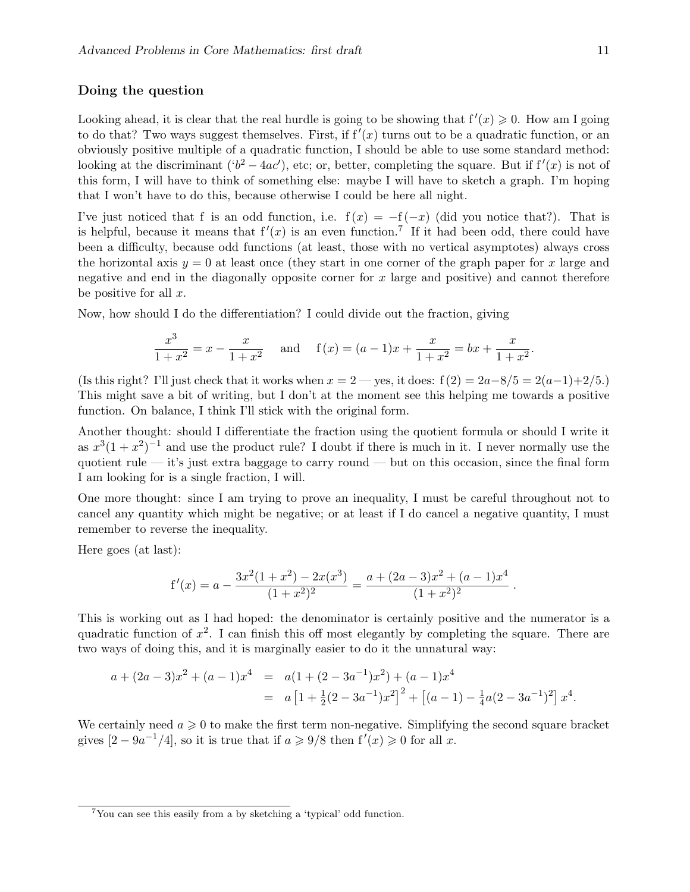### Doing the question

Looking ahead, it is clear that the real hurdle is going to be showing that  $f'(x) \geq 0$ . How am I going to do that? Two ways suggest themselves. First, if  $f'(x)$  turns out to be a quadratic function, or an obviously positive multiple of a quadratic function, I should be able to use some standard method: looking at the discriminant  $(6<sup>2</sup> - 4ac')$ , etc; or, better, completing the square. But if  $f'(x)$  is not of this form, I will have to think of something else: maybe I will have to sketch a graph. I'm hoping that I won't have to do this, because otherwise I could be here all night.

I've just noticed that f is an odd function, i.e.  $f(x) = -f(-x)$  (did you notice that?). That is is helpful, because it means that  $f'(x)$  is an even function.<sup>7</sup> If it had been odd, there could have been a difficulty, because odd functions (at least, those with no vertical asymptotes) always cross the horizontal axis  $y = 0$  at least once (they start in one corner of the graph paper for x large and negative and end in the diagonally opposite corner for  $x$  large and positive) and cannot therefore be positive for all  $x$ .

Now, how should I do the differentiation? I could divide out the fraction, giving

$$
\frac{x^3}{1+x^2} = x - \frac{x}{1+x^2} \quad \text{and} \quad f(x) = (a-1)x + \frac{x}{1+x^2} = bx + \frac{x}{1+x^2}.
$$

(Is this right? I'll just check that it works when  $x = 2$  — yes, it does:  $f(2) = 2a-8/5 = 2(a-1)+2/5.$ ) This might save a bit of writing, but I don't at the moment see this helping me towards a positive function. On balance, I think I'll stick with the original form.

Another thought: should I differentiate the fraction using the quotient formula or should I write it as  $x^3(1+x^2)^{-1}$  and use the product rule? I doubt if there is much in it. I never normally use the quotient rule — it's just extra baggage to carry round — but on this occasion, since the final form I am looking for is a single fraction, I will.

One more thought: since I am trying to prove an inequality, I must be careful throughout not to cancel any quantity which might be negative; or at least if I do cancel a negative quantity, I must remember to reverse the inequality.

Here goes (at last):

$$
f'(x) = a - \frac{3x^2(1+x^2) - 2x(x^3)}{(1+x^2)^2} = \frac{a + (2a-3)x^2 + (a-1)x^4}{(1+x^2)^2}.
$$

This is working out as I had hoped: the denominator is certainly positive and the numerator is a quadratic function of  $x^2$ . I can finish this off most elegantly by completing the square. There are two ways of doing this, and it is marginally easier to do it the unnatural way:

$$
a + (2a - 3)x2 + (a - 1)x4 = a(1 + (2 - 3a-1)x2) + (a - 1)x4
$$
  
=  $a[1 + \frac{1}{2}(2 - 3a-1)x2]2 + [(a - 1) - \frac{1}{4}a(2 - 3a-1)2]x4.$ 

We certainly need  $a \geqslant 0$  to make the first term non-negative. Simplifying the second square bracket gives  $[2 - 9a^{-1}/4]$ , so it is true that if  $a \ge 9/8$  then  $f'(x) \ge 0$  for all x.

 ${}^{7}$ You can see this easily from a by sketching a 'typical' odd function.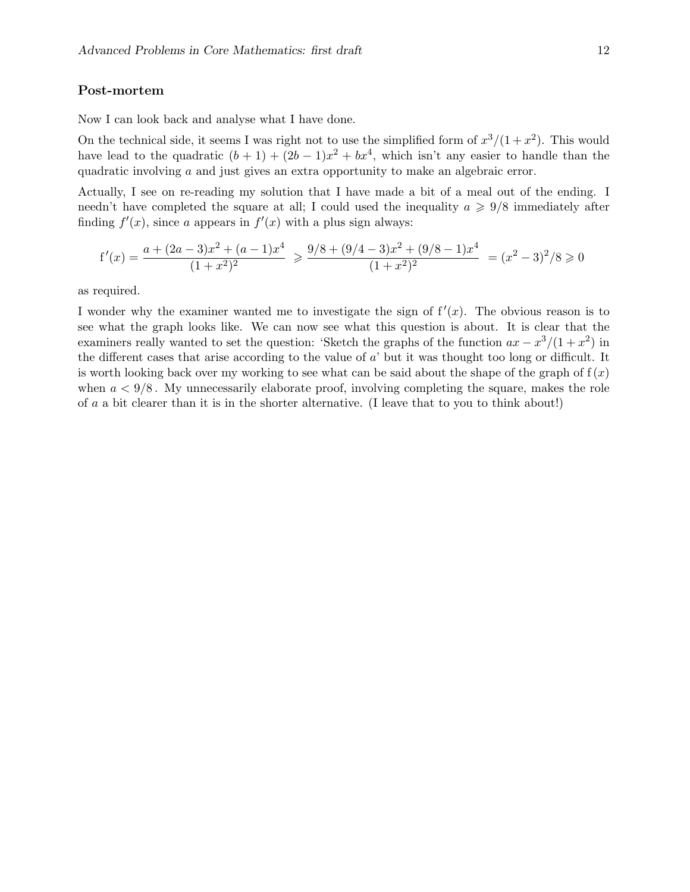### Post-mortem

Now I can look back and analyse what I have done.

On the technical side, it seems I was right not to use the simplified form of  $x^3/(1+x^2)$ . This would have lead to the quadratic  $(b + 1) + (2b - 1)x^{2} + bx^{4}$ , which isn't any easier to handle than the quadratic involving a and just gives an extra opportunity to make an algebraic error.

Actually, I see on re-reading my solution that I have made a bit of a meal out of the ending. I needn't have completed the square at all; I could used the inequality  $a \geqslant 9/8$  immediately after finding  $f'(x)$ , since a appears in  $f'(x)$  with a plus sign always:

$$
f'(x) = \frac{a + (2a - 3)x^2 + (a - 1)x^4}{(1 + x^2)^2} \ge \frac{9/8 + (9/4 - 3)x^2 + (9/8 - 1)x^4}{(1 + x^2)^2} = (x^2 - 3)^2/8 \ge 0
$$

as required.

I wonder why the examiner wanted me to investigate the sign of  $f'(x)$ . The obvious reason is to see what the graph looks like. We can now see what this question is about. It is clear that the examiners really wanted to set the question: 'Sketch the graphs of the function  $ax - x^3/(1 + x^2)$  in the different cases that arise according to the value of  $a'$  but it was thought too long or difficult. It is worth looking back over my working to see what can be said about the shape of the graph of  $f(x)$ when  $a < 9/8$ . My unnecessarily elaborate proof, involving completing the square, makes the role of  $a$  a bit clearer than it is in the shorter alternative. (I leave that to you to think about!)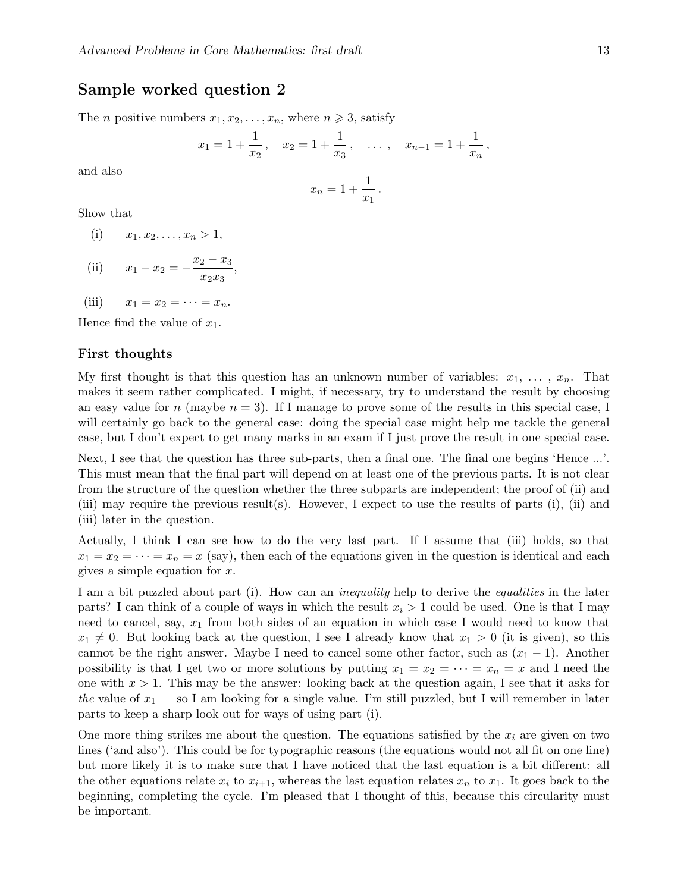# Sample worked question 2

The *n* positive numbers  $x_1, x_2, \ldots, x_n$ , where  $n \geq 3$ , satisfy

$$
x_1 = 1 + \frac{1}{x_2}
$$
,  $x_2 = 1 + \frac{1}{x_3}$ , ...,  $x_{n-1} = 1 + \frac{1}{x_n}$ ,

and also

$$
x_n = 1 + \frac{1}{x_1}.
$$

Show that

- (i)  $x_1, x_2, \ldots, x_n > 1$ ,
- (ii)  $x_1 x_2 = -\frac{x_2 x_3}{x_1 x_2}$  $rac{x}{x_2x_3}$

(iii)  $x_1 = x_2 = \cdots = x_n$ .

Hence find the value of  $x_1$ .

### First thoughts

My first thought is that this question has an unknown number of variables:  $x_1, \ldots, x_n$ . That makes it seem rather complicated. I might, if necessary, try to understand the result by choosing an easy value for n (maybe  $n = 3$ ). If I manage to prove some of the results in this special case, I will certainly go back to the general case: doing the special case might help me tackle the general case, but I don't expect to get many marks in an exam if I just prove the result in one special case.

Next, I see that the question has three sub-parts, then a final one. The final one begins 'Hence ...'. This must mean that the final part will depend on at least one of the previous parts. It is not clear from the structure of the question whether the three subparts are independent; the proof of (ii) and (iii) may require the previous result(s). However, I expect to use the results of parts (i), (ii) and (iii) later in the question.

Actually, I think I can see how to do the very last part. If I assume that (iii) holds, so that  $x_1 = x_2 = \cdots = x_n = x$  (say), then each of the equations given in the question is identical and each gives a simple equation for  $x$ .

I am a bit puzzled about part (i). How can an *inequality* help to derive the *equalities* in the later parts? I can think of a couple of ways in which the result  $x<sub>i</sub> > 1$  could be used. One is that I may need to cancel, say,  $x_1$  from both sides of an equation in which case I would need to know that  $x_1 \neq 0$ . But looking back at the question, I see I already know that  $x_1 > 0$  (it is given), so this cannot be the right answer. Maybe I need to cancel some other factor, such as  $(x_1 - 1)$ . Another possibility is that I get two or more solutions by putting  $x_1 = x_2 = \cdots = x_n = x$  and I need the one with  $x > 1$ . This may be the answer: looking back at the question again, I see that it asks for the value of  $x_1$  — so I am looking for a single value. I'm still puzzled, but I will remember in later parts to keep a sharp look out for ways of using part (i).

One more thing strikes me about the question. The equations satisfied by the  $x_i$  are given on two lines ('and also'). This could be for typographic reasons (the equations would not all fit on one line) but more likely it is to make sure that I have noticed that the last equation is a bit different: all the other equations relate  $x_i$  to  $x_{i+1}$ , whereas the last equation relates  $x_n$  to  $x_1$ . It goes back to the beginning, completing the cycle. I'm pleased that I thought of this, because this circularity must be important.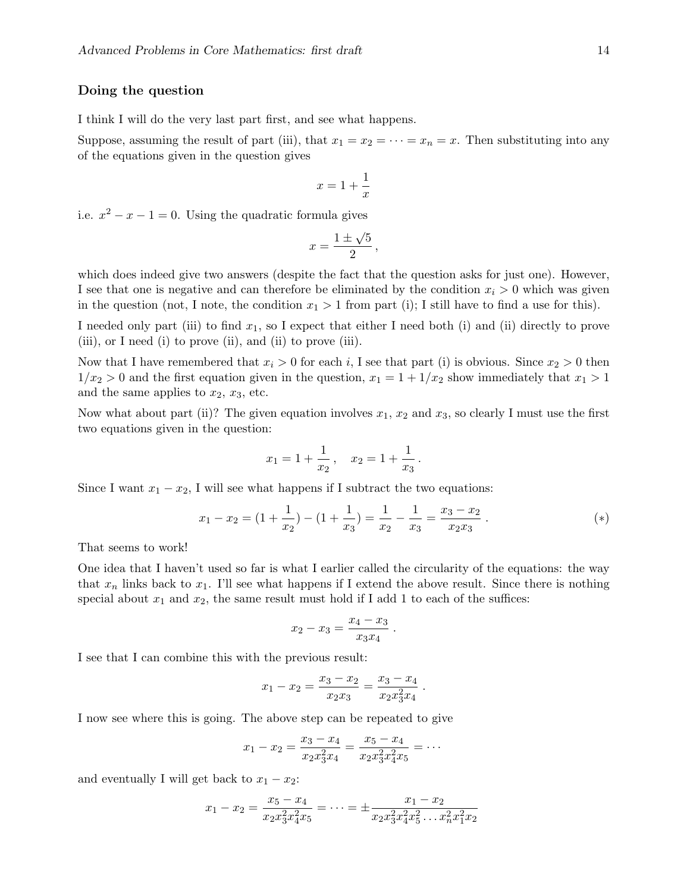### Doing the question

I think I will do the very last part first, and see what happens.

Suppose, assuming the result of part (iii), that  $x_1 = x_2 = \cdots = x_n = x$ . Then substituting into any of the equations given in the question gives

$$
x = 1 + \frac{1}{x}
$$

i.e.  $x^2 - x - 1 = 0$ . Using the quadratic formula gives

$$
x = \frac{1 \pm \sqrt{5}}{2},
$$

which does indeed give two answers (despite the fact that the question asks for just one). However, I see that one is negative and can therefore be eliminated by the condition  $x_i > 0$  which was given in the question (not, I note, the condition  $x_1 > 1$  from part (i); I still have to find a use for this).

I needed only part (iii) to find  $x_1$ , so I expect that either I need both (i) and (ii) directly to prove (iii), or I need (i) to prove (ii), and (ii) to prove (iii).

Now that I have remembered that  $x_i > 0$  for each i, I see that part (i) is obvious. Since  $x_2 > 0$  then  $1/x_2 > 0$  and the first equation given in the question,  $x_1 = 1 + 1/x_2$  show immediately that  $x_1 > 1$ and the same applies to  $x_2, x_3$ , etc.

Now what about part (ii)? The given equation involves  $x_1, x_2$  and  $x_3$ , so clearly I must use the first two equations given in the question:

$$
x_1 = 1 + \frac{1}{x_2}
$$
,  $x_2 = 1 + \frac{1}{x_3}$ .

Since I want  $x_1 - x_2$ , I will see what happens if I subtract the two equations:

$$
x_1 - x_2 = (1 + \frac{1}{x_2}) - (1 + \frac{1}{x_3}) = \frac{1}{x_2} - \frac{1}{x_3} = \frac{x_3 - x_2}{x_2 x_3}.
$$
 (\*)

That seems to work!

One idea that I haven't used so far is what I earlier called the circularity of the equations: the way that  $x_n$  links back to  $x_1$ . I'll see what happens if I extend the above result. Since there is nothing special about  $x_1$  and  $x_2$ , the same result must hold if I add 1 to each of the suffices:

$$
x_2 - x_3 = \frac{x_4 - x_3}{x_3 x_4}.
$$

I see that I can combine this with the previous result:

$$
x_1 - x_2 = \frac{x_3 - x_2}{x_2 x_3} = \frac{x_3 - x_4}{x_2 x_3^2 x_4}.
$$

I now see where this is going. The above step can be repeated to give

$$
x_1 - x_2 = \frac{x_3 - x_4}{x_2 x_3^2 x_4} = \frac{x_5 - x_4}{x_2 x_3^2 x_4^2 x_5} = \dots
$$

and eventually I will get back to  $x_1 - x_2$ :

$$
x_1 - x_2 = \frac{x_5 - x_4}{x_2 x_3^2 x_4^2 x_5} = \dots = \pm \frac{x_1 - x_2}{x_2 x_3^2 x_4^2 x_5^2 \dots x_n^2 x_1^2 x_2}
$$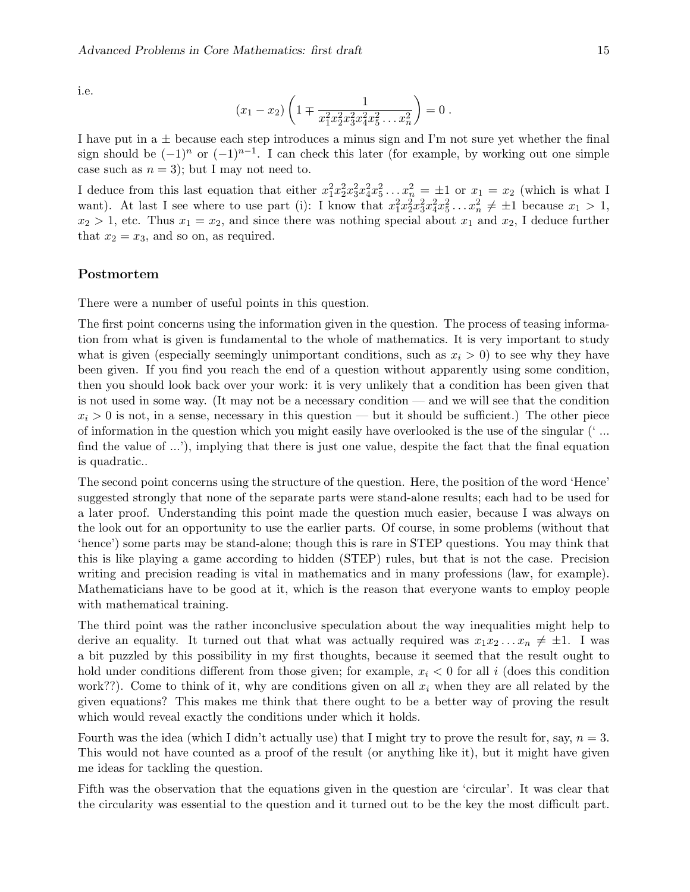i.e.

$$
(x_1 - x_2) \left( 1 \mp \frac{1}{x_1^2 x_2^2 x_3^2 x_4^2 x_5^2 \dots x_n^2} \right) = 0.
$$

I have put in a  $\pm$  because each step introduces a minus sign and I'm not sure yet whether the final sign should be  $(-1)^n$  or  $(-1)^{n-1}$ . I can check this later (for example, by working out one simple case such as  $n = 3$ ; but I may not need to.

I deduce from this last equation that either  $x_1^2x_2^2x_3^2x_4^2x_5^2...x_n^2 = \pm 1$  or  $x_1 = x_2$  (which is what I want). At last I see where to use part (i): I know that  $x_1^2 x_2^2 x_3^2 x_4^2 x_5^2 \dots x_n^2 \neq \pm 1$  because  $x_1 > 1$ ,  $x_2 > 1$ , etc. Thus  $x_1 = x_2$ , and since there was nothing special about  $x_1$  and  $x_2$ , I deduce further that  $x_2 = x_3$ , and so on, as required.

### Postmortem

There were a number of useful points in this question.

The first point concerns using the information given in the question. The process of teasing information from what is given is fundamental to the whole of mathematics. It is very important to study what is given (especially seemingly unimportant conditions, such as  $x<sub>i</sub> > 0$ ) to see why they have been given. If you find you reach the end of a question without apparently using some condition, then you should look back over your work: it is very unlikely that a condition has been given that is not used in some way. (It may not be a necessary condition — and we will see that the condition  $x_i > 0$  is not, in a sense, necessary in this question — but it should be sufficient.) The other piece of information in the question which you might easily have overlooked is the use of the singular (' ... find the value of ...'), implying that there is just one value, despite the fact that the final equation is quadratic..

The second point concerns using the structure of the question. Here, the position of the word 'Hence' suggested strongly that none of the separate parts were stand-alone results; each had to be used for a later proof. Understanding this point made the question much easier, because I was always on the look out for an opportunity to use the earlier parts. Of course, in some problems (without that 'hence') some parts may be stand-alone; though this is rare in STEP questions. You may think that this is like playing a game according to hidden (STEP) rules, but that is not the case. Precision writing and precision reading is vital in mathematics and in many professions (law, for example). Mathematicians have to be good at it, which is the reason that everyone wants to employ people with mathematical training.

The third point was the rather inconclusive speculation about the way inequalities might help to derive an equality. It turned out that what was actually required was  $x_1x_2...x_n \neq \pm 1$ . I was a bit puzzled by this possibility in my first thoughts, because it seemed that the result ought to hold under conditions different from those given; for example,  $x_i < 0$  for all i (does this condition work??). Come to think of it, why are conditions given on all  $x_i$  when they are all related by the given equations? This makes me think that there ought to be a better way of proving the result which would reveal exactly the conditions under which it holds.

Fourth was the idea (which I didn't actually use) that I might try to prove the result for, say,  $n = 3$ . This would not have counted as a proof of the result (or anything like it), but it might have given me ideas for tackling the question.

Fifth was the observation that the equations given in the question are 'circular'. It was clear that the circularity was essential to the question and it turned out to be the key the most difficult part.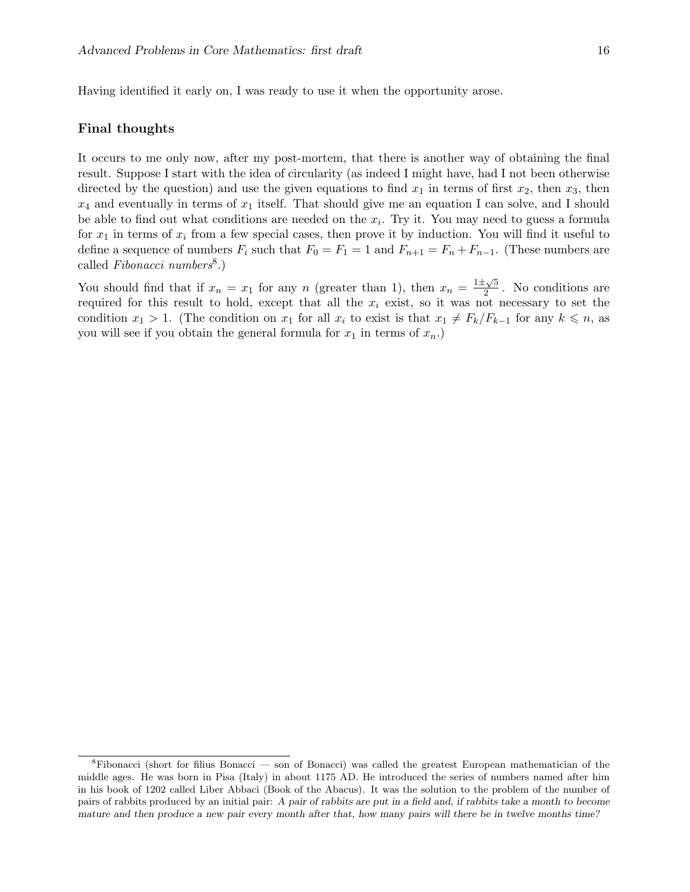Having identified it early on, I was ready to use it when the opportunity arose.

### Final thoughts

It occurs to me only now, after my post-mortem, that there is another way of obtaining the final result. Suppose I start with the idea of circularity (as indeed I might have, had I not been otherwise directed by the question) and use the given equations to find  $x_1$  in terms of first  $x_2$ , then  $x_3$ , then  $x_4$  and eventually in terms of  $x_1$  itself. That should give me an equation I can solve, and I should be able to find out what conditions are needed on the  $x_i$ . Try it. You may need to guess a formula for  $x_1$  in terms of  $x_i$  from a few special cases, then prove it by induction. You will find it useful to define a sequence of numbers  $F_i$  such that  $F_0 = F_1 = 1$  and  $F_{n+1} = F_n + F_{n-1}$ . (These numbers are called Fibonacci numbers<sup>8</sup>.)

You should find that if  $x_n = x_1$  for any n (greater than 1), then  $x_n = \frac{1 \pm \sqrt{5}}{2}$  $\frac{2}{2}$ . No conditions are required for this result to hold, except that all the  $x_i$  exist, so it was not necessary to set the condition  $x_1 > 1$ . (The condition on  $x_1$  for all  $x_i$  to exist is that  $x_1 \neq F_k/F_{k-1}$  for any  $k \leq n$ , as you will see if you obtain the general formula for  $x_1$  in terms of  $x_n$ .

 ${}^8$ Fibonacci (short for filius Bonacci — son of Bonacci) was called the greatest European mathematician of the middle ages. He was born in Pisa (Italy) in about 1175 AD. He introduced the series of numbers named after him in his book of 1202 called Liber Abbaci (Book of the Abacus). It was the solution to the problem of the number of pairs of rabbits produced by an initial pair: A pair of rabbits are put in a field and, if rabbits take a month to become mature and then produce a new pair every month after that, how many pairs will there be in twelve months time?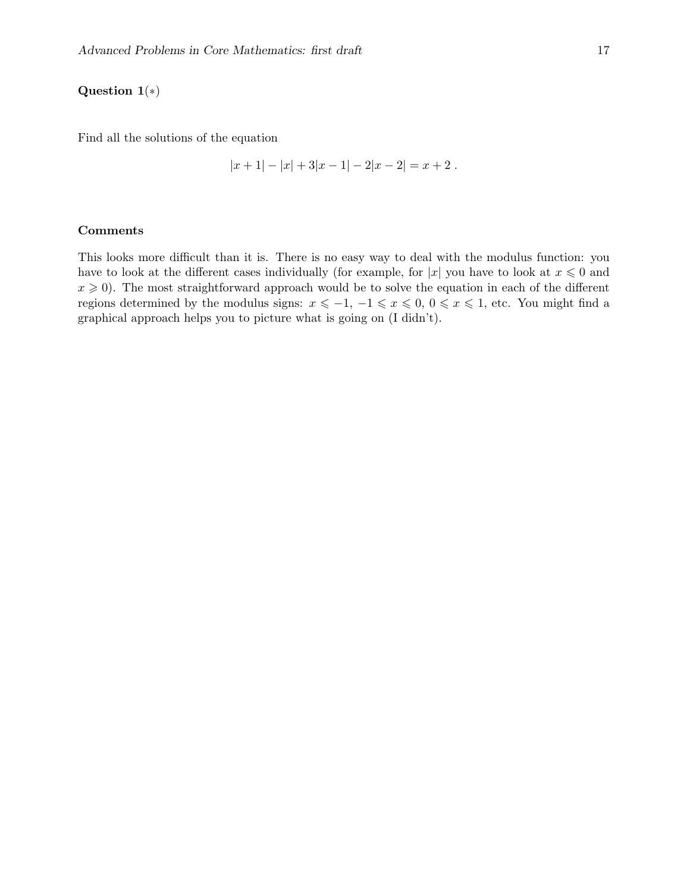# Question  $1(*)$

Find all the solutions of the equation

$$
|x+1| - |x| + 3|x-1| - 2|x-2| = x+2.
$$

### Comments

This looks more difficult than it is. There is no easy way to deal with the modulus function: you have to look at the different cases individually (for example, for |x| you have to look at  $x \leq 0$  and  $x \geq 0$ . The most straightforward approach would be to solve the equation in each of the different regions determined by the modulus signs:  $x \leq -1, -1 \leq x \leq 0, 0 \leq x \leq 1$ , etc. You might find a graphical approach helps you to picture what is going on (I didn't).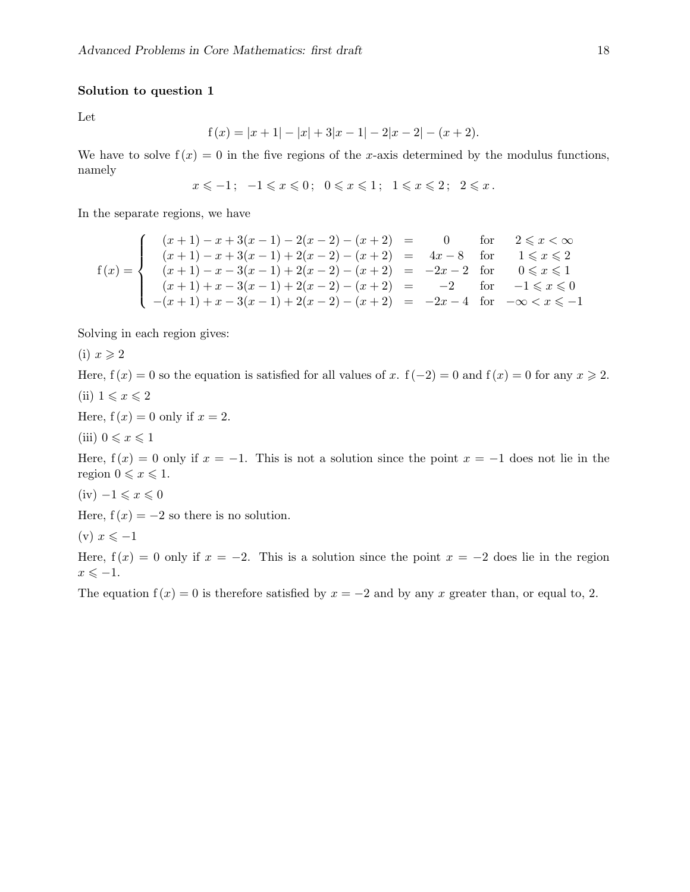Let

$$
f(x) = |x + 1| - |x| + 3|x - 1| - 2|x - 2| - (x + 2).
$$

We have to solve  $f(x) = 0$  in the five regions of the x-axis determined by the modulus functions, namely

$$
x \leq -1; \ -1 \leq x \leq 0; \ 0 \leq x \leq 1; \ 1 \leq x \leq 2; \ 2 \leq x.
$$

In the separate regions, we have

$$
f(x) = \begin{cases} (x+1) - x + 3(x-1) - 2(x-2) - (x+2) = 0 & \text{for } 2 \le x < \infty \\ (x+1) - x + 3(x-1) + 2(x-2) - (x+2) = 4x - 8 & \text{for } 1 \le x \le 2 \\ (x+1) - x - 3(x-1) + 2(x-2) - (x+2) = -2x - 2 & \text{for } 0 \le x \le 1 \\ (x+1) + x - 3(x-1) + 2(x-2) - (x+2) = -2 & \text{for } -1 \le x \le 0 \\ -(x+1) + x - 3(x-1) + 2(x-2) - (x+2) = -2x - 4 & \text{for } -\infty < x \le -1 \end{cases}
$$

Solving in each region gives:

(i)  $x \geqslant 2$ 

Here,  $f(x) = 0$  so the equation is satisfied for all values of x.  $f(-2) = 0$  and  $f(x) = 0$  for any  $x \ge 2$ .

(ii)  $1 \leqslant x \leqslant 2$ 

Here,  $f(x) = 0$  only if  $x = 2$ .

(iii)  $0 \leqslant x \leqslant 1$ 

Here,  $f(x) = 0$  only if  $x = -1$ . This is not a solution since the point  $x = -1$  does not lie in the region  $0 \leqslant x \leqslant 1$ .

$$
(iv) -1 \leqslant x \leqslant 0
$$

Here,  $f(x) = -2$  so there is no solution.

 $(v)$   $x \le -1$ 

Here,  $f(x) = 0$  only if  $x = -2$ . This is a solution since the point  $x = -2$  does lie in the region  $x \leqslant -1$ .

The equation  $f(x) = 0$  is therefore satisfied by  $x = -2$  and by any x greater than, or equal to, 2.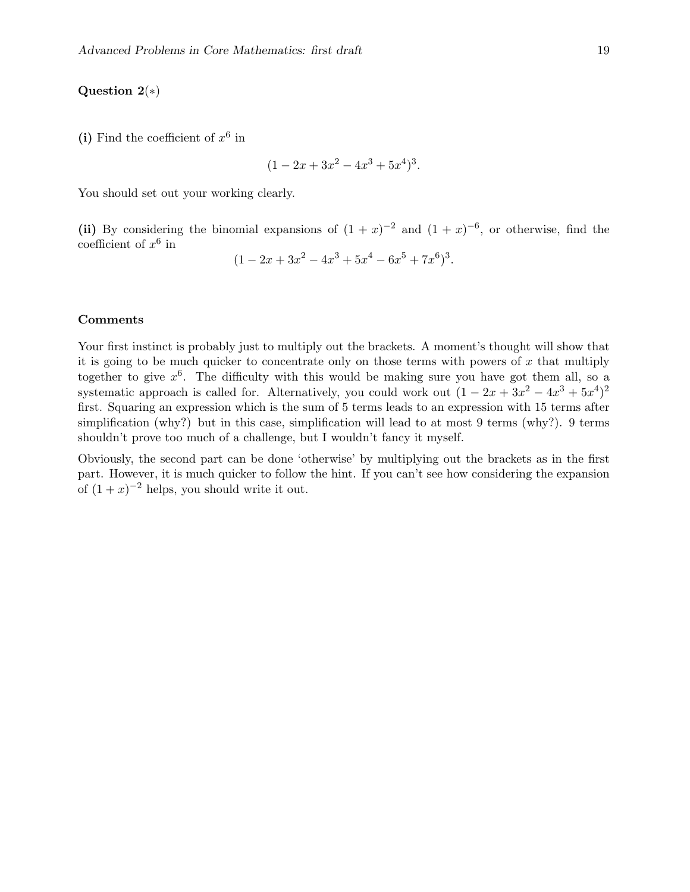## Question  $2(*)$

(i) Find the coefficient of  $x^6$  in

$$
(1 - 2x + 3x^2 - 4x^3 + 5x^4)^3.
$$

You should set out your working clearly.

(ii) By considering the binomial expansions of  $(1+x)^{-2}$  and  $(1+x)^{-6}$ , or otherwise, find the coefficient of  $x^6$  in

$$
(1 - 2x + 3x2 - 4x3 + 5x4 - 6x5 + 7x6)3.
$$

### Comments

Your first instinct is probably just to multiply out the brackets. A moment's thought will show that it is going to be much quicker to concentrate only on those terms with powers of  $x$  that multiply together to give  $x^6$ . The difficulty with this would be making sure you have got them all, so a systematic approach is called for. Alternatively, you could work out  $(1 - 2x + 3x^2 - 4x^3 + 5x^4)^2$ first. Squaring an expression which is the sum of 5 terms leads to an expression with 15 terms after simplification (why?) but in this case, simplification will lead to at most 9 terms (why?). 9 terms shouldn't prove too much of a challenge, but I wouldn't fancy it myself.

Obviously, the second part can be done 'otherwise' by multiplying out the brackets as in the first part. However, it is much quicker to follow the hint. If you can't see how considering the expansion of  $(1+x)^{-2}$  helps, you should write it out.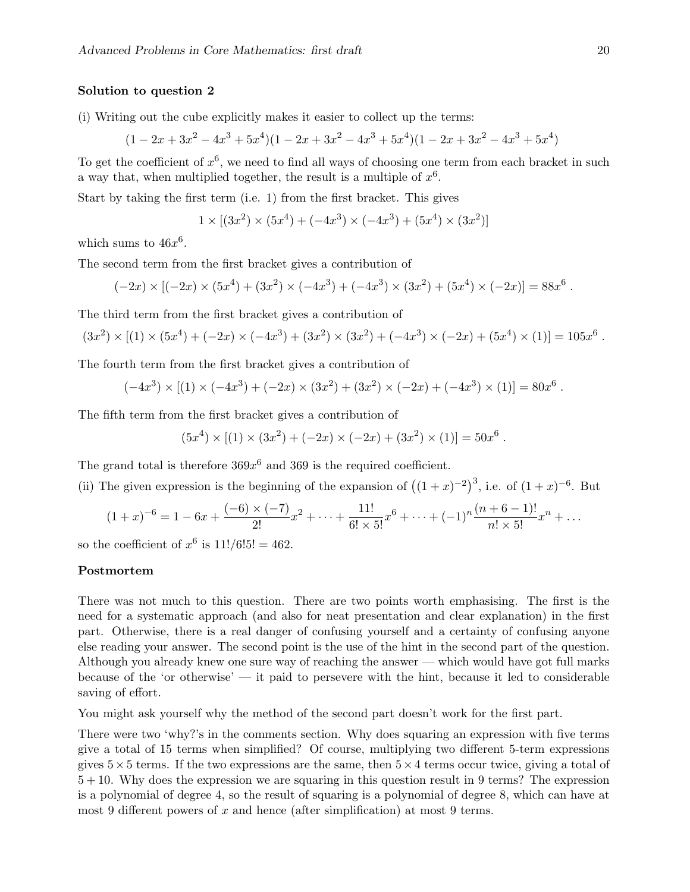(i) Writing out the cube explicitly makes it easier to collect up the terms:

$$
(1 - 2x + 3x2 - 4x3 + 5x4)(1 - 2x + 3x2 - 4x3 + 5x4)(1 - 2x + 3x2 - 4x3 + 5x4)
$$

To get the coefficient of  $x^6$ , we need to find all ways of choosing one term from each bracket in such a way that, when multiplied together, the result is a multiple of  $x^6$ .

Start by taking the first term (i.e. 1) from the first bracket. This gives

$$
1 \times [(3x^{2}) \times (5x^{4}) + (-4x^{3}) \times (-4x^{3}) + (5x^{4}) \times (3x^{2})]
$$

which sums to  $46x^6$ .

The second term from the first bracket gives a contribution of

$$
(-2x) \times [(-2x) \times (5x^4) + (3x^2) \times (-4x^3) + (-4x^3) \times (3x^2) + (5x^4) \times (-2x)] = 88x^6.
$$

The third term from the first bracket gives a contribution of

$$
(3x2) \times [(1) \times (5x4) + (-2x) \times (-4x3) + (3x2) \times (3x2) + (-4x3) \times (-2x) + (5x4) \times (1)] = 105x6.
$$

The fourth term from the first bracket gives a contribution of

$$
(-4x3) \times [(1) \times (-4x3) + (-2x) \times (3x2) + (3x2) \times (-2x) + (-4x3) \times (1)] = 80x6
$$

The fifth term from the first bracket gives a contribution of

$$
(5x4) \times [(1) \times (3x2) + (-2x) \times (-2x) + (3x2) \times (1)] = 50x6.
$$

The grand total is therefore  $369x^6$  and  $369$  is the required coefficient.

(ii) The given expression is the beginning of the expansion of  $((1+x)^{-2})^3$ , i.e. of  $(1+x)^{-6}$ . But

$$
(1+x)^{-6} = 1 - 6x + \frac{(-6) \times (-7)}{2!}x^2 + \dots + \frac{11!}{6! \times 5!}x^6 + \dots + (-1)^n \frac{(n+6-1)!}{n! \times 5!}x^n + \dots
$$

so the coefficient of  $x^6$  is  $11!/6!5! = 462$ .

### Postmortem

There was not much to this question. There are two points worth emphasising. The first is the need for a systematic approach (and also for neat presentation and clear explanation) in the first part. Otherwise, there is a real danger of confusing yourself and a certainty of confusing anyone else reading your answer. The second point is the use of the hint in the second part of the question. Although you already knew one sure way of reaching the answer — which would have got full marks because of the 'or otherwise' — it paid to persevere with the hint, because it led to considerable saving of effort.

You might ask yourself why the method of the second part doesn't work for the first part.

There were two 'why?'s in the comments section. Why does squaring an expression with five terms give a total of 15 terms when simplified? Of course, multiplying two different 5-term expressions gives  $5\times 5$  terms. If the two expressions are the same, then  $5\times 4$  terms occur twice, giving a total of 5 + 10. Why does the expression we are squaring in this question result in 9 terms? The expression is a polynomial of degree 4, so the result of squaring is a polynomial of degree 8, which can have at most 9 different powers of x and hence (after simplification) at most 9 terms.

.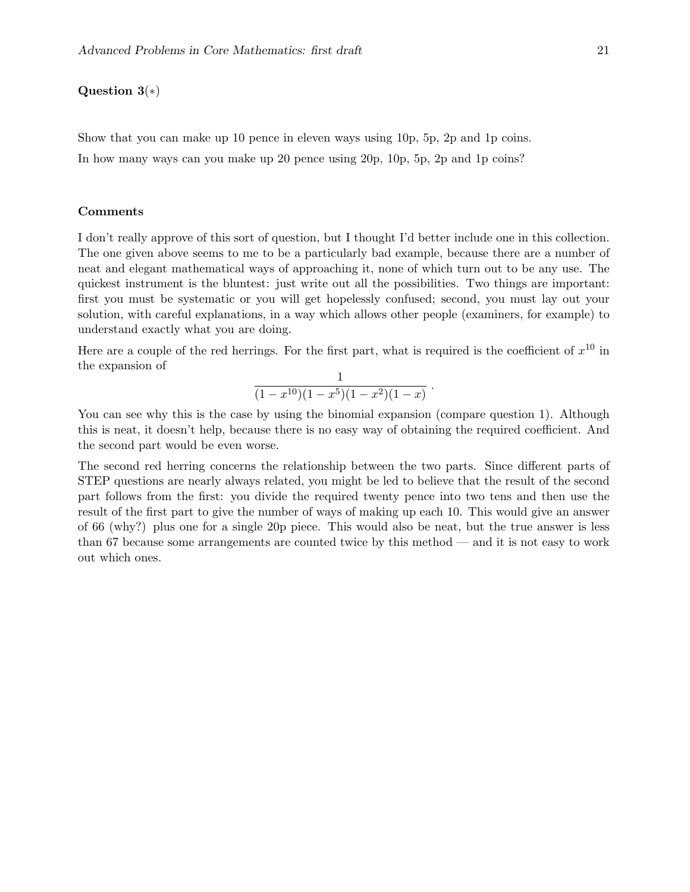## Question  $3(*)$

Show that you can make up 10 pence in eleven ways using 10p, 5p, 2p and 1p coins. In how many ways can you make up 20 pence using 20p, 10p, 5p, 2p and 1p coins?

### Comments

I don't really approve of this sort of question, but I thought I'd better include one in this collection. The one given above seems to me to be a particularly bad example, because there are a number of neat and elegant mathematical ways of approaching it, none of which turn out to be any use. The quickest instrument is the bluntest: just write out all the possibilities. Two things are important: first you must be systematic or you will get hopelessly confused; second, you must lay out your solution, with careful explanations, in a way which allows other people (examiners, for example) to understand exactly what you are doing.

Here are a couple of the red herrings. For the first part, what is required is the coefficient of  $x^{10}$  in the expansion of

$$
\frac{1}{(1-x^{10})(1-x^5)(1-x^2)(1-x)}
$$

.

You can see why this is the case by using the binomial expansion (compare question 1). Although this is neat, it doesn't help, because there is no easy way of obtaining the required coefficient. And the second part would be even worse.

The second red herring concerns the relationship between the two parts. Since different parts of STEP questions are nearly always related, you might be led to believe that the result of the second part follows from the first: you divide the required twenty pence into two tens and then use the result of the first part to give the number of ways of making up each 10. This would give an answer of 66 (why?) plus one for a single 20p piece. This would also be neat, but the true answer is less than 67 because some arrangements are counted twice by this method — and it is not easy to work out which ones.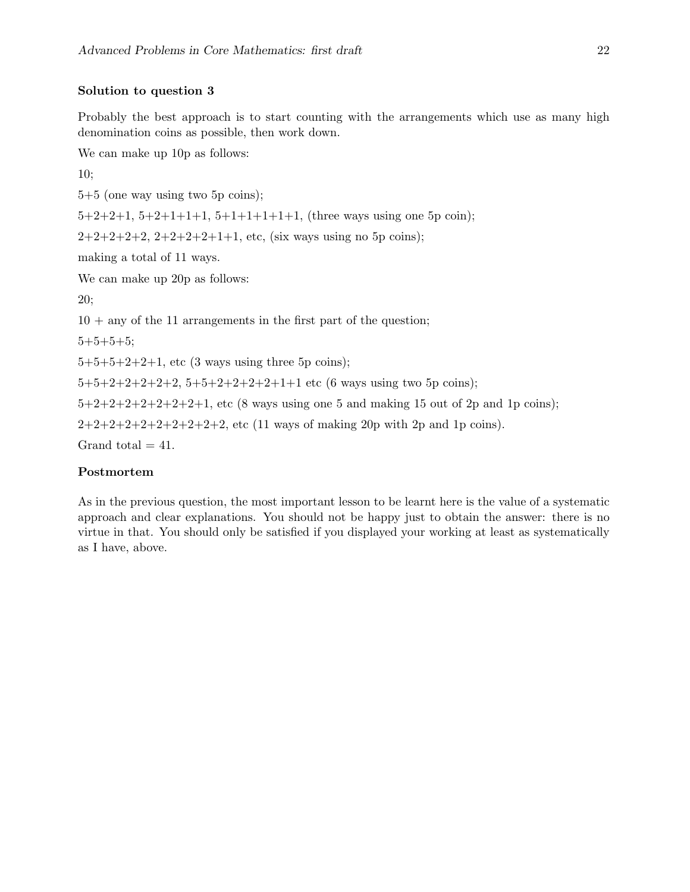Probably the best approach is to start counting with the arrangements which use as many high denomination coins as possible, then work down.

We can make up 10p as follows:

10;

5+5 (one way using two 5p coins);

 $5+2+2+1$ ,  $5+2+1+1+1$ ,  $5+1+1+1+1+1$ , (three ways using one 5p coin);

 $2+2+2+2+2$ ,  $2+2+2+2+1+1$ , etc, (six ways using no 5p coins);

making a total of 11 ways.

We can make up 20p as follows:

20;

 $10 +$  any of the 11 arrangements in the first part of the question;

 $5+5+5+5;$ 

 $5+5+5+2+2+1$ , etc  $(3$  ways using three 5p coins);

 $5+5+2+2+2+2+3$ ,  $5+5+2+2+2+2+1+1$  etc (6 ways using two 5p coins);

 $5+2+2+2+2+2+2+1$ , etc (8 ways using one 5 and making 15 out of 2p and 1p coins);

 $2+2+2+2+2+2+2+2+2+2$ , etc (11 ways of making 20p with 2p and 1p coins).

Grand total  $= 41$ .

## Postmortem

As in the previous question, the most important lesson to be learnt here is the value of a systematic approach and clear explanations. You should not be happy just to obtain the answer: there is no virtue in that. You should only be satisfied if you displayed your working at least as systematically as I have, above.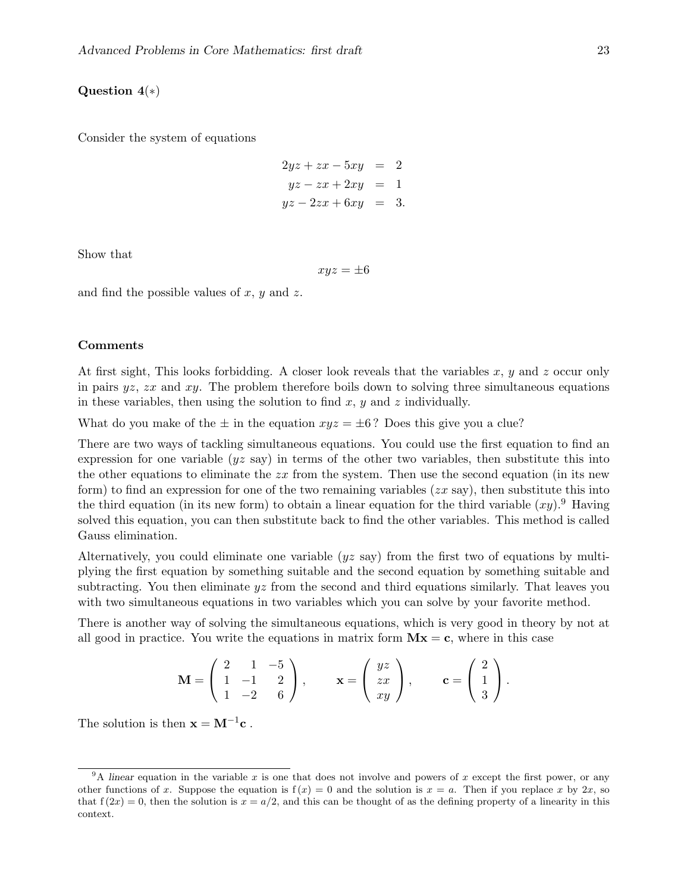## Question  $4(*)$

Consider the system of equations

 $2yz + zx - 5xy = 2$  $yz - zx + 2xy = 1$  $yz - 2zx + 6xy = 3.$ 

Show that

 $xyz = \pm 6$ 

and find the possible values of  $x, y$  and  $z$ .

#### Comments

At first sight, This looks forbidding. A closer look reveals that the variables  $x, y$  and  $z$  occur only in pairs  $yz$ ,  $zx$  and  $xy$ . The problem therefore boils down to solving three simultaneous equations in these variables, then using the solution to find  $x, y$  and  $z$  individually.

What do you make of the  $\pm$  in the equation  $xyz = \pm 6$ ? Does this give you a clue?

There are two ways of tackling simultaneous equations. You could use the first equation to find an expression for one variable  $(yz \text{ say})$  in terms of the other two variables, then substitute this into the other equations to eliminate the  $zx$  from the system. Then use the second equation (in its new form) to find an expression for one of the two remaining variables  $(zx \text{ say})$ , then substitute this into the third equation (in its new form) to obtain a linear equation for the third variable  $(xy)$ . Having solved this equation, you can then substitute back to find the other variables. This method is called Gauss elimination.

Alternatively, you could eliminate one variable  $(yz \text{ say})$  from the first two of equations by multiplying the first equation by something suitable and the second equation by something suitable and subtracting. You then eliminate  $yz$  from the second and third equations similarly. That leaves you with two simultaneous equations in two variables which you can solve by your favorite method.

There is another way of solving the simultaneous equations, which is very good in theory by not at all good in practice. You write the equations in matrix form  $Mx = c$ , where in this case

|                                                |  | $\begin{pmatrix} 2 & 1 & -5 \end{pmatrix}$ |  |                                                       |                                                                         |  |
|------------------------------------------------|--|--------------------------------------------|--|-------------------------------------------------------|-------------------------------------------------------------------------|--|
| $M = \begin{bmatrix} 1 & -1 & 2 \end{bmatrix}$ |  |                                            |  | $\mathbf{x} = \begin{pmatrix} yz \\ zx \end{pmatrix}$ | $\mathbf{c} = \left( \begin{array}{c} 2 \\ 1 \\ 3 \end{array} \right).$ |  |
|                                                |  | $\begin{pmatrix} 1 & -2 & 6 \end{pmatrix}$ |  | $\left\langle xy\right\rangle$                        |                                                                         |  |

The solution is then  $\mathbf{x} = \mathbf{M}^{-1}\mathbf{c}$ .

<sup>&</sup>lt;sup>9</sup>A linear equation in the variable x is one that does not involve and powers of x except the first power, or any other functions of x. Suppose the equation is  $f(x) = 0$  and the solution is  $x = a$ . Then if you replace x by 2x, so that  $f(2x) = 0$ , then the solution is  $x = a/2$ , and this can be thought of as the defining property of a linearity in this context.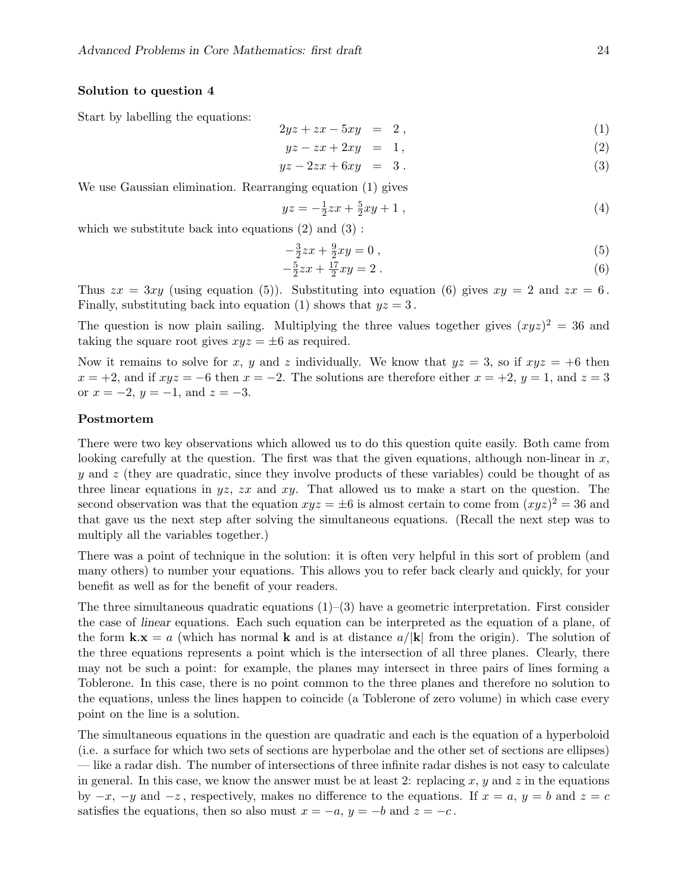Start by labelling the equations:

$$
2yz + zx - 5xy = 2 , \t\t(1)
$$

$$
yz - zx + 2xy = 1,
$$
\n<sup>(2)</sup>

$$
yz - 2zx + 6xy = 3.
$$
 (3)

We use Gaussian elimination. Rearranging equation (1) gives

$$
yz = -\frac{1}{2}zx + \frac{5}{2}xy + 1\,,\tag{4}
$$

which we substitute back into equations  $(2)$  and  $(3)$ :

$$
-\frac{3}{2}zx + \frac{9}{2}xy = 0\,,\tag{5}
$$

$$
-\frac{5}{2}zx + \frac{17}{2}xy = 2.
$$
 (6)

Thus  $zx = 3xy$  (using equation (5)). Substituting into equation (6) gives  $xy = 2$  and  $zx = 6$ . Finally, substituting back into equation (1) shows that  $yz = 3$ .

The question is now plain sailing. Multiplying the three values together gives  $(xyz)^2 = 36$  and taking the square root gives  $xyz = \pm 6$  as required.

Now it remains to solve for x, y and z individually. We know that  $yz = 3$ , so if  $xyz = +6$  then  $x = +2$ , and if  $xyz = -6$  then  $x = -2$ . The solutions are therefore either  $x = +2$ ,  $y = 1$ , and  $z = 3$ or  $x = -2$ ,  $y = -1$ , and  $z = -3$ .

#### Postmortem

There were two key observations which allowed us to do this question quite easily. Both came from looking carefully at the question. The first was that the given equations, although non-linear in  $x$ , y and z (they are quadratic, since they involve products of these variables) could be thought of as three linear equations in yz, zx and xy. That allowed us to make a start on the question. The second observation was that the equation  $xyz = \pm 6$  is almost certain to come from  $(xyz)^2 = 36$  and that gave us the next step after solving the simultaneous equations. (Recall the next step was to multiply all the variables together.)

There was a point of technique in the solution: it is often very helpful in this sort of problem (and many others) to number your equations. This allows you to refer back clearly and quickly, for your benefit as well as for the benefit of your readers.

The three simultaneous quadratic equations  $(1)$ – $(3)$  have a geometric interpretation. First consider the case of linear equations. Each such equation can be interpreted as the equation of a plane, of the form  $\mathbf{k} \cdot \mathbf{x} = a$  (which has normal k and is at distance  $a/|\mathbf{k}|$  from the origin). The solution of the three equations represents a point which is the intersection of all three planes. Clearly, there may not be such a point: for example, the planes may intersect in three pairs of lines forming a Toblerone. In this case, there is no point common to the three planes and therefore no solution to the equations, unless the lines happen to coincide (a Toblerone of zero volume) in which case every point on the line is a solution.

The simultaneous equations in the question are quadratic and each is the equation of a hyperboloid (i.e. a surface for which two sets of sections are hyperbolae and the other set of sections are ellipses) — like a radar dish. The number of intersections of three infinite radar dishes is not easy to calculate in general. In this case, we know the answer must be at least 2: replacing x, y and z in the equations by  $-x$ ,  $-y$  and  $-z$ , respectively, makes no difference to the equations. If  $x = a$ ,  $y = b$  and  $z = c$ satisfies the equations, then so also must  $x = -a$ ,  $y = -b$  and  $z = -c$ .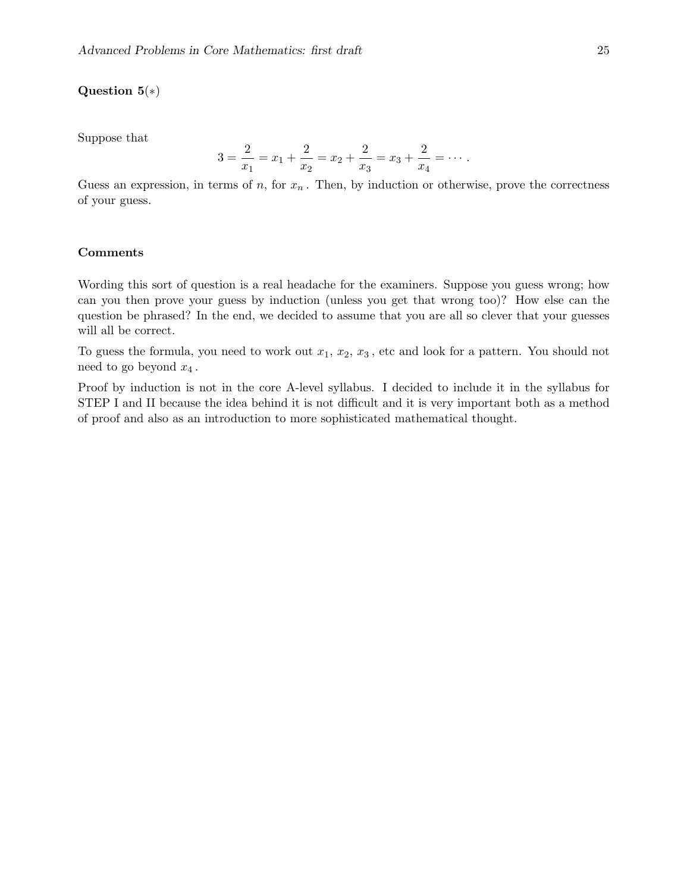## Question  $5(*)$

Suppose that

$$
3 = \frac{2}{x_1} = x_1 + \frac{2}{x_2} = x_2 + \frac{2}{x_3} = x_3 + \frac{2}{x_4} = \cdots
$$

Guess an expression, in terms of  $n$ , for  $x_n$ . Then, by induction or otherwise, prove the correctness of your guess.

### Comments

Wording this sort of question is a real headache for the examiners. Suppose you guess wrong; how can you then prove your guess by induction (unless you get that wrong too)? How else can the question be phrased? In the end, we decided to assume that you are all so clever that your guesses will all be correct.

To guess the formula, you need to work out  $x_1, x_2, x_3$ , etc and look for a pattern. You should not need to go beyond  $x_4$ .

Proof by induction is not in the core A-level syllabus. I decided to include it in the syllabus for STEP I and II because the idea behind it is not difficult and it is very important both as a method of proof and also as an introduction to more sophisticated mathematical thought.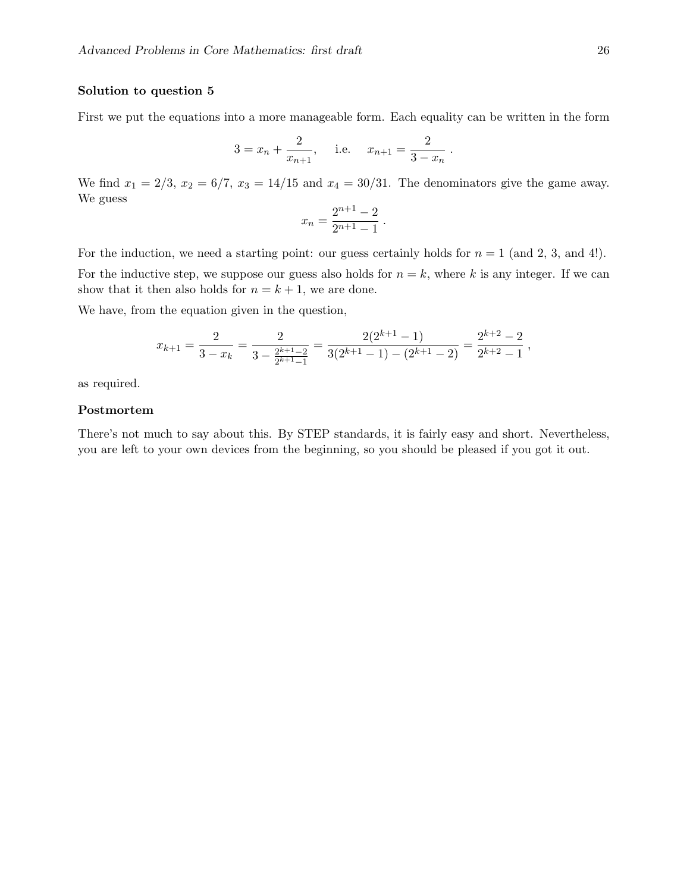First we put the equations into a more manageable form. Each equality can be written in the form

$$
3 = x_n + \frac{2}{x_{n+1}},
$$
 i.e.  $x_{n+1} = \frac{2}{3 - x_n}.$ 

We find  $x_1 = 2/3$ ,  $x_2 = 6/7$ ,  $x_3 = 14/15$  and  $x_4 = 30/31$ . The denominators give the game away. We guess

$$
x_n = \frac{2^{n+1} - 2}{2^{n+1} - 1} \ .
$$

For the induction, we need a starting point: our guess certainly holds for  $n = 1$  (and 2, 3, and 4!).

For the inductive step, we suppose our guess also holds for  $n = k$ , where k is any integer. If we can show that it then also holds for  $n = k + 1$ , we are done.

We have, from the equation given in the question,

$$
x_{k+1} = \frac{2}{3-x_k} = \frac{2}{3 - \frac{2^{k+1}-2}{2^{k+1}-1}} = \frac{2(2^{k+1}-1)}{3(2^{k+1}-1)-(2^{k+1}-2)} = \frac{2^{k+2}-2}{2^{k+2}-1},
$$

as required.

### Postmortem

There's not much to say about this. By STEP standards, it is fairly easy and short. Nevertheless, you are left to your own devices from the beginning, so you should be pleased if you got it out.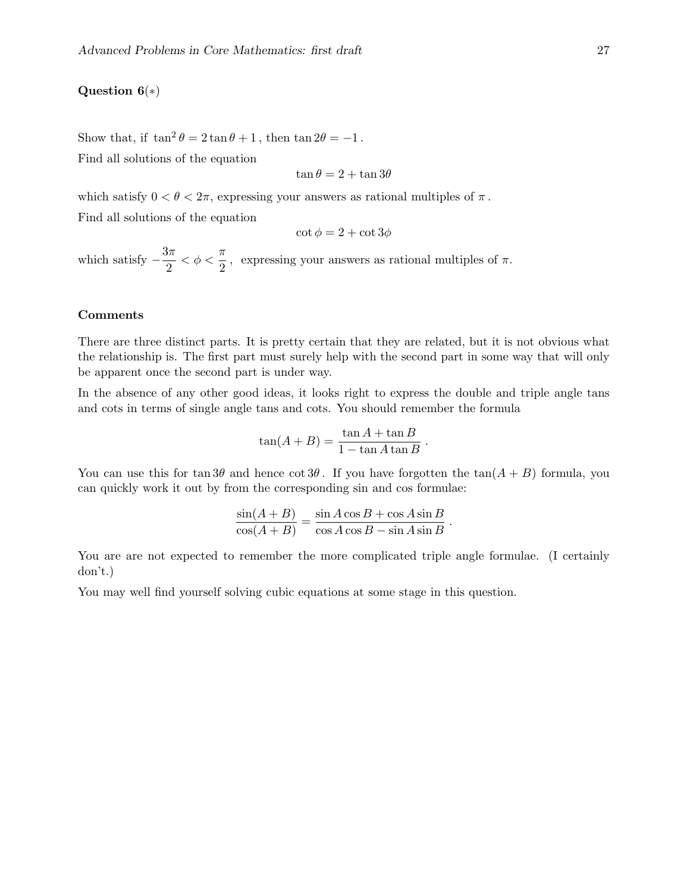### Question  $6(*)$

Show that, if  $\tan^2 \theta = 2 \tan \theta + 1$ , then  $\tan 2\theta = -1$ .

Find all solutions of the equation

$$
\tan \theta = 2 + \tan 3\theta
$$

which satisfy  $0 < \theta < 2\pi$ , expressing your answers as rational multiples of  $\pi$ .

Find all solutions of the equation

$$
\cot \phi = 2 + \cot 3\phi
$$

which satisfy  $-\frac{3\pi}{2}$  $\frac{3\pi}{2} < \phi < \frac{\pi}{2}$ , expressing your answers as rational multiples of  $\pi$ .

### Comments

There are three distinct parts. It is pretty certain that they are related, but it is not obvious what the relationship is. The first part must surely help with the second part in some way that will only be apparent once the second part is under way.

In the absence of any other good ideas, it looks right to express the double and triple angle tans and cots in terms of single angle tans and cots. You should remember the formula

$$
\tan(A+B) = \frac{\tan A + \tan B}{1 - \tan A \tan B}.
$$

You can use this for tan 3 $\theta$  and hence cot 3 $\theta$ . If you have forgotten the tan( $A + B$ ) formula, you can quickly work it out by from the corresponding sin and cos formulae:

$$
\frac{\sin(A+B)}{\cos(A+B)} = \frac{\sin A \cos B + \cos A \sin B}{\cos A \cos B - \sin A \sin B}.
$$

You are are not expected to remember the more complicated triple angle formulae. (I certainly don't.)

You may well find yourself solving cubic equations at some stage in this question.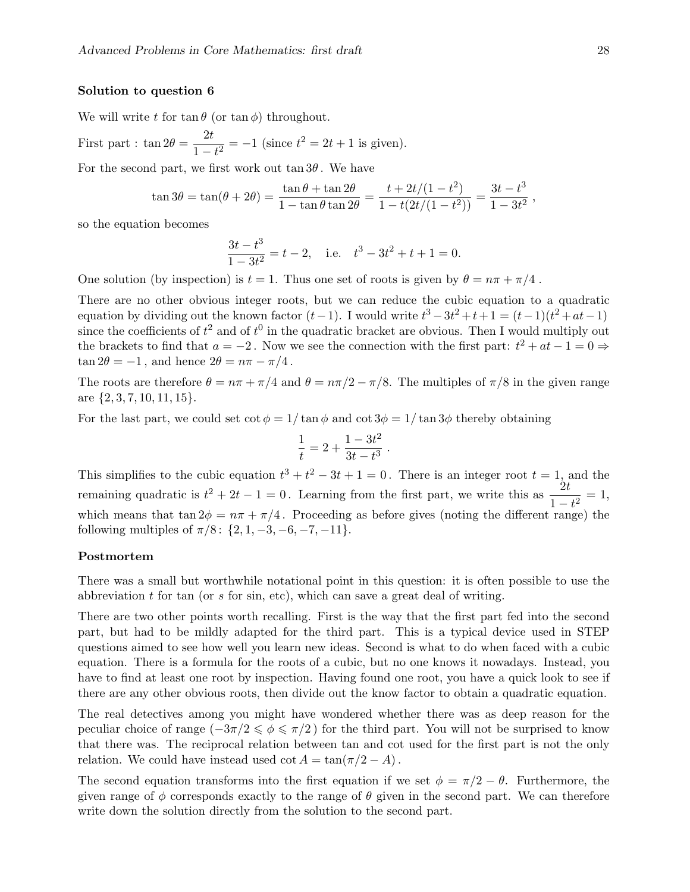We will write t for  $\tan \theta$  (or  $\tan \phi$ ) throughout.

First part :  $\tan 2\theta = \frac{2t}{1}$  $\frac{2t}{1-t^2} = -1$  (since  $t^2 = 2t + 1$  is given).

For the second part, we first work out  $\tan 3\theta$ . We have

$$
\tan 3\theta = \tan(\theta + 2\theta) = \frac{\tan \theta + \tan 2\theta}{1 - \tan \theta \tan 2\theta} = \frac{t + 2t/(1 - t^2)}{1 - t(2t/(1 - t^2))} = \frac{3t - t^3}{1 - 3t^2},
$$

so the equation becomes

$$
\frac{3t - t^3}{1 - 3t^2} = t - 2
$$
, i.e.  $t^3 - 3t^2 + t + 1 = 0$ .

One solution (by inspection) is  $t = 1$ . Thus one set of roots is given by  $\theta = n\pi + \pi/4$ .

There are no other obvious integer roots, but we can reduce the cubic equation to a quadratic equation by dividing out the known factor  $(t-1)$ . I would write  $t^3 - 3t^2 + t + 1 = (t-1)(t^2 + at - 1)$ since the coefficients of  $t^2$  and of  $t^0$  in the quadratic bracket are obvious. Then I would multiply out the brackets to find that  $a = -2$ . Now we see the connection with the first part:  $t^2 + at - 1 = 0 \Rightarrow$  $\tan 2\theta = -1$ , and hence  $2\theta = n\pi - \pi/4$ .

The roots are therefore  $\theta = n\pi + \pi/4$  and  $\theta = n\pi/2 - \pi/8$ . The multiples of  $\pi/8$  in the given range are  $\{2, 3, 7, 10, 11, 15\}.$ 

For the last part, we could set  $\cot \phi = 1/\tan \phi$  and  $\cot 3\phi = 1/\tan 3\phi$  thereby obtaining

$$
\frac{1}{t} = 2 + \frac{1 - 3t^2}{3t - t^3} \ .
$$

This simplifies to the cubic equation  $t^3 + t^2 - 3t + 1 = 0$ . There is an integer root  $t = 1$ , and the remaining quadratic is  $t^2 + 2t - 1 = 0$ . Learning from the first part, we write this as  $\frac{2t}{1-t^2} = 1$ , which means that  $\tan 2\phi = n\pi + \pi/4$ . Proceeding as before gives (noting the different range) the following multiples of  $\pi/8$ :  $\{2, 1, -3, -6, -7, -11\}$ .

#### Postmortem

There was a small but worthwhile notational point in this question: it is often possible to use the abbreviation t for tan (or s for sin, etc), which can save a great deal of writing.

There are two other points worth recalling. First is the way that the first part fed into the second part, but had to be mildly adapted for the third part. This is a typical device used in STEP questions aimed to see how well you learn new ideas. Second is what to do when faced with a cubic equation. There is a formula for the roots of a cubic, but no one knows it nowadays. Instead, you have to find at least one root by inspection. Having found one root, you have a quick look to see if there are any other obvious roots, then divide out the know factor to obtain a quadratic equation.

The real detectives among you might have wondered whether there was as deep reason for the peculiar choice of range  $(-3\pi/2 \leq \phi \leq \pi/2)$  for the third part. You will not be surprised to know that there was. The reciprocal relation between tan and cot used for the first part is not the only relation. We could have instead used  $\cot A = \tan(\pi/2 - A)$ .

The second equation transforms into the first equation if we set  $\phi = \pi/2 - \theta$ . Furthermore, the given range of  $\phi$  corresponds exactly to the range of  $\theta$  given in the second part. We can therefore write down the solution directly from the solution to the second part.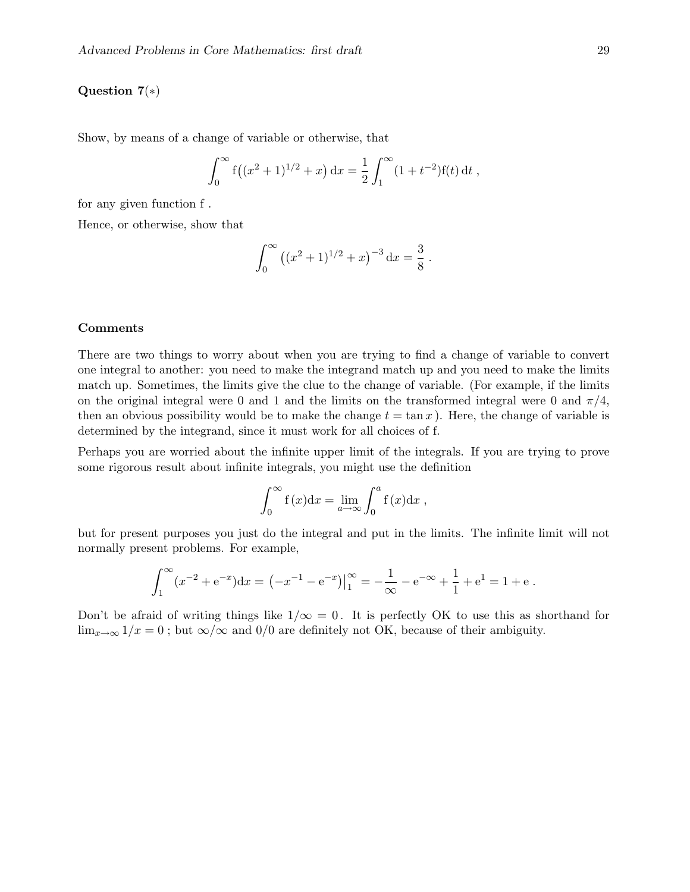# Question  $7(*)$

Show, by means of a change of variable or otherwise, that

$$
\int_0^\infty f((x^2+1)^{1/2}+x) dx = \frac{1}{2} \int_1^\infty (1+t^{-2}) f(t) dt,
$$

for any given function f .

Hence, or otherwise, show that

$$
\int_0^\infty \left( (x^2 + 1)^{1/2} + x \right)^{-3} \mathrm{d}x = \frac{3}{8} \, .
$$

### Comments

There are two things to worry about when you are trying to find a change of variable to convert one integral to another: you need to make the integrand match up and you need to make the limits match up. Sometimes, the limits give the clue to the change of variable. (For example, if the limits on the original integral were 0 and 1 and the limits on the transformed integral were 0 and  $\pi/4$ , then an obvious possibility would be to make the change  $t = \tan x$ . Here, the change of variable is determined by the integrand, since it must work for all choices of f.

Perhaps you are worried about the infinite upper limit of the integrals. If you are trying to prove some rigorous result about infinite integrals, you might use the definition

$$
\int_0^\infty f(x)dx = \lim_{a \to \infty} \int_0^a f(x)dx,
$$

but for present purposes you just do the integral and put in the limits. The infinite limit will not normally present problems. For example,

$$
\int_1^{\infty} (x^{-2} + e^{-x}) dx = (-x^{-1} - e^{-x})\Big|_1^{\infty} = -\frac{1}{\infty} - e^{-\infty} + \frac{1}{1} + e^1 = 1 + e.
$$

Don't be afraid of writing things like  $1/\infty = 0$ . It is perfectly OK to use this as shorthand for  $\lim_{x\to\infty} 1/x = 0$ ; but  $\infty/\infty$  and  $0/0$  are definitely not OK, because of their ambiguity.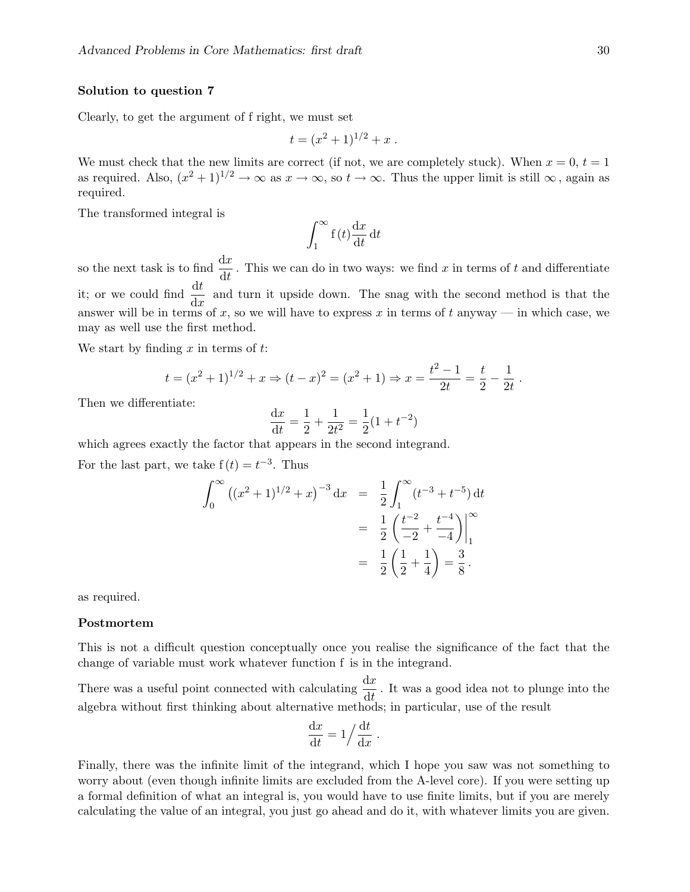Clearly, to get the argument of f right, we must set

$$
t = (x^2 + 1)^{1/2} + x.
$$

We must check that the new limits are correct (if not, we are completely stuck). When  $x = 0, t = 1$ as required. Also,  $(x^2 + 1)^{1/2} \to \infty$  as  $x \to \infty$ , so  $t \to \infty$ . Thus the upper limit is still  $\infty$ , again as required.

The transformed integral is

$$
\int_{1}^{\infty} f(t) \frac{dx}{dt} dt
$$

so the next task is to find  $\frac{dx}{dt}$ . This we can do in two ways: we find x in terms of t and differentiate it; or we could find  $\frac{dt}{dx}$  and turn it upside down. The snag with the second method is that the answer will be in terms of x, so we will have to express x in terms of t anyway — in which case, we may as well use the first method.

We start by finding  $x$  in terms of  $t$ :

$$
t = (x^2 + 1)^{1/2} + x \Rightarrow (t - x)^2 = (x^2 + 1) \Rightarrow x = \frac{t^2 - 1}{2t} = \frac{t}{2} - \frac{1}{2t}.
$$

Then we differentiate:

$$
\frac{dx}{dt} = \frac{1}{2} + \frac{1}{2t^2} = \frac{1}{2}(1 + t^{-2})
$$

which agrees exactly the factor that appears in the second integrand.

For the last part, we take  $f(t) = t^{-3}$ . Thus

$$
\int_0^\infty \left( (x^2 + 1)^{1/2} + x \right)^{-3} dx = \frac{1}{2} \int_1^\infty (t^{-3} + t^{-5}) dt
$$
  
=  $\frac{1}{2} \left( \frac{t^{-2}}{-2} + \frac{t^{-4}}{-4} \right) \Big|_1^\infty$   
=  $\frac{1}{2} \left( \frac{1}{2} + \frac{1}{4} \right) = \frac{3}{8}.$ 

as required.

#### Postmortem

This is not a difficult question conceptually once you realise the significance of the fact that the change of variable must work whatever function f is in the integrand.

There was a useful point connected with calculating  $\frac{dx}{dt}$ . It was a good idea not to plunge into the algebra without first thinking about alternative methods; in particular, use of the result

$$
\frac{\mathrm{d}x}{\mathrm{d}t} = 1 / \frac{\mathrm{d}t}{\mathrm{d}x} .
$$

Finally, there was the infinite limit of the integrand, which I hope you saw was not something to worry about (even though infinite limits are excluded from the A-level core). If you were setting up a formal definition of what an integral is, you would have to use finite limits, but if you are merely calculating the value of an integral, you just go ahead and do it, with whatever limits you are given.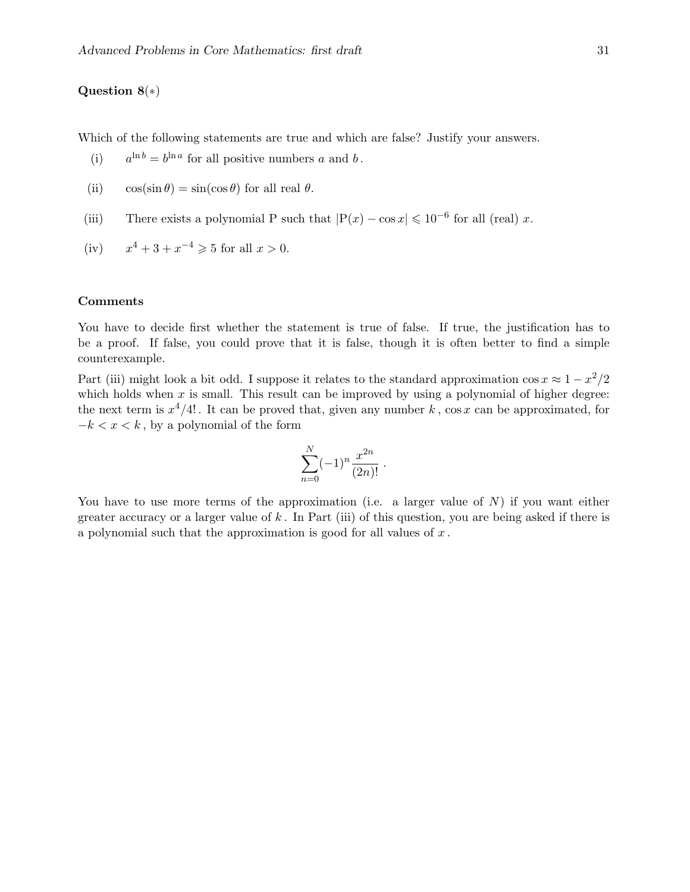## Question  $8(*)$

Which of the following statements are true and which are false? Justify your answers.

- $(i)$  $\ln b = b^{\ln a}$  for all positive numbers a and b.
- (ii)  $\cos(\sin \theta) = \sin(\cos \theta)$  for all real  $\theta$ .
- (iii) There exists a polynomial P such that  $|P(x) \cos x| \leq 10^{-6}$  for all (real) x.
- $(iv)$  $4 + 3 + x^{-4} \ge 5$  for all  $x > 0$ .

### Comments

You have to decide first whether the statement is true of false. If true, the justification has to be a proof. If false, you could prove that it is false, though it is often better to find a simple counterexample.

Part (iii) might look a bit odd. I suppose it relates to the standard approximation  $\cos x \approx 1 - x^2/2$ which holds when  $x$  is small. This result can be improved by using a polynomial of higher degree: the next term is  $x^4/4!$ . It can be proved that, given any number k, cos x can be approximated, for  $-k < x < k$ , by a polynomial of the form

$$
\sum_{n=0}^{N} (-1)^n \frac{x^{2n}}{(2n)!} .
$$

You have to use more terms of the approximation (i.e. a larger value of  $N$ ) if you want either greater accuracy or a larger value of  $k$ . In Part (iii) of this question, you are being asked if there is a polynomial such that the approximation is good for all values of  $x$ .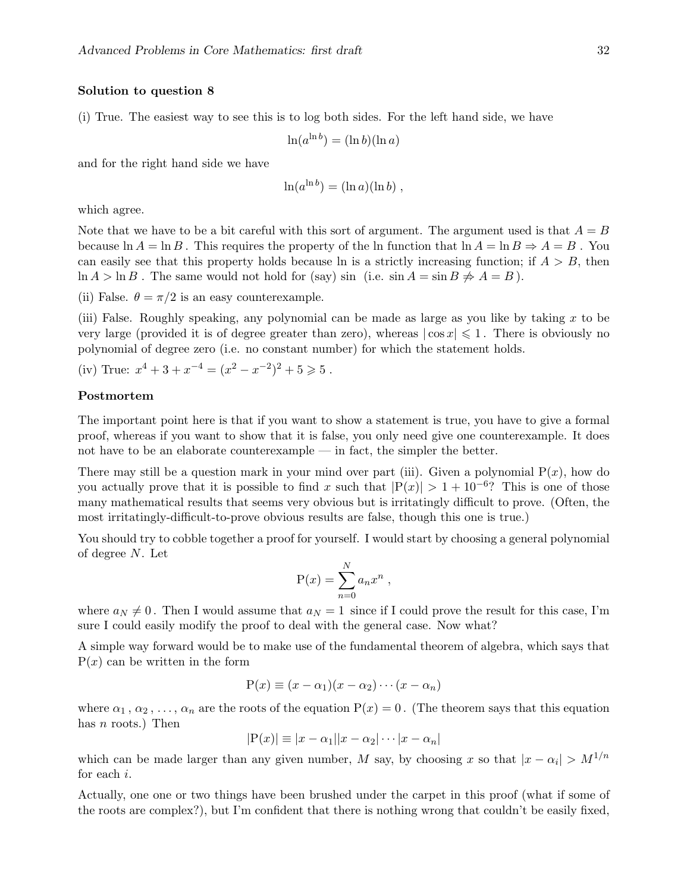(i) True. The easiest way to see this is to log both sides. For the left hand side, we have

$$
\ln(a^{\ln b}) = (\ln b)(\ln a)
$$

and for the right hand side we have

$$
\ln(a^{\ln b}) = (\ln a)(\ln b) ,
$$

which agree.

Note that we have to be a bit careful with this sort of argument. The argument used is that  $A = B$ because  $\ln A = \ln B$ . This requires the property of the ln function that  $\ln A = \ln B \Rightarrow A = B$ . You can easily see that this property holds because ln is a strictly increasing function; if  $A > B$ , then  $\ln A > \ln B$ . The same would not hold for (say) sin (i.e.  $\sin A = \sin B \neq A = B$ ).

(ii) False.  $\theta = \pi/2$  is an easy counterexample.

(iii) False. Roughly speaking, any polynomial can be made as large as you like by taking  $x$  to be very large (provided it is of degree greater than zero), whereas  $|\cos x| \leq 1$ . There is obviously no polynomial of degree zero (i.e. no constant number) for which the statement holds.

(iv) True:  $x^4 + 3 + x^{-4} = (x^2 - x^{-2})^2 + 5 \ge 5$ .

### Postmortem

The important point here is that if you want to show a statement is true, you have to give a formal proof, whereas if you want to show that it is false, you only need give one counterexample. It does not have to be an elaborate counterexample — in fact, the simpler the better.

There may still be a question mark in your mind over part (iii). Given a polynomial  $P(x)$ , how do you actually prove that it is possible to find x such that  $|P(x)| > 1 + 10^{-6}$ ? This is one of those many mathematical results that seems very obvious but is irritatingly difficult to prove. (Often, the most irritatingly-difficult-to-prove obvious results are false, though this one is true.)

You should try to cobble together a proof for yourself. I would start by choosing a general polynomial of degree N. Let

$$
P(x) = \sum_{n=0}^{N} a_n x^n ,
$$

where  $a_N \neq 0$ . Then I would assume that  $a_N = 1$  since if I could prove the result for this case, I'm sure I could easily modify the proof to deal with the general case. Now what?

A simple way forward would be to make use of the fundamental theorem of algebra, which says that  $P(x)$  can be written in the form

$$
P(x) \equiv (x - \alpha_1)(x - \alpha_2) \cdots (x - \alpha_n)
$$

where  $\alpha_1, \alpha_2, \ldots, \alpha_n$  are the roots of the equation  $P(x) = 0$ . (The theorem says that this equation has  $n$  roots.) Then

$$
|\mathcal{P}(x)| \equiv |x - \alpha_1||x - \alpha_2| \cdots |x - \alpha_n|
$$

which can be made larger than any given number, M say, by choosing x so that  $|x - \alpha_i| > M^{1/n}$ for each i.

Actually, one one or two things have been brushed under the carpet in this proof (what if some of the roots are complex?), but I'm confident that there is nothing wrong that couldn't be easily fixed,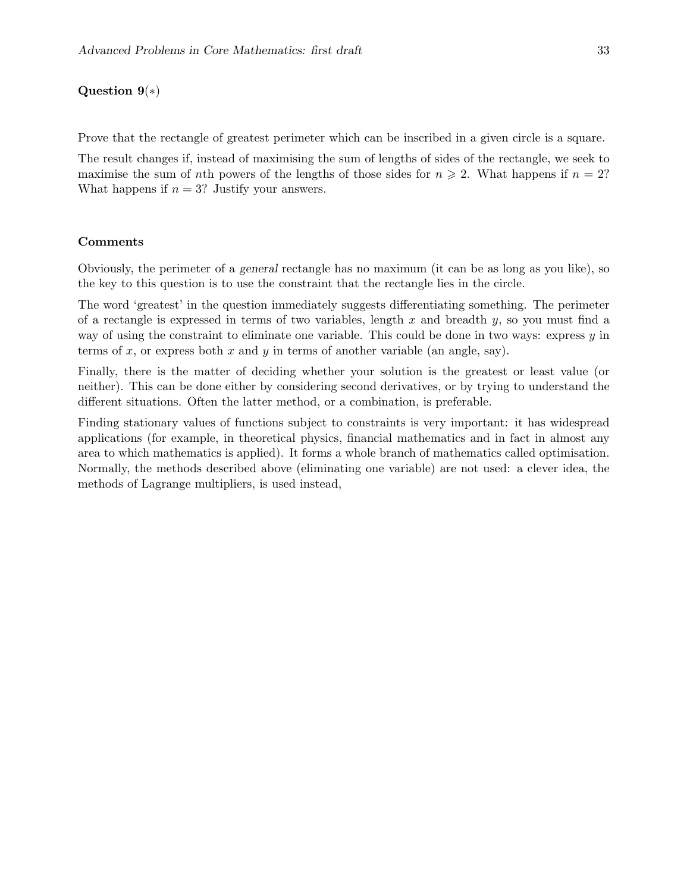## Question  $9(*)$

Prove that the rectangle of greatest perimeter which can be inscribed in a given circle is a square.

The result changes if, instead of maximising the sum of lengths of sides of the rectangle, we seek to maximise the sum of nth powers of the lengths of those sides for  $n \geq 2$ . What happens if  $n = 2$ ? What happens if  $n = 3$ ? Justify your answers.

### Comments

Obviously, the perimeter of a general rectangle has no maximum (it can be as long as you like), so the key to this question is to use the constraint that the rectangle lies in the circle.

The word 'greatest' in the question immediately suggests differentiating something. The perimeter of a rectangle is expressed in terms of two variables, length x and breadth  $y$ , so you must find a way of using the constraint to eliminate one variable. This could be done in two ways: express  $y$  in terms of x, or express both x and y in terms of another variable (an angle, say).

Finally, there is the matter of deciding whether your solution is the greatest or least value (or neither). This can be done either by considering second derivatives, or by trying to understand the different situations. Often the latter method, or a combination, is preferable.

Finding stationary values of functions subject to constraints is very important: it has widespread applications (for example, in theoretical physics, financial mathematics and in fact in almost any area to which mathematics is applied). It forms a whole branch of mathematics called optimisation. Normally, the methods described above (eliminating one variable) are not used: a clever idea, the methods of Lagrange multipliers, is used instead,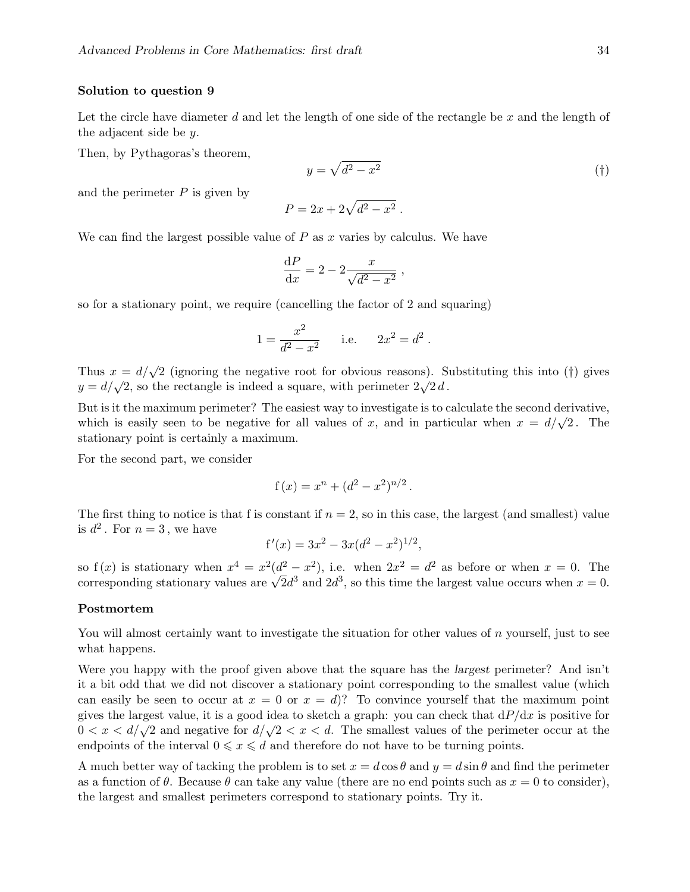Let the circle have diameter  $d$  and let the length of one side of the rectangle be  $x$  and the length of the adjacent side be  $\psi$ .

Then, by Pythagoras's theorem,

$$
y = \sqrt{d^2 - x^2} \tag{\dagger}
$$

and the perimeter  $P$  is given by

$$
P = 2x + 2\sqrt{d^2 - x^2}.
$$

We can find the largest possible value of  $P$  as  $x$  varies by calculus. We have

$$
\frac{\mathrm{d}P}{\mathrm{d}x} = 2 - 2 \frac{x}{\sqrt{d^2 - x^2}} \,,
$$

so for a stationary point, we require (cancelling the factor of 2 and squaring)

$$
1 = \frac{x^2}{d^2 - x^2}
$$
 i.e.  $2x^2 = d^2$ .

Thus  $x = d/\sqrt{2}$  (ignoring the negative root for obvious reasons). Substituting this into (†) gives  $y = d/\sqrt{2}$ , so the rectangle is indeed a square, with perimeter  $2\sqrt{2}d$ .

But is it the maximum perimeter? The easiest way to investigate is to calculate the second derivative, But is it the maximum permeter. The easiest way to investigate is to calculate the second derivative,<br>which is easily seen to be negative for all values of x, and in particular when  $x = d/\sqrt{2}$ . The stationary point is certainly a maximum.

For the second part, we consider

$$
f(x) = xn + (d2 – x2)n/2
$$
.

The first thing to notice is that f is constant if  $n = 2$ , so in this case, the largest (and smallest) value is  $d^2$ . For  $n=3$ , we have

$$
f'(x) = 3x^2 - 3x(d^2 - x^2)^{1/2},
$$

so  $f(x)$  is stationary when  $x^4 = x^2(d^2 - x^2)$ , i.e. when  $2x^2 = d^2$  as before or when  $x = 0$ . The so  $f(x)$  is stationary when  $x^2 = x^2(a^2 - x^2)$ , i.e. when  $2x^2 = a^2$  as before or when  $x = 0$ . The corresponding stationary values are  $\sqrt{2}d^3$  and  $2d^3$ , so this time the largest value occurs when  $x = 0$ .

#### Postmortem

You will almost certainly want to investigate the situation for other values of n yourself, just to see what happens.

Were you happy with the proof given above that the square has the *largest* perimeter? And isn't it a bit odd that we did not discover a stationary point corresponding to the smallest value (which can easily be seen to occur at  $x = 0$  or  $x = d$ ? To convince yourself that the maximum point gives the largest value, it is a good idea to sketch a graph: you can check that  $dP/dx$  is positive for gives the largest value, it is a good idea to sketch a graph. you can check that dr /dx is positive for  $0 < x < d/\sqrt{2}$  and negative for  $d/\sqrt{2} < x < d$ . The smallest values of the perimeter occur at the endpoints of the interval  $0 \leq x \leq d$  and therefore do not have to be turning points.

A much better way of tacking the problem is to set  $x = d \cos \theta$  and  $y = d \sin \theta$  and find the perimeter as a function of  $\theta$ . Because  $\theta$  can take any value (there are no end points such as  $x = 0$  to consider), the largest and smallest perimeters correspond to stationary points. Try it.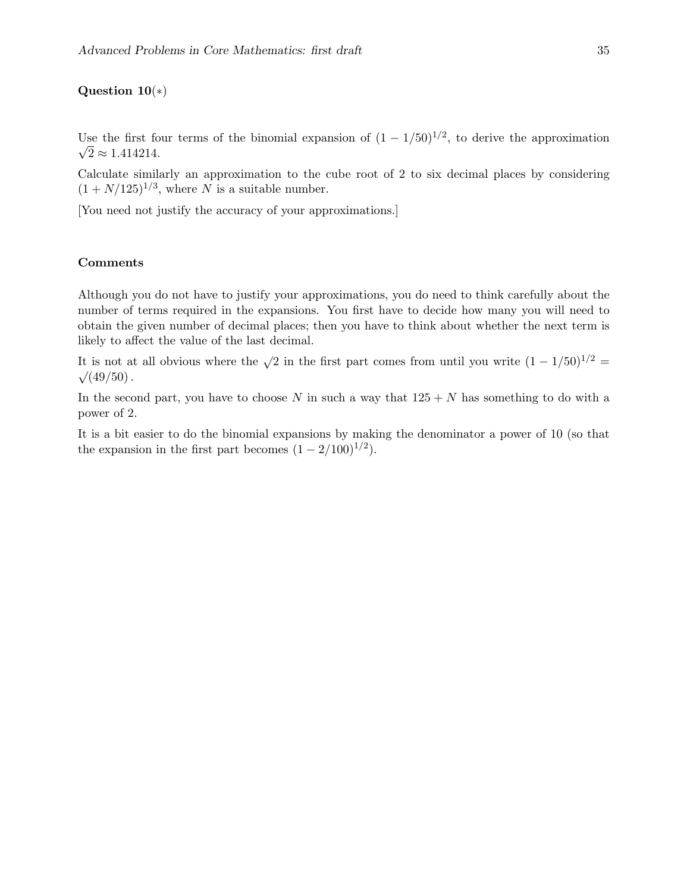## Question 10(∗)

Use the first four terms of the binomial expansion of  $(1 - 1/50)^{1/2}$ , to derive the approximation  $\sqrt{2} \approx 1.414214$ .

Calculate similarly an approximation to the cube root of 2 to six decimal places by considering  $(1 + N/125)^{1/3}$ , where N is a suitable number.

[You need not justify the accuracy of your approximations.]

### Comments

Although you do not have to justify your approximations, you do need to think carefully about the number of terms required in the expansions. You first have to decide how many you will need to obtain the given number of decimal places; then you have to think about whether the next term is likely to affect the value of the last decimal.

It is not at all obvious where the  $\sqrt{2}$  in the first part comes from until you write  $(1 - 1/50)^{1/2}$  =  $\sqrt{(10/50)}$  $\sqrt{(49/50)}$ .

In the second part, you have to choose N in such a way that  $125 + N$  has something to do with a power of 2.

It is a bit easier to do the binomial expansions by making the denominator a power of 10 (so that the expansion in the first part becomes  $(1 - 2/100)^{1/2}$ .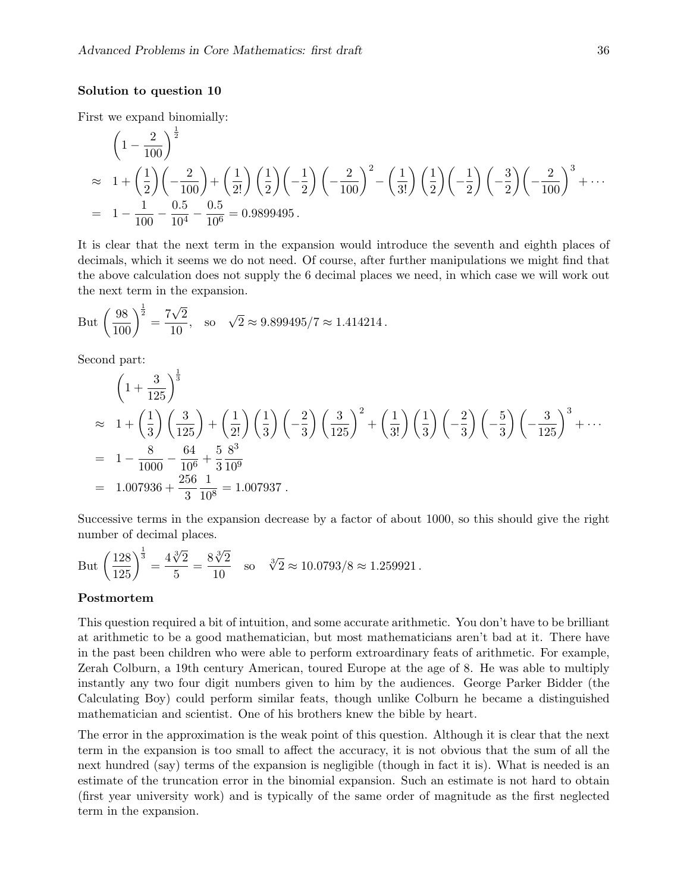First we expand binomially:

$$
\left(1 - \frac{2}{100}\right)^{\frac{1}{2}}
$$
\n
$$
\approx 1 + \left(\frac{1}{2}\right)\left(-\frac{2}{100}\right) + \left(\frac{1}{2!}\right)\left(\frac{1}{2}\right)\left(-\frac{1}{2}\right)\left(-\frac{2}{100}\right)^{2} - \left(\frac{1}{3!}\right)\left(\frac{1}{2}\right)\left(-\frac{1}{2}\right)\left(-\frac{3}{2}\right)\left(-\frac{2}{100}\right)^{3} + \cdots
$$
\n
$$
= 1 - \frac{1}{100} - \frac{0.5}{10^{4}} - \frac{0.5}{10^{6}} = 0.9899495.
$$

It is clear that the next term in the expansion would introduce the seventh and eighth places of decimals, which it seems we do not need. Of course, after further manipulations we might find that the above calculation does not supply the 6 decimal places we need, in which case we will work out the next term in the expansion.

But 
$$
\left(\frac{98}{100}\right)^{\frac{1}{2}} = \frac{7\sqrt{2}}{10}
$$
, so  $\sqrt{2} \approx 9.899495/7 \approx 1.414214$ .

Second part:

$$
\left(1+\frac{3}{125}\right)^{\frac{1}{3}}
$$
\n
$$
\approx 1 + \left(\frac{1}{3}\right)\left(\frac{3}{125}\right) + \left(\frac{1}{2!}\right)\left(\frac{1}{3}\right)\left(-\frac{2}{3}\right)\left(\frac{3}{125}\right)^{2} + \left(\frac{1}{3!}\right)\left(\frac{1}{3}\right)\left(-\frac{2}{3}\right)\left(-\frac{5}{3}\right)\left(-\frac{3}{125}\right)^{3} + \cdots
$$
\n
$$
= 1 - \frac{8}{1000} - \frac{64}{10^{6}} + \frac{5}{3}\frac{8^{3}}{10^{9}}
$$
\n
$$
= 1.007936 + \frac{256}{3}\frac{1}{10^{8}} = 1.007937.
$$

Successive terms in the expansion decrease by a factor of about 1000, so this should give the right number of decimal places.

But 
$$
\left(\frac{128}{125}\right)^{\frac{1}{3}} = \frac{4\sqrt[3]{2}}{5} = \frac{8\sqrt[3]{2}}{10}
$$
 so  $\sqrt[3]{2} \approx 10.0793/8 \approx 1.259921$ .

### Postmortem

This question required a bit of intuition, and some accurate arithmetic. You don't have to be brilliant at arithmetic to be a good mathematician, but most mathematicians aren't bad at it. There have in the past been children who were able to perform extroardinary feats of arithmetic. For example, Zerah Colburn, a 19th century American, toured Europe at the age of 8. He was able to multiply instantly any two four digit numbers given to him by the audiences. George Parker Bidder (the Calculating Boy) could perform similar feats, though unlike Colburn he became a distinguished mathematician and scientist. One of his brothers knew the bible by heart.

The error in the approximation is the weak point of this question. Although it is clear that the next term in the expansion is too small to affect the accuracy, it is not obvious that the sum of all the next hundred (say) terms of the expansion is negligible (though in fact it is). What is needed is an estimate of the truncation error in the binomial expansion. Such an estimate is not hard to obtain (first year university work) and is typically of the same order of magnitude as the first neglected term in the expansion.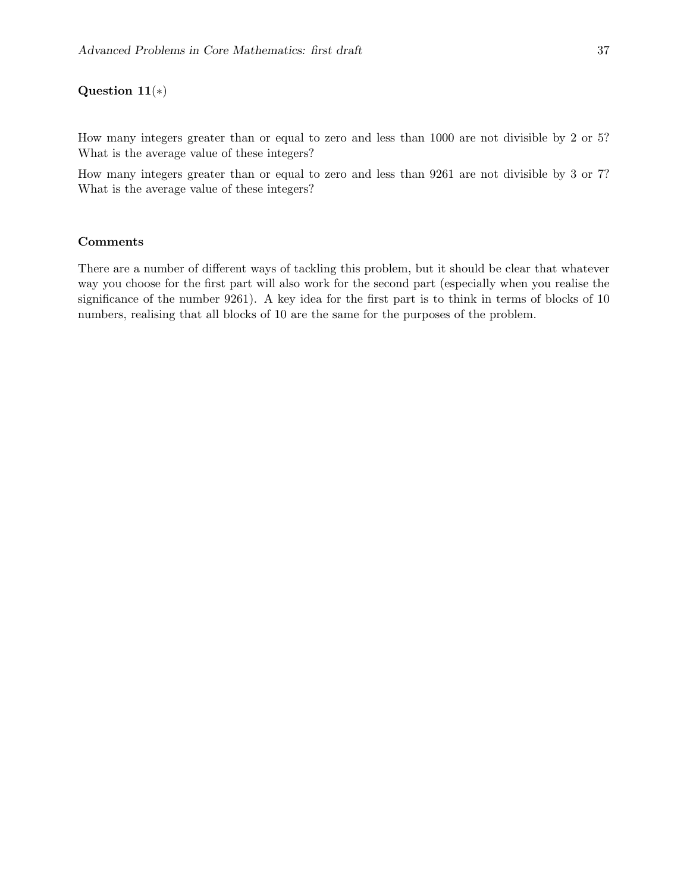# Question 11(∗)

How many integers greater than or equal to zero and less than 1000 are not divisible by 2 or 5? What is the average value of these integers?

How many integers greater than or equal to zero and less than 9261 are not divisible by 3 or 7? What is the average value of these integers?

## Comments

There are a number of different ways of tackling this problem, but it should be clear that whatever way you choose for the first part will also work for the second part (especially when you realise the significance of the number 9261). A key idea for the first part is to think in terms of blocks of 10 numbers, realising that all blocks of 10 are the same for the purposes of the problem.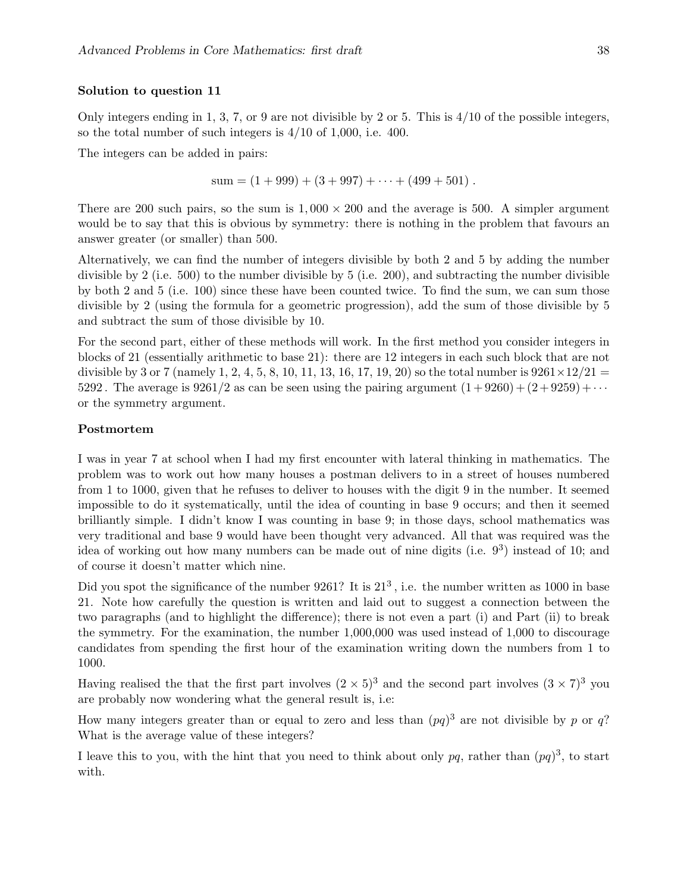Only integers ending in 1, 3, 7, or 9 are not divisible by 2 or 5. This is  $4/10$  of the possible integers, so the total number of such integers is 4/10 of 1,000, i.e. 400.

The integers can be added in pairs:

sum = 
$$
(1 + 999) + (3 + 997) + \cdots + (499 + 501)
$$
.

There are 200 such pairs, so the sum is  $1,000 \times 200$  and the average is 500. A simpler argument would be to say that this is obvious by symmetry: there is nothing in the problem that favours an answer greater (or smaller) than 500.

Alternatively, we can find the number of integers divisible by both 2 and 5 by adding the number divisible by 2 (i.e. 500) to the number divisible by 5 (i.e. 200), and subtracting the number divisible by both 2 and 5 (i.e. 100) since these have been counted twice. To find the sum, we can sum those divisible by 2 (using the formula for a geometric progression), add the sum of those divisible by 5 and subtract the sum of those divisible by 10.

For the second part, either of these methods will work. In the first method you consider integers in blocks of 21 (essentially arithmetic to base 21): there are 12 integers in each such block that are not divisible by 3 or 7 (namely 1, 2, 4, 5, 8, 10, 11, 13, 16, 17, 19, 20) so the total number is  $9261 \times 12/21 =$ 5292. The average is  $9261/2$  as can be seen using the pairing argument  $(1+9260)+(2+9259)+\cdots$ or the symmetry argument.

## Postmortem

I was in year 7 at school when I had my first encounter with lateral thinking in mathematics. The problem was to work out how many houses a postman delivers to in a street of houses numbered from 1 to 1000, given that he refuses to deliver to houses with the digit 9 in the number. It seemed impossible to do it systematically, until the idea of counting in base 9 occurs; and then it seemed brilliantly simple. I didn't know I was counting in base 9; in those days, school mathematics was very traditional and base 9 would have been thought very advanced. All that was required was the idea of working out how many numbers can be made out of nine digits (i.e.  $9^3$ ) instead of 10; and of course it doesn't matter which nine.

Did you spot the significance of the number  $9261$ ? It is  $21<sup>3</sup>$ , i.e. the number written as 1000 in base 21. Note how carefully the question is written and laid out to suggest a connection between the two paragraphs (and to highlight the difference); there is not even a part (i) and Part (ii) to break the symmetry. For the examination, the number 1,000,000 was used instead of 1,000 to discourage candidates from spending the first hour of the examination writing down the numbers from 1 to 1000.

Having realised the that the first part involves  $(2 \times 5)^3$  and the second part involves  $(3 \times 7)^3$  you are probably now wondering what the general result is, i.e:

How many integers greater than or equal to zero and less than  $(pq)^3$  are not divisible by p or q? What is the average value of these integers?

I leave this to you, with the hint that you need to think about only  $pq$ , rather than  $(pq)^3$ , to start with.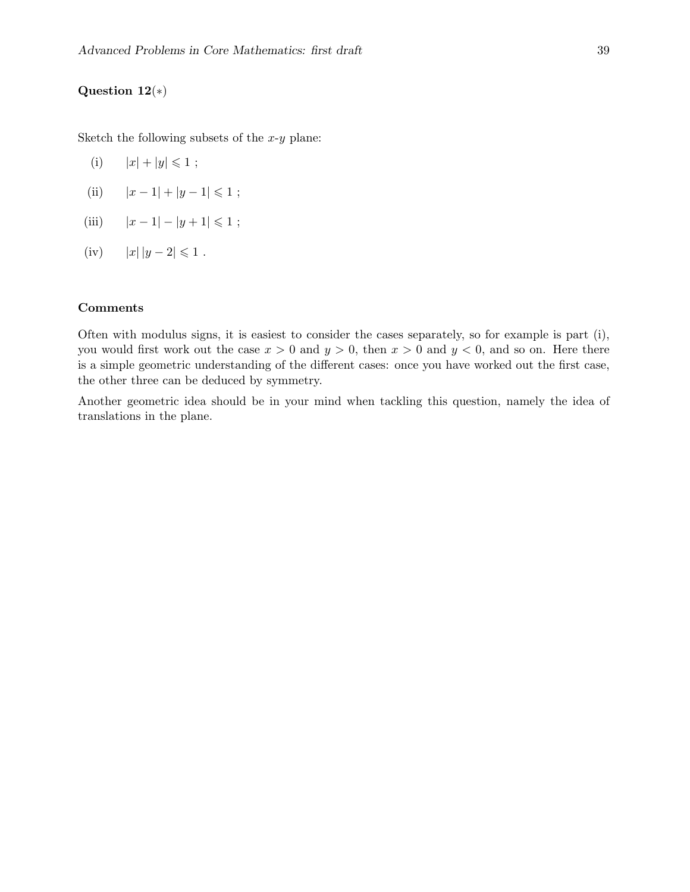# Question 12(∗)

Sketch the following subsets of the  $x-y$  plane:

- (i)  $|x| + |y| \leq 1$ ;
- (ii)  $|x-1| + |y-1| \leq 1$ ;
- (iii)  $|x-1| |y+1| \leq 1$ ;
- (iv)  $|x| |y 2| \leq 1$ .

## Comments

Often with modulus signs, it is easiest to consider the cases separately, so for example is part (i), you would first work out the case  $x > 0$  and  $y > 0$ , then  $x > 0$  and  $y < 0$ , and so on. Here there is a simple geometric understanding of the different cases: once you have worked out the first case, the other three can be deduced by symmetry.

Another geometric idea should be in your mind when tackling this question, namely the idea of translations in the plane.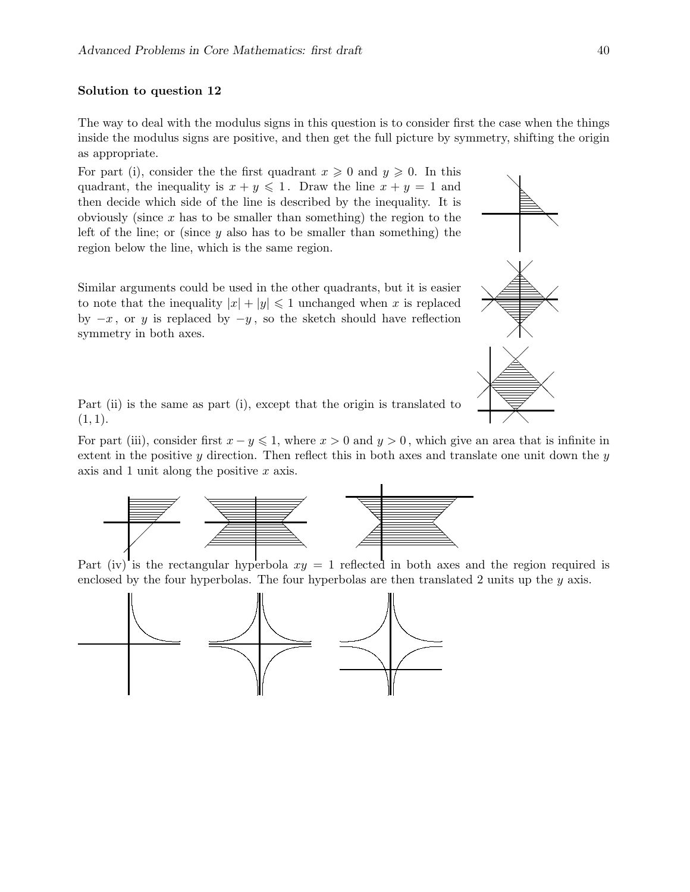The way to deal with the modulus signs in this question is to consider first the case when the things inside the modulus signs are positive, and then get the full picture by symmetry, shifting the origin as appropriate.

For part (i), consider the the first quadrant  $x \geq 0$  and  $y \geq 0$ . In this quadrant, the inequality is  $x + y \leq 1$ . Draw the line  $x + y = 1$  and then decide which side of the line is described by the inequality. It is obviously (since  $x$  has to be smaller than something) the region to the left of the line; or (since  $y$  also has to be smaller than something) the region below the line, which is the same region.

Similar arguments could be used in the other quadrants, but it is easier to note that the inequality  $|x| + |y| \leq 1$  unchanged when x is replaced by  $-x$ , or y is replaced by  $-y$ , so the sketch should have reflection symmetry in both axes.



Part (ii) is the same as part (i), except that the origin is translated to  $(1, 1).$ 

For part (iii), consider first  $x - y \leq 1$ , where  $x > 0$  and  $y > 0$ , which give an area that is infinite in extent in the positive y direction. Then reflect this in both axes and translate one unit down the  $y$ axis and 1 unit along the positive  $x$  axis.



Part (iv) is the rectangular hyperbola  $xy = 1$  reflected in both axes and the region required is enclosed by the four hyperbolas. The four hyperbolas are then translated 2 units up the  $y$  axis.

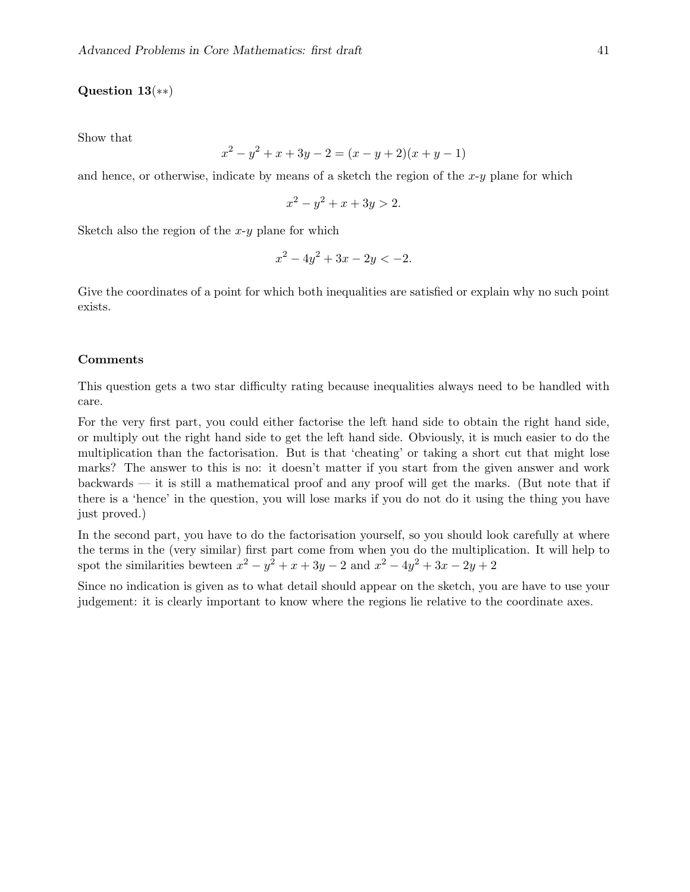## Question 13(∗∗)

Show that

$$
x^{2} - y^{2} + x + 3y - 2 = (x - y + 2)(x + y - 1)
$$

and hence, or otherwise, indicate by means of a sketch the region of the  $x-y$  plane for which

$$
x^2 - y^2 + x + 3y > 2.
$$

Sketch also the region of the  $x-y$  plane for which

$$
x^2 - 4y^2 + 3x - 2y < -2.
$$

Give the coordinates of a point for which both inequalities are satisfied or explain why no such point exists.

## Comments

This question gets a two star difficulty rating because inequalities always need to be handled with care.

For the very first part, you could either factorise the left hand side to obtain the right hand side, or multiply out the right hand side to get the left hand side. Obviously, it is much easier to do the multiplication than the factorisation. But is that 'cheating' or taking a short cut that might lose marks? The answer to this is no: it doesn't matter if you start from the given answer and work backwards — it is still a mathematical proof and any proof will get the marks. (But note that if there is a 'hence' in the question, you will lose marks if you do not do it using the thing you have just proved.)

In the second part, you have to do the factorisation yourself, so you should look carefully at where the terms in the (very similar) first part come from when you do the multiplication. It will help to spot the similarities bewteen  $x^2 - y^2 + x + 3y - 2$  and  $x^2 - 4y^2 + 3x - 2y + 2$ 

Since no indication is given as to what detail should appear on the sketch, you are have to use your judgement: it is clearly important to know where the regions lie relative to the coordinate axes.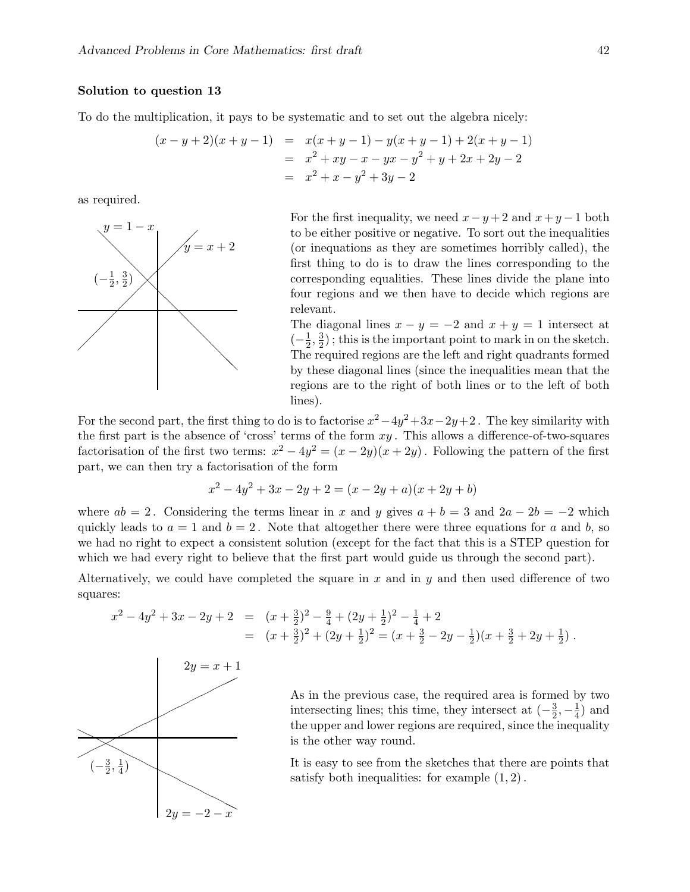To do the multiplication, it pays to be systematic and to set out the algebra nicely:

$$
(x - y + 2)(x + y - 1) = x(x + y - 1) - y(x + y - 1) + 2(x + y - 1)
$$
  
=  $x^2 + xy - x - yx - y^2 + y + 2x + 2y - 2$   
=  $x^2 + x - y^2 + 3y - 2$ 

as required.



For the first inequality, we need  $x-y+2$  and  $x+y-1$  both to be either positive or negative. To sort out the inequalities (or inequations as they are sometimes horribly called), the first thing to do is to draw the lines corresponding to the corresponding equalities. These lines divide the plane into four regions and we then have to decide which regions are relevant.

The diagonal lines  $x - y = -2$  and  $x + y = 1$  intersect at  $\left(-\frac{1}{2}\right)$  $\frac{1}{2}, \frac{3}{2}$  $\frac{3}{2}$ ); this is the important point to mark in on the sketch. The required regions are the left and right quadrants formed by these diagonal lines (since the inequalities mean that the regions are to the right of both lines or to the left of both lines).

For the second part, the first thing to do is to factorise  $x^2 - 4y^2 + 3x - 2y + 2$ . The key similarity with the first part is the absence of 'cross' terms of the form  $xy$ . This allows a difference-of-two-squares factorisation of the first two terms:  $x^2 - 4y^2 = (x - 2y)(x + 2y)$ . Following the pattern of the first part, we can then try a factorisation of the form

$$
x^{2} - 4y^{2} + 3x - 2y + 2 = (x - 2y + a)(x + 2y + b)
$$

where  $ab = 2$ . Considering the terms linear in x and y gives  $a + b = 3$  and  $2a - 2b = -2$  which quickly leads to  $a = 1$  and  $b = 2$ . Note that altogether there were three equations for a and b, so we had no right to expect a consistent solution (except for the fact that this is a STEP question for which we had every right to believe that the first part would guide us through the second part).

Alternatively, we could have completed the square in x and in y and then used difference of two squares:

$$
x^{2}-4y^{2}+3x-2y+2 = (x+\frac{3}{2})^{2}-\frac{9}{4}+(2y+\frac{1}{2})^{2}-\frac{1}{4}+2
$$
  
= 
$$
(x+\frac{3}{2})^{2}+(2y+\frac{1}{2})^{2}=(x+\frac{3}{2}-2y-\frac{1}{2})(x+\frac{3}{2}+2y+\frac{1}{2}).
$$



As in the previous case, the required area is formed by two intersecting lines; this time, they intersect at  $\left(-\frac{3}{2}\right)$  $\frac{3}{2}, -\frac{1}{4}$  $(\frac{1}{4})$  and the upper and lower regions are required, since the inequality is the other way round.

It is easy to see from the sketches that there are points that satisfy both inequalities: for example  $(1, 2)$ .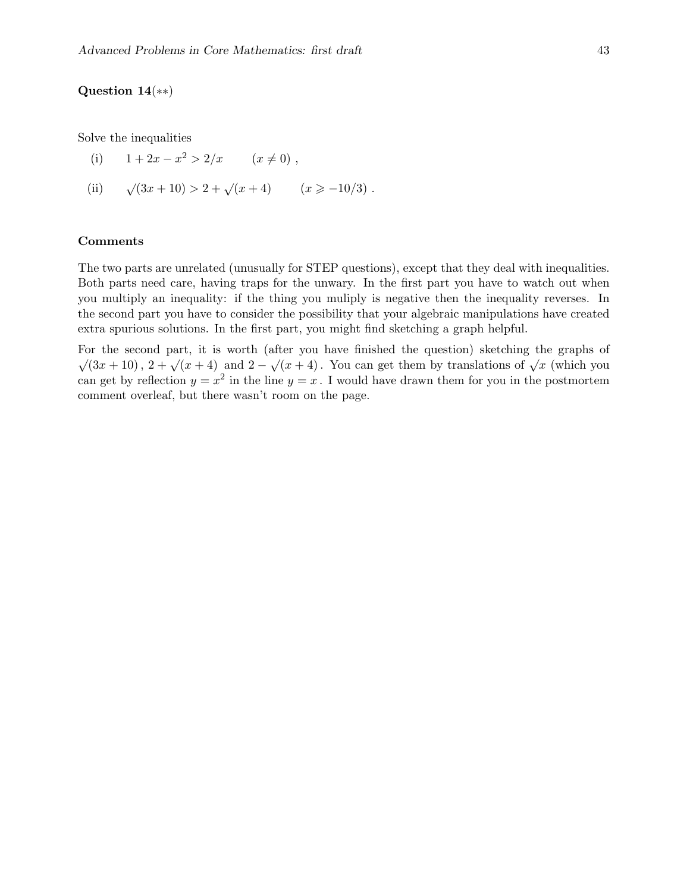# Question 14(∗∗)

Solve the inequalities

(i) 
$$
1 + 2x - x^2 > 2/x
$$
  $(x \neq 0)$ ,  
\n(ii)  $\sqrt{(3x+10)} > 2 + \sqrt{(x+4)}$   $(x \geq -10/3)$ .

## Comments

The two parts are unrelated (unusually for STEP questions), except that they deal with inequalities. Both parts need care, having traps for the unwary. In the first part you have to watch out when you multiply an inequality: if the thing you muliply is negative then the inequality reverses. In the second part you have to consider the possibility that your algebraic manipulations have created extra spurious solutions. In the first part, you might find sketching a graph helpful.

For the second part, it is worth (after you have finished the question) sketching the graphs of  $\sqrt{2}$ (3x + 10), 2 +  $\sqrt{x+4}$ ) and 2 –  $\sqrt{x+4}$ . You can get them by translations of  $\sqrt{x}$  (which you can get by reflection  $y = x^2$  in the line  $y = x$ . I would have drawn them for you in the postmortem comment overleaf, but there wasn't room on the page.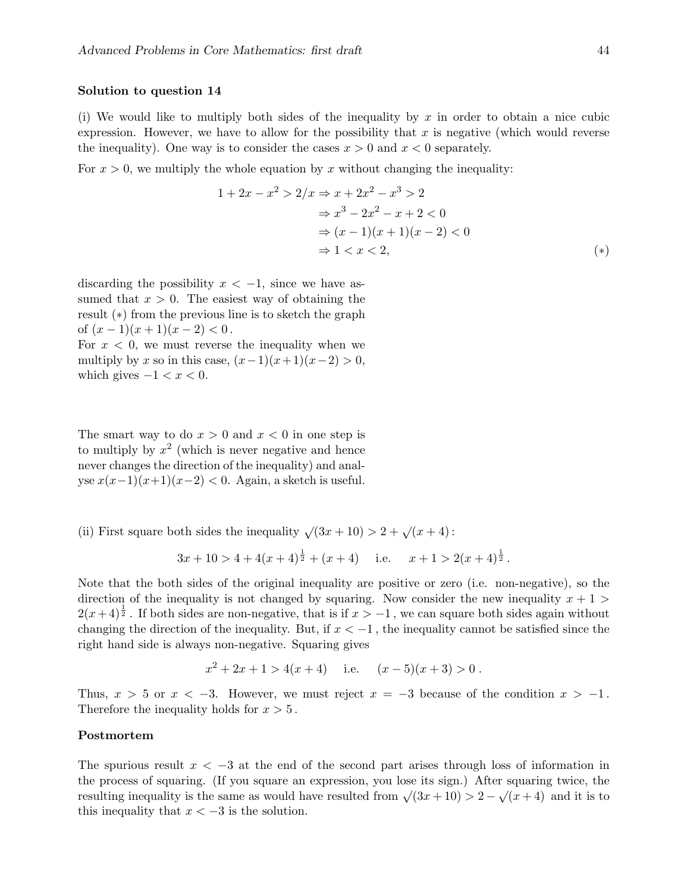(i) We would like to multiply both sides of the inequality by  $x$  in order to obtain a nice cubic expression. However, we have to allow for the possibility that x is negative (which would reverse the inequality). One way is to consider the cases  $x > 0$  and  $x < 0$  separately.

For  $x > 0$ , we multiply the whole equation by x without changing the inequality:

$$
1 + 2x - x2 > 2/x \Rightarrow x + 2x2 - x3 > 2
$$
  

$$
\Rightarrow x3 - 2x2 - x + 2 < 0
$$
  

$$
\Rightarrow (x - 1)(x + 1)(x - 2) < 0
$$
  

$$
\Rightarrow 1 < x < 2,
$$
 (\*)

discarding the possibility  $x < -1$ , since we have assumed that  $x > 0$ . The easiest way of obtaining the result (∗) from the previous line is to sketch the graph of  $(x-1)(x+1)(x-2) < 0$ . For  $x < 0$ , we must reverse the inequality when we

multiply by x so in this case,  $(x-1)(x+1)(x-2) > 0$ , which gives  $-1 < x < 0$ .

The smart way to do  $x > 0$  and  $x < 0$  in one step is to multiply by  $x^2$  (which is never negative and hence never changes the direction of the inequality) and analyse  $x(x-1)(x+1)(x-2)$  < 0. Again, a sketch is useful.

(ii) First square both sides the inequality  $\sqrt{(3x+10)} > 2 + \sqrt{(x+4)}$ :

$$
3x + 10 > 4 + 4(x+4)^{\frac{1}{2}} + (x+4)
$$
 i.e.  $x + 1 > 2(x+4)^{\frac{1}{2}}$ .

Note that the both sides of the original inequality are positive or zero (i.e. non-negative), so the direction of the inequality is not changed by squaring. Now consider the new inequality  $x + 1$  $2(x+4)^{\frac{1}{2}}$ . If both sides are non-negative, that is if  $x > -1$ , we can square both sides again without changing the direction of the inequality. But, if  $x < -1$ , the inequality cannot be satisfied since the right hand side is always non-negative. Squaring gives

$$
x^2 + 2x + 1 > 4(x+4)
$$
 i.e.  $(x-5)(x+3) > 0$ .

Thus,  $x > 5$  or  $x < -3$ . However, we must reject  $x = -3$  because of the condition  $x > -1$ . Therefore the inequality holds for  $x > 5$ .

### Postmortem

The spurious result  $x < -3$  at the end of the second part arises through loss of information in the process of squaring. (If you square an expression, you lose its sign.) After squaring twice, the resulting inequality is the same as would have resulted from  $\sqrt{(3x+10)} > 2 - \sqrt{(x+4)}$  and it is to this inequality that  $x < -3$  is the solution.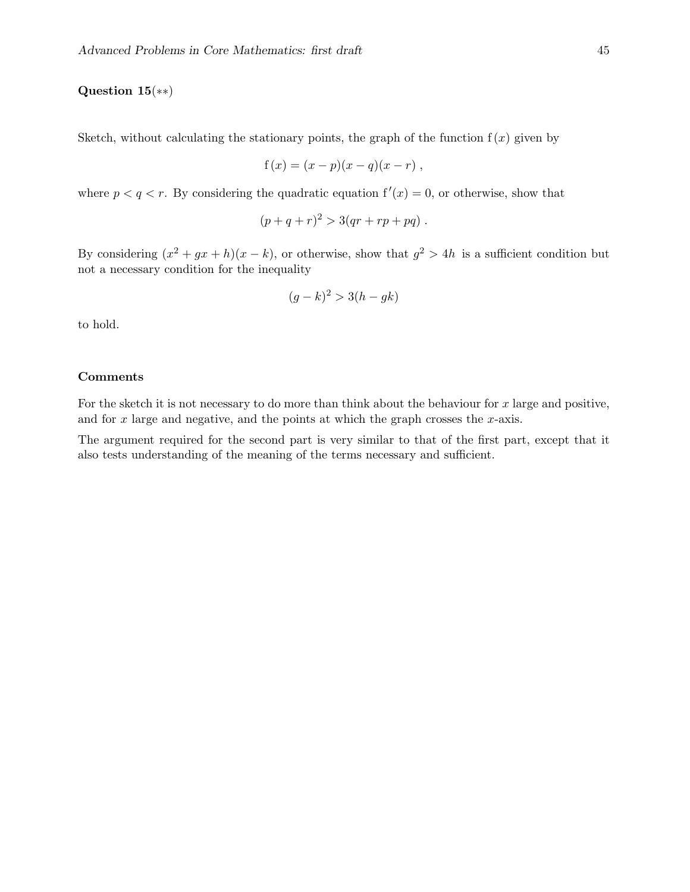# Question 15(∗∗)

Sketch, without calculating the stationary points, the graph of the function  $f(x)$  given by

$$
f(x) = (x - p)(x - q)(x - r)
$$
,

where  $p < q < r$ . By considering the quadratic equation  $f'(x) = 0$ , or otherwise, show that

$$
(p+q+r)^2 > 3(qr+rp+pq).
$$

By considering  $(x^2 + gx + h)(x - k)$ , or otherwise, show that  $g^2 > 4h$  is a sufficient condition but not a necessary condition for the inequality

$$
(g-k)^2 > 3(h-gk)
$$

to hold.

## Comments

For the sketch it is not necessary to do more than think about the behaviour for  $x$  large and positive, and for  $x$  large and negative, and the points at which the graph crosses the  $x$ -axis.

The argument required for the second part is very similar to that of the first part, except that it also tests understanding of the meaning of the terms necessary and sufficient.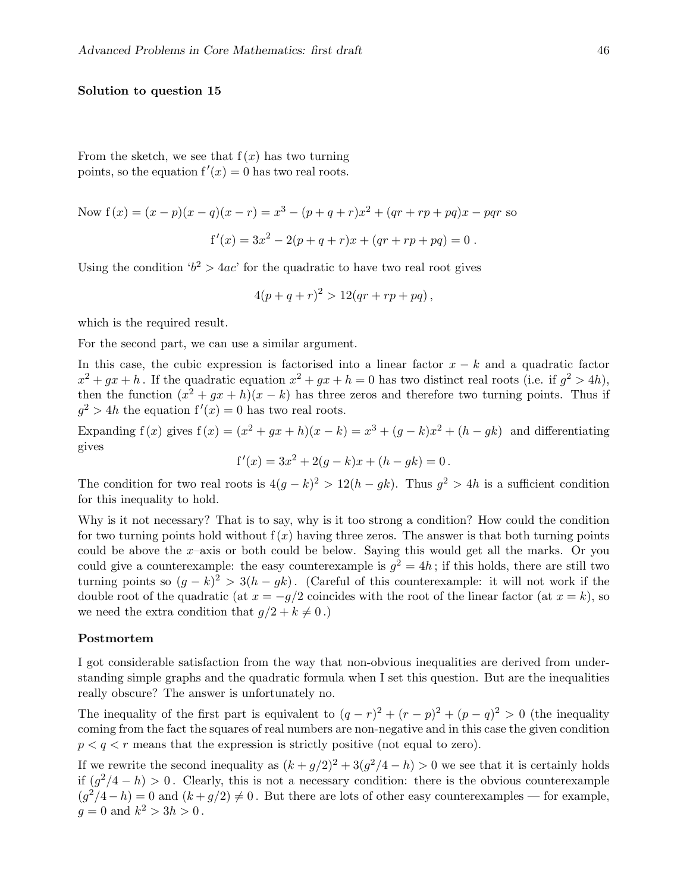From the sketch, we see that  $f(x)$  has two turning points, so the equation  $f'(x) = 0$  has two real roots.

Now 
$$
f(x) = (x - p)(x - q)(x - r) = x^3 - (p + q + r)x^2 + (qr + rp + pq)x - pqr
$$
 so  

$$
f'(x) = 3x^2 - 2(p + q + r)x + (qr + rp + pq) = 0.
$$

Using the condition ' $b^2 > 4ac$ ' for the quadratic to have two real root gives

$$
4(p+q+r)^{2} > 12(qr+rp+pq),
$$

which is the required result.

For the second part, we can use a similar argument.

In this case, the cubic expression is factorised into a linear factor  $x - k$  and a quadratic factor  $x^2 + gx + h$ . If the quadratic equation  $x^2 + gx + h = 0$  has two distinct real roots (i.e. if  $g^2 > 4h$ ), then the function  $(x^2 + gx + h)(x - k)$  has three zeros and therefore two turning points. Thus if  $g^2 > 4h$  the equation  $f'(x) = 0$  has two real roots.

Expanding  $f(x)$  gives  $f(x) = (x^2 + gx + h)(x - k) = x^3 + (g - k)x^2 + (h - gk)$  and differentiating gives

$$
f'(x) = 3x^2 + 2(g - k)x + (h - gk) = 0.
$$

The condition for two real roots is  $4(g-k)^2 > 12(h-gk)$ . Thus  $g^2 > 4h$  is a sufficient condition for this inequality to hold.

Why is it not necessary? That is to say, why is it too strong a condition? How could the condition for two turning points hold without  $f(x)$  having three zeros. The answer is that both turning points could be above the  $x$ -axis or both could be below. Saying this would get all the marks. Or you could give a counterexample: the easy counterexample is  $g^2 = 4h$ ; if this holds, there are still two turning points so  $(g - k)^2 > 3(h - gk)$ . (Careful of this counterexample: it will not work if the double root of the quadratic (at  $x = -q/2$  coincides with the root of the linear factor (at  $x = k$ ), so we need the extra condition that  $g/2 + k \neq 0$ .)

### Postmortem

I got considerable satisfaction from the way that non-obvious inequalities are derived from understanding simple graphs and the quadratic formula when I set this question. But are the inequalities really obscure? The answer is unfortunately no.

The inequality of the first part is equivalent to  $(q - r)^2 + (r - p)^2 + (p - q)^2 > 0$  (the inequality coming from the fact the squares of real numbers are non-negative and in this case the given condition  $p < q < r$  means that the expression is strictly positive (not equal to zero).

If we rewrite the second inequality as  $(k + g/2)^2 + 3(g^2/4 - h) > 0$  we see that it is certainly holds if  $(g^2/4 - h) > 0$ . Clearly, this is not a necessary condition: there is the obvious counterexample  $(g^2/4-h) = 0$  and  $(k+g/2) \neq 0$ . But there are lots of other easy counterexamples — for example,  $g = 0$  and  $k^2 > 3h > 0$ .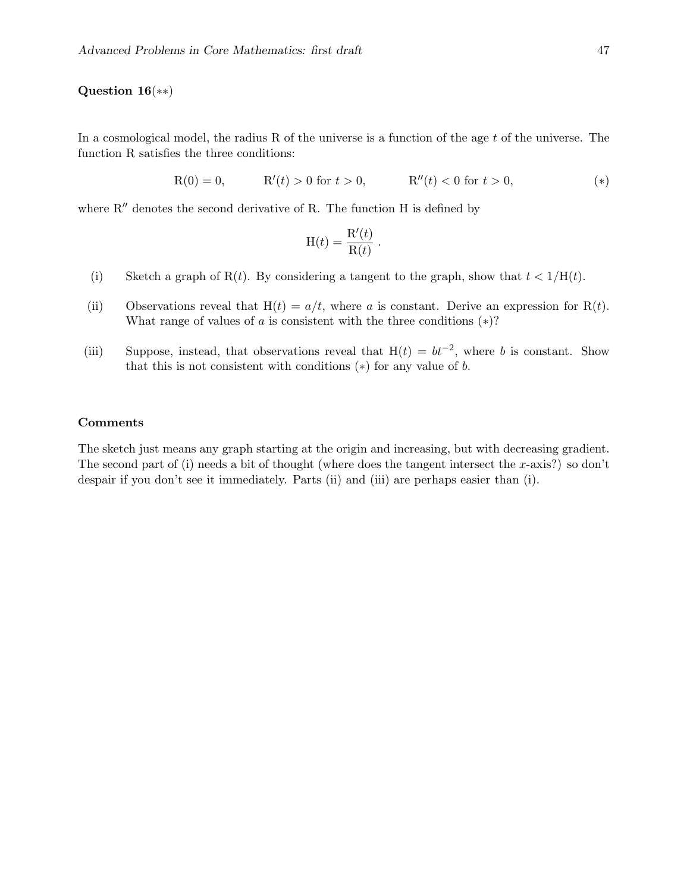# Question 16(∗∗)

In a cosmological model, the radius R of the universe is a function of the age t of the universe. The function R satisfies the three conditions:

$$
R(0) = 0, \qquad R'(t) > 0 \text{ for } t > 0, \qquad R''(t) < 0 \text{ for } t > 0,
$$
 (\*)

where  $R''$  denotes the second derivative of R. The function H is defined by

$$
H(t) = \frac{R'(t)}{R(t)}.
$$

- (i) Sketch a graph of  $R(t)$ . By considering a tangent to the graph, show that  $t < 1/H(t)$ .
- (ii) Observations reveal that  $H(t) = a/t$ , where a is constant. Derive an expression for  $R(t)$ . What range of values of a is consistent with the three conditions  $(*)$ ?
- (iii) Suppose, instead, that observations reveal that  $H(t) = bt^{-2}$ , where b is constant. Show that this is not consistent with conditions  $(*)$  for any value of b.

## Comments

The sketch just means any graph starting at the origin and increasing, but with decreasing gradient. The second part of (i) needs a bit of thought (where does the tangent intersect the x-axis?) so don't despair if you don't see it immediately. Parts (ii) and (iii) are perhaps easier than (i).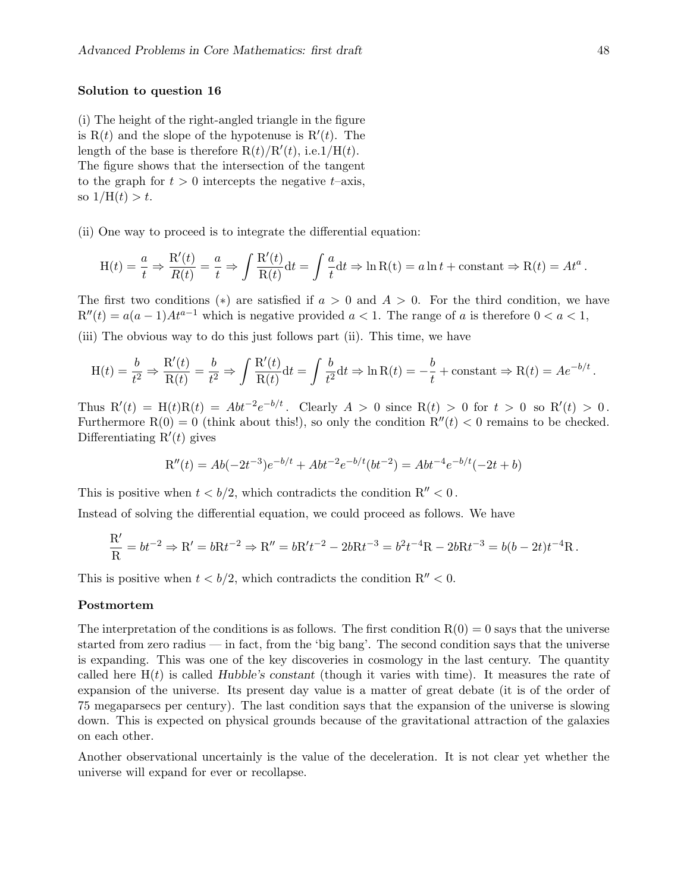(i) The height of the right-angled triangle in the figure is  $R(t)$  and the slope of the hypotenuse is  $R'(t)$ . The length of the base is therefore  $R(t)/R'(t)$ , i.e.1/H(t). The figure shows that the intersection of the tangent to the graph for  $t > 0$  intercepts the negative  $t$ -axis, so  $1/H(t) > t$ .

(ii) One way to proceed is to integrate the differential equation:

$$
H(t) = \frac{a}{t} \Rightarrow \frac{R'(t)}{R(t)} = \frac{a}{t} \Rightarrow \int \frac{R'(t)}{R(t)} dt = \int \frac{a}{t} dt \Rightarrow \ln R(t) = a \ln t + \text{constant} \Rightarrow R(t) = At^a.
$$

The first two conditions (\*) are satisfied if  $a > 0$  and  $A > 0$ . For the third condition, we have  $R''(t) = a(a-1)At^{a-1}$  which is negative provided  $a < 1$ . The range of a is therefore  $0 < a < 1$ ,

(iii) The obvious way to do this just follows part (ii). This time, we have

$$
H(t) = \frac{b}{t^2} \Rightarrow \frac{R'(t)}{R(t)} = \frac{b}{t^2} \Rightarrow \int \frac{R'(t)}{R(t)} dt = \int \frac{b}{t^2} dt \Rightarrow \ln R(t) = -\frac{b}{t} + \text{constant} \Rightarrow R(t) = Ae^{-b/t}.
$$

Thus  $R'(t) = H(t)R(t) = Abt^{-2}e^{-b/t}$ . Clearly  $A > 0$  since  $R(t) > 0$  for  $t > 0$  so  $R'(t) > 0$ . Furthermore  $R(0) = 0$  (think about this!), so only the condition  $R''(t) < 0$  remains to be checked. Differentiating  $R'(t)$  gives

$$
R''(t) = Ab(-2t^{-3})e^{-b/t} + Abt^{-2}e^{-b/t}(bt^{-2}) = Abt^{-4}e^{-b/t}(-2t + b)
$$

This is positive when  $t < b/2$ , which contradicts the condition  $R'' < 0$ .

Instead of solving the differential equation, we could proceed as follows. We have

$$
\frac{R'}{R} = bt^{-2} \Rightarrow R' = bRt^{-2} \Rightarrow R'' = bR't^{-2} - 2bRt^{-3} = b^2t^{-4}R - 2bRt^{-3} = b(b - 2t)t^{-4}R.
$$

This is positive when  $t < b/2$ , which contradicts the condition  $R'' < 0$ .

#### Postmortem

The interpretation of the conditions is as follows. The first condition  $R(0) = 0$  says that the universe started from zero radius — in fact, from the 'big bang'. The second condition says that the universe is expanding. This was one of the key discoveries in cosmology in the last century. The quantity called here  $H(t)$  is called Hubble's constant (though it varies with time). It measures the rate of expansion of the universe. Its present day value is a matter of great debate (it is of the order of 75 megaparsecs per century). The last condition says that the expansion of the universe is slowing down. This is expected on physical grounds because of the gravitational attraction of the galaxies on each other.

Another observational uncertainly is the value of the deceleration. It is not clear yet whether the universe will expand for ever or recollapse.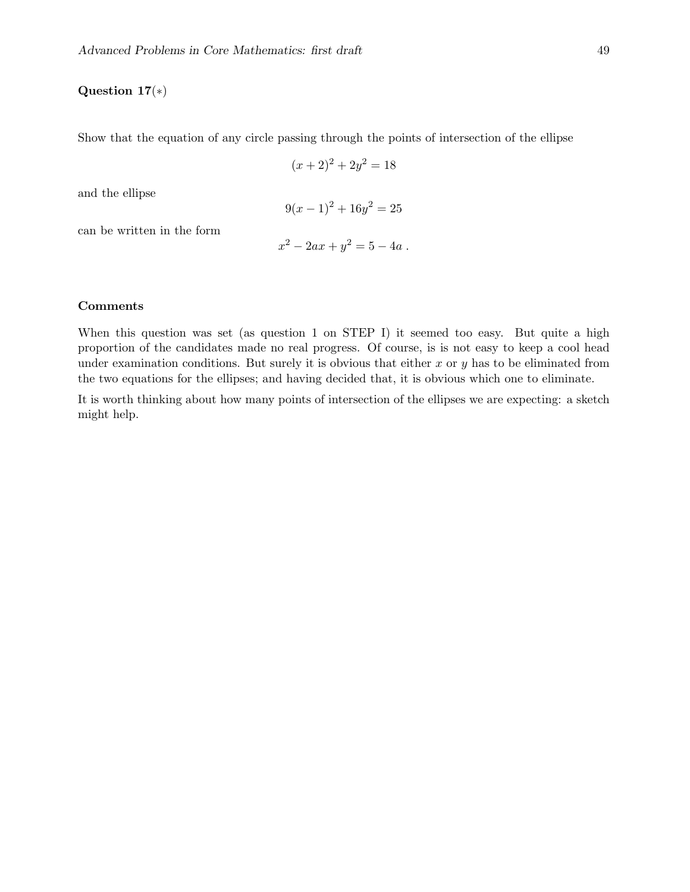# Question 17(∗)

Show that the equation of any circle passing through the points of intersection of the ellipse

$$
(x+2)^2 + 2y^2 = 18
$$

and the ellipse

$$
9(x - 1)2 + 16y2 = 25
$$

$$
x2 - 2ax + y2 = 5 - 4a
$$

can be written in the form

## Comments

When this question was set (as question 1 on STEP I) it seemed too easy. But quite a high proportion of the candidates made no real progress. Of course, is is not easy to keep a cool head under examination conditions. But surely it is obvious that either x or  $y$  has to be eliminated from the two equations for the ellipses; and having decided that, it is obvious which one to eliminate.

It is worth thinking about how many points of intersection of the ellipses we are expecting: a sketch might help.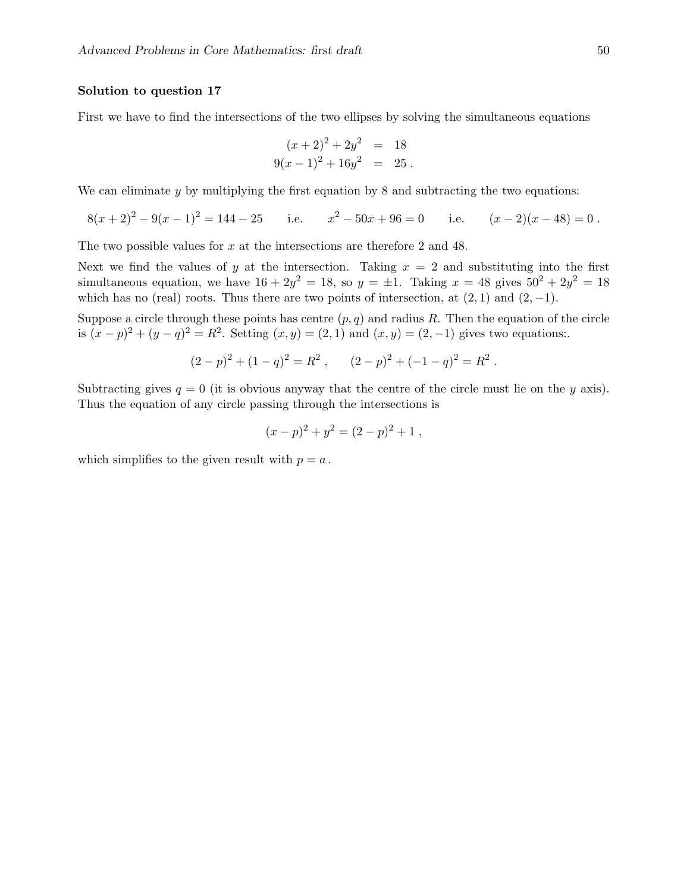First we have to find the intersections of the two ellipses by solving the simultaneous equations

$$
(x+2)^2 + 2y^2 = 18
$$
  
 
$$
9(x-1)^2 + 16y^2 = 25.
$$

We can eliminate  $y$  by multiplying the first equation by 8 and subtracting the two equations:

$$
8(x+2)^2 - 9(x-1)^2 = 144 - 25
$$
 i.e.  $x^2 - 50x + 96 = 0$  i.e.  $(x-2)(x-48) = 0$ .

The two possible values for  $x$  at the intersections are therefore 2 and 48.

Next we find the values of y at the intersection. Taking  $x = 2$  and substituting into the first simultaneous equation, we have  $16 + 2y^2 = 18$ , so  $y = \pm 1$ . Taking  $x = 48$  gives  $50^2 + 2y^2 = 18$ which has no (real) roots. Thus there are two points of intersection, at  $(2, 1)$  and  $(2, -1)$ .

Suppose a circle through these points has centre  $(p, q)$  and radius R. Then the equation of the circle is  $(x - p)^2 + (y - q)^2 = R^2$ . Setting  $(x, y) = (2, 1)$  and  $(x, y) = (2, -1)$  gives two equations:.

$$
(2-p)^{2} + (1-q)^{2} = R^{2}, \qquad (2-p)^{2} + (-1-q)^{2} = R^{2}.
$$

Subtracting gives  $q = 0$  (it is obvious anyway that the centre of the circle must lie on the y axis). Thus the equation of any circle passing through the intersections is

$$
(x-p)^2 + y^2 = (2-p)^2 + 1,
$$

which simplifies to the given result with  $p = a$ .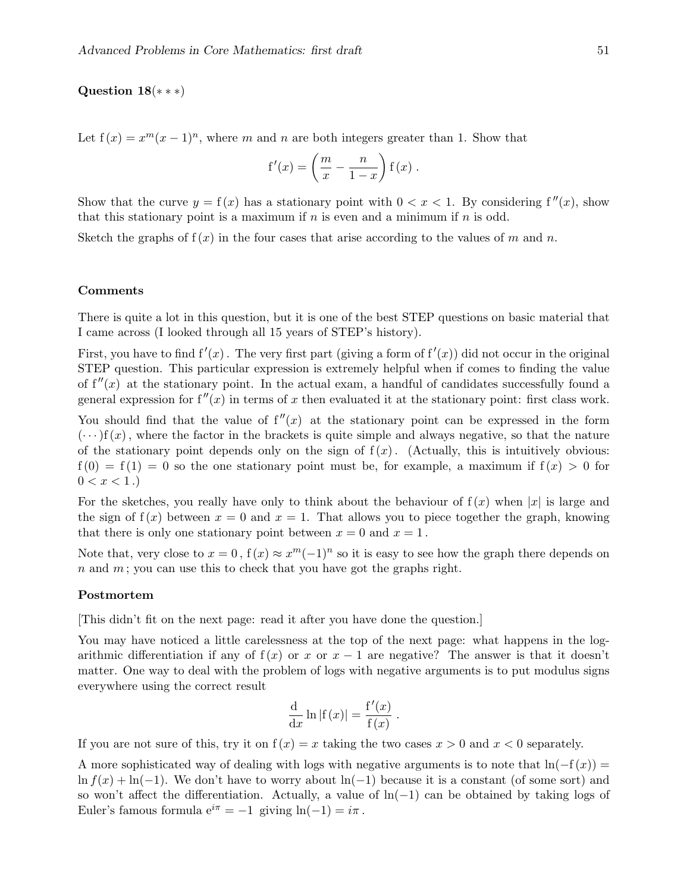# Question  $18(***)$

Let  $f(x) = x^m(x-1)^n$ , where m and n are both integers greater than 1. Show that

$$
f'(x) = \left(\frac{m}{x} - \frac{n}{1-x}\right) f(x) .
$$

Show that the curve  $y = f(x)$  has a stationary point with  $0 < x < 1$ . By considering  $f''(x)$ , show that this stationary point is a maximum if  $n$  is even and a minimum if  $n$  is odd.

Sketch the graphs of  $f(x)$  in the four cases that arise according to the values of m and n.

#### Comments

There is quite a lot in this question, but it is one of the best STEP questions on basic material that I came across (I looked through all 15 years of STEP's history).

First, you have to find  $f'(x)$ . The very first part (giving a form of  $f'(x)$ ) did not occur in the original STEP question. This particular expression is extremely helpful when if comes to finding the value of  $f''(x)$  at the stationary point. In the actual exam, a handful of candidates successfully found a general expression for  $f''(x)$  in terms of x then evaluated it at the stationary point: first class work.

You should find that the value of  $f''(x)$  at the stationary point can be expressed in the form  $(\cdots)$  f(x), where the factor in the brackets is quite simple and always negative, so that the nature of the stationary point depends only on the sign of  $f(x)$ . (Actually, this is intuitively obvious:  $f(0) = f(1) = 0$  so the one stationary point must be, for example, a maximum if  $f(x) > 0$  for  $0 < x < 1.$ 

For the sketches, you really have only to think about the behaviour of  $f(x)$  when |x| is large and the sign of  $f(x)$  between  $x = 0$  and  $x = 1$ . That allows you to piece together the graph, knowing that there is only one stationary point between  $x = 0$  and  $x = 1$ .

Note that, very close to  $x = 0$ ,  $f(x) \approx x^m(-1)^n$  so it is easy to see how the graph there depends on  $n$  and  $m$ ; you can use this to check that you have got the graphs right.

## Postmortem

[This didn't fit on the next page: read it after you have done the question.]

You may have noticed a little carelessness at the top of the next page: what happens in the logarithmic differentiation if any of  $f(x)$  or x or  $x - 1$  are negative? The answer is that it doesn't matter. One way to deal with the problem of logs with negative arguments is to put modulus signs everywhere using the correct result

$$
\frac{\mathrm{d}}{\mathrm{d}x}\ln|f(x)| = \frac{f'(x)}{f(x)}.
$$

If you are not sure of this, try it on  $f(x) = x$  taking the two cases  $x > 0$  and  $x < 0$  separately.

A more sophisticated way of dealing with logs with negative arguments is to note that  $ln(-f(x)) =$  $\ln f(x) + \ln(-1)$ . We don't have to worry about  $\ln(-1)$  because it is a constant (of some sort) and so won't affect the differentiation. Actually, a value of ln(−1) can be obtained by taking logs of Euler's famous formula  $e^{i\pi} = -1$  giving  $ln(-1) = i\pi$ .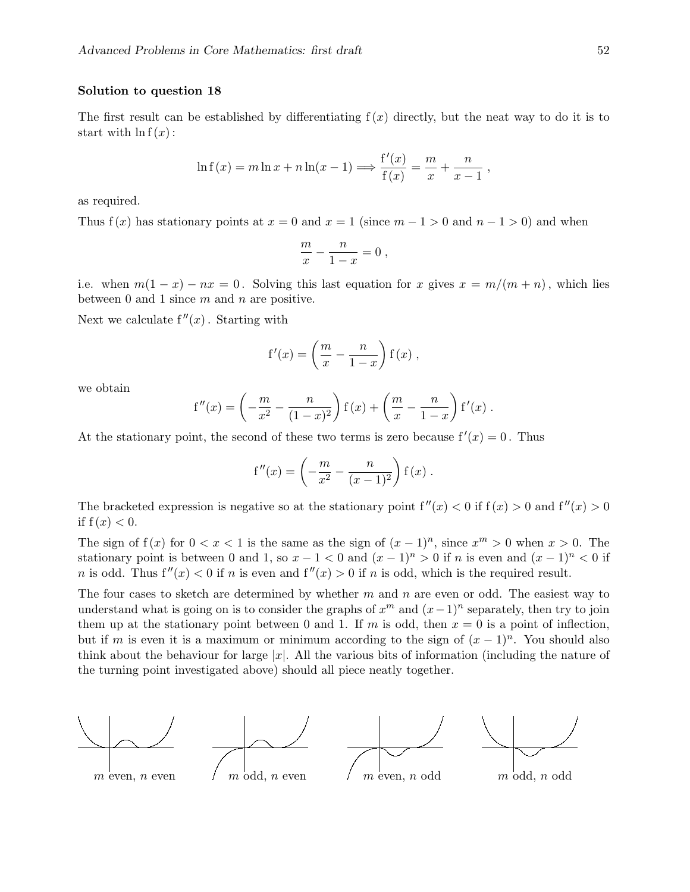The first result can be established by differentiating  $f(x)$  directly, but the neat way to do it is to start with  $\ln f(x)$ :

$$
\ln f(x) = m \ln x + n \ln(x - 1) \Longrightarrow \frac{f'(x)}{f(x)} = \frac{m}{x} + \frac{n}{x - 1},
$$

as required.

Thus f(x) has stationary points at  $x = 0$  and  $x = 1$  (since  $m - 1 > 0$  and  $n - 1 > 0$ ) and when

$$
\frac{m}{x} - \frac{n}{1-x} = 0,
$$

i.e. when  $m(1-x) - nx = 0$ . Solving this last equation for x gives  $x = m/(m+n)$ , which lies between 0 and 1 since  $m$  and  $n$  are positive.

Next we calculate  $f''(x)$ . Starting with

$$
f'(x) = \left(\frac{m}{x} - \frac{n}{1-x}\right) f(x) ,
$$

we obtain

$$
f''(x) = \left(-\frac{m}{x^2} - \frac{n}{(1-x)^2}\right) f(x) + \left(\frac{m}{x} - \frac{n}{1-x}\right) f'(x) .
$$

At the stationary point, the second of these two terms is zero because  $f'(x) = 0$ . Thus

$$
f''(x) = \left(-\frac{m}{x^2} - \frac{n}{(x-1)^2}\right) f(x).
$$

The bracketed expression is negative so at the stationary point  $f''(x) < 0$  if  $f(x) > 0$  and  $f''(x) > 0$ if  $f(x) < 0$ .

The sign of  $f(x)$  for  $0 < x < 1$  is the same as the sign of  $(x - 1)^n$ , since  $x^m > 0$  when  $x > 0$ . The stationary point is between 0 and 1, so  $x - 1 < 0$  and  $(x - 1)^n > 0$  if n is even and  $(x - 1)^n < 0$  if n is odd. Thus  $f''(x) < 0$  if n is even and  $f''(x) > 0$  if n is odd, which is the required result.

The four cases to sketch are determined by whether  $m$  and  $n$  are even or odd. The easiest way to understand what is going on is to consider the graphs of  $x^m$  and  $(x-1)^n$  separately, then try to join them up at the stationary point between 0 and 1. If m is odd, then  $x = 0$  is a point of inflection, but if m is even it is a maximum or minimum according to the sign of  $(x - 1)^n$ . You should also think about the behaviour for large |x|. All the various bits of information (including the nature of the turning point investigated above) should all piece neatly together.

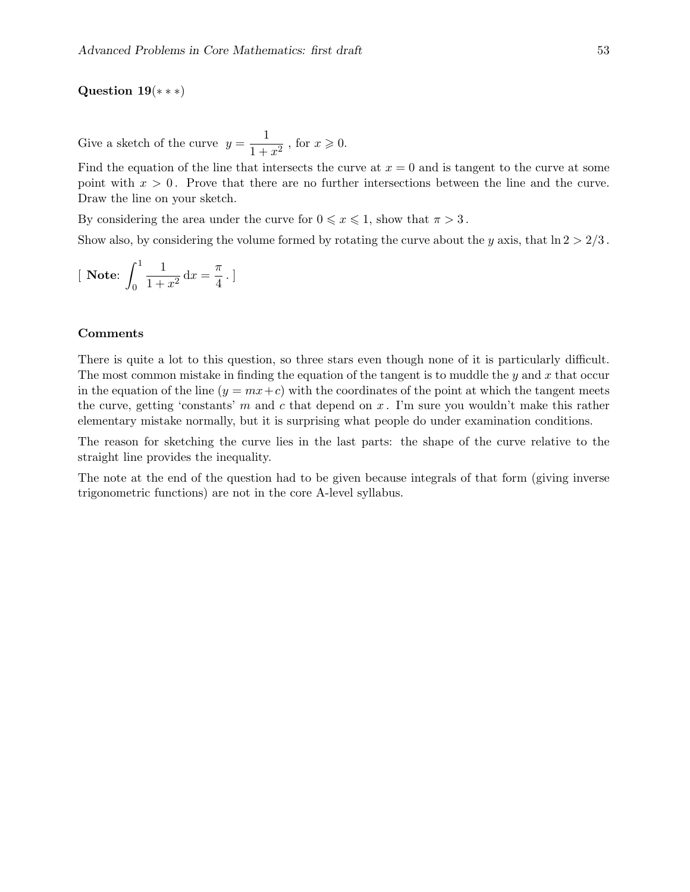## Question  $19(***)$

Give a sketch of the curve  $y=\frac{1}{1+y}$  $\frac{1}{1+x^2}$ , for  $x \geqslant 0$ .

Find the equation of the line that intersects the curve at  $x = 0$  and is tangent to the curve at some point with  $x > 0$ . Prove that there are no further intersections between the line and the curve. Draw the line on your sketch.

By considering the area under the curve for  $0 \leq x \leq 1$ , show that  $\pi > 3$ .

Show also, by considering the volume formed by rotating the curve about the y axis, that  $\ln 2 > 2/3$ .

[**Note:** 
$$
\int_0^1 \frac{1}{1+x^2} dx = \frac{\pi}{4}.
$$
]

## Comments

There is quite a lot to this question, so three stars even though none of it is particularly difficult. The most common mistake in finding the equation of the tangent is to muddle the y and  $x$  that occur in the equation of the line  $(y = mx + c)$  with the coordinates of the point at which the tangent meets the curve, getting 'constants' m and c that depend on x. I'm sure you wouldn't make this rather elementary mistake normally, but it is surprising what people do under examination conditions.

The reason for sketching the curve lies in the last parts: the shape of the curve relative to the straight line provides the inequality.

The note at the end of the question had to be given because integrals of that form (giving inverse trigonometric functions) are not in the core A-level syllabus.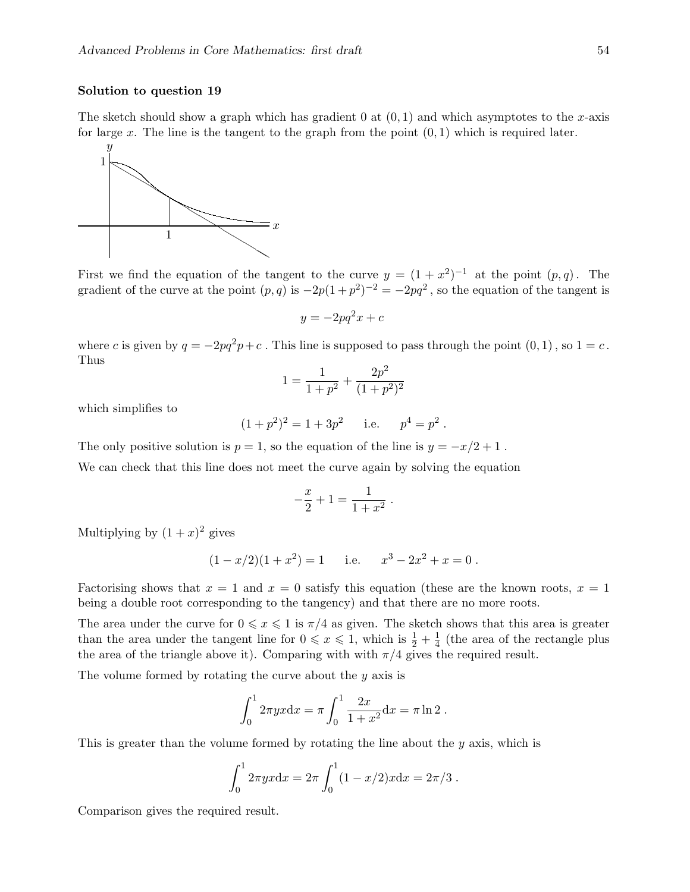The sketch should show a graph which has gradient 0 at  $(0, 1)$  and which asymptotes to the x-axis for large x. The line is the tangent to the graph from the point  $(0, 1)$  which is required later.



First we find the equation of the tangent to the curve  $y = (1 + x^2)^{-1}$  at the point  $(p, q)$ . The gradient of the curve at the point  $(p, q)$  is  $-2p(1+p^2)^{-2} = -2pq^2$ , so the equation of the tangent is

$$
y = -2pq^2x + c
$$

where c is given by  $q = -2pq^2p + c$ . This line is supposed to pass through the point  $(0, 1)$ , so  $1 = c$ . Thus

$$
1 = \frac{1}{1+p^2} + \frac{2p^2}{(1+p^2)^2}
$$

which simplifies to

$$
(1+p^2)^2 = 1+3p^2
$$
 i.e.  $p^4 = p^2$ .

The only positive solution is  $p = 1$ , so the equation of the line is  $y = -x/2 + 1$ .

We can check that this line does not meet the curve again by solving the equation

$$
-\frac{x}{2} + 1 = \frac{1}{1 + x^2} \; .
$$

Multiplying by  $(1+x)^2$  gives

$$
(1-x/2)(1+x^2) = 1
$$
 i.e.  $x^3 - 2x^2 + x = 0$ .

Factorising shows that  $x = 1$  and  $x = 0$  satisfy this equation (these are the known roots,  $x = 1$ ) being a double root corresponding to the tangency) and that there are no more roots.

The area under the curve for  $0 \leq x \leq 1$  is  $\pi/4$  as given. The sketch shows that this area is greater than the area under the tangent line for  $0 \leqslant x \leqslant 1$ , which is  $\frac{1}{2} + \frac{1}{4}$  $\frac{1}{4}$  (the area of the rectangle plus the area of the triangle above it). Comparing with with  $\pi/4$  gives the required result.

The volume formed by rotating the curve about the  $y$  axis is

$$
\int_0^1 2\pi y x dx = \pi \int_0^1 \frac{2x}{1+x^2} dx = \pi \ln 2.
$$

This is greater than the volume formed by rotating the line about the  $y$  axis, which is

$$
\int_0^1 2\pi yx \mathrm{d}x = 2\pi \int_0^1 (1 - x/2)x \mathrm{d}x = 2\pi/3.
$$

Comparison gives the required result.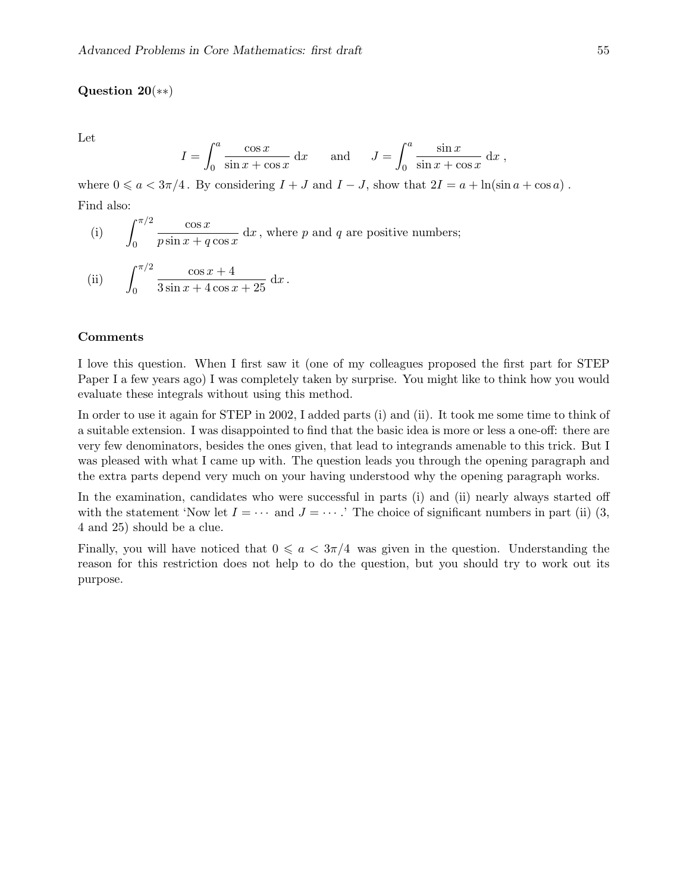## Question 20(∗∗)

Let

$$
I = \int_0^a \frac{\cos x}{\sin x + \cos x} dx \quad \text{and} \quad J = \int_0^a \frac{\sin x}{\sin x + \cos x} dx,
$$

where  $0 \le a < 3\pi/4$ . By considering  $I + J$  and  $I - J$ , show that  $2I = a + \ln(\sin a + \cos a)$ . Find also:

(i)  $\int^{\pi/2}$ 0  $\cos x$  $\frac{\cos x}{p \sin x + q \cos x} dx$ , where p and q are positive numbers;

(ii) 
$$
\int_0^{\pi/2} \frac{\cos x + 4}{3 \sin x + 4 \cos x + 25} dx.
$$

## Comments

I love this question. When I first saw it (one of my colleagues proposed the first part for STEP Paper I a few years ago) I was completely taken by surprise. You might like to think how you would evaluate these integrals without using this method.

In order to use it again for STEP in 2002, I added parts (i) and (ii). It took me some time to think of a suitable extension. I was disappointed to find that the basic idea is more or less a one-off: there are very few denominators, besides the ones given, that lead to integrands amenable to this trick. But I was pleased with what I came up with. The question leads you through the opening paragraph and the extra parts depend very much on your having understood why the opening paragraph works.

In the examination, candidates who were successful in parts (i) and (ii) nearly always started off with the statement 'Now let  $I = \cdots$  and  $J = \cdots$ .' The choice of significant numbers in part (ii) (3, 4 and 25) should be a clue.

Finally, you will have noticed that  $0 \le a < 3\pi/4$  was given in the question. Understanding the reason for this restriction does not help to do the question, but you should try to work out its purpose.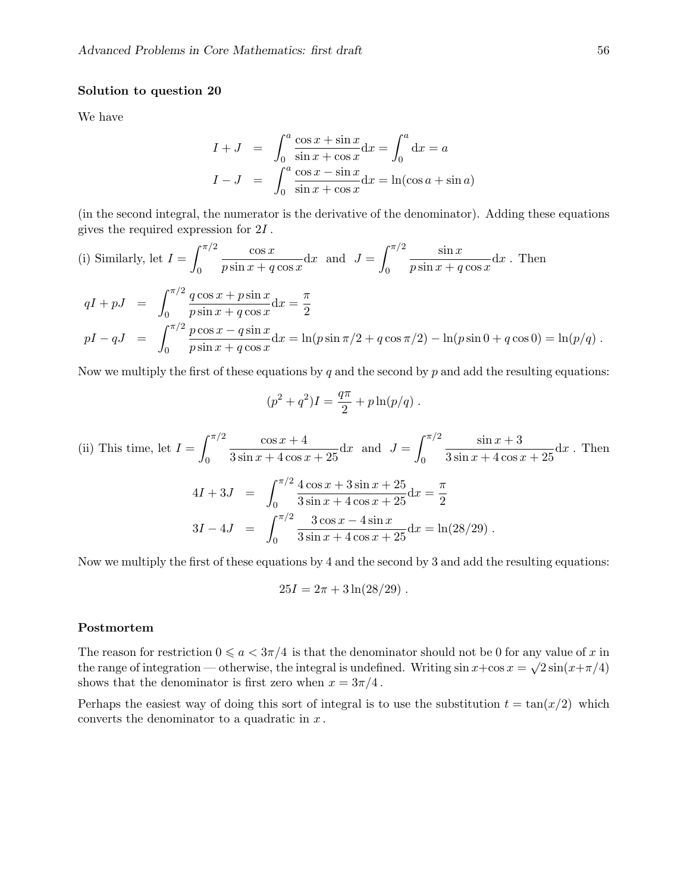We have

$$
I + J = \int_0^a \frac{\cos x + \sin x}{\sin x + \cos x} dx = \int_0^a dx = a
$$
  

$$
I - J = \int_0^a \frac{\cos x - \sin x}{\sin x + \cos x} dx = \ln(\cos a + \sin a)
$$

(in the second integral, the numerator is the derivative of the denominator). Adding these equations gives the required expression for 2I .

(i) Similarly, let 
$$
I = \int_0^{\pi/2} \frac{\cos x}{p \sin x + q \cos x} dx
$$
 and  $J = \int_0^{\pi/2} \frac{\sin x}{p \sin x + q \cos x} dx$ . Then  
\n
$$
qI + pJ = \int_0^{\pi/2} \frac{q \cos x + p \sin x}{p \sin x + q \cos x} dx = \frac{\pi}{2}
$$
\n
$$
pI - qJ = \int_0^{\pi/2} \frac{p \cos x - q \sin x}{p \sin x + q \cos x} dx = \ln(p \sin \pi/2 + q \cos \pi/2) - \ln(p \sin 0 + q \cos 0) = \ln(p/q).
$$

Now we multiply the first of these equations by  $q$  and the second by  $p$  and add the resulting equations:

$$
(p^2 + q^2)I = \frac{q\pi}{2} + p\ln(p/q) .
$$

(ii) This time, let  $I = \int_0^{\pi/2}$ 0  $\cos x + 4$  $\frac{\cos x + 4}{3 \sin x + 4 \cos x + 25} dx$  and  $J = \int_0^{\pi/2}$ 0  $\sin x + 3$  $\frac{\sin x + 3}{3\sin x + 4\cos x + 25} dx$ . Then

$$
4I + 3J = \int_0^{\pi/2} \frac{4\cos x + 3\sin x + 25}{3\sin x + 4\cos x + 25} dx = \frac{\pi}{2}
$$
  

$$
3I - 4J = \int_0^{\pi/2} \frac{3\cos x - 4\sin x}{3\sin x + 4\cos x + 25} dx = \ln(28/29).
$$

Now we multiply the first of these equations by 4 and the second by 3 and add the resulting equations:

$$
25I = 2\pi + 3\ln(28/29) .
$$

## Postmortem

The reason for restriction  $0 \le a < 3\pi/4$  is that the denominator should not be 0 for any value of x in the range of integration — otherwise, the integral is undefined. Writing  $\sin x + \cos x = \sqrt{2} \sin(x + \pi/4)$ shows that the denominator is first zero when  $x = 3\pi/4$ .

Perhaps the easiest way of doing this sort of integral is to use the substitution  $t = \tan(x/2)$  which converts the denominator to a quadratic in  $x$ .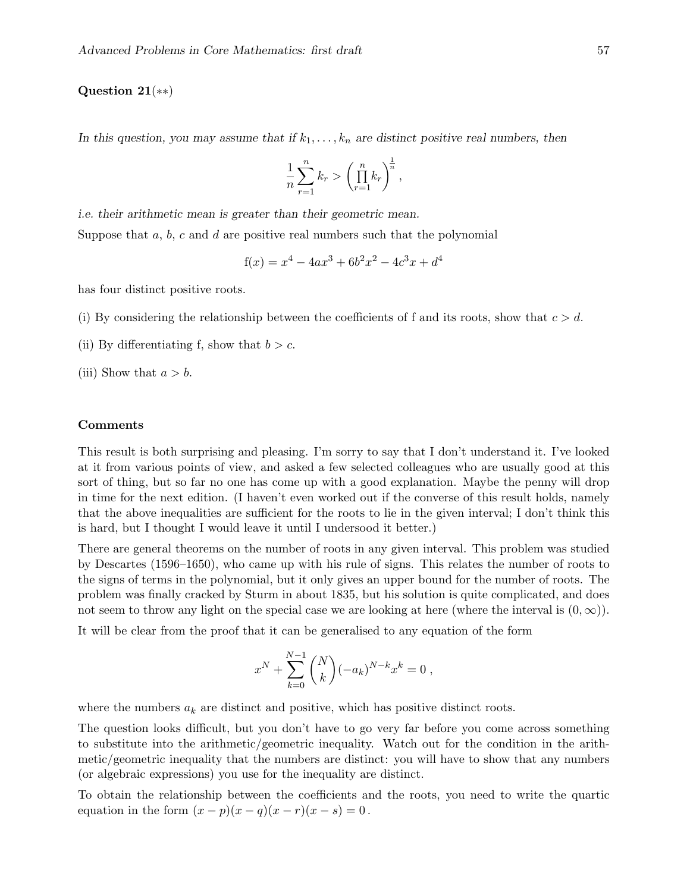## Question 21(∗∗)

In this question, you may assume that if  $k_1, \ldots, k_n$  are distinct positive real numbers, then

$$
\frac{1}{n}\sum_{r=1}^n k_r > \left(\prod_{r=1}^n k_r\right)^{\frac{1}{n}},
$$

i.e. their arithmetic mean is greater than their geometric mean. Suppose that  $a, b, c$  and  $d$  are positive real numbers such that the polynomial

$$
f(x) = x^4 - 4ax^3 + 6b^2x^2 - 4c^3x + d^4
$$

has four distinct positive roots.

- (i) By considering the relationship between the coefficients of f and its roots, show that  $c > d$ .
- (ii) By differentiating f, show that  $b > c$ .
- (iii) Show that  $a > b$ .

### Comments

This result is both surprising and pleasing. I'm sorry to say that I don't understand it. I've looked at it from various points of view, and asked a few selected colleagues who are usually good at this sort of thing, but so far no one has come up with a good explanation. Maybe the penny will drop in time for the next edition. (I haven't even worked out if the converse of this result holds, namely that the above inequalities are sufficient for the roots to lie in the given interval; I don't think this is hard, but I thought I would leave it until I undersood it better.)

There are general theorems on the number of roots in any given interval. This problem was studied by Descartes (1596–1650), who came up with his rule of signs. This relates the number of roots to the signs of terms in the polynomial, but it only gives an upper bound for the number of roots. The problem was finally cracked by Sturm in about 1835, but his solution is quite complicated, and does not seem to throw any light on the special case we are looking at here (where the interval is  $(0, \infty)$ ).

It will be clear from the proof that it can be generalised to any equation of the form

$$
x^N + \sum_{k=0}^{N-1} \binom{N}{k} (-a_k)^{N-k} x^k = 0,
$$

where the numbers  $a_k$  are distinct and positive, which has positive distinct roots.

The question looks difficult, but you don't have to go very far before you come across something to substitute into the arithmetic/geometric inequality. Watch out for the condition in the arithmetic/geometric inequality that the numbers are distinct: you will have to show that any numbers (or algebraic expressions) you use for the inequality are distinct.

To obtain the relationship between the coefficients and the roots, you need to write the quartic equation in the form  $(x - p)(x - q)(x - r)(x - s) = 0$ .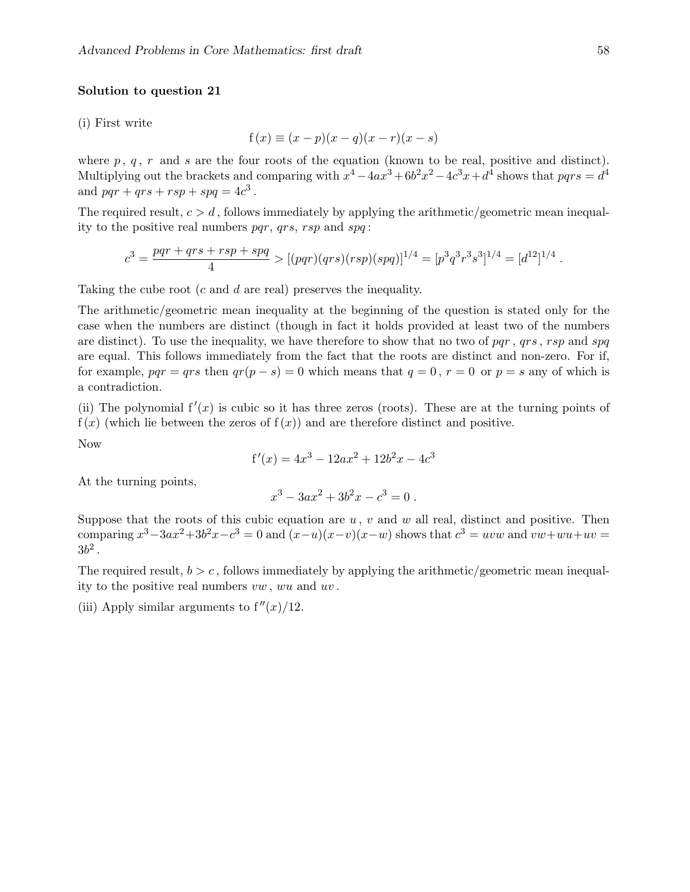(i) First write

$$
f(x) \equiv (x - p)(x - q)(x - r)(x - s)
$$

where  $p, q, r$  and s are the four roots of the equation (known to be real, positive and distinct). Multiplying out the brackets and comparing with  $x^4 - 4ax^3 + 6b^2x^2 - 4c^3x + d^4$  shows that  $pqrs = d^4$ and  $pqr + qrs + rsp + spq = 4c^3$ .

The required result,  $c > d$ , follows immediately by applying the arithmetic/geometric mean inequality to the positive real numbers pqr, qrs, rsp and spq :

$$
c^3=\frac{pqr+qrs+rsp+spq}{4}>\left[(pqr)(qrs)(rsp)(spq)\right]^{1/4}=[p^3q^3r^3s^3]^{1/4}=[d^{12}]^{1/4}
$$

Taking the cube root  $(c \text{ and } d \text{ are real})$  preserves the inequality.

The arithmetic/geometric mean inequality at the beginning of the question is stated only for the case when the numbers are distinct (though in fact it holds provided at least two of the numbers are distinct). To use the inequality, we have therefore to show that no two of pqr, qrs, rsp and spq are equal. This follows immediately from the fact that the roots are distinct and non-zero. For if, for example,  $pqr = qrs$  then  $qr(p - s) = 0$  which means that  $q = 0$ ,  $r = 0$  or  $p = s$  any of which is a contradiction.

(ii) The polynomial  $f'(x)$  is cubic so it has three zeros (roots). These are at the turning points of  $f(x)$  (which lie between the zeros of  $f(x)$ ) and are therefore distinct and positive.

Now

$$
f'(x) = 4x^3 - 12ax^2 + 12b^2x - 4c^3
$$

At the turning points,

$$
x^3 - 3ax^2 + 3b^2x - c^3 = 0.
$$

Suppose that the roots of this cubic equation are  $u$ ,  $v$  and  $w$  all real, distinct and positive. Then comparing  $x^3-3ax^2+3b^2x-c^3=0$  and  $(x-u)(x-v)(x-w)$  shows that  $c^3 = uvw$  and  $vw+wu+uv=0$  $3b^2$  .

The required result,  $b > c$ , follows immediately by applying the arithmetic/geometric mean inequality to the positive real numbers  $vw$ ,  $wu$  and  $uv$ .

(iii) Apply similar arguments to  $f''(x)/12$ .

.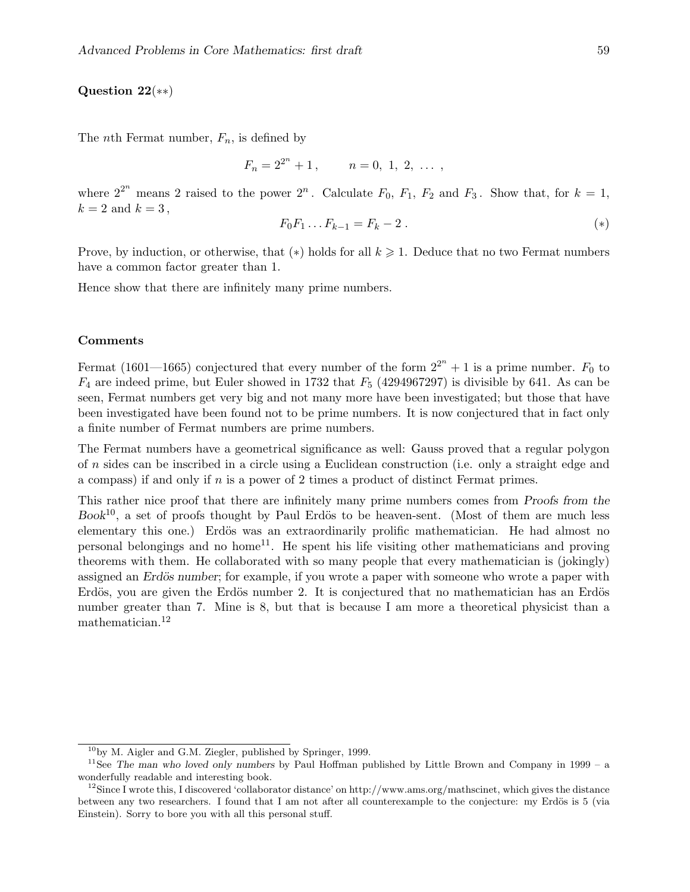## Question 22(∗∗)

The *n*th Fermat number,  $F_n$ , is defined by

$$
F_n = 2^{2^n} + 1, \qquad n = 0, 1, 2, \ldots,
$$

where  $2^{2^n}$  means 2 raised to the power  $2^n$ . Calculate  $F_0$ ,  $F_1$ ,  $F_2$  and  $F_3$ . Show that, for  $k=1$ ,  $k = 2$  and  $k = 3$ ,

$$
F_0 F_1 \dots F_{k-1} = F_k - 2 \tag{(*)}
$$

Prove, by induction, or otherwise, that (\*) holds for all  $k \geqslant 1$ . Deduce that no two Fermat numbers have a common factor greater than 1.

Hence show that there are infinitely many prime numbers.

#### Comments

Fermat (1601—1665) conjectured that every number of the form  $2^{2^n} + 1$  is a prime number.  $F_0$  to  $F_4$  are indeed prime, but Euler showed in 1732 that  $F_5$  (4294967297) is divisible by 641. As can be seen, Fermat numbers get very big and not many more have been investigated; but those that have been investigated have been found not to be prime numbers. It is now conjectured that in fact only a finite number of Fermat numbers are prime numbers.

The Fermat numbers have a geometrical significance as well: Gauss proved that a regular polygon of n sides can be inscribed in a circle using a Euclidean construction (i.e. only a straight edge and a compass) if and only if  $n$  is a power of 2 times a product of distinct Fermat primes.

This rather nice proof that there are infinitely many prime numbers comes from Proofs from the  $Book<sup>10</sup>$ , a set of proofs thought by Paul Erdös to be heaven-sent. (Most of them are much less elementary this one.) Erdös was an extraordinarily prolific mathematician. He had almost no personal belongings and no home<sup>11</sup>. He spent his life visiting other mathematicians and proving theorems with them. He collaborated with so many people that every mathematician is (jokingly) assigned an Erdös number; for example, if you wrote a paper with someone who wrote a paper with Erdös, you are given the Erdös number 2. It is conjectured that no mathematician has an Erdös number greater than 7. Mine is 8, but that is because I am more a theoretical physicist than a mathematician.<sup>12</sup>

<sup>10</sup>by M. Aigler and G.M. Ziegler, published by Springer, 1999.

<sup>&</sup>lt;sup>11</sup>See The man who loved only numbers by Paul Hoffman published by Little Brown and Company in 1999 – a wonderfully readable and interesting book.

<sup>&</sup>lt;sup>12</sup>Since I wrote this, I discovered 'collaborator distance' on http://www.ams.org/mathscinet, which gives the distance between any two researchers. I found that I am not after all counterexample to the conjecture: my Erdös is 5 (via Einstein). Sorry to bore you with all this personal stuff.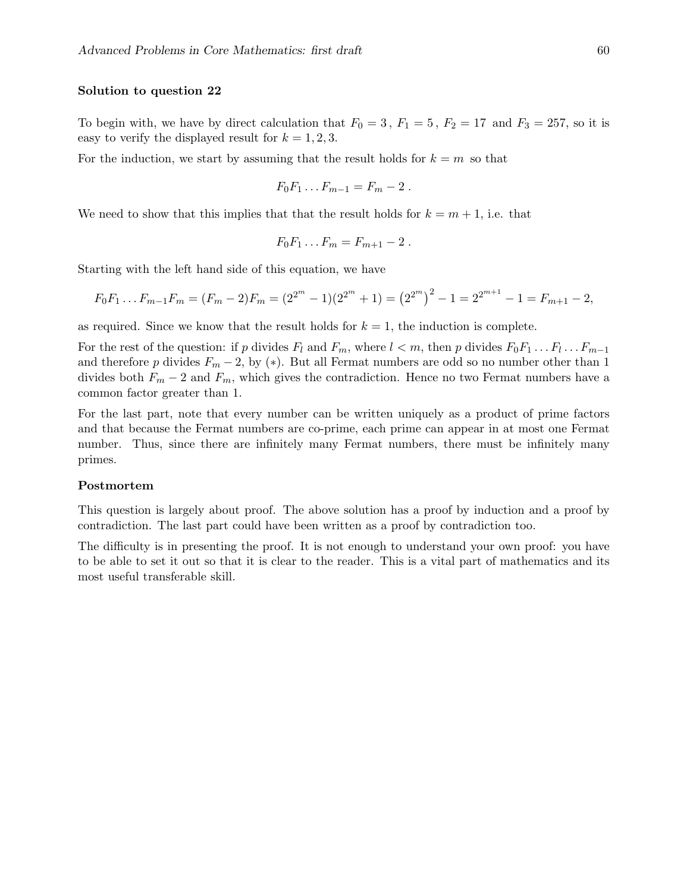To begin with, we have by direct calculation that  $F_0 = 3$ ,  $F_1 = 5$ ,  $F_2 = 17$  and  $F_3 = 257$ , so it is easy to verify the displayed result for  $k = 1, 2, 3$ .

For the induction, we start by assuming that the result holds for  $k = m$  so that

$$
F_0F_1\ldots F_{m-1}=F_m-2.
$$

We need to show that this implies that that the result holds for  $k = m + 1$ , i.e. that

$$
F_0F_1\ldots F_m=F_{m+1}-2.
$$

Starting with the left hand side of this equation, we have

$$
F_0F_1...F_{m-1}F_m = (F_m - 2)F_m = (2^{2^m} - 1)(2^{2^m} + 1) = (2^{2^m})^2 - 1 = 2^{2^{m+1}} - 1 = F_{m+1} - 2,
$$

as required. Since we know that the result holds for  $k = 1$ , the induction is complete.

For the rest of the question: if p divides  $F_l$  and  $F_m$ , where  $l < m$ , then p divides  $F_0F_1 \ldots F_l \ldots F_{m-1}$ and therefore p divides  $F_m - 2$ , by (\*). But all Fermat numbers are odd so no number other than 1 divides both  $F_m - 2$  and  $F_m$ , which gives the contradiction. Hence no two Fermat numbers have a common factor greater than 1.

For the last part, note that every number can be written uniquely as a product of prime factors and that because the Fermat numbers are co-prime, each prime can appear in at most one Fermat number. Thus, since there are infinitely many Fermat numbers, there must be infinitely many primes.

## Postmortem

This question is largely about proof. The above solution has a proof by induction and a proof by contradiction. The last part could have been written as a proof by contradiction too.

The difficulty is in presenting the proof. It is not enough to understand your own proof: you have to be able to set it out so that it is clear to the reader. This is a vital part of mathematics and its most useful transferable skill.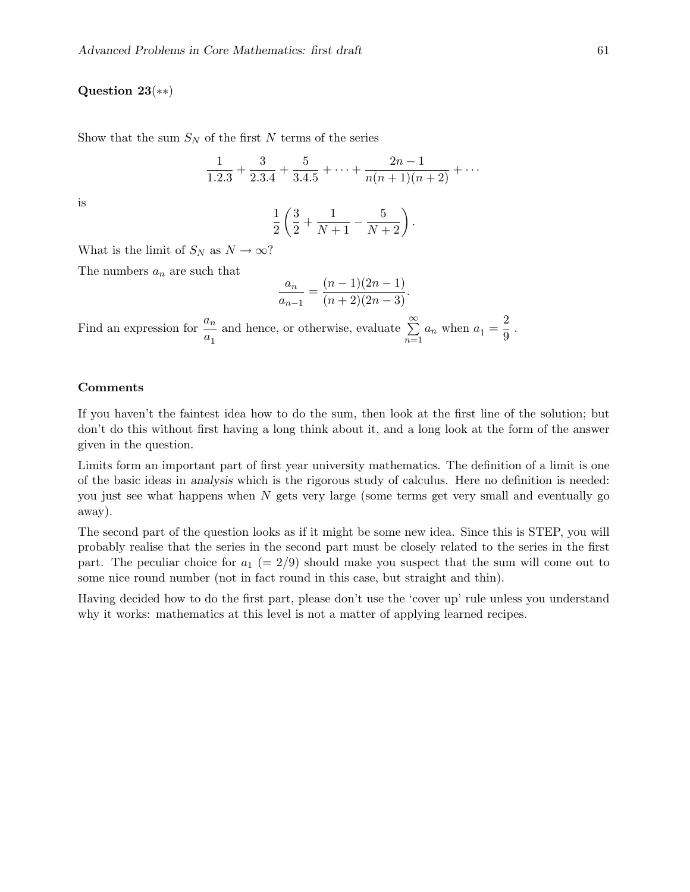# Question 23(∗∗)

Show that the sum  $S_N$  of the first N terms of the series

$$
\frac{1}{1.2.3} + \frac{3}{2.3.4} + \frac{5}{3.4.5} + \dots + \frac{2n-1}{n(n+1)(n+2)} + \dots
$$

is

$$
\frac{1}{2} \left( \frac{3}{2} + \frac{1}{N+1} - \frac{5}{N+2} \right).
$$

What is the limit of  $S_N$  as  $N \to \infty$ ?

The numbers  $a_n$  are such that

$$
\frac{a_n}{a_{n-1}} = \frac{(n-1)(2n-1)}{(n+2)(2n-3)}.
$$

Find an expression for  $\frac{a_n}{a_n}$  $a_1$ and hence, or otherwise, evaluate  $\sum_{n=1}^{\infty}$  $\sum_{n=1}^{\infty} a_n$  when  $a_1 = \frac{2}{9}$  $\frac{2}{9}$ .

## Comments

If you haven't the faintest idea how to do the sum, then look at the first line of the solution; but don't do this without first having a long think about it, and a long look at the form of the answer given in the question.

Limits form an important part of first year university mathematics. The definition of a limit is one of the basic ideas in analysis which is the rigorous study of calculus. Here no definition is needed: you just see what happens when  $N$  gets very large (some terms get very small and eventually go away).

The second part of the question looks as if it might be some new idea. Since this is STEP, you will probably realise that the series in the second part must be closely related to the series in the first part. The peculiar choice for  $a_1 (= 2/9)$  should make you suspect that the sum will come out to some nice round number (not in fact round in this case, but straight and thin).

Having decided how to do the first part, please don't use the 'cover up' rule unless you understand why it works: mathematics at this level is not a matter of applying learned recipes.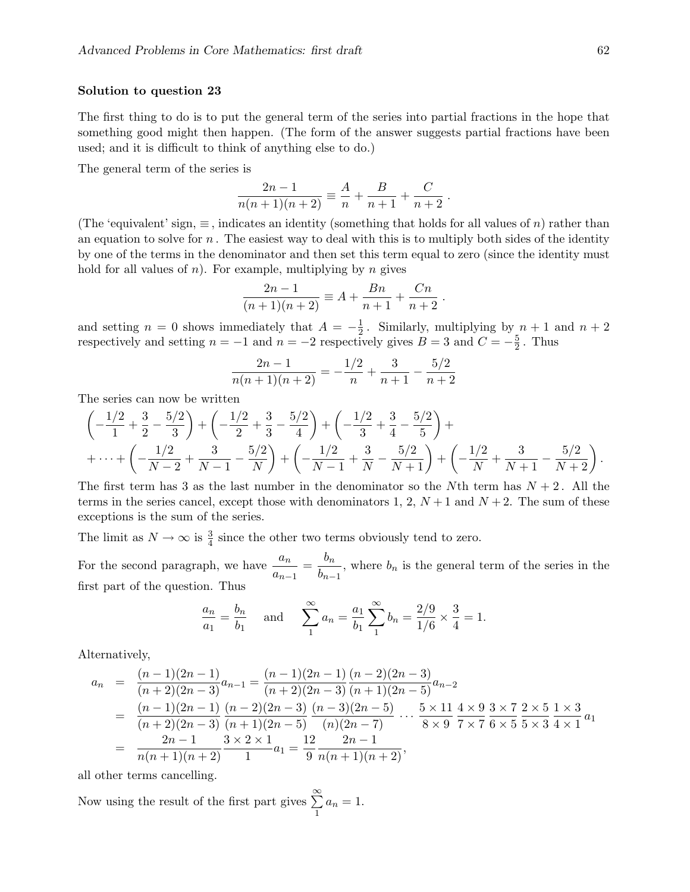The first thing to do is to put the general term of the series into partial fractions in the hope that something good might then happen. (The form of the answer suggests partial fractions have been used; and it is difficult to think of anything else to do.)

The general term of the series is

$$
\frac{2n-1}{n(n+1)(n+2)} \equiv \frac{A}{n} + \frac{B}{n+1} + \frac{C}{n+2} .
$$

(The 'equivalent' sign,  $\equiv$ , indicates an identity (something that holds for all values of n) rather than an equation to solve for  $n$ . The easiest way to deal with this is to multiply both sides of the identity by one of the terms in the denominator and then set this term equal to zero (since the identity must hold for all values of  $n$ ). For example, multiplying by  $n$  gives

$$
\frac{2n-1}{(n+1)(n+2)} \equiv A + \frac{Bn}{n+1} + \frac{Cn}{n+2}
$$

.

and setting  $n = 0$  shows immediately that  $A = -\frac{1}{2}$  $\frac{1}{2}$ . Similarly, multiplying by  $n + 1$  and  $n + 2$ respectively and setting  $n = -1$  and  $n = -2$  respectively gives  $B = 3$  and  $C = -\frac{5}{2}$  $\frac{5}{2}$ . Thus

$$
\frac{2n-1}{n(n+1)(n+2)} = -\frac{1/2}{n} + \frac{3}{n+1} - \frac{5/2}{n+2}
$$

The series can now be written

$$
\left(-\frac{1/2}{1} + \frac{3}{2} - \frac{5/2}{3}\right) + \left(-\frac{1/2}{2} + \frac{3}{3} - \frac{5/2}{4}\right) + \left(-\frac{1/2}{3} + \frac{3}{4} - \frac{5/2}{5}\right) + \cdots + \left(-\frac{1/2}{N-2} + \frac{3}{N-1} - \frac{5/2}{N}\right) + \left(-\frac{1/2}{N-1} + \frac{3}{N} - \frac{5/2}{N+1}\right) + \left(-\frac{1/2}{N} + \frac{3}{N+1} - \frac{5/2}{N+2}\right).
$$

The first term has 3 as the last number in the denominator so the Nth term has  $N + 2$ . All the terms in the series cancel, except those with denominators 1, 2,  $N + 1$  and  $N + 2$ . The sum of these exceptions is the sum of the series.

The limit as  $N \to \infty$  is  $\frac{3}{4}$  since the other two terms obviously tend to zero.

For the second paragraph, we have  $\frac{a_n}{a_n}$  $\frac{a_n}{a_{n-1}} = \frac{b_n}{b_{n-1}}$  $\frac{\sigma_n}{b_{n-1}}$ , where  $b_n$  is the general term of the series in the first part of the question. Thus

$$
\frac{a_n}{a_1} = \frac{b_n}{b_1}
$$
 and  $\sum_{1}^{\infty} a_n = \frac{a_1}{b_1} \sum_{1}^{\infty} b_n = \frac{2/9}{1/6} \times \frac{3}{4} = 1.$ 

Alternatively,

$$
a_n = \frac{(n-1)(2n-1)}{(n+2)(2n-3)} a_{n-1} = \frac{(n-1)(2n-1)(2n-3)}{(n+2)(2n-3)} \frac{(n-2)(2n-3)}{(n+1)(2n-5)} a_{n-2}
$$
  
= 
$$
\frac{(n-1)(2n-1)(2n-2)(2n-3)}{(n+2)(2n-3)} \frac{(n-2)(2n-3)(2n-5)}{(n)(2n-7)} \dots \frac{5 \times 11}{8 \times 9} \frac{4 \times 9}{7 \times 7} \frac{3 \times 7}{6 \times 5} \frac{2 \times 5}{5 \times 3} \frac{1 \times 3}{4 \times 1} a_1
$$
  
= 
$$
\frac{2n-1}{n(n+1)(n+2)} \frac{3 \times 2 \times 1}{1} a_1 = \frac{12}{9} \frac{2n-1}{n(n+1)(n+2)},
$$

all other terms cancelling.

Now using the result of the first part gives  $\sum^{\infty}$ 1  $a_n=1.$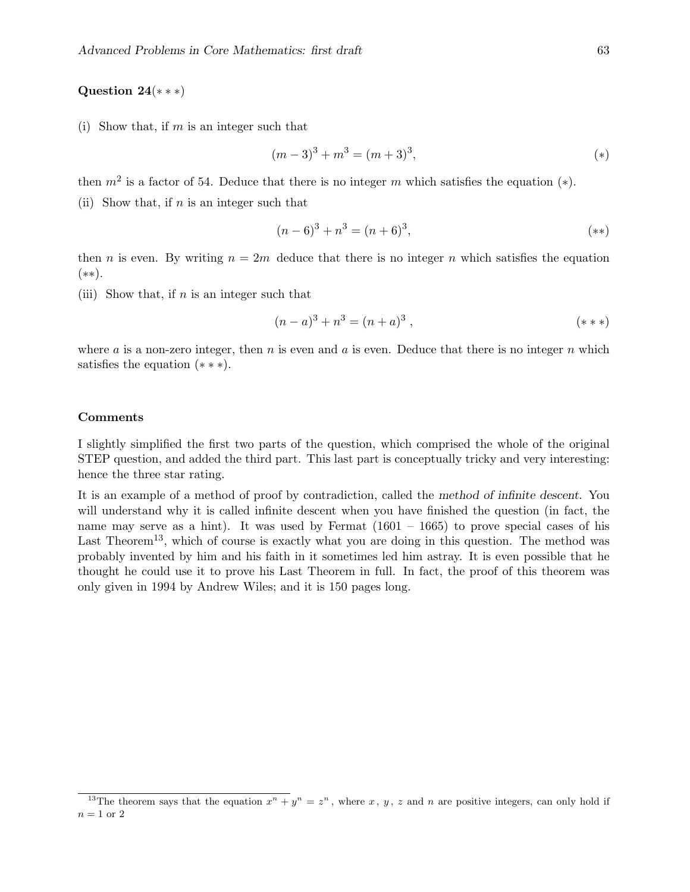## Question 24(∗ ∗ ∗)

(i) Show that, if m is an integer such that

$$
(m-3)^3 + m^3 = (m+3)^3,
$$
\n<sup>(\*)</sup>

then  $m^2$  is a factor of 54. Deduce that there is no integer m which satisfies the equation  $(*)$ .

(ii) Show that, if  $n$  is an integer such that

$$
(n-6)^3 + n^3 = (n+6)^3,\tag{**}
$$

then *n* is even. By writing  $n = 2m$  deduce that there is no integer *n* which satisfies the equation (∗∗).

(iii) Show that, if  $n$  is an integer such that

$$
(n-a)^3 + n^3 = (n+a)^3 , \t\t (***)
$$

where a is a non-zero integer, then n is even and a is even. Deduce that there is no integer n which satisfies the equation  $(* * *)$ .

#### Comments

I slightly simplified the first two parts of the question, which comprised the whole of the original STEP question, and added the third part. This last part is conceptually tricky and very interesting: hence the three star rating.

It is an example of a method of proof by contradiction, called the method of infinite descent. You will understand why it is called infinite descent when you have finished the question (in fact, the name may serve as a hint). It was used by Fermat  $(1601 - 1665)$  to prove special cases of his Last Theorem<sup>13</sup>, which of course is exactly what you are doing in this question. The method was probably invented by him and his faith in it sometimes led him astray. It is even possible that he thought he could use it to prove his Last Theorem in full. In fact, the proof of this theorem was only given in 1994 by Andrew Wiles; and it is 150 pages long.

<sup>&</sup>lt;sup>13</sup>The theorem says that the equation  $x^n + y^n = z^n$ , where x, y, z and n are positive integers, can only hold if  $n=1$  or 2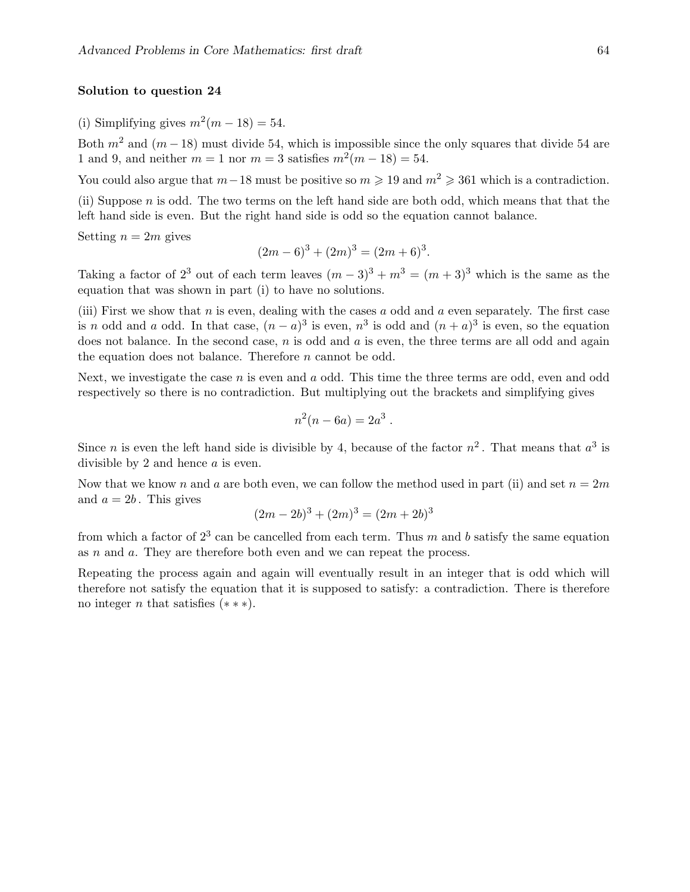(i) Simplifying gives  $m^2(m-18) = 54$ .

Both  $m^2$  and  $(m-18)$  must divide 54, which is impossible since the only squares that divide 54 are 1 and 9, and neither  $m = 1$  nor  $m = 3$  satisfies  $m^2(m - 18) = 54$ .

You could also argue that  $m-18$  must be positive so  $m \geq 19$  and  $m^2 \geq 361$  which is a contradiction.

(ii) Suppose n is odd. The two terms on the left hand side are both odd, which means that that the left hand side is even. But the right hand side is odd so the equation cannot balance.

Setting  $n = 2m$  gives

$$
(2m-6)^3 + (2m)^3 = (2m+6)^3.
$$

Taking a factor of  $2^3$  out of each term leaves  $(m-3)^3 + m^3 = (m+3)^3$  which is the same as the equation that was shown in part (i) to have no solutions.

(iii) First we show that n is even, dealing with the cases a odd and a even separately. The first case is n odd and a odd. In that case,  $(n-a)^3$  is even,  $n^3$  is odd and  $(n+a)^3$  is even, so the equation does not balance. In the second case,  $n$  is odd and  $a$  is even, the three terms are all odd and again the equation does not balance. Therefore  $n$  cannot be odd.

Next, we investigate the case  $n$  is even and  $a$  odd. This time the three terms are odd, even and odd respectively so there is no contradiction. But multiplying out the brackets and simplifying gives

$$
n^2(n-6a) = 2a^3.
$$

Since *n* is even the left hand side is divisible by 4, because of the factor  $n^2$ . That means that  $a^3$  is divisible by 2 and hence a is even.

Now that we know n and a are both even, we can follow the method used in part (ii) and set  $n = 2m$ and  $a = 2b$ . This gives

$$
(2m - 2b)^3 + (2m)^3 = (2m + 2b)^3
$$

from which a factor of  $2^3$  can be cancelled from each term. Thus m and b satisfy the same equation as *n* and *a*. They are therefore both even and we can repeat the process.

Repeating the process again and again will eventually result in an integer that is odd which will therefore not satisfy the equation that it is supposed to satisfy: a contradiction. There is therefore no integer *n* that satisfies  $(***).$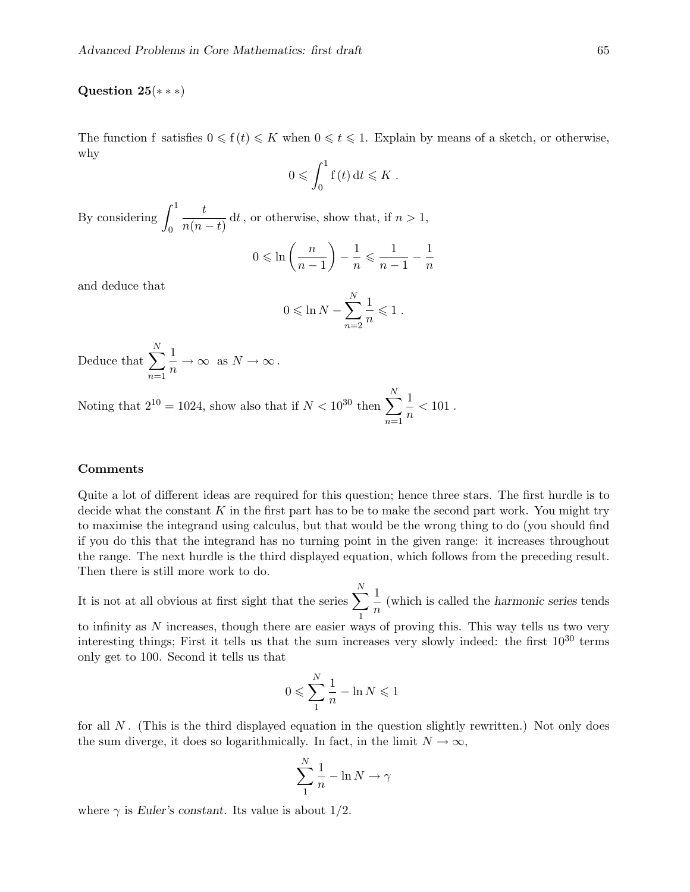# Question  $25(***)$

The function f satisfies  $0 \leq f(t) \leq K$  when  $0 \leq t \leq 1$ . Explain by means of a sketch, or otherwise, why

$$
0 \leqslant \int_0^1 f(t) dt \leqslant K.
$$

By considering  $\int_1^1$ 0 t  $\frac{c}{n(n-t)}$  dt, or otherwise, show that, if  $n > 1$ ,

$$
0 \leqslant \ln\left(\frac{n}{n-1}\right) - \frac{1}{n} \leqslant \frac{1}{n-1} - \frac{1}{n}
$$

and deduce that

$$
0 \le \ln N - \sum_{n=2}^{N} \frac{1}{n} \le 1
$$
.

Deduce that  $\sum$ N  $n=1$ 1  $\frac{1}{n} \to \infty \text{ as } N \to \infty.$ 

Noting that  $2^{10} = 1024$ , show also that if  $N < 10^{30}$  then  $\sum$ N  $n=1$ 1  $\frac{1}{n}$  < 101.

#### Comments

Quite a lot of different ideas are required for this question; hence three stars. The first hurdle is to decide what the constant  $K$  in the first part has to be to make the second part work. You might try to maximise the integrand using calculus, but that would be the wrong thing to do (you should find if you do this that the integrand has no turning point in the given range: it increases throughout the range. The next hurdle is the third displayed equation, which follows from the preceding result. Then there is still more work to do.

It is not at all obvious at first sight that the series  $\sum$  $\frac{N}{\sqrt{}}1$ to infinity as N increases, though there are easier ways of proving this. This way tells us two very  $\frac{1}{n}$  (which is called the *harmonic series* tends interesting things; First it tells us that the sum increases very slowly indeed: the first  $10^{30}$  terms only get to 100. Second it tells us that

$$
0 \leqslant \sum_{1}^{N} \frac{1}{n} - \ln N \leqslant 1
$$

for all  $N$ . (This is the third displayed equation in the question slightly rewritten.) Not only does the sum diverge, it does so logarithmically. In fact, in the limit  $N \to \infty$ ,

$$
\sum_{1}^{N} \frac{1}{n} - \ln N \to \gamma
$$

where  $\gamma$  is Euler's constant. Its value is about 1/2.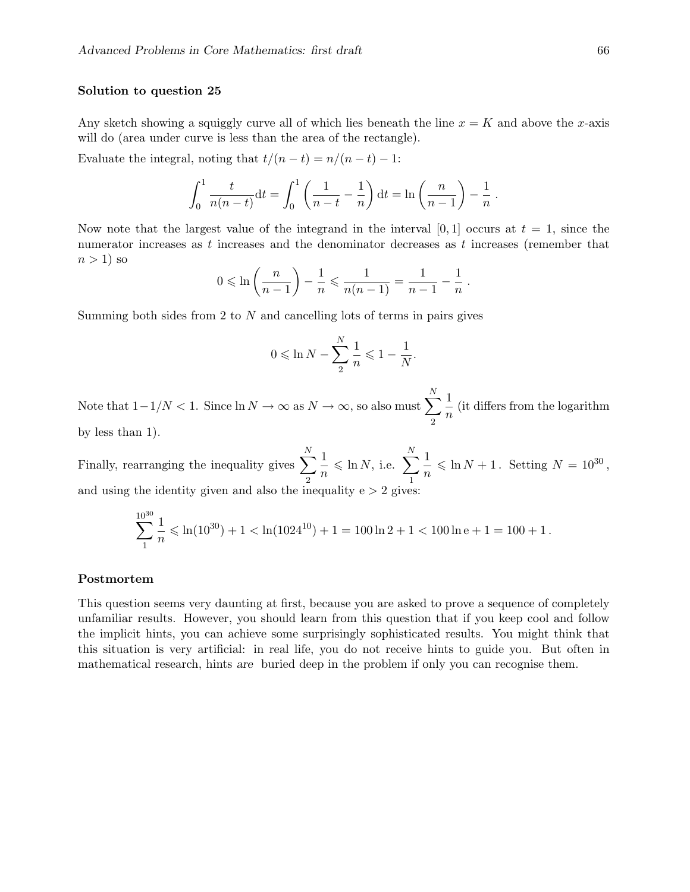Any sketch showing a squiggly curve all of which lies beneath the line  $x = K$  and above the x-axis will do (area under curve is less than the area of the rectangle).

Evaluate the integral, noting that  $t/(n-t) = n/(n-t) - 1$ :

$$
\int_0^1 \frac{t}{n(n-t)} dt = \int_0^1 \left( \frac{1}{n-t} - \frac{1}{n} \right) dt = \ln \left( \frac{n}{n-1} \right) - \frac{1}{n} .
$$

Now note that the largest value of the integrand in the interval  $[0,1]$  occurs at  $t = 1$ , since the numerator increases as t increases and the denominator decreases as t increases (remember that  $n > 1$ ) so

$$
0 \leqslant \ln\left(\frac{n}{n-1}\right) - \frac{1}{n} \leqslant \frac{1}{n(n-1)} = \frac{1}{n-1} - \frac{1}{n} .
$$

Summing both sides from 2 to  $N$  and cancelling lots of terms in pairs gives

$$
0 \leqslant \ln N - \sum_{n=1}^{N} \frac{1}{n} \leqslant 1 - \frac{1}{N}.
$$

Note that  $1-1/N < 1$ . Since  $\ln N \to \infty$  as  $N \to \infty$ , so also must  $\sum$ N 2 1  $\frac{1}{n}$  (it differs from the logarithm by less than 1).

Finally, rearranging the inequality gives  $\sum$ N 2 1  $\frac{1}{n} \leqslant \ln N$ , i.e.  $\sum_{1}$ N 1 1  $\frac{1}{n} \leq \ln N + 1$ . Setting  $N = 10^{30}$ , and using the identity given and also the inequality  $e > 2$  gives:

$$
\sum_{1}^{10^{30}} \frac{1}{n} \le \ln(10^{30}) + 1 < \ln(1024^{10}) + 1 = 100 \ln 2 + 1 < 100 \ln e + 1 = 100 + 1.
$$

## Postmortem

This question seems very daunting at first, because you are asked to prove a sequence of completely unfamiliar results. However, you should learn from this question that if you keep cool and follow the implicit hints, you can achieve some surprisingly sophisticated results. You might think that this situation is very artificial: in real life, you do not receive hints to guide you. But often in mathematical research, hints are buried deep in the problem if only you can recognise them.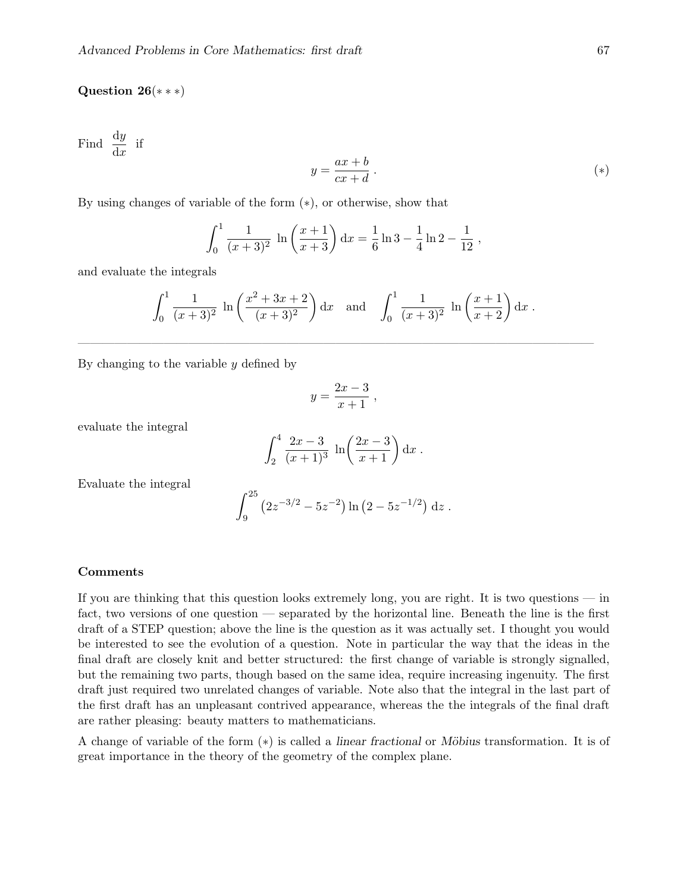## Question 26(∗ ∗ ∗)

Find  $\frac{\mathrm{d}y}{\mathrm{d}x}$  if

$$
y = \frac{ax+b}{cx+d} \,. \tag{*}
$$

By using changes of variable of the form (∗), or otherwise, show that

$$
\int_0^1 \frac{1}{(x+3)^2} \ln\left(\frac{x+1}{x+3}\right) dx = \frac{1}{6} \ln 3 - \frac{1}{4} \ln 2 - \frac{1}{12},
$$

and evaluate the integrals

$$
\int_0^1 \frac{1}{(x+3)^2} \ln\left(\frac{x^2+3x+2}{(x+3)^2}\right) dx \text{ and } \int_0^1 \frac{1}{(x+3)^2} \ln\left(\frac{x+1}{x+2}\right) dx.
$$

 $\overline{\phantom{a}}$  , and the contribution of the contribution of  $\overline{\phantom{a}}$ 

By changing to the variable  $y$  defined by

$$
y = \frac{2x-3}{x+1},
$$

evaluate the integral

$$
\int_{2}^{4} \frac{2x-3}{(x+1)^3} \ln\left(\frac{2x-3}{x+1}\right) dx.
$$

Evaluate the integral

$$
\int_9^{25} (2z^{-3/2} - 5z^{-2}) \ln (2 - 5z^{-1/2}) dz.
$$

### Comments

If you are thinking that this question looks extremely long, you are right. It is two questions — in fact, two versions of one question — separated by the horizontal line. Beneath the line is the first draft of a STEP question; above the line is the question as it was actually set. I thought you would be interested to see the evolution of a question. Note in particular the way that the ideas in the final draft are closely knit and better structured: the first change of variable is strongly signalled, but the remaining two parts, though based on the same idea, require increasing ingenuity. The first draft just required two unrelated changes of variable. Note also that the integral in the last part of the first draft has an unpleasant contrived appearance, whereas the the integrals of the final draft are rather pleasing: beauty matters to mathematicians.

A change of variable of the form  $(*)$  is called a linear fractional or Möbius transformation. It is of great importance in the theory of the geometry of the complex plane.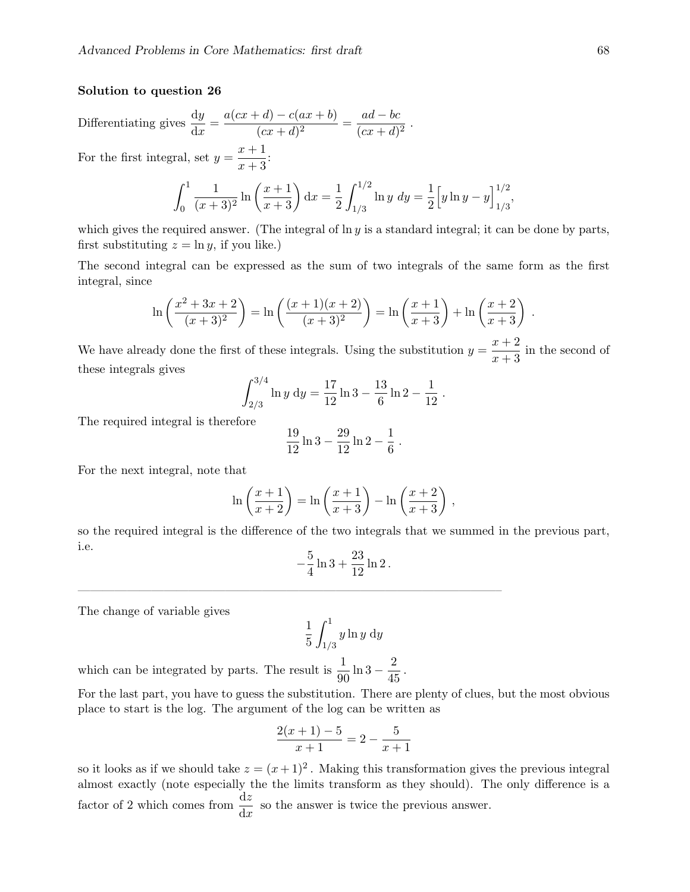Differentiating gives  $\frac{dy}{dx} = \frac{a(cx+d) - c(ax+b)}{(cx+d)^2}$  $\frac{(-d) - c(ax + b)}{(cx + d)^2} = \frac{ad - bc}{(cx + d)}$  $\frac{ax}{(cx+d)^2}$ .

For the first integral, set  $y = \frac{x+1}{x+2}$  $\frac{x+1}{x+3}$ :

$$
\int_0^1 \frac{1}{(x+3)^2} \ln\left(\frac{x+1}{x+3}\right) dx = \frac{1}{2} \int_{1/3}^{1/2} \ln y \, dy = \frac{1}{2} \left[ y \ln y - y \right]_{1/3}^{1/2},
$$

which gives the required answer. (The integral of  $\ln y$  is a standard integral; it can be done by parts, first substituting  $z = \ln y$ , if you like.)

The second integral can be expressed as the sum of two integrals of the same form as the first integral, since

$$
\ln\left(\frac{x^2+3x+2}{(x+3)^2}\right) = \ln\left(\frac{(x+1)(x+2)}{(x+3)^2}\right) = \ln\left(\frac{x+1}{x+3}\right) + \ln\left(\frac{x+2}{x+3}\right)
$$

We have already done the first of these integrals. Using the substitution  $y = \frac{x+2}{x-2}$  $\frac{x+2}{x+3}$  in the second of these integrals gives

$$
\int_{2/3}^{3/4} \ln y \, \mathrm{d}y = \frac{17}{12} \ln 3 - \frac{13}{6} \ln 2 - \frac{1}{12} \, .
$$

The required integral is therefore

$$
\frac{19}{12}\ln 3 - \frac{29}{12}\ln 2 - \frac{1}{6}.
$$

For the next integral, note that

$$
\ln\left(\frac{x+1}{x+2}\right) = \ln\left(\frac{x+1}{x+3}\right) - \ln\left(\frac{x+2}{x+3}\right),
$$

so the required integral is the difference of the two integrals that we summed in the previous part, i.e.

$$
-\frac{5}{4}\ln 3 + \frac{23}{12}\ln 2.
$$

 $\overline{\phantom{a}}$  , and the contribution of the contribution of  $\overline{\phantom{a}}$ 

The change of variable gives

$$
\frac{1}{5} \int_{1/3}^{1} y \ln y \, \mathrm{d}y
$$

which can be integrated by parts. The result is  $\frac{1}{90} \ln 3 - \frac{2}{45}$  $\frac{2}{45}$ .

For the last part, you have to guess the substitution. There are plenty of clues, but the most obvious place to start is the log. The argument of the log can be written as

$$
\frac{2(x+1)-5}{x+1} = 2 - \frac{5}{x+1}
$$

so it looks as if we should take  $z = (x+1)^2$ . Making this transformation gives the previous integral almost exactly (note especially the the limits transform as they should). The only difference is a factor of 2 which comes from  $\frac{dz}{dx}$  so the answer is twice the previous answer.

.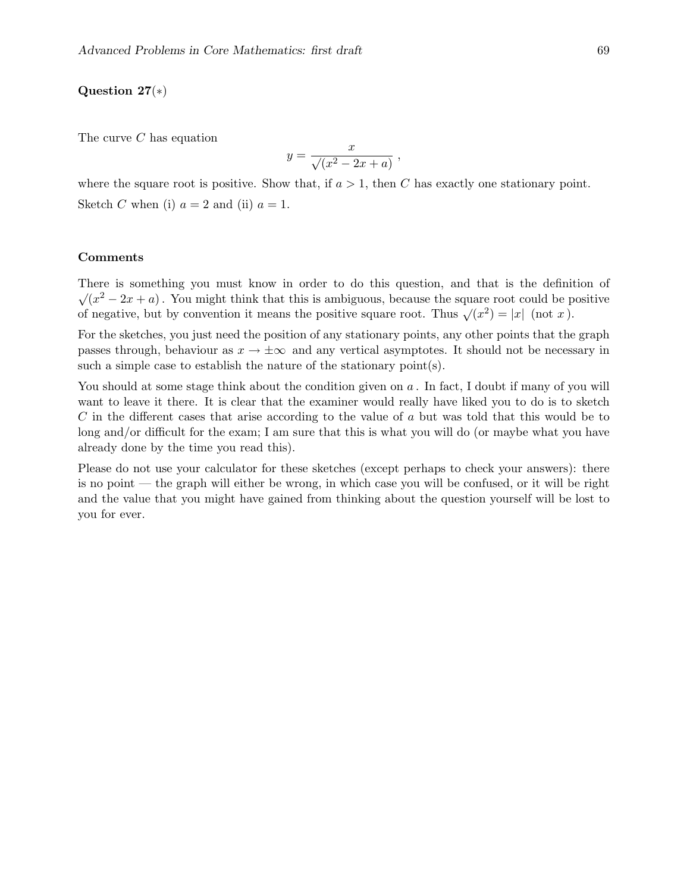# Question 27(∗)

The curve C has equation

$$
y = \frac{x}{\sqrt{(x^2 - 2x + a)}},
$$

where the square root is positive. Show that, if  $a > 1$ , then C has exactly one stationary point. Sketch C when (i)  $a = 2$  and (ii)  $a = 1$ .

#### Comments

There is something you must know in order to do this question, and that is the definition of There is something you must know in order to do this question, and that is the definition of  $\sqrt{x^2-2x+a}$ . You might think that this is ambiguous, because the square root could be positive  $\sqrt{x^2 - 2x + a}$ . For might that that this is anonglous, because the square root could be p<br>of negative, but by convention it means the positive square root. Thus  $\sqrt{x^2} = |x|$  (not x).

For the sketches, you just need the position of any stationary points, any other points that the graph passes through, behaviour as  $x \to \pm \infty$  and any vertical asymptotes. It should not be necessary in such a simple case to establish the nature of the stationary point(s).

You should at some stage think about the condition given on  $a$ . In fact, I doubt if many of you will want to leave it there. It is clear that the examiner would really have liked you to do is to sketch C in the different cases that arise according to the value of a but was told that this would be to long and/or difficult for the exam; I am sure that this is what you will do (or maybe what you have already done by the time you read this).

Please do not use your calculator for these sketches (except perhaps to check your answers): there is no point — the graph will either be wrong, in which case you will be confused, or it will be right and the value that you might have gained from thinking about the question yourself will be lost to you for ever.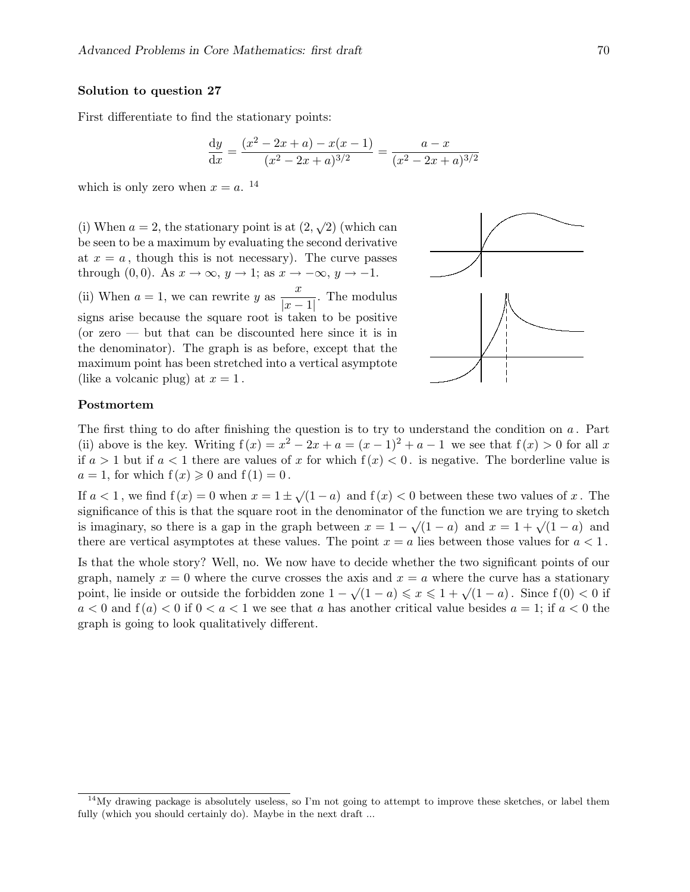First differentiate to find the stationary points:

$$
\frac{dy}{dx} = \frac{(x^2 - 2x + a) - x(x - 1)}{(x^2 - 2x + a)^{3/2}} = \frac{a - x}{(x^2 - 2x + a)^{3/2}}
$$

which is only zero when  $x = a$ . <sup>14</sup>

(i) When  $a = 2$ , the stationary point is at  $(2, \sqrt{2})$  (which can be seen to be a maximum by evaluating the second derivative at  $x = a$ , though this is not necessary). The curve passes through (0, 0). As  $x \to \infty$ ,  $y \to 1$ ; as  $x \to -\infty$ ,  $y \to -1$ . (ii) When  $a = 1$ , we can rewrite y as  $\frac{x}{1+x}$  $\frac{x}{|x-1|}$ . The modulus signs arise because the square root is taken to be positive (or zero — but that can be discounted here since it is in the denominator). The graph is as before, except that the maximum point has been stretched into a vertical asymptote (like a volcanic plug) at  $x = 1$ .



#### Postmortem

The first thing to do after finishing the question is to try to understand the condition on  $a$ . Part (ii) above is the key. Writing  $f(x) = x^2 - 2x + a = (x - 1)^2 + a - 1$  we see that  $f(x) > 0$  for all x if  $a > 1$  but if  $a < 1$  there are values of x for which  $f(x) < 0$ . is negative. The borderline value is  $a = 1$ , for which  $f(x) \geq 0$  and  $f(1) = 0$ .

If  $a < 1$ , we find  $f(x) = 0$  when  $x = 1 \pm \sqrt{(1-a)}$  and  $f(x) < 0$  between these two values of x. The significance of this is that the square root in the denominator of the function we are trying to sketch is imaginary, so there is a gap in the graph between  $x = 1 - \sqrt{1 - a}$  and  $x = 1 + \sqrt{1 - a}$  and  $x = 1 + \sqrt{1 - a}$ there are vertical asymptotes at these values. The point  $x = a$  lies between those values for  $a < 1$ .

Is that the whole story? Well, no. We now have to decide whether the two significant points of our graph, namely  $x = 0$  where the curve crosses the axis and  $x = a$  where the curve has a stationary point, lie inside or outside the forbidden zone  $1 - \sqrt{1 - a} \le x \le 1 + \sqrt{1 - a}$ . Since  $f(0) < 0$  if  $a < 0$  and  $f(a) < 0$  if  $0 < a < 1$  we see that a has another critical value besides  $a = 1$ ; if  $a < 0$  the graph is going to look qualitatively different.

<sup>&</sup>lt;sup>14</sup>My drawing package is absolutely useless, so I'm not going to attempt to improve these sketches, or label them fully (which you should certainly do). Maybe in the next draft ...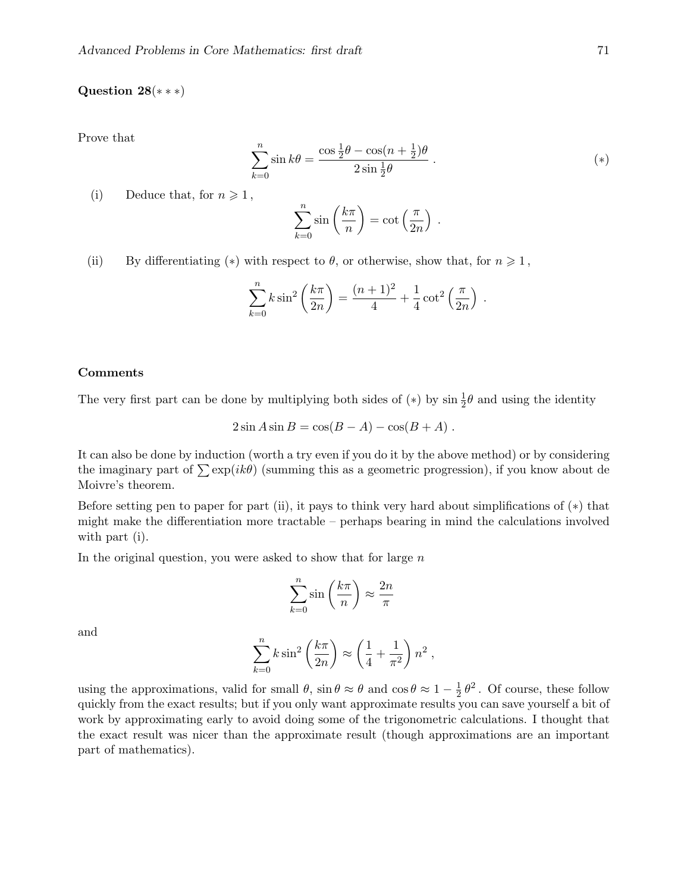# Question 28(∗ ∗ ∗)

Prove that

$$
\sum_{k=0}^{n} \sin k\theta = \frac{\cos\frac{1}{2}\theta - \cos(n+\frac{1}{2})\theta}{2\sin\frac{1}{2}\theta}.
$$
\n(\*)

(i) Deduce that, for 
$$
n \geq 1
$$
,

$$
\sum_{k=0}^{n} \sin\left(\frac{k\pi}{n}\right) = \cot\left(\frac{\pi}{2n}\right) .
$$

(ii) By differentiating (\*) with respect to  $\theta$ , or otherwise, show that, for  $n \geq 1$ ,

$$
\sum_{k=0}^{n} k \sin^2 \left( \frac{k\pi}{2n} \right) = \frac{(n+1)^2}{4} + \frac{1}{4} \cot^2 \left( \frac{\pi}{2n} \right) .
$$

## Comments

The very first part can be done by multiplying both sides of  $(*)$  by  $\sin \frac{1}{2}\theta$  and using the identity

$$
2\sin A \sin B = \cos(B - A) - \cos(B + A).
$$

It can also be done by induction (worth a try even if you do it by the above method) or by considering the imaginary part of  $\sum \exp(ik\theta)$  (summing this as a geometric progression), if you know about de Moivre's theorem.

Before setting pen to paper for part (ii), it pays to think very hard about simplifications of (∗) that might make the differentiation more tractable – perhaps bearing in mind the calculations involved with part (i).

In the original question, you were asked to show that for large  $n$ 

$$
\sum_{k=0}^{n} \sin\left(\frac{k\pi}{n}\right) \approx \frac{2n}{\pi}
$$

and

$$
\sum_{k=0}^{n} k \sin^2 \left(\frac{k\pi}{2n}\right) \approx \left(\frac{1}{4} + \frac{1}{\pi^2}\right) n^2 ,
$$

using the approximations, valid for small  $\theta$ ,  $\sin \theta \approx \theta$  and  $\cos \theta \approx 1 - \frac{1}{2}$  $\frac{1}{2} \theta^2$ . Of course, these follow quickly from the exact results; but if you only want approximate results you can save yourself a bit of work by approximating early to avoid doing some of the trigonometric calculations. I thought that the exact result was nicer than the approximate result (though approximations are an important part of mathematics).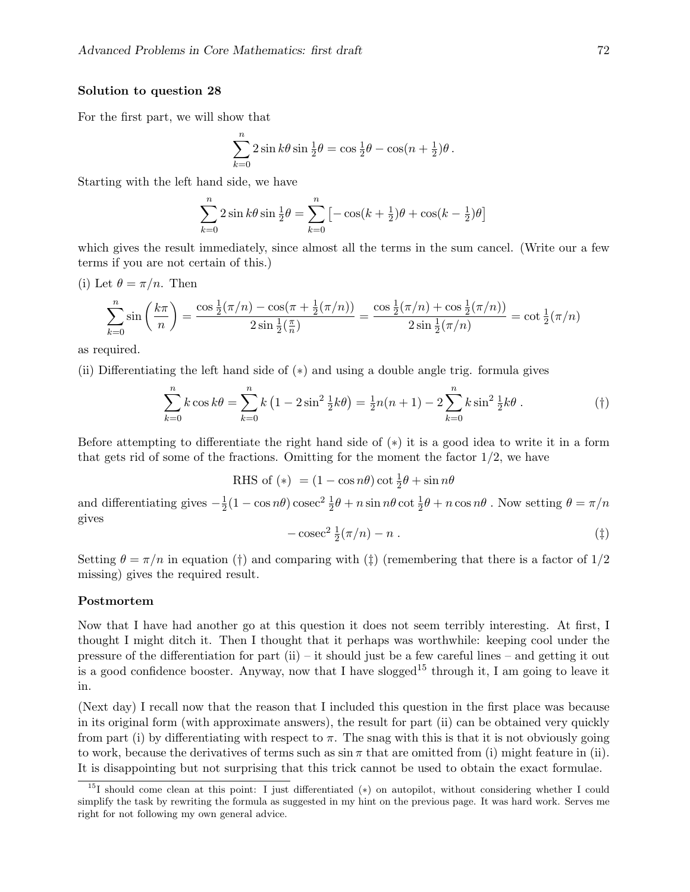For the first part, we will show that

$$
\sum_{k=0}^{n} 2\sin k\theta \sin \frac{1}{2}\theta = \cos \frac{1}{2}\theta - \cos(n + \frac{1}{2})\theta.
$$

Starting with the left hand side, we have

$$
\sum_{k=0}^{n} 2\sin k\theta \sin \frac{1}{2}\theta = \sum_{k=0}^{n} \left[ -\cos\left(k + \frac{1}{2}\right)\theta + \cos\left(k - \frac{1}{2}\right)\theta \right]
$$

which gives the result immediately, since almost all the terms in the sum cancel. (Write our a few terms if you are not certain of this.)

(i) Let 
$$
\theta = \pi/n
$$
. Then

$$
\sum_{k=0}^{n} \sin\left(\frac{k\pi}{n}\right) = \frac{\cos\frac{1}{2}(\pi/n) - \cos(\pi + \frac{1}{2}(\pi/n))}{2\sin\frac{1}{2}(\frac{\pi}{n})} = \frac{\cos\frac{1}{2}(\pi/n) + \cos\frac{1}{2}(\pi/n)}{2\sin\frac{1}{2}(\pi/n)} = \cot\frac{1}{2}(\pi/n)
$$

as required.

(ii) Differentiating the left hand side of (∗) and using a double angle trig. formula gives

$$
\sum_{k=0}^{n} k \cos k\theta = \sum_{k=0}^{n} k \left( 1 - 2\sin^2 \frac{1}{2} k\theta \right) = \frac{1}{2} n(n+1) - 2 \sum_{k=0}^{n} k \sin^2 \frac{1}{2} k\theta \,. \tag{†}
$$

Before attempting to differentiate the right hand side of (∗) it is a good idea to write it in a form that gets rid of some of the fractions. Omitting for the moment the factor  $1/2$ , we have

RHS of (\*) = 
$$
(1 - \cos n\theta) \cot \frac{1}{2}\theta + \sin n\theta
$$

and differentiating gives  $-\frac{1}{2}$  $\frac{1}{2}(1-\cos n\theta)\csc^2\frac{1}{2}\theta + n\sin n\theta\cot\frac{1}{2}\theta + n\cos n\theta$ . Now setting  $\theta = \pi/n$ gives

$$
-\csc^2\frac{1}{2}(\pi/n)-n\ .
$$
 (†)

Setting  $\theta = \pi/n$  in equation (†) and comparing with (†) (remembering that there is a factor of  $1/2$ missing) gives the required result.

## Postmortem

Now that I have had another go at this question it does not seem terribly interesting. At first, I thought I might ditch it. Then I thought that it perhaps was worthwhile: keeping cool under the pressure of the differentiation for part (ii) – it should just be a few careful lines – and getting it out is a good confidence booster. Anyway, now that I have slogged<sup>15</sup> through it, I am going to leave it in.

(Next day) I recall now that the reason that I included this question in the first place was because in its original form (with approximate answers), the result for part (ii) can be obtained very quickly from part (i) by differentiating with respect to  $\pi$ . The snag with this is that it is not obviously going to work, because the derivatives of terms such as  $\sin \pi$  that are omitted from (i) might feature in (ii). It is disappointing but not surprising that this trick cannot be used to obtain the exact formulae.

<sup>15</sup>I should come clean at this point: I just differentiated (∗) on autopilot, without considering whether I could simplify the task by rewriting the formula as suggested in my hint on the previous page. It was hard work. Serves me right for not following my own general advice.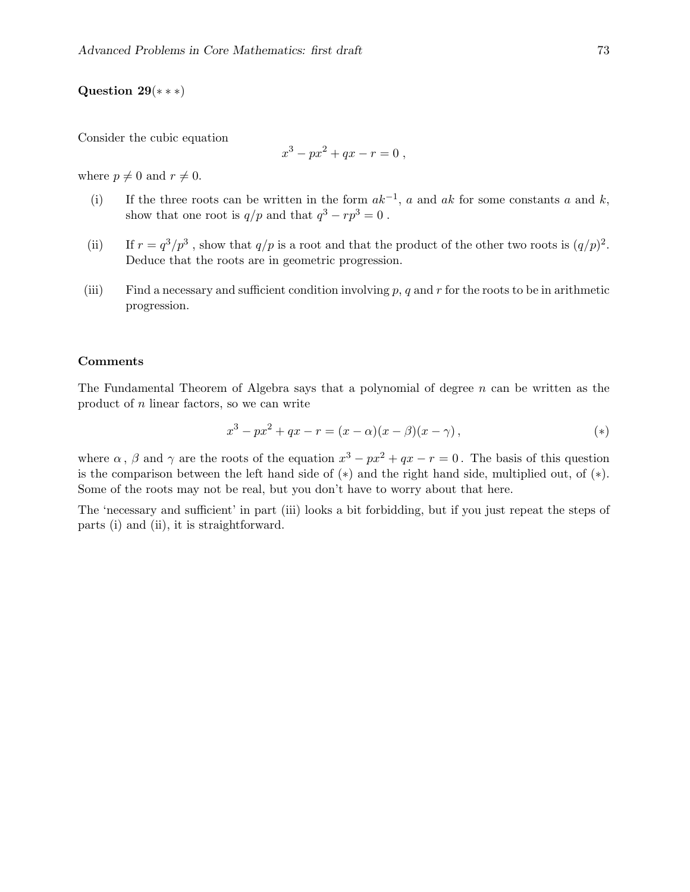## Question  $29(***)$

Consider the cubic equation

$$
x^3 - px^2 + qx - r = 0,
$$

where  $p \neq 0$  and  $r \neq 0$ .

- (i) If the three roots can be written in the form  $ak^{-1}$ , a and ak for some constants a and k, show that one root is  $q/p$  and that  $q^3 - rp^3 = 0$ .
- (ii) If  $r = q^3/p^3$ , show that  $q/p$  is a root and that the product of the other two roots is  $(q/p)^2$ . Deduce that the roots are in geometric progression.
- (iii) Find a necessary and sufficient condition involving  $p$ ,  $q$  and  $r$  for the roots to be in arithmetic progression.

### Comments

The Fundamental Theorem of Algebra says that a polynomial of degree  $n$  can be written as the product of n linear factors, so we can write

$$
x^{3} - px^{2} + qx - r = (x - \alpha)(x - \beta)(x - \gamma),
$$
\n(\*)

where  $\alpha$ ,  $\beta$  and  $\gamma$  are the roots of the equation  $x^3 - px^2 + qx - r = 0$ . The basis of this question is the comparison between the left hand side of (∗) and the right hand side, multiplied out, of (∗). Some of the roots may not be real, but you don't have to worry about that here.

The 'necessary and sufficient' in part (iii) looks a bit forbidding, but if you just repeat the steps of parts (i) and (ii), it is straightforward.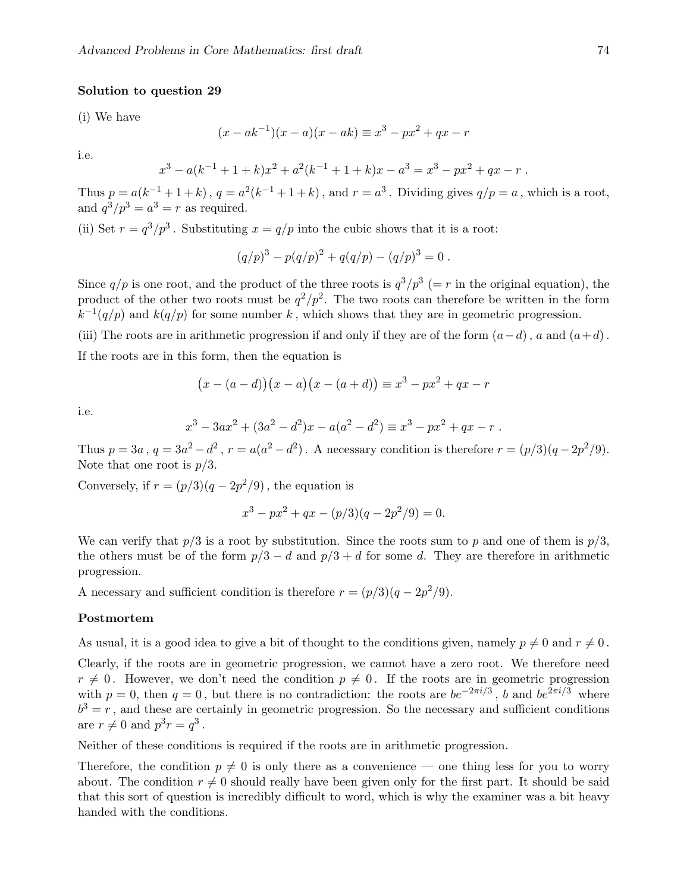(i) We have

$$
(x - ak^{-1})(x - a)(x - ak) \equiv x^3 - px^2 + qx - r
$$

i.e.

$$
x^3 - a(k^{-1} + 1 + k)x^2 + a^2(k^{-1} + 1 + k)x - a^3 = x^3 - px^2 + qx - r.
$$

Thus  $p = a(k^{-1} + 1 + k)$ ,  $q = a^2(k^{-1} + 1 + k)$ , and  $r = a^3$ . Dividing gives  $q/p = a$ , which is a root, and  $q^3/p^3 = a^3 = r$  as required.

(ii) Set  $r = q^3/p^3$ . Substituting  $x = q/p$  into the cubic shows that it is a root:

$$
(q/p)^3 - p(q/p)^2 + q(q/p) - (q/p)^3 = 0.
$$

Since  $q/p$  is one root, and the product of the three roots is  $q^3/p^3$  (= r in the original equation), the product of the other two roots must be  $q^2/p^2$ . The two roots can therefore be written in the form  $k^{-1}(q/p)$  and  $k(q/p)$  for some number k, which shows that they are in geometric progression.

(iii) The roots are in arithmetic progression if and only if they are of the form  $(a-d)$ , a and  $(a+d)$ . If the roots are in this form, then the equation is

$$
(x - (a - d))(x - a)(x - (a + d)) \equiv x^{3} - px^{2} + qx - r
$$

i.e.

$$
x^{3} - 3ax^{2} + (3a^{2} - d^{2})x - a(a^{2} - d^{2}) \equiv x^{3} - px^{2} + qx - r.
$$

Thus  $p = 3a$ ,  $q = 3a^2 - d^2$ ,  $r = a(a^2 - d^2)$ . A necessary condition is therefore  $r = (p/3)(q - 2p^2/9)$ . Note that one root is  $p/3$ .

Conversely, if  $r = (p/3)(q - 2p^2/9)$ , the equation is

$$
x^3 - px^2 + qx - (p/3)(q - 2p^2/9) = 0.
$$

We can verify that  $p/3$  is a root by substitution. Since the roots sum to p and one of them is  $p/3$ , the others must be of the form  $p/3 - d$  and  $p/3 + d$  for some d. They are therefore in arithmetic progression.

A necessary and sufficient condition is therefore  $r = (p/3)(q - 2p^2/9)$ .

### Postmortem

As usual, it is a good idea to give a bit of thought to the conditions given, namely  $p \neq 0$  and  $r \neq 0$ .

Clearly, if the roots are in geometric progression, we cannot have a zero root. We therefore need  $r \neq 0$ . However, we don't need the condition  $p \neq 0$ . If the roots are in geometric progression with  $p = 0$ , then  $q = 0$ , but there is no contradiction: the roots are  $be^{-2\pi i/3}$ , b and  $be^{2\pi i/3}$  where  $b^3 = r$ , and these are certainly in geometric progression. So the necessary and sufficient conditions are  $r \neq 0$  and  $p^3r = q^3$ .

Neither of these conditions is required if the roots are in arithmetic progression.

Therefore, the condition  $p \neq 0$  is only there as a convenience — one thing less for you to worry about. The condition  $r \neq 0$  should really have been given only for the first part. It should be said that this sort of question is incredibly difficult to word, which is why the examiner was a bit heavy handed with the conditions.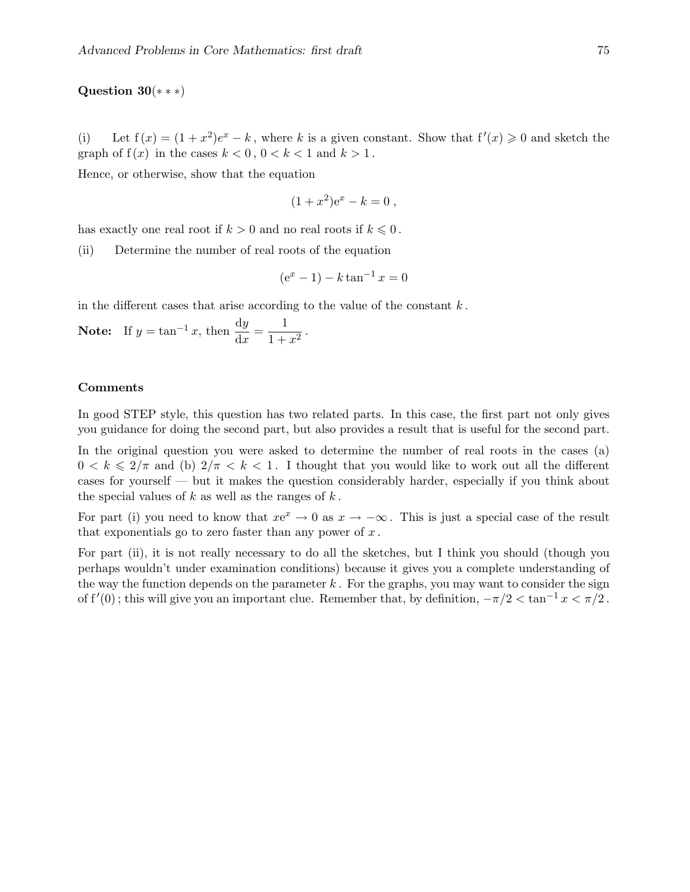## Question  $30(***)$

(i) Let  $f(x) = (1 + x^2)e^x - k$ , where k is a given constant. Show that  $f'(x) \ge 0$  and sketch the graph of  $f(x)$  in the cases  $k < 0$ ,  $0 < k < 1$  and  $k > 1$ .

Hence, or otherwise, show that the equation

$$
(1+x^2)e^x - k = 0,
$$

has exactly one real root if  $k > 0$  and no real roots if  $k \leq 0$ .

(ii) Determine the number of real roots of the equation

$$
(e^x - 1) - k \tan^{-1} x = 0
$$

in the different cases that arise according to the value of the constant  $k$ .

**Note:** If  $y = \tan^{-1} x$ , then  $\frac{dy}{dx} = \frac{1}{1+}$  $\frac{1}{1+x^2}$ .

### Comments

In good STEP style, this question has two related parts. In this case, the first part not only gives you guidance for doing the second part, but also provides a result that is useful for the second part.

In the original question you were asked to determine the number of real roots in the cases (a)  $0 < k \leq 2/\pi$  and (b)  $2/\pi < k < 1$ . I thought that you would like to work out all the different cases for yourself — but it makes the question considerably harder, especially if you think about the special values of  $k$  as well as the ranges of  $k$ .

For part (i) you need to know that  $xe^x \to 0$  as  $x \to -\infty$ . This is just a special case of the result that exponentials go to zero faster than any power of  $x$ .

For part (ii), it is not really necessary to do all the sketches, but I think you should (though you perhaps wouldn't under examination conditions) because it gives you a complete understanding of the way the function depends on the parameter  $k$ . For the graphs, you may want to consider the sign of f'(0); this will give you an important clue. Remember that, by definition,  $-\pi/2 < \tan^{-1} x < \pi/2$ .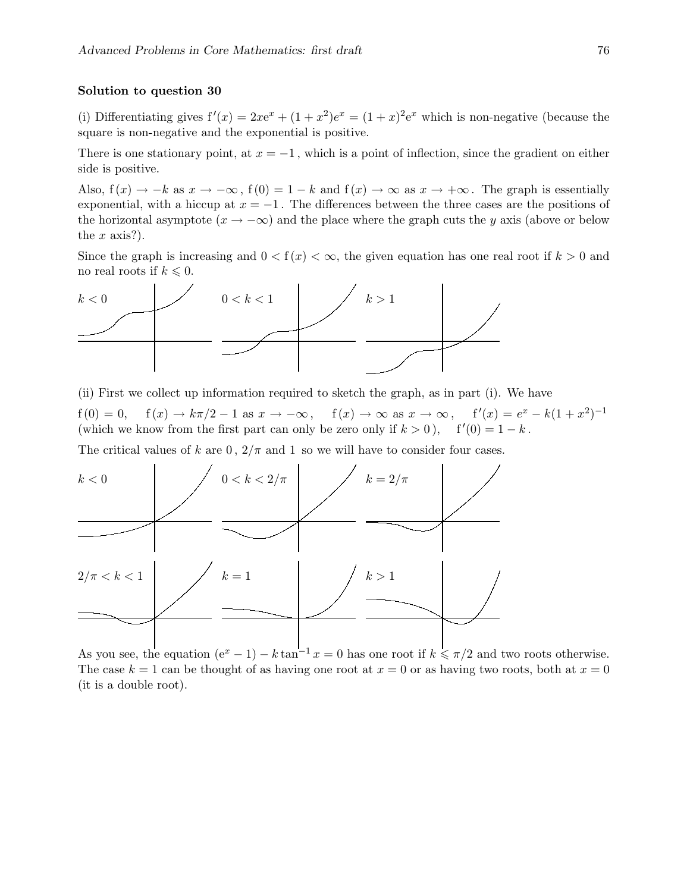(i) Differentiating gives  $f'(x) = 2xe^x + (1+x^2)e^x = (1+x)^2e^x$  which is non-negative (because the square is non-negative and the exponential is positive.

There is one stationary point, at  $x = -1$ , which is a point of inflection, since the gradient on either side is positive.

Also,  $f(x) \to -k$  as  $x \to -\infty$ ,  $f(0) = 1 - k$  and  $f(x) \to \infty$  as  $x \to +\infty$ . The graph is essentially exponential, with a hiccup at  $x = -1$ . The differences between the three cases are the positions of the horizontal asymptote  $(x \to -\infty)$  and the place where the graph cuts the y axis (above or below the  $x$  axis?).

Since the graph is increasing and  $0 < f(x) < \infty$ , the given equation has one real root if  $k > 0$  and no real roots if  $k \leq 0$ .



(ii) First we collect up information required to sketch the graph, as in part (i). We have

 $f(0) = 0$ ,  $f(x) \to k\pi/2 - 1$  as  $x \to -\infty$ ,  $f(x) \to \infty$  as  $x \to \infty$ ,  $f'(x) = e^x - k(1 + x^2)^{-1}$ (which we know from the first part can only be zero only if  $k > 0$ ),  $f'(0) = 1 - k$ .

The critical values of k are  $0, 2/\pi$  and 1 so we will have to consider four cases.



As you see, the equation  $(e^x - 1) - k \tan^{-1} x = 0$  has one root if  $k \le \pi/2$  and two roots otherwise. The case  $k = 1$  can be thought of as having one root at  $x = 0$  or as having two roots, both at  $x = 0$ (it is a double root).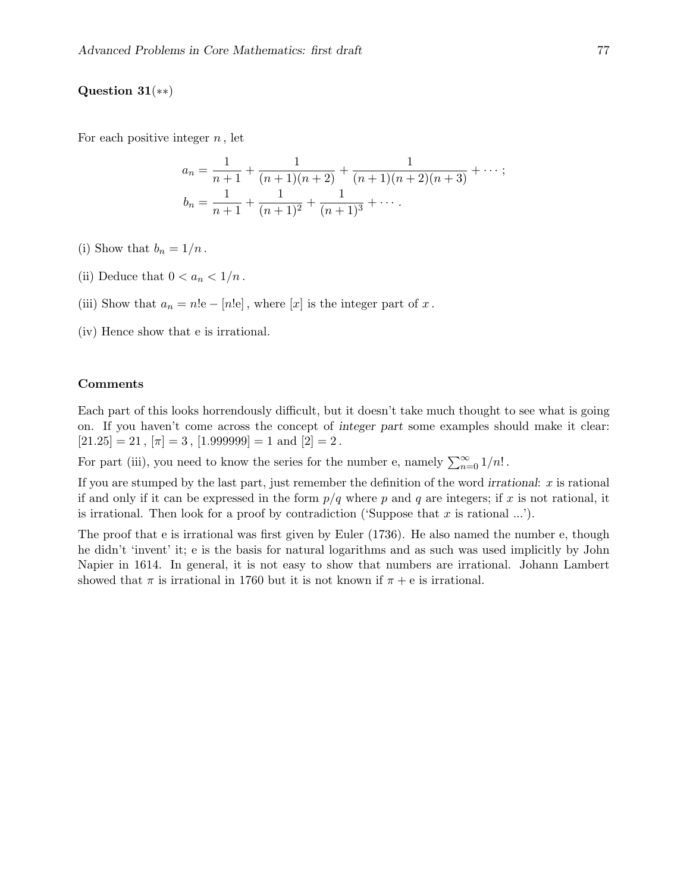## Question 31(∗∗)

For each positive integer  $n$ , let

$$
a_n = \frac{1}{n+1} + \frac{1}{(n+1)(n+2)} + \frac{1}{(n+1)(n+2)(n+3)} + \cdots;
$$
  

$$
b_n = \frac{1}{n+1} + \frac{1}{(n+1)^2} + \frac{1}{(n+1)^3} + \cdots.
$$

- (i) Show that  $b_n = 1/n$ .
- (ii) Deduce that  $0 < a_n < 1/n$ .
- (iii) Show that  $a_n = n!e [n!e]$ , where [x] is the integer part of x.
- (iv) Hence show that e is irrational.

### Comments

Each part of this looks horrendously difficult, but it doesn't take much thought to see what is going on. If you haven't come across the concept of integer part some examples should make it clear:  $[21.25] = 21$ ,  $[\pi] = 3$ ,  $[1.999999] = 1$  and  $[2] = 2$ .

For part (iii), you need to know the series for the number e, namely  $\sum_{n=0}^{\infty} 1/n!$ .

If you are stumped by the last part, just remember the definition of the word irrational: x is rational if and only if it can be expressed in the form  $p/q$  where p and q are integers; if x is not rational, it is irrational. Then look for a proof by contradiction ('Suppose that  $x$  is rational ...').

The proof that e is irrational was first given by Euler (1736). He also named the number e, though he didn't 'invent' it; e is the basis for natural logarithms and as such was used implicitly by John Napier in 1614. In general, it is not easy to show that numbers are irrational. Johann Lambert showed that  $\pi$  is irrational in 1760 but it is not known if  $\pi + e$  is irrational.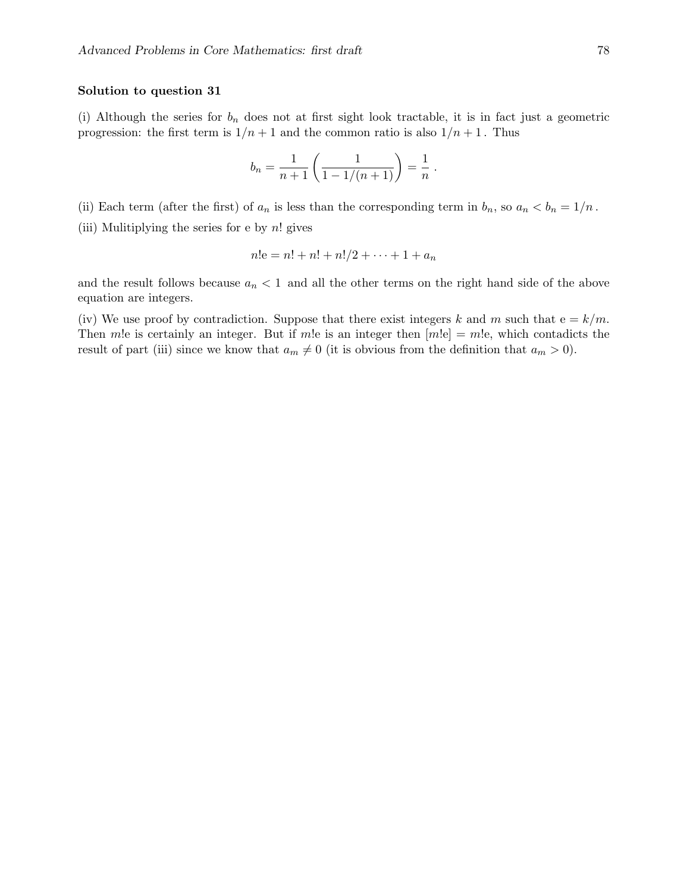(i) Although the series for  $b_n$  does not at first sight look tractable, it is in fact just a geometric progression: the first term is  $1/n + 1$  and the common ratio is also  $1/n + 1$ . Thus

$$
b_n = \frac{1}{n+1} \left( \frac{1}{1 - 1/(n+1)} \right) = \frac{1}{n} .
$$

(ii) Each term (after the first) of  $a_n$  is less than the corresponding term in  $b_n$ , so  $a_n < b_n = 1/n$ . (iii) Mulitiplying the series for e by  $n!$  gives

$$
n!e = n! + n! + n!/2 + \dots + 1 + a_n
$$

and the result follows because  $a_n < 1$  and all the other terms on the right hand side of the above equation are integers.

(iv) We use proof by contradiction. Suppose that there exist integers k and m such that  $e = k/m$ . Then m!e is certainly an integer. But if m!e is an integer then  $[m!e] = m!e$ , which contadicts the result of part (iii) since we know that  $a_m \neq 0$  (it is obvious from the definition that  $a_m > 0$ ).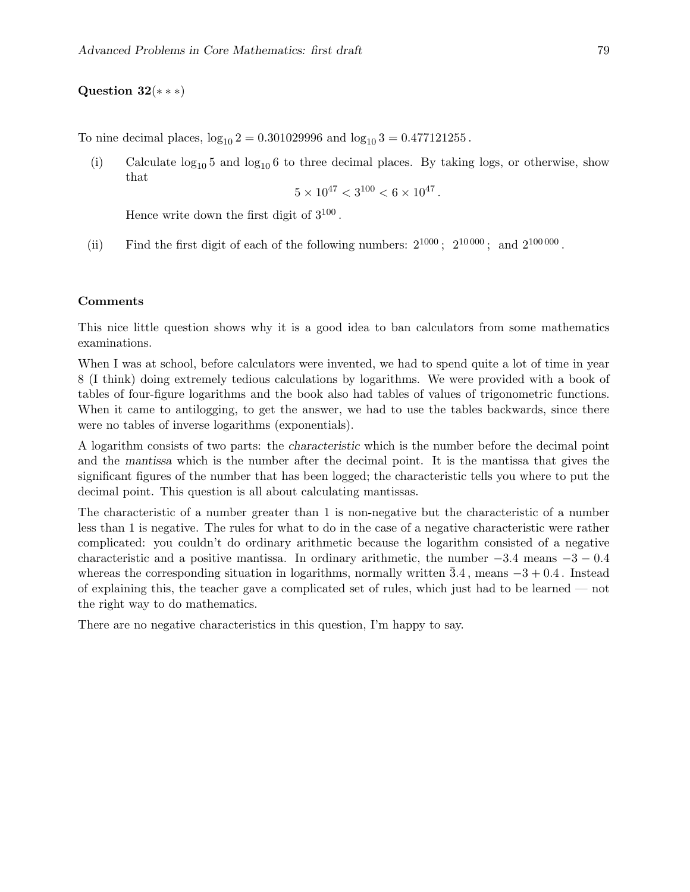## Question  $32(***)$

To nine decimal places,  $\log_{10} 2 = 0.301029996$  and  $\log_{10} 3 = 0.477121255$ .

(i) Calculate  $log_{10} 5$  and  $log_{10} 6$  to three decimal places. By taking logs, or otherwise, show that

$$
5 \times 10^{47} < 3^{100} < 6 \times 10^{47} \, .
$$

Hence write down the first digit of  $3^{100}$ .

(ii) Find the first digit of each of the following numbers:  $2^{1000}$ ;  $2^{10000}$ ; and  $2^{100000}$ .

### Comments

This nice little question shows why it is a good idea to ban calculators from some mathematics examinations.

When I was at school, before calculators were invented, we had to spend quite a lot of time in year 8 (I think) doing extremely tedious calculations by logarithms. We were provided with a book of tables of four-figure logarithms and the book also had tables of values of trigonometric functions. When it came to antilogging, to get the answer, we had to use the tables backwards, since there were no tables of inverse logarithms (exponentials).

A logarithm consists of two parts: the characteristic which is the number before the decimal point and the mantissa which is the number after the decimal point. It is the mantissa that gives the significant figures of the number that has been logged; the characteristic tells you where to put the decimal point. This question is all about calculating mantissas.

The characteristic of a number greater than 1 is non-negative but the characteristic of a number less than 1 is negative. The rules for what to do in the case of a negative characteristic were rather complicated: you couldn't do ordinary arithmetic because the logarithm consisted of a negative characteristic and a positive mantissa. In ordinary arithmetic, the number  $-3.4$  means  $-3 - 0.4$ whereas the corresponding situation in logarithms, normally written 3.4, means  $-3 + 0.4$ . Instead of explaining this, the teacher gave a complicated set of rules, which just had to be learned — not the right way to do mathematics.

There are no negative characteristics in this question, I'm happy to say.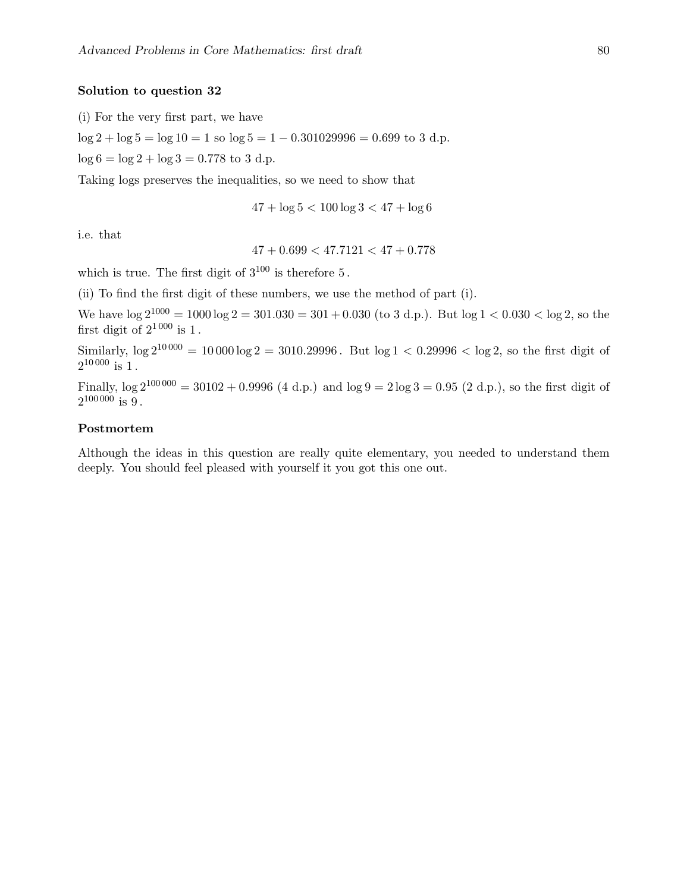(i) For the very first part, we have

 $log 2 + log 5 = log 10 = 1$  so  $log 5 = 1 - 0.301029996 = 0.699$  to 3 d.p.

 $\log 6 = \log 2 + \log 3 = 0.778$  to 3 d.p.

Taking logs preserves the inequalities, so we need to show that

 $47 + \log 5 < 100 \log 3 < 47 + \log 6$ 

i.e. that

 $47 + 0.699 < 47.7121 < 47 + 0.778$ 

which is true. The first digit of  $3^{100}$  is therefore 5.

(ii) To find the first digit of these numbers, we use the method of part (i).

We have  $\log 2^{1000} = 1000 \log 2 = 301.030 = 301 + 0.030$  (to 3 d.p.). But  $\log 1 < 0.030 < \log 2$ , so the first digit of  $2^{1000}$  is 1.

Similarly,  $\log 2^{10000} = 10000 \log 2 = 3010.29996$ . But  $\log 1 < 0.29996 < \log 2$ , so the first digit of  $2^{10\,000}$  is 1.

Finally,  $\log 2^{100000} = 30102 + 0.9996$  (4 d.p.) and  $\log 9 = 2 \log 3 = 0.95$  (2 d.p.), so the first digit of  $2^{100\,000}$  is 9.

### Postmortem

Although the ideas in this question are really quite elementary, you needed to understand them deeply. You should feel pleased with yourself it you got this one out.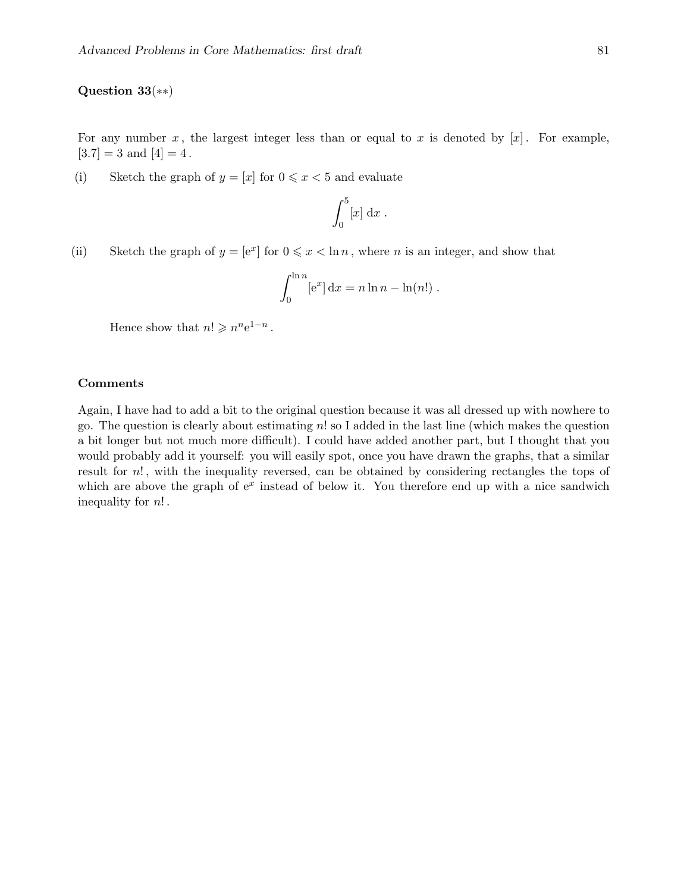# Question 33(∗∗)

For any number x, the largest integer less than or equal to x is denoted by  $[x]$ . For example,  $[3.7] = 3$  and  $[4] = 4$ .

(i) Sketch the graph of  $y = [x]$  for  $0 \le x < 5$  and evaluate

$$
\int_0^5 [x] \, \mathrm{d}x \, .
$$

(ii) Sketch the graph of  $y = [e^x]$  for  $0 \le x < \ln n$ , where *n* is an integer, and show that

$$
\int_0^{\ln n} [e^x] dx = n \ln n - \ln(n!) .
$$

Hence show that  $n! \geq n^n e^{1-n}$ .

## Comments

Again, I have had to add a bit to the original question because it was all dressed up with nowhere to go. The question is clearly about estimating  $n!$  so I added in the last line (which makes the question a bit longer but not much more difficult). I could have added another part, but I thought that you would probably add it yourself: you will easily spot, once you have drawn the graphs, that a similar result for n! , with the inequality reversed, can be obtained by considering rectangles the tops of which are above the graph of  $e^x$  instead of below it. You therefore end up with a nice sandwich inequality for n! .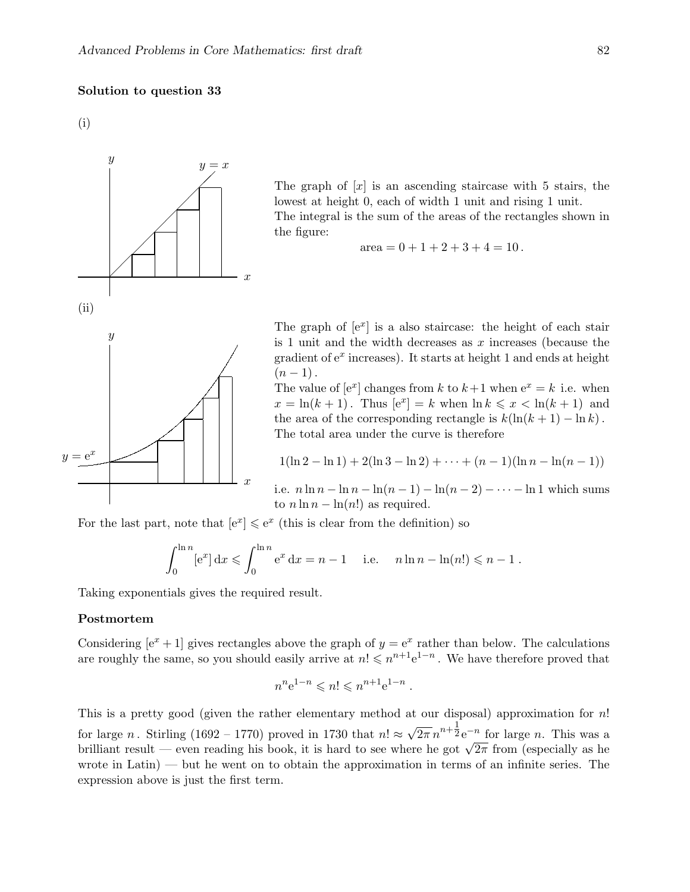(i)



The graph of  $[x]$  is an ascending staircase with 5 stairs, the lowest at height 0, each of width 1 unit and rising 1 unit. The integral is the sum of the areas of the rectangles shown in the figure:

$$
area = 0 + 1 + 2 + 3 + 4 = 10.
$$

The graph of  $[e^x]$  is a also staircase: the height of each stair is 1 unit and the width decreases as  $x$  increases (because the gradient of  $e^x$  increases). It starts at height 1 and ends at height  $(n-1)$ .

The value of  $[e^x]$  changes from k to  $k+1$  when  $e^x = k$  i.e. when  $x = \ln(k+1)$ . Thus  $[e^x] = k$  when  $\ln k \le x < \ln(k+1)$  and the area of the corresponding rectangle is  $k(\ln(k+1) - \ln k)$ . The total area under the curve is therefore

$$
1(\ln 2 - \ln 1) + 2(\ln 3 - \ln 2) + \cdots + (n-1)(\ln n - \ln(n-1))
$$

i.e.  $n \ln n - \ln n - \ln(n-1) - \ln(n-2) - \cdots - \ln 1$  which sums to  $n \ln n - \ln(n!)$  as required.

.

For the last part, note that  $[e^x] \le e^x$  (this is clear from the definition) so

 $\boldsymbol{x}$ 

$$
\int_0^{\ln n} [e^x] dx \leq \int_0^{\ln n} e^x dx = n - 1 \quad \text{i.e.} \quad n \ln n - \ln(n!) \leq n - 1.
$$

Taking exponentials gives the required result.

### Postmortem

 $y = e^x$ 

Considering  $[e^x + 1]$  gives rectangles above the graph of  $y = e^x$  rather than below. The calculations are roughly the same, so you should easily arrive at  $n! \leq n^{n+1}e^{1-n}$ . We have therefore proved that

$$
n^n e^{1-n} \leqslant n! \leqslant n^{n+1} e^{1-n}
$$

This is a pretty good (given the rather elementary method at our disposal) approximation for  $n!$ for large n. Stirling (1692 – 1770) proved in 1730 that  $n! \approx$ √  $\sqrt{2\pi}n^{n+\frac{1}{2}}e^{-n}$  for large *n*. This was a for large *n*. Stirting (1692 – 1770) proved in 1730 that  $n \approx \sqrt{2\pi} n$  – 2e  $\degree$  for large *n*. This was a brilliant result — even reading his book, it is hard to see where he got  $\sqrt{2\pi}$  from (especially as he wrote in Latin) — but he went on to obtain the approximation in terms of an infinite series. The expression above is just the first term.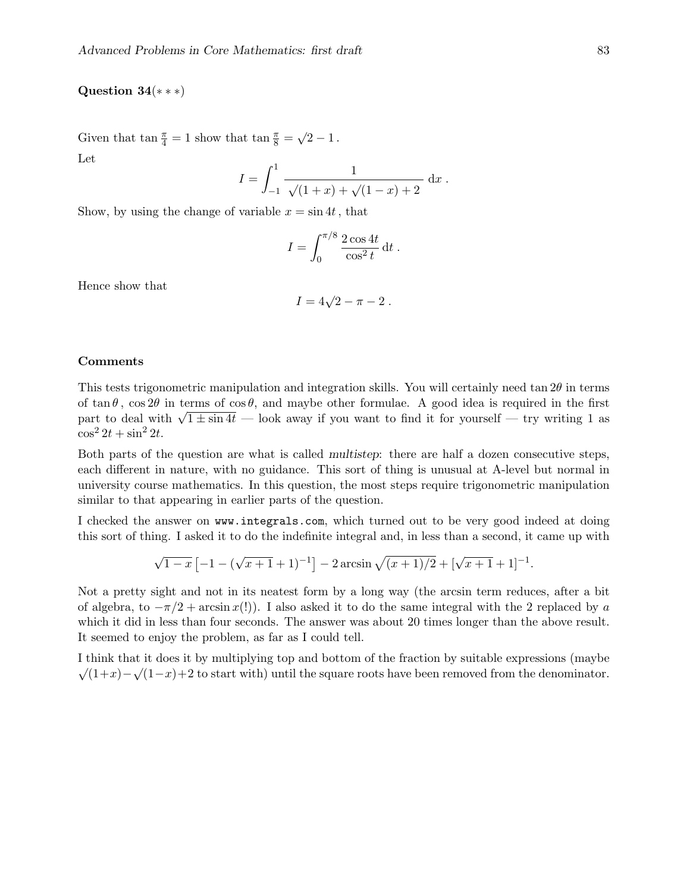# Question 34(∗ ∗ ∗)

Given that  $\tan \frac{\pi}{4} = 1$  show that  $\tan \frac{\pi}{8} = \sqrt{2} - 1$ . Let

$$
I = \int_{-1}^{1} \frac{1}{\sqrt{(1+x) + \sqrt{(1-x) + 2}}} \, \mathrm{d}x \, .
$$

Show, by using the change of variable  $x = \sin 4t$ , that

$$
I = \int_0^{\pi/8} \frac{2\cos 4t}{\cos^2 t} dt.
$$

Hence show that

$$
I=4\sqrt{2-\pi-2}.
$$

### Comments

This tests trigonometric manipulation and integration skills. You will certainly need tan  $2\theta$  in terms of  $\tan \theta$ ,  $\cos 2\theta$  in terms of  $\cos \theta$ , and maybe other formulae. A good idea is required in the first of  $\tan \theta$ ,  $\cos 2\theta$  in terms of  $\cos \theta$ , and maybe other formulae. A good idea is required in the first part to deal with  $\sqrt{1 \pm \sin 4t}$  — look away if you want to find it for yourself — try writing 1 as  $\cos^2 2t + \sin^2 2t$ .

Both parts of the question are what is called multistep: there are half a dozen consecutive steps, each different in nature, with no guidance. This sort of thing is unusual at A-level but normal in university course mathematics. In this question, the most steps require trigonometric manipulation similar to that appearing in earlier parts of the question.

I checked the answer on www.integrals.com, which turned out to be very good indeed at doing this sort of thing. I asked it to do the indefinite integral and, in less than a second, it came up with

$$
\sqrt{1-x}\left[-1-(\sqrt{x+1}+1)^{-1}\right]-2\arcsin\sqrt{(x+1)/2}+[\sqrt{x+1}+1]^{-1}.
$$

Not a pretty sight and not in its neatest form by a long way (the arcsin term reduces, after a bit of algebra, to  $-\pi/2 + \arcsin x(!)$ . I also asked it to do the same integral with the 2 replaced by a which it did in less than four seconds. The answer was about 20 times longer than the above result. It seemed to enjoy the problem, as far as I could tell.

I think that it does it by multiplying top and bottom of the fraction by suitable expressions (maybe  $\frac{1}{2}$  $(1+x)-\sqrt{(1-x)+2}$  to start with) until the square roots have been removed from the denominator.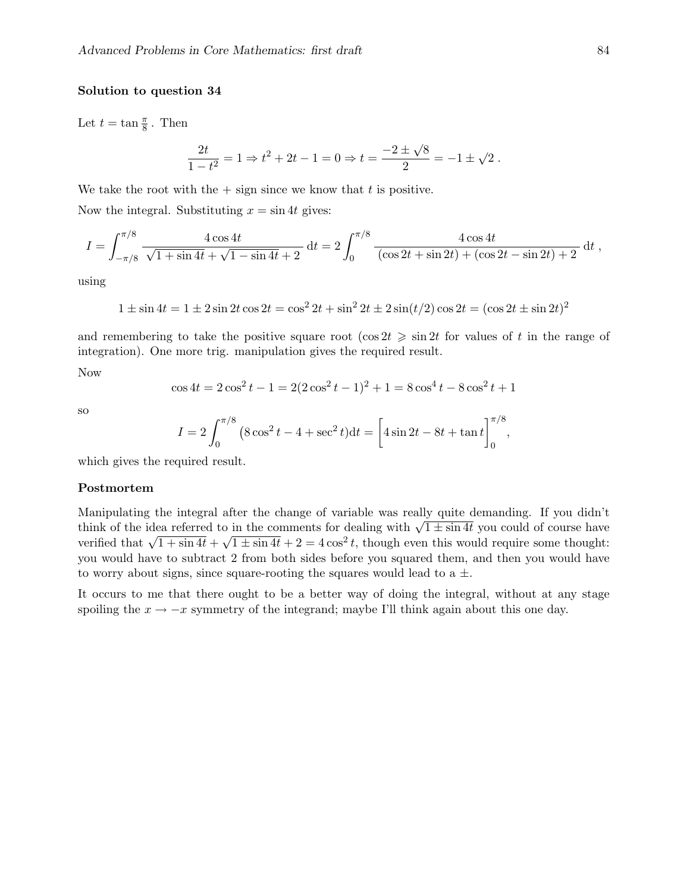Let  $t = \tan \frac{\pi}{8}$ . Then

$$
\frac{2t}{1-t^2} = 1 \Rightarrow t^2 + 2t - 1 = 0 \Rightarrow t = \frac{-2 \pm \sqrt{8}}{2} = -1 \pm \sqrt{2}.
$$

We take the root with the  $+$  sign since we know that t is positive.

Now the integral. Substituting  $x = \sin 4t$  gives:

$$
I = \int_{-\pi/8}^{\pi/8} \frac{4\cos 4t}{\sqrt{1 + \sin 4t} + \sqrt{1 - \sin 4t} + 2} dt = 2 \int_0^{\pi/8} \frac{4\cos 4t}{(\cos 2t + \sin 2t) + (\cos 2t - \sin 2t) + 2} dt,
$$

using

$$
1 \pm \sin 4t = 1 \pm 2\sin 2t \cos 2t = \cos^2 2t + \sin^2 2t \pm 2\sin(t/2)\cos 2t = (\cos 2t \pm \sin 2t)^2
$$

and remembering to take the positive square root (cos  $2t \geq \sin 2t$  for values of t in the range of integration). One more trig. manipulation gives the required result.

Now

$$
\cos 4t = 2\cos^2 t - 1 = 2(2\cos^2 t - 1)^2 + 1 = 8\cos^4 t - 8\cos^2 t + 1
$$

so

$$
I = 2 \int_0^{\pi/8} (8 \cos^2 t - 4 + \sec^2 t) dt = \left[ 4 \sin 2t - 8t + \tan t \right]_0^{\pi/8},
$$

which gives the required result.

### Postmortem

Manipulating the integral after the change of variable was really quite demanding. If you didn't Mampulating the integral after the change of variable was really quite demanding. If you didn't think of the idea referred to in the comments for dealing with  $\sqrt{1 \pm \sin 4t}$  you could of course have think of the idea referred to in the comments for dealing with  $\sqrt{1 \pm \sin 4t}$  you could of course have verified that  $\sqrt{1 + \sin 4t} + \sqrt{1 \pm \sin 4t} + 2 = 4 \cos^2 t$ , though even this would require some thought: you would have to subtract 2 from both sides before you squared them, and then you would have to worry about signs, since square-rooting the squares would lead to  $a \pm$ .

It occurs to me that there ought to be a better way of doing the integral, without at any stage spoiling the  $x \to -x$  symmetry of the integrand; maybe I'll think again about this one day.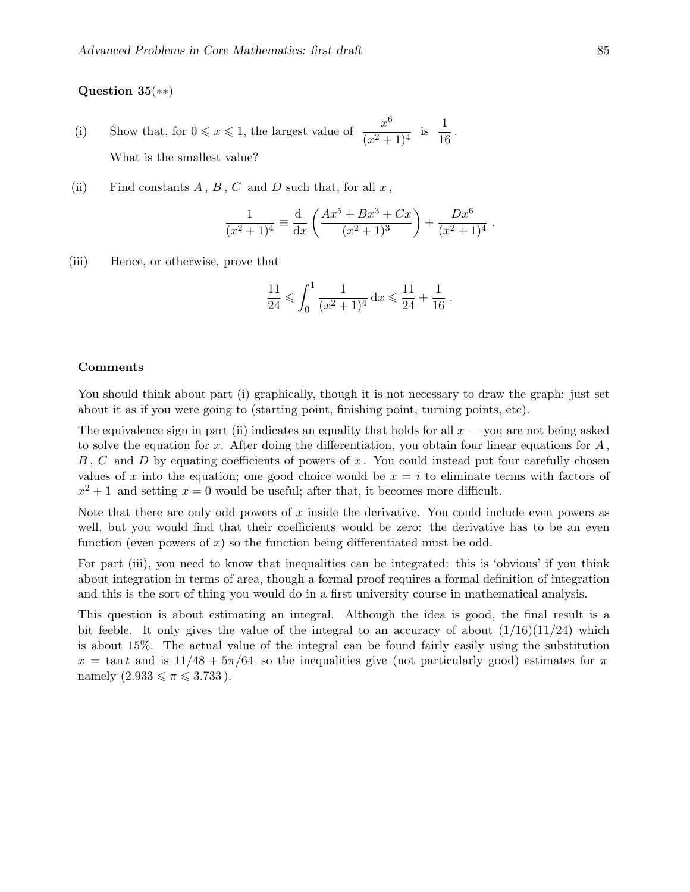## Question 35(∗∗)

- (i) Show that, for  $0 \leq x \leq 1$ , the largest value of  $\frac{x^6}{(x-2)^3}$  $\frac{x^6}{(x^2+1)^4}$  is  $\frac{1}{16}$  $\frac{1}{16}$ . What is the smallest value?
- (ii) Find constants  $A, B, C$  and  $D$  such that, for all  $x$ ,

$$
\frac{1}{(x^2+1)^4} \equiv \frac{d}{dx} \left( \frac{Ax^5 + Bx^3 + Cx}{(x^2+1)^3} \right) + \frac{Dx^6}{(x^2+1)^4}.
$$

(iii) Hence, or otherwise, prove that

$$
\frac{11}{24} \leqslant \int_0^1 \frac{1}{(x^2+1)^4} \, \mathrm{d}x \leqslant \frac{11}{24} + \frac{1}{16} \, .
$$

#### Comments

You should think about part (i) graphically, though it is not necessary to draw the graph: just set about it as if you were going to (starting point, finishing point, turning points, etc).

The equivalence sign in part (ii) indicates an equality that holds for all  $x$  — you are not being asked to solve the equation for x. After doing the differentiation, you obtain four linear equations for  $A$ ,  $B, C$  and  $D$  by equating coefficients of powers of x. You could instead put four carefully chosen values of x into the equation; one good choice would be  $x = i$  to eliminate terms with factors of  $x^2 + 1$  and setting  $x = 0$  would be useful; after that, it becomes more difficult.

Note that there are only odd powers of x inside the derivative. You could include even powers as well, but you would find that their coefficients would be zero: the derivative has to be an even function (even powers of  $x$ ) so the function being differentiated must be odd.

For part (iii), you need to know that inequalities can be integrated: this is 'obvious' if you think about integration in terms of area, though a formal proof requires a formal definition of integration and this is the sort of thing you would do in a first university course in mathematical analysis.

This question is about estimating an integral. Although the idea is good, the final result is a bit feeble. It only gives the value of the integral to an accuracy of about  $(1/16)(11/24)$  which is about 15%. The actual value of the integral can be found fairly easily using the substitution  $x = \tan t$  and is  $11/48 + 5\pi/64$  so the inequalities give (not particularly good) estimates for  $\pi$ namely  $(2.933 \le \pi \le 3.733)$ .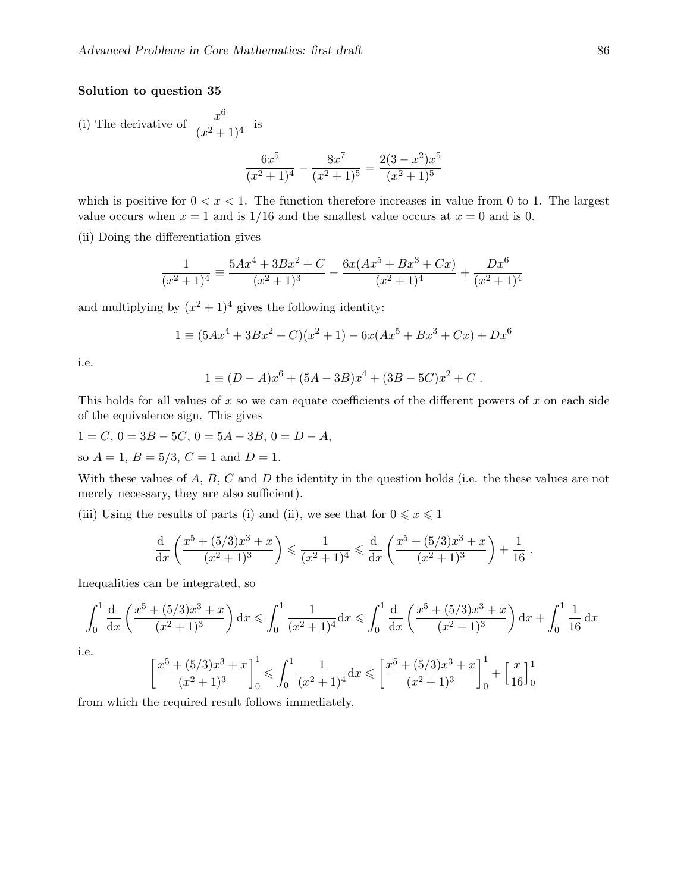(i) The derivative of 
$$
\frac{x^6}{(x^2+1)^4}
$$
 is  

$$
\frac{6x^5}{(x^2+1)^4} - \frac{8x^7}{(x^2+1)^5} = \frac{2(3-x^2)x^5}{(x^2+1)^5}
$$

which is positive for  $0 < x < 1$ . The function therefore increases in value from 0 to 1. The largest value occurs when  $x = 1$  and is  $1/16$  and the smallest value occurs at  $x = 0$  and is 0.

(ii) Doing the differentiation gives

$$
\frac{1}{(x^2+1)^4} \equiv \frac{5Ax^4 + 3Bx^2 + C}{(x^2+1)^3} - \frac{6x(Ax^5 + Bx^3 + Cx)}{(x^2+1)^4} + \frac{Dx^6}{(x^2+1)^4}
$$

and multiplying by  $(x^2 + 1)^4$  gives the following identity:

$$
1 \equiv (5Ax^{4} + 3Bx^{2} + C)(x^{2} + 1) - 6x(Ax^{5} + Bx^{3} + Cx) + Dx^{6}
$$

i.e.

$$
1 \equiv (D - A)x^{6} + (5A - 3B)x^{4} + (3B - 5C)x^{2} + C.
$$

This holds for all values of x so we can equate coefficients of the different powers of x on each side of the equivalence sign. This gives

 $1 = C$ ,  $0 = 3B - 5C$ ,  $0 = 5A - 3B$ ,  $0 = D - A$ , so  $A = 1, B = 5/3, C = 1$  and  $D = 1$ .

With these values of  $A, B, C$  and  $D$  the identity in the question holds (i.e. the these values are not merely necessary, they are also sufficient).

(iii) Using the results of parts (i) and (ii), we see that for  $0 \leq x \leq 1$ 

$$
\frac{d}{dx}\left(\frac{x^5 + (5/3)x^3 + x}{(x^2 + 1)^3}\right) \leq \frac{1}{(x^2 + 1)^4} \leq \frac{d}{dx}\left(\frac{x^5 + (5/3)x^3 + x}{(x^2 + 1)^3}\right) + \frac{1}{16}.
$$

Inequalities can be integrated, so

$$
\int_0^1 \frac{d}{dx} \left( \frac{x^5 + (5/3)x^3 + x}{(x^2 + 1)^3} \right) dx \le \int_0^1 \frac{1}{(x^2 + 1)^4} dx \le \int_0^1 \frac{d}{dx} \left( \frac{x^5 + (5/3)x^3 + x}{(x^2 + 1)^3} \right) dx + \int_0^1 \frac{1}{16} dx
$$

i.e.

$$
\left[\frac{x^5 + (5/3)x^3 + x}{(x^2 + 1)^3}\right]_0^1 \le \int_0^1 \frac{1}{(x^2 + 1)^4} dx \le \left[\frac{x^5 + (5/3)x^3 + x}{(x^2 + 1)^3}\right]_0^1 + \left[\frac{x}{16}\right]_0^1
$$

from which the required result follows immediately.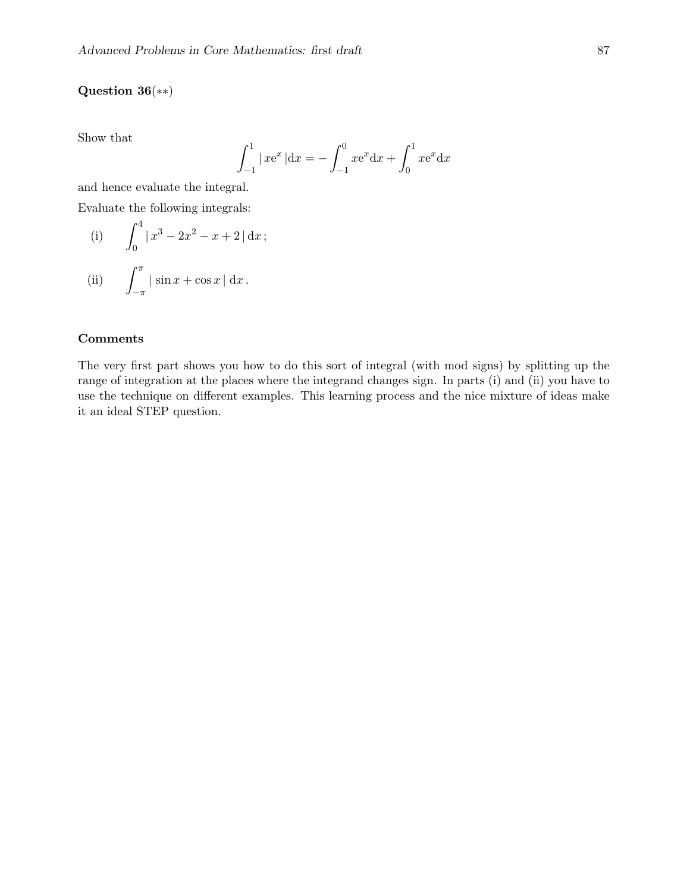# Question 36(∗∗)

Show that

$$
\int_{-1}^{1} |xe^{x}| dx = -\int_{-1}^{0} xe^{x} dx + \int_{0}^{1} xe^{x} dx
$$

and hence evaluate the integral.

Evaluate the following integrals:

(i) 
$$
\int_0^4 |x^3 - 2x^2 - x + 2| \, dx;
$$

(ii) 
$$
\int_{-\pi}^{\pi} |\sin x + \cos x| dx.
$$

## Comments

The very first part shows you how to do this sort of integral (with mod signs) by splitting up the range of integration at the places where the integrand changes sign. In parts (i) and (ii) you have to use the technique on different examples. This learning process and the nice mixture of ideas make it an ideal STEP question.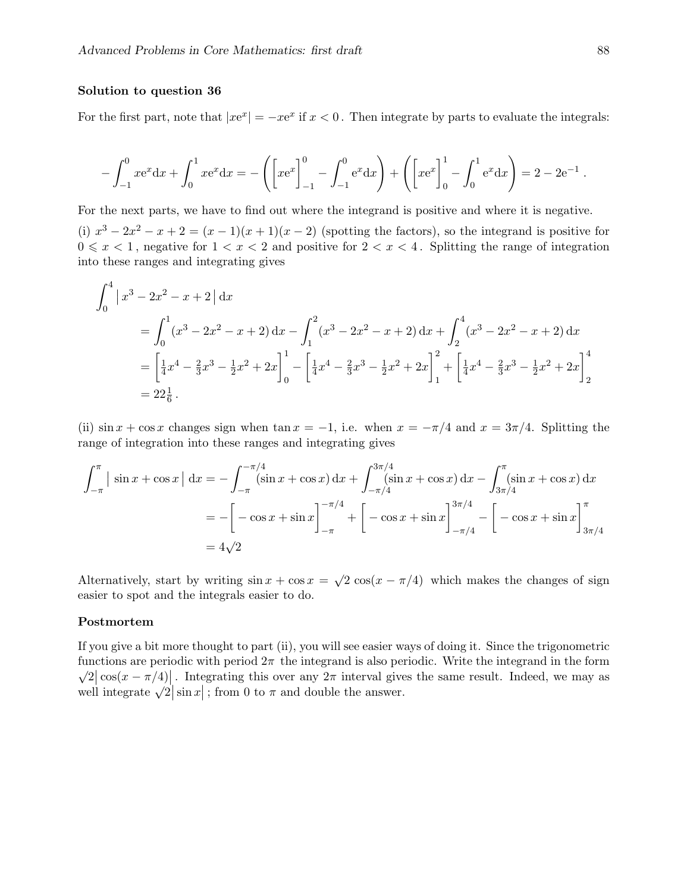For the first part, note that  $|xe^x| = -xe^x$  if  $x < 0$ . Then integrate by parts to evaluate the integrals:

$$
-\int_{-1}^{0} xe^{x} dx + \int_{0}^{1} xe^{x} dx = -\left(\left[xe^{x}\right]_{-1}^{0} - \int_{-1}^{0} e^{x} dx\right) + \left(\left[xe^{x}\right]_{0}^{1} - \int_{0}^{1} e^{x} dx\right) = 2 - 2e^{-1}.
$$

For the next parts, we have to find out where the integrand is positive and where it is negative. (i)  $x^3 - 2x^2 - x + 2 = (x - 1)(x + 1)(x - 2)$  (spotting the factors), so the integrand is positive for  $0 \leq x < 1$ , negative for  $1 < x < 2$  and positive for  $2 < x < 4$ . Splitting the range of integration into these ranges and integrating gives

$$
\int_0^4 |x^3 - 2x^2 - x + 2| dx
$$
  
=  $\int_0^1 (x^3 - 2x^2 - x + 2) dx - \int_1^2 (x^3 - 2x^2 - x + 2) dx + \int_2^4 (x^3 - 2x^2 - x + 2) dx$   
=  $\left[ \frac{1}{4} x^4 - \frac{2}{3} x^3 - \frac{1}{2} x^2 + 2x \right]_0^1 - \left[ \frac{1}{4} x^4 - \frac{2}{3} x^3 - \frac{1}{2} x^2 + 2x \right]_1^2 + \left[ \frac{1}{4} x^4 - \frac{2}{3} x^3 - \frac{1}{2} x^2 + 2x \right]_2^4$   
=  $22\frac{1}{6}$ .

(ii)  $\sin x + \cos x$  changes sign when  $\tan x = -1$ , i.e. when  $x = -\pi/4$  and  $x = 3\pi/4$ . Splitting the range of integration into these ranges and integrating gives

$$
\int_{-\pi}^{\pi} |\sin x + \cos x| dx = -\int_{-\pi}^{-\pi/4} (\sin x + \cos x) dx + \int_{-\pi/4}^{3\pi/4} (\sin x + \cos x) dx - \int_{3\pi/4}^{\pi} (\sin x + \cos x) dx
$$
  
=  $-\left[ -\cos x + \sin x \right]_{-\pi}^{-\pi/4} + \left[ -\cos x + \sin x \right]_{-\pi/4}^{3\pi/4} - \left[ -\cos x + \sin x \right]_{3\pi/4}^{\pi}$   
=  $4\sqrt{2}$ 

Alternatively, start by writing  $\sin x + \cos x = \sqrt{2} \cos(x - \pi/4)$  which makes the changes of sign easier to spot and the integrals easier to do.

## Postmortem

If you give a bit more thought to part (ii), you will see easier ways of doing it. Since the trigonometric functions are periodic with period  $2\pi$  the integrand is also periodic. Write the integrand in the form  $2|\cos(x - \pi/4)|$ . Integrating this over any  $2\pi$  interval gives the same result. Indeed, we may as  $\sqrt{2}$  cos( $x = \pi/4$ ). Integrating this over any  $2\pi$  line variance well integrate  $\sqrt{2}$  sin x ; from 0 to  $\pi$  and double the answer.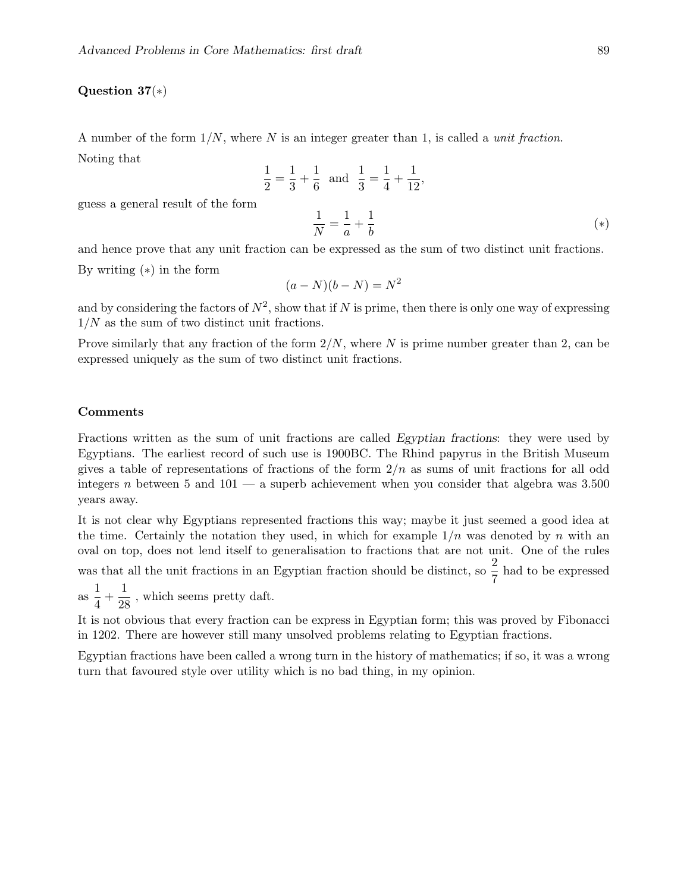# Question 37(∗)

A number of the form  $1/N$ , where N is an integer greater than 1, is called a *unit fraction*. Noting that

$$
\frac{1}{2} = \frac{1}{3} + \frac{1}{6} \text{ and } \frac{1}{3} = \frac{1}{4} + \frac{1}{12},
$$
  

$$
\frac{1}{N} = \frac{1}{a} + \frac{1}{b}
$$
 (\*)

and hence prove that any unit fraction can be expressed as the sum of two distinct unit fractions.

By writing  $(*)$  in the form

guess a general result of the form

$$
(a - N)(b - N) = N^2
$$

and by considering the factors of  $N^2$ , show that if N is prime, then there is only one way of expressing 1/N as the sum of two distinct unit fractions.

Prove similarly that any fraction of the form  $2/N$ , where N is prime number greater than 2, can be expressed uniquely as the sum of two distinct unit fractions.

### Comments

Fractions written as the sum of unit fractions are called Egyptian fractions: they were used by Egyptians. The earliest record of such use is 1900BC. The Rhind papyrus in the British Museum gives a table of representations of fractions of the form  $2/n$  as sums of unit fractions for all odd integers n between 5 and  $101 - a$  superb achievement when you consider that algebra was 3.500 years away.

It is not clear why Egyptians represented fractions this way; maybe it just seemed a good idea at the time. Certainly the notation they used, in which for example  $1/n$  was denoted by n with an oval on top, does not lend itself to generalisation to fractions that are not unit. One of the rules was that all the unit fractions in an Egyptian fraction should be distinct, so  $\frac{2}{7}$  had to be expressed

as  $\frac{1}{4}$  $\frac{1}{4} + \frac{1}{28}$  $\frac{1}{28}$ , which seems pretty daft.

It is not obvious that every fraction can be express in Egyptian form; this was proved by Fibonacci in 1202. There are however still many unsolved problems relating to Egyptian fractions.

Egyptian fractions have been called a wrong turn in the history of mathematics; if so, it was a wrong turn that favoured style over utility which is no bad thing, in my opinion.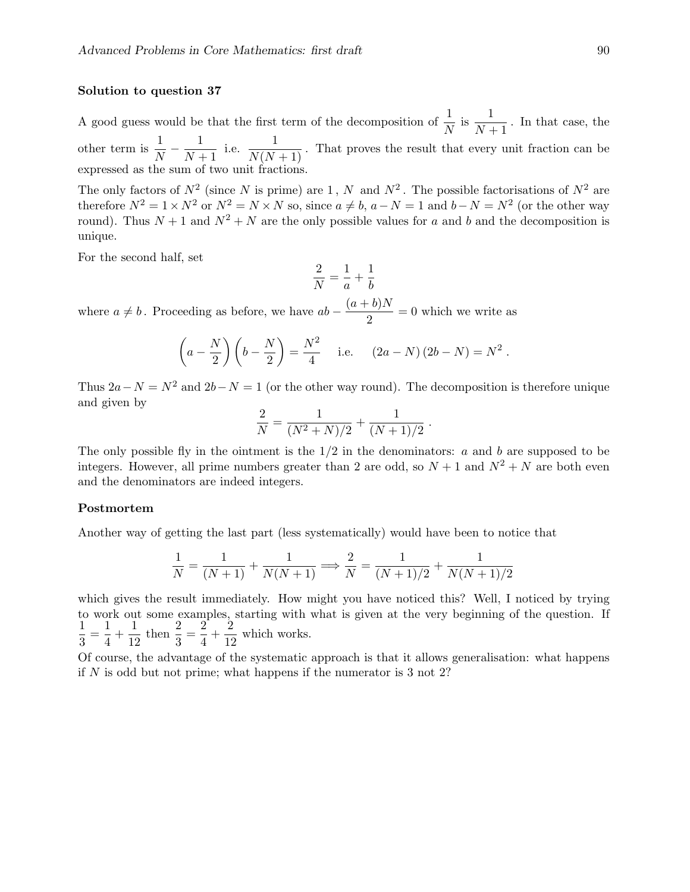A good guess would be that the first term of the decomposition of  $\frac{1}{N}$  is  $\frac{1}{N+1}$  $\frac{1}{N+1}$ . In that case, the other term is  $\frac{1}{N} - \frac{1}{N+1}$  $\frac{1}{N+1}$  i.e.  $\frac{1}{N(N+1)}$ . That proves the result that every unit fraction can be expressed as the sum of two unit fractions.

The only factors of  $N^2$  (since N is prime) are 1, N and  $N^2$ . The possible factorisations of  $N^2$  are therefore  $N^2 = 1 \times N^2$  or  $N^2 = N \times N$  so, since  $a \neq b$ ,  $a - N = 1$  and  $b - N = N^2$  (or the other way round). Thus  $N+1$  and  $N^2+N$  are the only possible values for a and b and the decomposition is unique.

For the second half, set

$$
\frac{2}{N} = \frac{1}{a} + \frac{1}{b}
$$

where  $a \neq b$ . Proceeding as before, we have  $ab - \frac{(a+b)N}{2a}$  $\frac{1}{2}$  = 0 which we write as

$$
\left(a - \frac{N}{2}\right)\left(b - \frac{N}{2}\right) = \frac{N^2}{4}
$$
 i.e.  $(2a - N)(2b - N) = N^2$ 

Thus  $2a-N = N^2$  and  $2b-N = 1$  (or the other way round). The decomposition is therefore unique and given by

$$
\frac{2}{N} = \frac{1}{(N^2 + N)/2} + \frac{1}{(N+1)/2}.
$$

The only possible fly in the ointment is the  $1/2$  in the denominators: a and b are supposed to be integers. However, all prime numbers greater than 2 are odd, so  $N+1$  and  $N^2+N$  are both even and the denominators are indeed integers.

### Postmortem

Another way of getting the last part (less systematically) would have been to notice that

$$
\frac{1}{N} = \frac{1}{(N+1)} + \frac{1}{N(N+1)} \Longrightarrow \frac{2}{N} = \frac{1}{(N+1)/2} + \frac{1}{N(N+1)/2}
$$

which gives the result immediately. How might you have noticed this? Well, I noticed by trying to work out some examples, starting with what is given at the very beginning of the question. If 1  $\frac{1}{3} = \frac{1}{4}$  $\frac{1}{4} + \frac{1}{12}$  $\frac{1}{12}$  then  $\frac{2}{3} = \frac{2}{4}$  $\frac{2}{4} + \frac{2}{12}$  $\frac{1}{12}$  which works.

Of course, the advantage of the systematic approach is that it allows generalisation: what happens if  $N$  is odd but not prime; what happens if the numerator is 3 not 2?

.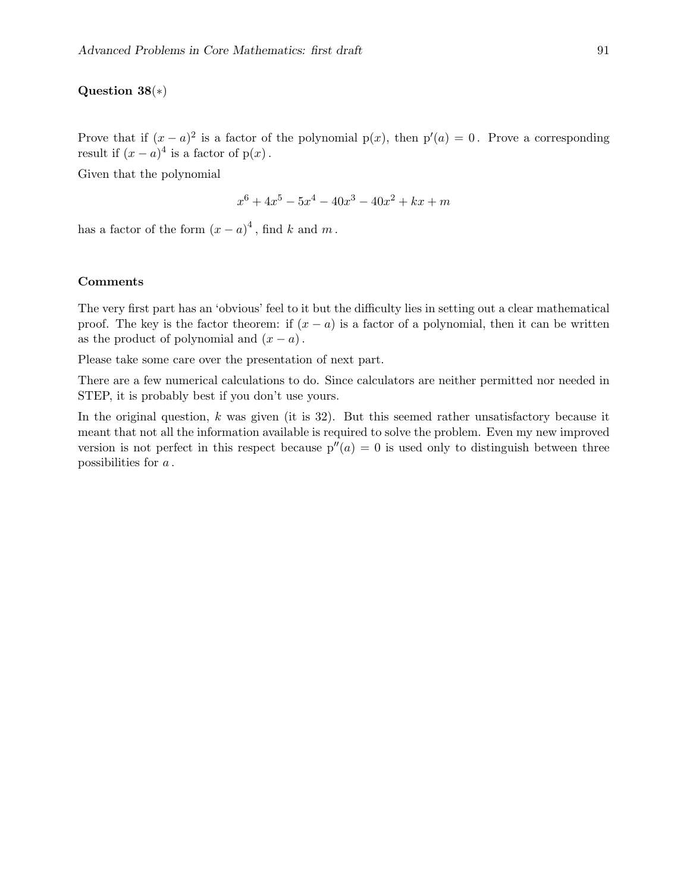# Question 38(∗)

Prove that if  $(x-a)^2$  is a factor of the polynomial  $p(x)$ , then  $p'(a) = 0$ . Prove a corresponding result if  $(x - a)^4$  is a factor of  $p(x)$ .

Given that the polynomial

$$
x^{6} + 4x^{5} - 5x^{4} - 40x^{3} - 40x^{2} + kx + m
$$

has a factor of the form  $(x - a)^4$ , find k and m.

#### Comments

The very first part has an 'obvious' feel to it but the difficulty lies in setting out a clear mathematical proof. The key is the factor theorem: if  $(x - a)$  is a factor of a polynomial, then it can be written as the product of polynomial and  $(x - a)$ .

Please take some care over the presentation of next part.

There are a few numerical calculations to do. Since calculators are neither permitted nor needed in STEP, it is probably best if you don't use yours.

In the original question,  $k$  was given (it is 32). But this seemed rather unsatisfactory because it meant that not all the information available is required to solve the problem. Even my new improved version is not perfect in this respect because  $p''(a) = 0$  is used only to distinguish between three possibilities for a .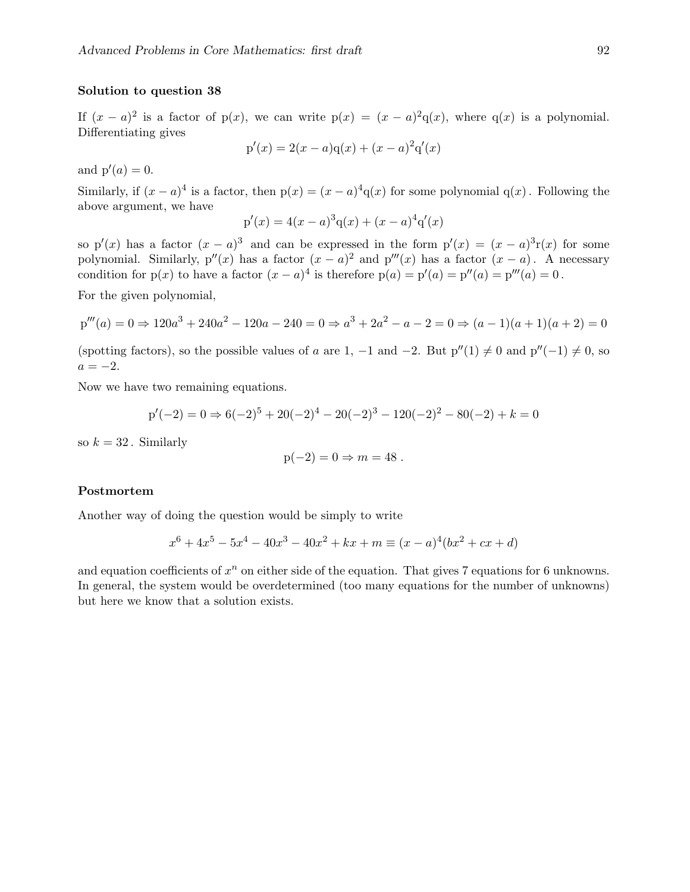If  $(x - a)^2$  is a factor of p(x), we can write  $p(x) = (x - a)^2 q(x)$ , where  $q(x)$  is a polynomial. Differentiating gives

$$
p'(x) = 2(x - a)q(x) + (x - a)^{2}q'(x)
$$

and  $p'(a) = 0$ .

Similarly, if  $(x - a)^4$  is a factor, then  $p(x) = (x - a)^4 q(x)$  for some polynomial  $q(x)$ . Following the above argument, we have

$$
p'(x) = 4(x - a)^{3}q(x) + (x - a)^{4}q'(x)
$$

so p'(x) has a factor  $(x - a)^3$  and can be expressed in the form  $p'(x) = (x - a)^3 r(x)$  for some polynomial. Similarly,  $p''(x)$  has a factor  $(x - a)^2$  and  $p'''(x)$  has a factor  $(x - a)$ . A necessary condition for  $p(x)$  to have a factor  $(x - a)^4$  is therefore  $p(a) = p'(a) = p''(a) = p'''(a) = 0$ .

For the given polynomial,

$$
p'''(a) = 0 \Rightarrow 120a^3 + 240a^2 - 120a - 240 = 0 \Rightarrow a^3 + 2a^2 - a - 2 = 0 \Rightarrow (a - 1)(a + 1)(a + 2) = 0
$$

(spotting factors), so the possible values of a are 1, -1 and -2. But  $p''(1) \neq 0$  and  $p''(-1) \neq 0$ , so  $a = -2.$ 

Now we have two remaining equations.

$$
p'(-2) = 0 \Rightarrow 6(-2)^5 + 20(-2)^4 - 20(-2)^3 - 120(-2)^2 - 80(-2) + k = 0
$$

so  $k = 32$ . Similarly

$$
p(-2) = 0 \Rightarrow m = 48.
$$

### Postmortem

Another way of doing the question would be simply to write

$$
x^{6} + 4x^{5} - 5x^{4} - 40x^{3} - 40x^{2} + kx + m \equiv (x - a)^{4}(bx^{2} + cx + d)
$$

and equation coefficients of  $x^n$  on either side of the equation. That gives 7 equations for 6 unknowns. In general, the system would be overdetermined (too many equations for the number of unknowns) but here we know that a solution exists.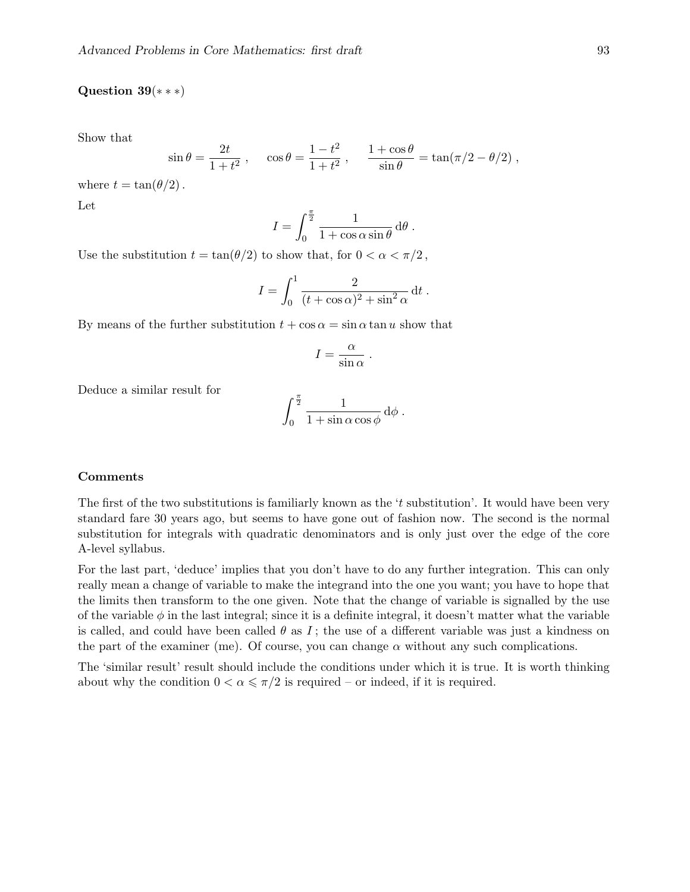# Question  $39(***)$

Show that

$$
\sin \theta = \frac{2t}{1+t^2}
$$
,  $\cos \theta = \frac{1-t^2}{1+t^2}$ ,  $\frac{1+\cos \theta}{\sin \theta} = \tan(\pi/2 - \theta/2)$ ,

where  $t = \tan(\theta/2)$ .

Let

$$
I = \int_0^{\frac{\pi}{2}} \frac{1}{1 + \cos \alpha \sin \theta} \, d\theta \, .
$$

Use the substitution  $t = \tan(\theta/2)$  to show that, for  $0 < \alpha < \pi/2$ ,

$$
I = \int_0^1 \frac{2}{(t + \cos \alpha)^2 + \sin^2 \alpha} dt.
$$

By means of the further substitution  $t + \cos \alpha = \sin \alpha \tan u$  show that

$$
I = \frac{\alpha}{\sin \alpha} \; .
$$

Deduce a similar result for

$$
\int_0^{\frac{\pi}{2}} \frac{1}{1 + \sin \alpha \cos \phi} \,d\phi.
$$

### Comments

The first of the two substitutions is familiarly known as the 't substitution'. It would have been very standard fare 30 years ago, but seems to have gone out of fashion now. The second is the normal substitution for integrals with quadratic denominators and is only just over the edge of the core A-level syllabus.

For the last part, 'deduce' implies that you don't have to do any further integration. This can only really mean a change of variable to make the integrand into the one you want; you have to hope that the limits then transform to the one given. Note that the change of variable is signalled by the use of the variable  $\phi$  in the last integral; since it is a definite integral, it doesn't matter what the variable is called, and could have been called  $\theta$  as I; the use of a different variable was just a kindness on the part of the examiner (me). Of course, you can change  $\alpha$  without any such complications.

The 'similar result' result should include the conditions under which it is true. It is worth thinking about why the condition  $0 < \alpha \leq \pi/2$  is required – or indeed, if it is required.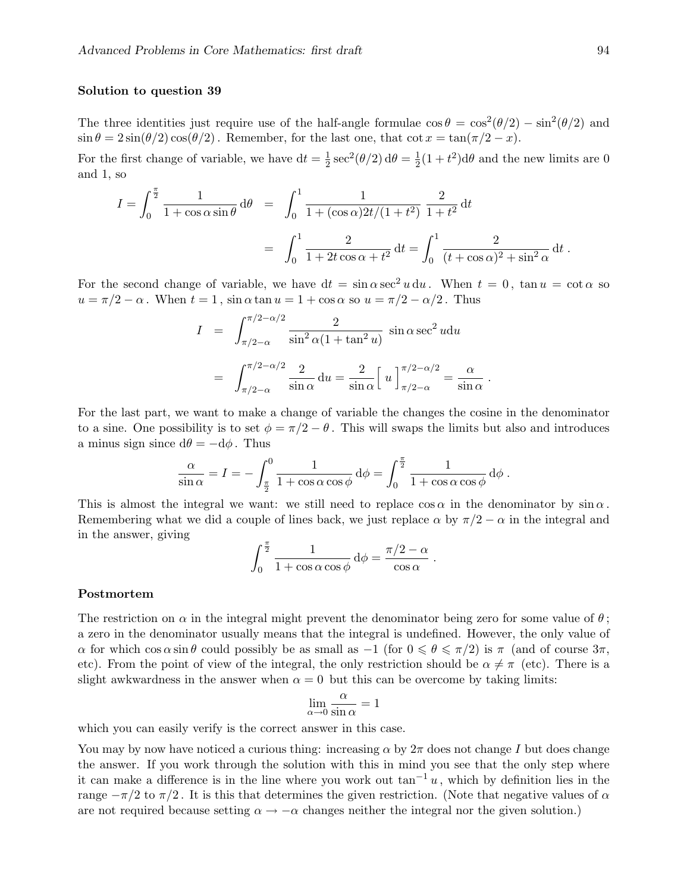The three identities just require use of the half-angle formulae  $\cos \theta = \cos^2(\theta/2) - \sin^2(\theta/2)$  and  $\sin \theta = 2 \sin(\theta/2) \cos(\theta/2)$ . Remember, for the last one, that  $\cot x = \tan(\pi/2 - x)$ .

For the first change of variable, we have  $dt = \frac{1}{2}$  $\frac{1}{2}\sec^2(\theta/2)\,\mathrm{d}\theta=\frac{1}{2}$  $\frac{1}{2}(1+t^2)d\theta$  and the new limits are 0 and 1, so

$$
I = \int_0^{\frac{\pi}{2}} \frac{1}{1 + \cos \alpha \sin \theta} d\theta = \int_0^1 \frac{1}{1 + (\cos \alpha)2t/(1 + t^2)} \frac{2}{1 + t^2} dt
$$
  
= 
$$
\int_0^1 \frac{2}{1 + 2t \cos \alpha + t^2} dt = \int_0^1 \frac{2}{(t + \cos \alpha)^2 + \sin^2 \alpha} dt.
$$

For the second change of variable, we have  $dt = \sin \alpha \sec^2 u \, du$ . When  $t = 0$ ,  $\tan u = \cot \alpha$  so  $u = \pi/2 - \alpha$ . When  $t = 1$ ,  $\sin \alpha \tan u = 1 + \cos \alpha$  so  $u = \pi/2 - \alpha/2$ . Thus

$$
I = \int_{\pi/2-\alpha}^{\pi/2-\alpha/2} \frac{2}{\sin^2 \alpha (1 + \tan^2 u)} \sin \alpha \sec^2 u du
$$

$$
= \int_{\pi/2-\alpha}^{\pi/2-\alpha/2} \frac{2}{\sin \alpha} du = \frac{2}{\sin \alpha} \left[ u \right]_{\pi/2-\alpha}^{\pi/2-\alpha/2} = \frac{\alpha}{\sin \alpha}
$$

.

For the last part, we want to make a change of variable the changes the cosine in the denominator to a sine. One possibility is to set  $\phi = \pi/2 - \theta$ . This will swaps the limits but also and introduces a minus sign since  $d\theta = -d\phi$ . Thus

$$
\frac{\alpha}{\sin\alpha} = I = -\int_{\frac{\pi}{2}}^{0} \frac{1}{1 + \cos\alpha \cos\phi} \,d\phi = \int_{0}^{\frac{\pi}{2}} \frac{1}{1 + \cos\alpha \cos\phi} \,d\phi.
$$

This is almost the integral we want: we still need to replace  $\cos \alpha$  in the denominator by  $\sin \alpha$ . Remembering what we did a couple of lines back, we just replace  $\alpha$  by  $\pi/2 - \alpha$  in the integral and in the answer, giving

$$
\int_0^{\frac{\pi}{2}} \frac{1}{1+\cos\alpha\cos\phi} \,\mathrm{d}\phi = \frac{\pi/2-\alpha}{\cos\alpha} \;.
$$

### Postmortem

The restriction on  $\alpha$  in the integral might prevent the denominator being zero for some value of  $\theta$ ; a zero in the denominator usually means that the integral is undefined. However, the only value of α for which  $\cos \alpha \sin \theta$  could possibly be as small as  $-1$  (for  $0 \le \theta \le \pi/2$ ) is π (and of course  $3\pi$ , etc). From the point of view of the integral, the only restriction should be  $\alpha \neq \pi$  (etc). There is a slight awkwardness in the answer when  $\alpha = 0$  but this can be overcome by taking limits:

$$
\lim_{\alpha \to 0} \frac{\alpha}{\sin \alpha} = 1
$$

which you can easily verify is the correct answer in this case.

You may by now have noticed a curious thing: increasing  $\alpha$  by  $2\pi$  does not change I but does change the answer. If you work through the solution with this in mind you see that the only step where it can make a difference is in the line where you work out  $tan^{-1} u$ , which by definition lies in the range  $-\pi/2$  to  $\pi/2$ . It is this that determines the given restriction. (Note that negative values of  $\alpha$ are not required because setting  $\alpha \to -\alpha$  changes neither the integral nor the given solution.)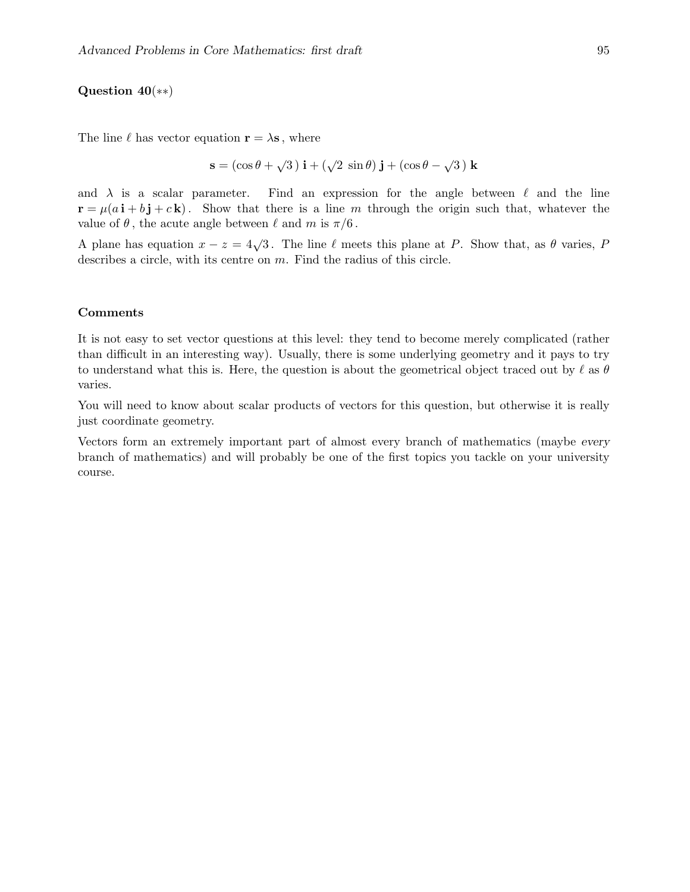The line  $\ell$  has vector equation  $\mathbf{r} = \lambda \mathbf{s}$ , where

$$
\mathbf{s} = (\cos \theta + \sqrt{3}) \mathbf{i} + (\sqrt{2} \sin \theta) \mathbf{j} + (\cos \theta - \sqrt{3}) \mathbf{k}
$$

and  $\lambda$  is a scalar parameter. Find an expression for the angle between  $\ell$  and the line  $\mathbf{r} = \mu(a\mathbf{i} + b\mathbf{j} + c\mathbf{k})$ . Show that there is a line m through the origin such that, whatever the value of  $\theta$ , the acute angle between  $\ell$  and m is  $\pi/6$ .

A plane has equation  $x - z = 4\sqrt{3}$ . The line  $\ell$  meets this plane at P. Show that, as  $\theta$  varies, P describes a circle, with its centre on m. Find the radius of this circle.

### Comments

It is not easy to set vector questions at this level: they tend to become merely complicated (rather than difficult in an interesting way). Usually, there is some underlying geometry and it pays to try to understand what this is. Here, the question is about the geometrical object traced out by  $\ell$  as  $\theta$ varies.

You will need to know about scalar products of vectors for this question, but otherwise it is really just coordinate geometry.

Vectors form an extremely important part of almost every branch of mathematics (maybe every branch of mathematics) and will probably be one of the first topics you tackle on your university course.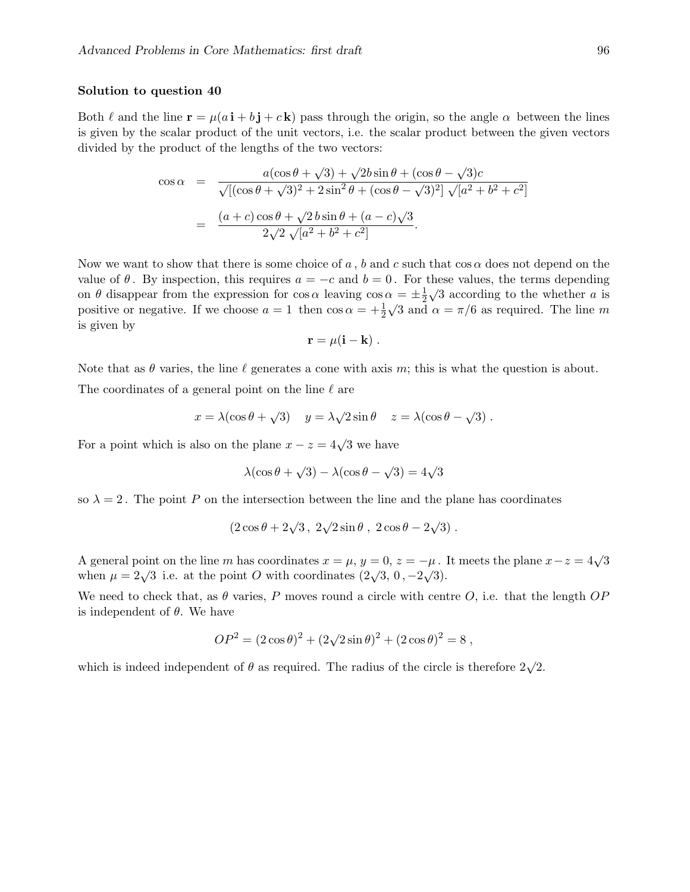Both  $\ell$  and the line  $\mathbf{r} = \mu(a \mathbf{i} + b \mathbf{j} + c \mathbf{k})$  pass through the origin, so the angle  $\alpha$  between the lines is given by the scalar product of the unit vectors, i.e. the scalar product between the given vectors divided by the product of the lengths of the two vectors:

$$
\cos \alpha = \frac{a(\cos \theta + \sqrt{3}) + \sqrt{2b \sin \theta + (\cos \theta - \sqrt{3})c}}{\sqrt{[(\cos \theta + \sqrt{3})^2 + 2 \sin^2 \theta + (\cos \theta - \sqrt{3})^2]} \sqrt{[a^2 + b^2 + c^2]}}
$$
  
= 
$$
\frac{(a+c)\cos \theta + \sqrt{2b \sin \theta + (a-c)\sqrt{3}}}{2\sqrt{2}\sqrt{[a^2 + b^2 + c^2]}}.
$$

Now we want to show that there is some choice of a, b and c such that  $\cos \alpha$  does not depend on the value of  $\theta$ . By inspection, this requires  $a = -c$  and  $b = 0$ . For these values, the terms depending on  $\theta$  disappear from the expression for  $\cos \alpha$  leaving  $\cos \alpha = \pm \frac{1}{2}$  $\alpha = \pm \frac{1}{2} \sqrt{3}$  according to the whether a is positive or negative. If we choose  $a = 1$  then  $\cos \alpha = +\frac{1}{2}\sqrt{3}$  and  $\alpha = \pi/6$  as required. The line m is given by

$$
\mathbf{r} = \mu(\mathbf{i} - \mathbf{k}) \ .
$$

Note that as  $\theta$  varies, the line  $\ell$  generates a cone with axis m; this is what the question is about.

The coordinates of a general point on the line  $\ell$  are

$$
x = \lambda(\cos\theta + \sqrt{3})
$$
  $y = \lambda\sqrt{2}\sin\theta$   $z = \lambda(\cos\theta - \sqrt{3})$ .

For a point which is also on the plane  $x - z = 4\sqrt{3}$  we have

$$
\lambda(\cos\theta + \sqrt{3}) - \lambda(\cos\theta - \sqrt{3}) = 4\sqrt{3}
$$

so  $\lambda = 2$ . The point P on the intersection between the line and the plane has coordinates

$$
(2\cos\theta + 2\sqrt{3}, 2\sqrt{2}\sin\theta, 2\cos\theta - 2\sqrt{3}).
$$

A general point on the line m has coordinates  $x = \mu$ ,  $y = 0$ ,  $z = -\mu$ . It meets the plane  $x - z = 4\sqrt{3}$ when  $\mu = 2\sqrt{3}$  i.e. at the point O with coordinates  $(2\sqrt{3}, 0, -2\sqrt{3})$ .

We need to check that, as  $\theta$  varies, P moves round a circle with centre O, i.e. that the length OP is independent of  $\theta$ . We have

$$
OP^{2} = (2\cos\theta)^{2} + (2\sqrt{2}\sin\theta)^{2} + (2\cos\theta)^{2} = 8,
$$

which is indeed independent of  $\theta$  as required. The radius of the circle is therefore  $2\sqrt{2}$ .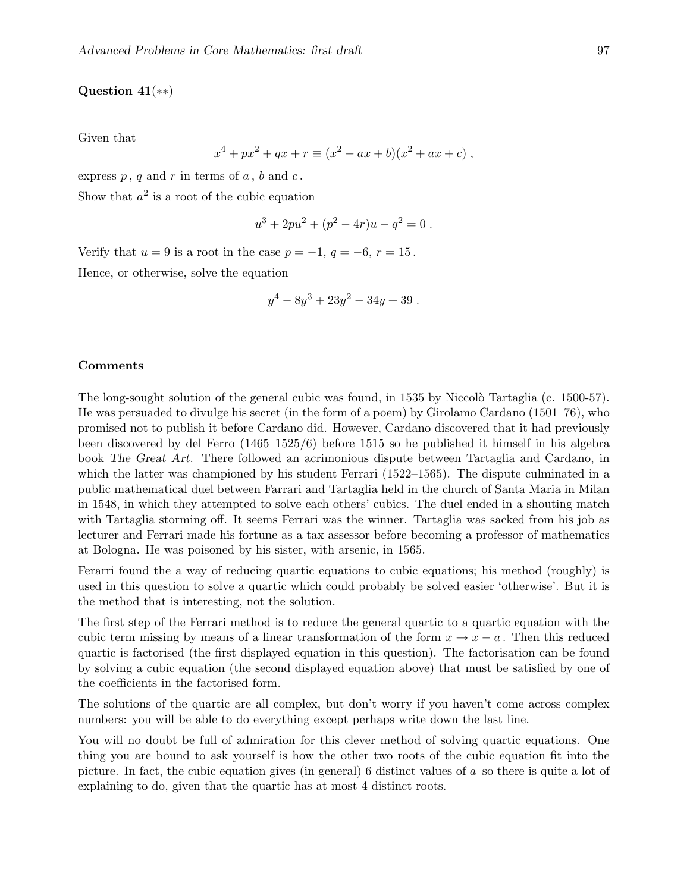Question 41(∗∗)

Given that

$$
x^{4} + px^{2} + qx + r \equiv (x^{2} - ax + b)(x^{2} + ax + c),
$$

express  $p, q$  and  $r$  in terms of  $a, b$  and  $c$ .

Show that  $a^2$  is a root of the cubic equation

$$
u^3 + 2pu^2 + (p^2 - 4r)u - q^2 = 0.
$$

Verify that  $u = 9$  is a root in the case  $p = -1$ ,  $q = -6$ ,  $r = 15$ .

Hence, or otherwise, solve the equation

$$
y^4 - 8y^3 + 23y^2 - 34y + 39.
$$

### Comments

The long-sought solution of the general cubic was found, in  $1535$  by Niccolò Tartaglia (c. 1500-57). He was persuaded to divulge his secret (in the form of a poem) by Girolamo Cardano (1501–76), who promised not to publish it before Cardano did. However, Cardano discovered that it had previously been discovered by del Ferro (1465–1525/6) before 1515 so he published it himself in his algebra book The Great Art. There followed an acrimonious dispute between Tartaglia and Cardano, in which the latter was championed by his student Ferrari (1522–1565). The dispute culminated in a public mathematical duel between Farrari and Tartaglia held in the church of Santa Maria in Milan in 1548, in which they attempted to solve each others' cubics. The duel ended in a shouting match with Tartaglia storming off. It seems Ferrari was the winner. Tartaglia was sacked from his job as lecturer and Ferrari made his fortune as a tax assessor before becoming a professor of mathematics at Bologna. He was poisoned by his sister, with arsenic, in 1565.

Ferarri found the a way of reducing quartic equations to cubic equations; his method (roughly) is used in this question to solve a quartic which could probably be solved easier 'otherwise'. But it is the method that is interesting, not the solution.

The first step of the Ferrari method is to reduce the general quartic to a quartic equation with the cubic term missing by means of a linear transformation of the form  $x \to x - a$ . Then this reduced quartic is factorised (the first displayed equation in this question). The factorisation can be found by solving a cubic equation (the second displayed equation above) that must be satisfied by one of the coefficients in the factorised form.

The solutions of the quartic are all complex, but don't worry if you haven't come across complex numbers: you will be able to do everything except perhaps write down the last line.

You will no doubt be full of admiration for this clever method of solving quartic equations. One thing you are bound to ask yourself is how the other two roots of the cubic equation fit into the picture. In fact, the cubic equation gives (in general) 6 distinct values of a so there is quite a lot of explaining to do, given that the quartic has at most 4 distinct roots.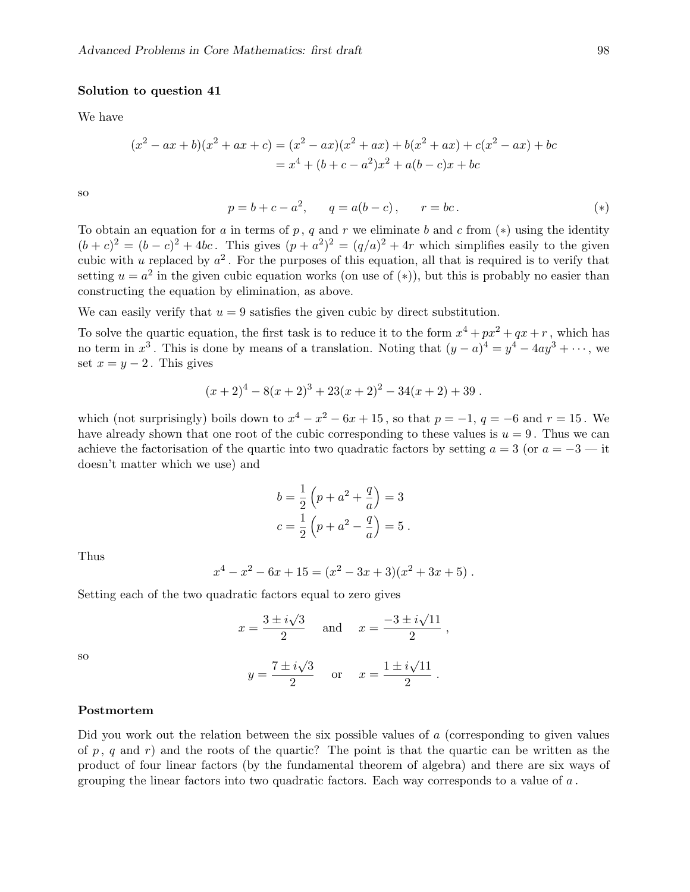We have

$$
(x2 - ax + b)(x2 + ax + c) = (x2 - ax)(x2 + ax) + b(x2 + ax) + c(x2 - ax) + bc
$$
  
= x<sup>4</sup> + (b + c - a<sup>2</sup>)x<sup>2</sup> + a(b - c)x + bc

so

$$
p = b + c - a^2, \qquad q = a(b - c), \qquad r = bc.
$$
 (\*)

To obtain an equation for a in terms of p, q and r we eliminate b and c from  $(*)$  using the identity  $(b+c)^2 = (b-c)^2 + 4bc$ . This gives  $(p+a^2)^2 = (q/a)^2 + 4r$  which simplifies easily to the given cubic with u replaced by  $a^2$ . For the purposes of this equation, all that is required is to verify that setting  $u = a^2$  in the given cubic equation works (on use of  $(*)$ ), but this is probably no easier than constructing the equation by elimination, as above.

We can easily verify that  $u = 9$  satisfies the given cubic by direct substitution.

To solve the quartic equation, the first task is to reduce it to the form  $x^4 + px^2 + qx + r$ , which has no term in  $x^3$ . This is done by means of a translation. Noting that  $(y-a)^4 = y^4 - 4ay^3 + \cdots$ , we set  $x = y - 2$ . This gives

$$
(x+2)^4 - 8(x+2)^3 + 23(x+2)^2 - 34(x+2) + 39.
$$

which (not surprisingly) boils down to  $x^4 - x^2 - 6x + 15$ , so that  $p = -1$ ,  $q = -6$  and  $r = 15$ . We have already shown that one root of the cubic corresponding to these values is  $u = 9$ . Thus we can achieve the factorisation of the quartic into two quadratic factors by setting  $a = 3$  (or  $a = -3$ ) it doesn't matter which we use) and

$$
b = \frac{1}{2} \left( p + a^2 + \frac{q}{a} \right) = 3
$$
  

$$
c = \frac{1}{2} \left( p + a^2 - \frac{q}{a} \right) = 5.
$$

Thus

$$
x4 - x2 - 6x + 15 = (x2 - 3x + 3)(x2 + 3x + 5).
$$

Setting each of the two quadratic factors equal to zero gives

$$
x = \frac{3 \pm i\sqrt{3}}{2}
$$
 and  $x = \frac{-3 \pm i\sqrt{11}}{2}$ ,  
 $y = \frac{7 \pm i\sqrt{3}}{2}$  or  $x = \frac{1 \pm i\sqrt{11}}{2}$ .

so

$$
{\bf Postmortem}
$$

Did you work out the relation between the six possible values of a (corresponding to given values of p, q and r) and the roots of the quartic? The point is that the quartic can be written as the product of four linear factors (by the fundamental theorem of algebra) and there are six ways of grouping the linear factors into two quadratic factors. Each way corresponds to a value of  $a$ .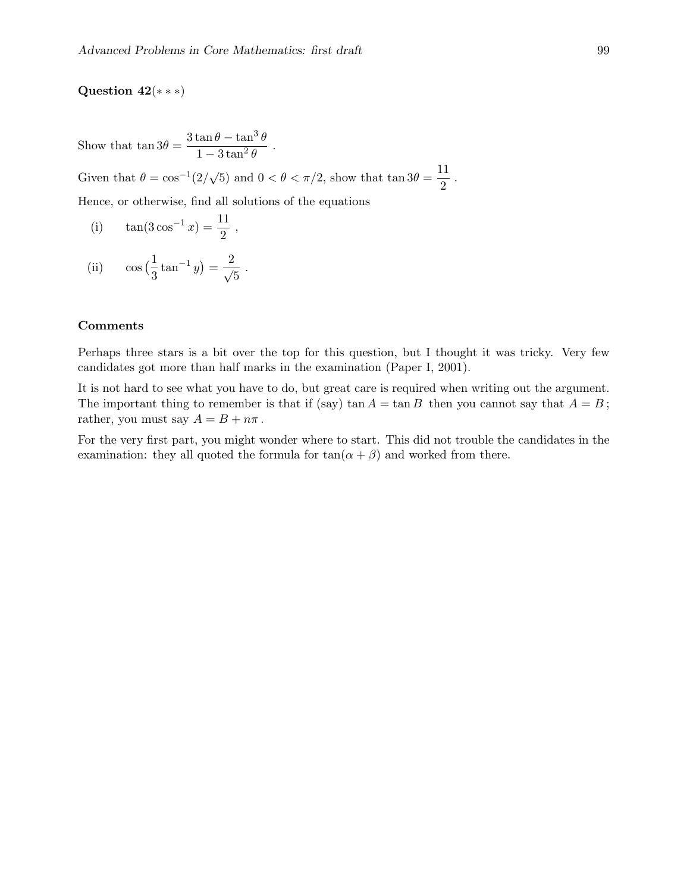# Question 42(∗ ∗ ∗)

Show that  $\tan 3\theta = \frac{3\tan\theta - \tan^3\theta}{1-\theta + \theta^2}$  $\frac{\tan \theta}{1 - 3 \tan^2 \theta}$ .

Given that  $\theta = \cos^{-1}(2/\sqrt{5})$  and  $0 < \theta < \pi/2$ , show that  $\tan 3\theta = \frac{11}{2}$  $\frac{1}{2}$ . Hence, or otherwise, find all solutions of the equations

(i)  $\tan(3\cos^{-1}x) = \frac{11}{2}$ ,

(ii) 
$$
\cos(\frac{1}{3}\tan^{-1}y) = \frac{2}{\sqrt{5}}
$$
.

### Comments

Perhaps three stars is a bit over the top for this question, but I thought it was tricky. Very few candidates got more than half marks in the examination (Paper I, 2001).

It is not hard to see what you have to do, but great care is required when writing out the argument. The important thing to remember is that if (say)  $\tan A = \tan B$  then you cannot say that  $A = B$ ; rather, you must say  $A = B + n\pi$ .

For the very first part, you might wonder where to start. This did not trouble the candidates in the examination: they all quoted the formula for  $tan(\alpha + \beta)$  and worked from there.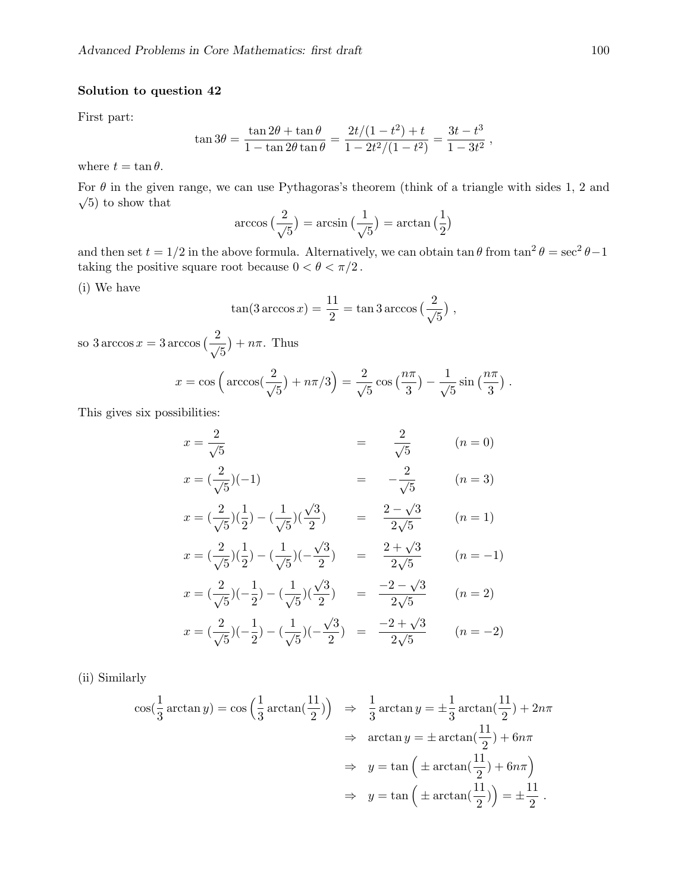First part:

$$
\tan 3\theta = \frac{\tan 2\theta + \tan \theta}{1 - \tan 2\theta \tan \theta} = \frac{2t/(1 - t^2) + t}{1 - 2t^2/(1 - t^2)} = \frac{3t - t^3}{1 - 3t^2},
$$

where  $t = \tan \theta$ .

For  $\theta$  in the given range, we can use Pythagoras's theorem (think of a triangle with sides 1, 2 and  $\sqrt{5}$  to show that

$$
\arccos\left(\frac{2}{\sqrt{5}}\right) = \arcsin\left(\frac{1}{\sqrt{5}}\right) = \arctan\left(\frac{1}{2}\right)
$$

and then set  $t = 1/2$  in the above formula. Alternatively, we can obtain  $\tan \theta$  from  $\tan^2 \theta = \sec^2 \theta - 1$ taking the positive square root because  $0 < \theta < \pi/2$ .

(i) We have

$$
\tan(3 \arccos x) = \frac{11}{2} = \tan 3 \arccos \left(\frac{2}{\sqrt{5}}\right),
$$

so 3 arccos  $x = 3$  arccos  $\left(\frac{2}{\sqrt{5}}\right)$  $+ n\pi$ . Thus

$$
x = \cos\left(\arccos\left(\frac{2}{\sqrt{5}}\right) + n\pi/3\right) = \frac{2}{\sqrt{5}}\cos\left(\frac{n\pi}{3}\right) - \frac{1}{\sqrt{5}}\sin\left(\frac{n\pi}{3}\right).
$$

This gives six possibilities:

$$
x = \frac{2}{\sqrt{5}} \qquad = \frac{2}{\sqrt{5}} \qquad (n = 0)
$$
  
\n
$$
x = (\frac{2}{\sqrt{5}})(-1) \qquad = -\frac{2}{\sqrt{5}} \qquad (n = 3)
$$
  
\n
$$
x = (\frac{2}{\sqrt{5}})(\frac{1}{2}) - (\frac{1}{\sqrt{5}})(\frac{\sqrt{3}}{2}) \qquad = \frac{2-\sqrt{3}}{2\sqrt{5}} \qquad (n = 1)
$$
  
\n
$$
x = (\frac{2}{\sqrt{5}})(\frac{1}{2}) - (\frac{1}{\sqrt{5}})(-\frac{\sqrt{3}}{2}) \qquad = \frac{2+\sqrt{3}}{2\sqrt{5}} \qquad (n = -1)
$$
  
\n
$$
x = (\frac{2}{\sqrt{5}})(-\frac{1}{2}) - (\frac{1}{\sqrt{5}})(\frac{\sqrt{3}}{2}) \qquad = \frac{-2-\sqrt{3}}{2\sqrt{5}} \qquad (n = 2)
$$
  
\n
$$
x = (\frac{2}{\sqrt{5}})(-\frac{1}{2}) - (\frac{1}{\sqrt{5}})(-\frac{\sqrt{3}}{2}) \qquad = \frac{-2+\sqrt{3}}{2\sqrt{5}} \qquad (n = -2)
$$

(ii) Similarly

$$
\cos\left(\frac{1}{3}\arctan y\right) = \cos\left(\frac{1}{3}\arctan\left(\frac{11}{2}\right)\right) \Rightarrow \frac{1}{3}\arctan y = \pm\frac{1}{3}\arctan\left(\frac{11}{2}\right) + 2n\pi
$$
  

$$
\Rightarrow \arctan y = \pm\arctan\left(\frac{11}{2}\right) + 6n\pi
$$
  

$$
\Rightarrow y = \tan\left(\pm\arctan\left(\frac{11}{2}\right) + 6n\pi\right)
$$
  

$$
\Rightarrow y = \tan\left(\pm\arctan\left(\frac{11}{2}\right)\right) = \pm\frac{11}{2}.
$$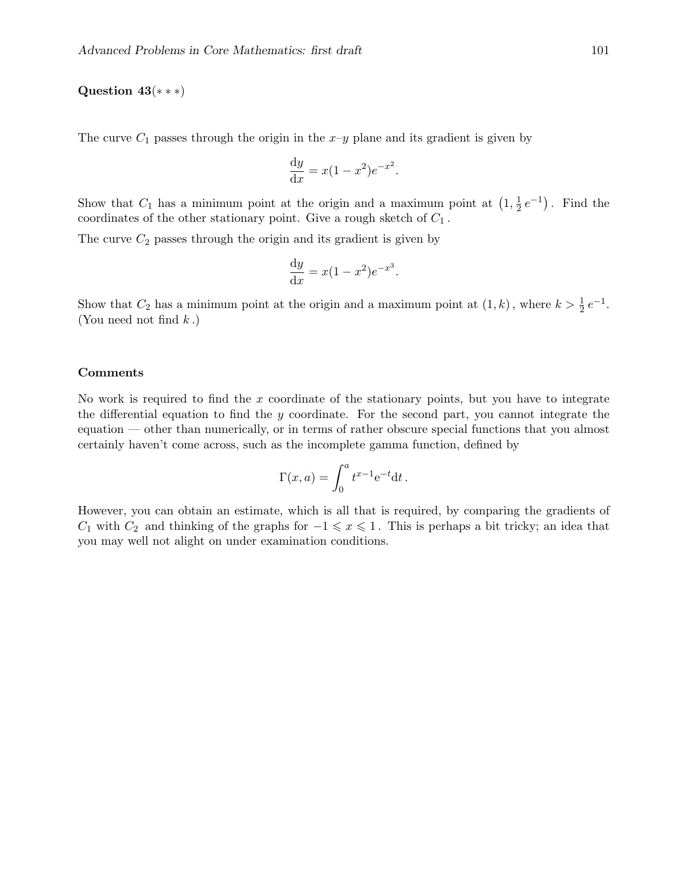Question  $43(***)$ 

The curve  $C_1$  passes through the origin in the  $x-y$  plane and its gradient is given by

$$
\frac{\mathrm{d}y}{\mathrm{d}x} = x(1 - x^2)e^{-x^2}.
$$

Show that  $C_1$  has a minimum point at the origin and a maximum point at  $(1, \frac{1}{2})$  $(\frac{1}{2}e^{-1})$ . Find the coordinates of the other stationary point. Give a rough sketch of  $C_1$ .

The curve  $C_2$  passes through the origin and its gradient is given by

$$
\frac{\mathrm{d}y}{\mathrm{d}x} = x(1 - x^2)e^{-x^3}.
$$

Show that  $C_2$  has a minimum point at the origin and a maximum point at  $(1, k)$ , where  $k > \frac{1}{2}e^{-1}$ . (You need not find  $k$ .)

### Comments

No work is required to find the  $x$  coordinate of the stationary points, but you have to integrate the differential equation to find the y coordinate. For the second part, you cannot integrate the equation — other than numerically, or in terms of rather obscure special functions that you almost certainly haven't come across, such as the incomplete gamma function, defined by

$$
\Gamma(x,a) = \int_0^a t^{x-1} e^{-t} dt.
$$

However, you can obtain an estimate, which is all that is required, by comparing the gradients of  $C_1$  with  $C_2$  and thinking of the graphs for  $-1 \leq x \leq 1$ . This is perhaps a bit tricky; an idea that you may well not alight on under examination conditions.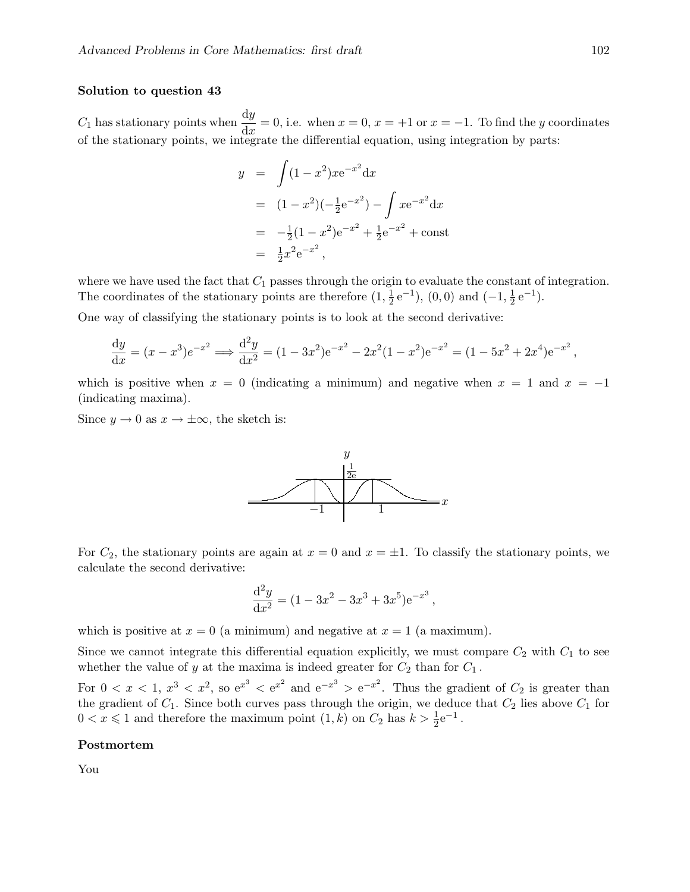$C_1$  has stationary points when  $\frac{dy}{dx} = 0$ , i.e. when  $x = 0$ ,  $x = +1$  or  $x = -1$ . To find the y coordinates of the stationary points, we integrate the differential equation, using integration by parts:

$$
y = \int (1 - x^2) x e^{-x^2} dx
$$
  
=  $(1 - x^2)(-\frac{1}{2}e^{-x^2}) - \int xe^{-x^2} dx$   
=  $-\frac{1}{2}(1 - x^2)e^{-x^2} + \frac{1}{2}e^{-x^2} + const$   
=  $\frac{1}{2}x^2e^{-x^2}$ ,

where we have used the fact that  $C_1$  passes through the origin to evaluate the constant of integration. The coordinates of the stationary points are therefore  $(1, \frac{1}{2})$  $(\frac{1}{2}e^{-1}), (0,0)$  and  $(-1, \frac{1}{2})$  $\frac{1}{2}e^{-1}$ ).

One way of classifying the stationary points is to look at the second derivative:

$$
\frac{dy}{dx} = (x - x^3)e^{-x^2} \Longrightarrow \frac{d^2y}{dx^2} = (1 - 3x^2)e^{-x^2} - 2x^2(1 - x^2)e^{-x^2} = (1 - 5x^2 + 2x^4)e^{-x^2},
$$

which is positive when  $x = 0$  (indicating a minimum) and negative when  $x = 1$  and  $x = -1$ (indicating maxima).

Since  $y \to 0$  as  $x \to \pm \infty$ , the sketch is:



For  $C_2$ , the stationary points are again at  $x = 0$  and  $x = \pm 1$ . To classify the stationary points, we calculate the second derivative:

$$
\frac{\mathrm{d}^2 y}{\mathrm{d}x^2} = (1 - 3x^2 - 3x^3 + 3x^5)e^{-x^3},
$$

which is positive at  $x = 0$  (a minimum) and negative at  $x = 1$  (a maximum).

Since we cannot integrate this differential equation explicitly, we must compare  $C_2$  with  $C_1$  to see whether the value of y at the maxima is indeed greater for  $C_2$  than for  $C_1$ .

For  $0 < x < 1$ ,  $x^3 < x^2$ , so  $e^{x^3} < e^{x^2}$  and  $e^{-x^3} > e^{-x^2}$ . Thus the gradient of  $C_2$  is greater than the gradient of  $C_1$ . Since both curves pass through the origin, we deduce that  $C_2$  lies above  $C_1$  for  $0 < x \leq 1$  and therefore the maximum point  $(1, k)$  on  $C_2$  has  $k > \frac{1}{2}e^{-1}$ .

#### Postmortem

You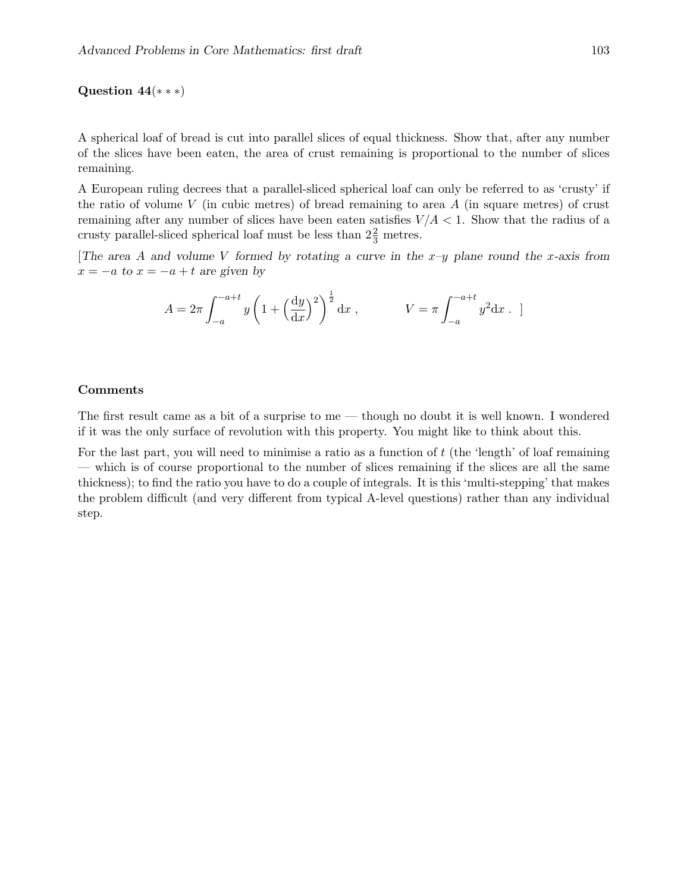# Question 44(∗ ∗ ∗)

A spherical loaf of bread is cut into parallel slices of equal thickness. Show that, after any number of the slices have been eaten, the area of crust remaining is proportional to the number of slices remaining.

A European ruling decrees that a parallel-sliced spherical loaf can only be referred to as 'crusty' if the ratio of volume  $V$  (in cubic metres) of bread remaining to area  $A$  (in square metres) of crust remaining after any number of slices have been eaten satisfies  $V/A < 1$ . Show that the radius of a crusty parallel-sliced spherical loaf must be less than  $2\frac{2}{3}$  metres.

[The area A and volume V formed by rotating a curve in the  $x-y$  plane round the x-axis from  $x = -a$  to  $x = -a + t$  are given by

$$
A = 2\pi \int_{-a}^{-a+t} y \left( 1 + \left(\frac{dy}{dx}\right)^2 \right)^{\frac{1}{2}} dx , \qquad V = \pi \int_{-a}^{-a+t} y^2 dx .
$$

### Comments

The first result came as a bit of a surprise to me — though no doubt it is well known. I wondered if it was the only surface of revolution with this property. You might like to think about this.

For the last part, you will need to minimise a ratio as a function of  $t$  (the 'length' of loaf remaining — which is of course proportional to the number of slices remaining if the slices are all the same thickness); to find the ratio you have to do a couple of integrals. It is this 'multi-stepping' that makes the problem difficult (and very different from typical A-level questions) rather than any individual step.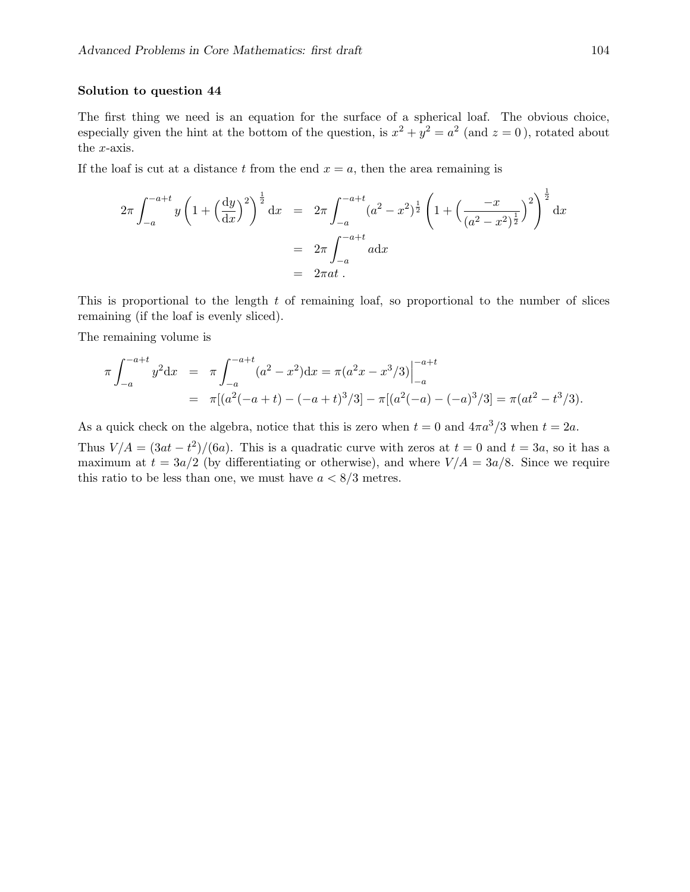The first thing we need is an equation for the surface of a spherical loaf. The obvious choice, especially given the hint at the bottom of the question, is  $x^2 + y^2 = a^2$  (and  $z = 0$ ), rotated about the x-axis.

If the loaf is cut at a distance t from the end  $x = a$ , then the area remaining is

$$
2\pi \int_{-a}^{-a+t} y \left( 1 + \left( \frac{dy}{dx} \right)^2 \right)^{\frac{1}{2}} dx = 2\pi \int_{-a}^{-a+t} (a^2 - x^2)^{\frac{1}{2}} \left( 1 + \left( \frac{-x}{(a^2 - x^2)^{\frac{1}{2}}} \right)^2 \right)^{\frac{1}{2}} dx
$$
  
= 
$$
2\pi \int_{-a}^{-a+t} a dx
$$
  
= 
$$
2\pi at.
$$

This is proportional to the length  $t$  of remaining loaf, so proportional to the number of slices remaining (if the loaf is evenly sliced).

The remaining volume is

$$
\pi \int_{-a}^{-a+t} y^2 dx = \pi \int_{-a}^{-a+t} (a^2 - x^2) dx = \pi (a^2 x - x^3 / 3) \Big|_{-a}^{-a+t}
$$
  
=  $\pi [(a^2(-a+t) - (-a+t)^3 / 3] - \pi [(a^2(-a) - (-a)^3 / 3] = \pi (at^2 - t^3 / 3).$ 

As a quick check on the algebra, notice that this is zero when  $t = 0$  and  $4\pi a^3/3$  when  $t = 2a$ .

Thus  $V/A = (3at - t^2)/(6a)$ . This is a quadratic curve with zeros at  $t = 0$  and  $t = 3a$ , so it has a maximum at  $t = 3a/2$  (by differentiating or otherwise), and where  $V/A = 3a/8$ . Since we require this ratio to be less than one, we must have  $a < 8/3$  metres.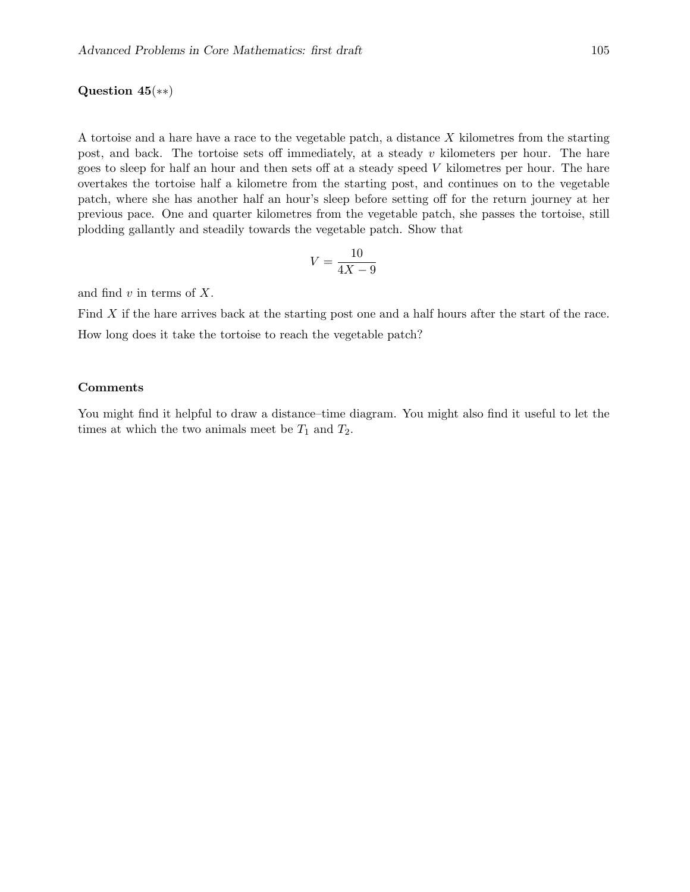## Question 45(∗∗)

A tortoise and a hare have a race to the vegetable patch, a distance X kilometres from the starting post, and back. The tortoise sets off immediately, at a steady  $v$  kilometers per hour. The hare goes to sleep for half an hour and then sets off at a steady speed V kilometres per hour. The hare overtakes the tortoise half a kilometre from the starting post, and continues on to the vegetable patch, where she has another half an hour's sleep before setting off for the return journey at her previous pace. One and quarter kilometres from the vegetable patch, she passes the tortoise, still plodding gallantly and steadily towards the vegetable patch. Show that

$$
V = \frac{10}{4X - 9}
$$

and find  $v$  in terms of  $X$ .

Find X if the hare arrives back at the starting post one and a half hours after the start of the race. How long does it take the tortoise to reach the vegetable patch?

## Comments

You might find it helpful to draw a distance–time diagram. You might also find it useful to let the times at which the two animals meet be  $T_1$  and  $T_2$ .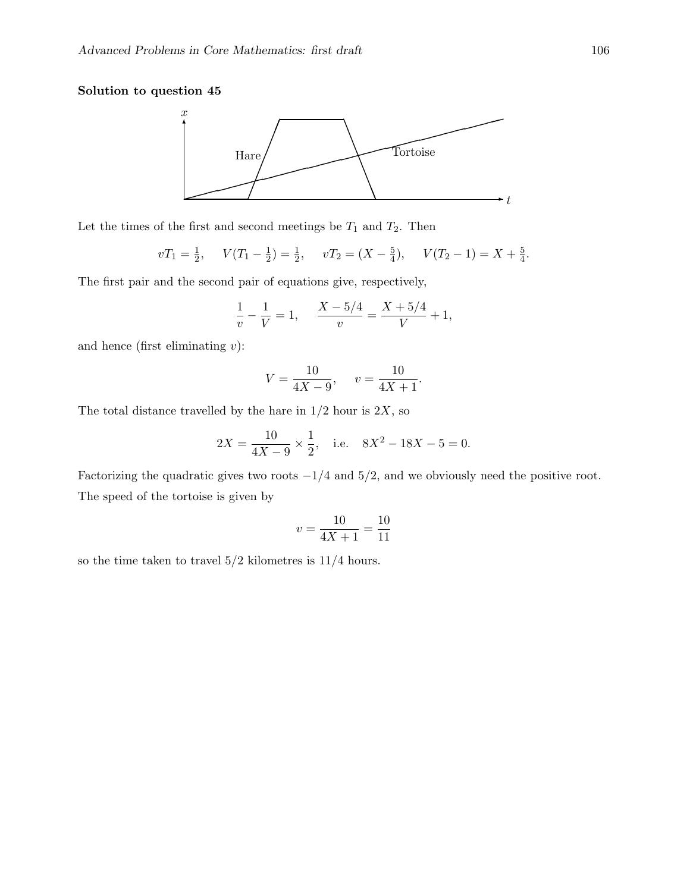

Let the times of the first and second meetings be  $T_1$  and  $T_2$ . Then

$$
vT_1 = \frac{1}{2}
$$
,  $V(T_1 - \frac{1}{2}) = \frac{1}{2}$ ,  $vT_2 = (X - \frac{5}{4})$ ,  $V(T_2 - 1) = X + \frac{5}{4}$ .

The first pair and the second pair of equations give, respectively,

$$
\frac{1}{v} - \frac{1}{V} = 1, \quad \frac{X - 5/4}{v} = \frac{X + 5/4}{V} + 1,
$$

and hence (first eliminating  $v$ ):

$$
V = \frac{10}{4X - 9}, \quad v = \frac{10}{4X + 1}.
$$

The total distance travelled by the hare in  $1/2$  hour is  $2X$ , so

$$
2X = \frac{10}{4X - 9} \times \frac{1}{2}, \quad \text{i.e.} \quad 8X^2 - 18X - 5 = 0.
$$

Factorizing the quadratic gives two roots  $-1/4$  and  $5/2$ , and we obviously need the positive root. The speed of the tortoise is given by

$$
v = \frac{10}{4X + 1} = \frac{10}{11}
$$

so the time taken to travel  $5/2$  kilometres is  $11/4$  hours.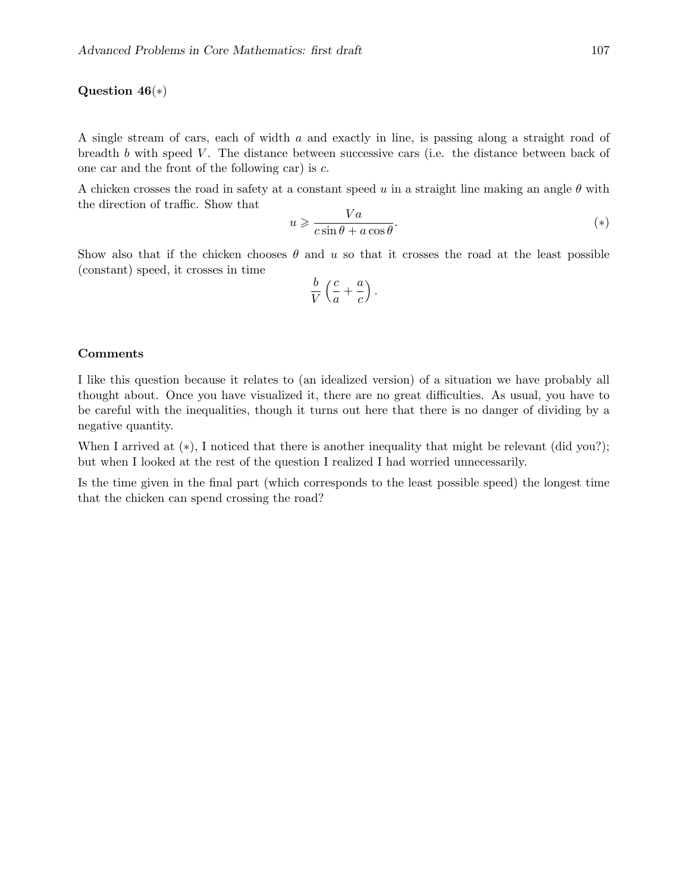# Question 46(∗)

A single stream of cars, each of width a and exactly in line, is passing along a straight road of breadth  $b$  with speed  $V$ . The distance between successive cars (i.e. the distance between back of one car and the front of the following car) is  $c$ .

A chicken crosses the road in safety at a constant speed u in a straight line making an angle  $\theta$  with the direction of traffic. Show that  $\mathbf{v}$ 

$$
u \geqslant \frac{v \, a}{c \sin \theta + a \cos \theta}.\tag{(*)}
$$

Show also that if the chicken chooses  $\theta$  and u so that it crosses the road at the least possible (constant) speed, it crosses in time

$$
\frac{b}{V}\left(\frac{c}{a}+\frac{a}{c}\right).
$$

### Comments

I like this question because it relates to (an idealized version) of a situation we have probably all thought about. Once you have visualized it, there are no great difficulties. As usual, you have to be careful with the inequalities, though it turns out here that there is no danger of dividing by a negative quantity.

When I arrived at  $(*)$ , I noticed that there is another inequality that might be relevant (did you?); but when I looked at the rest of the question I realized I had worried unnecessarily.

Is the time given in the final part (which corresponds to the least possible speed) the longest time that the chicken can spend crossing the road?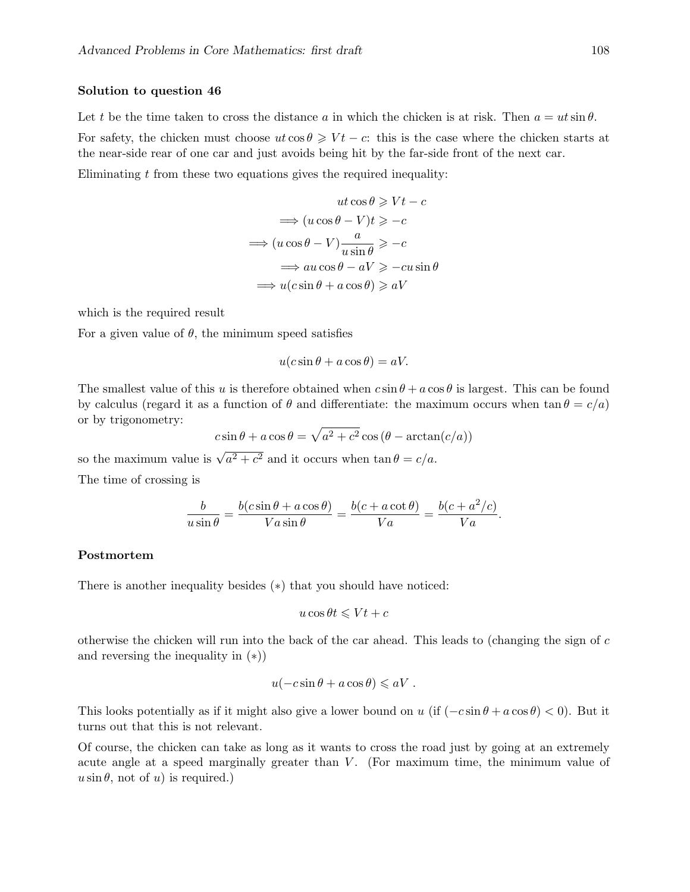Let t be the time taken to cross the distance a in which the chicken is at risk. Then  $a = ut \sin \theta$ .

For safety, the chicken must choose  $ut \cos \theta \geq Vt - c$ : this is the case where the chicken starts at the near-side rear of one car and just avoids being hit by the far-side front of the next car. Eliminating t from these two equations gives the required inequality:

$$
ut \cos \theta \geqslant Vt - c
$$
  
\n
$$
\implies (u \cos \theta - V)t \geqslant -c
$$
  
\n
$$
\implies (u \cos \theta - V)\frac{a}{u \sin \theta} \geqslant -c
$$
  
\n
$$
\implies au \cos \theta - aV \geqslant -cu \sin \theta
$$
  
\n
$$
\implies u(c \sin \theta + a \cos \theta) \geqslant aV
$$

which is the required result

For a given value of  $\theta$ , the minimum speed satisfies

$$
u(c\sin\theta + a\cos\theta) = aV.
$$

The smallest value of this u is therefore obtained when  $c \sin \theta + a \cos \theta$  is largest. This can be found by calculus (regard it as a function of  $\theta$  and differentiate: the maximum occurs when  $\tan \theta = c/a$ ) or by trigonometry:

$$
c\sin\theta + a\cos\theta = \sqrt{a^2 + c^2}\cos(\theta - \arctan(c/a))
$$

so the maximum value is  $\sqrt{a^2+c^2}$  and it occurs when  $\tan \theta = c/a$ .

The time of crossing is

$$
\frac{b}{u\sin\theta} = \frac{b(c\sin\theta + a\cos\theta)}{Va\sin\theta} = \frac{b(c+a\cot\theta)}{Va} = \frac{b(c+a^2/c)}{Va}.
$$

### Postmortem

There is another inequality besides (∗) that you should have noticed:

$$
u\cos\theta t \leqslant Vt + c
$$

otherwise the chicken will run into the back of the car ahead. This leads to (changing the sign of  $c$ and reversing the inequality in  $(*)$ )

$$
u(-c\sin\theta + a\cos\theta) \leqslant aV.
$$

This looks potentially as if it might also give a lower bound on u (if  $(-c \sin \theta + a \cos \theta) < 0$ ). But it turns out that this is not relevant.

Of course, the chicken can take as long as it wants to cross the road just by going at an extremely acute angle at a speed marginally greater than  $V$ . (For maximum time, the minimum value of  $u \sin \theta$ , not of u) is required.)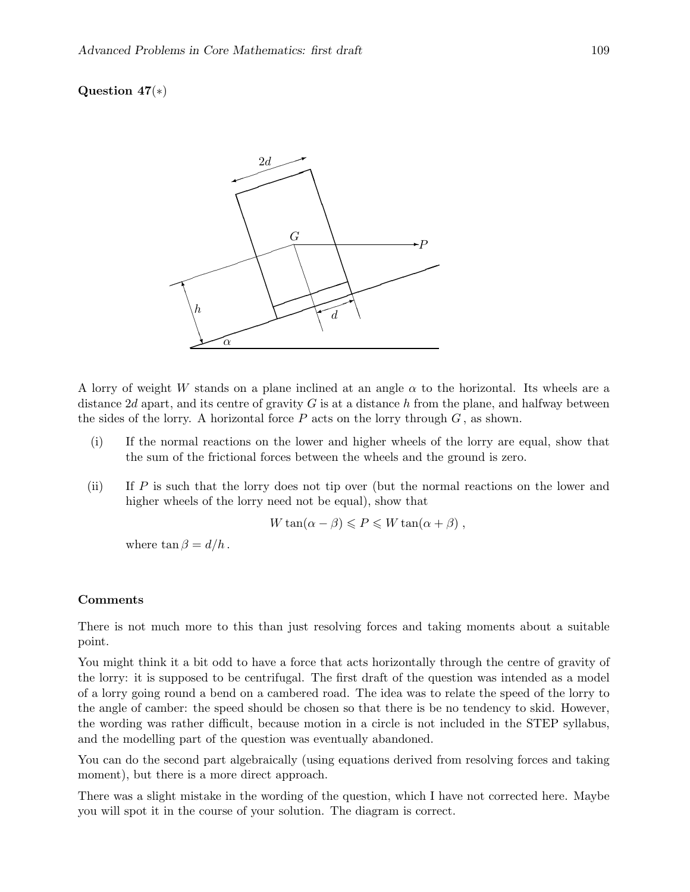# Question 47(∗)



A lorry of weight W stands on a plane inclined at an angle  $\alpha$  to the horizontal. Its wheels are a distance 2d apart, and its centre of gravity G is at a distance h from the plane, and halfway between the sides of the lorry. A horizontal force  $P$  acts on the lorry through  $G$ , as shown.

- (i) If the normal reactions on the lower and higher wheels of the lorry are equal, show that the sum of the frictional forces between the wheels and the ground is zero.
- (ii) If P is such that the lorry does not tip over (but the normal reactions on the lower and higher wheels of the lorry need not be equal), show that

$$
W \tan(\alpha - \beta) \leqslant P \leqslant W \tan(\alpha + \beta) ,
$$

where  $\tan \beta = d/h$ .

### Comments

There is not much more to this than just resolving forces and taking moments about a suitable point.

You might think it a bit odd to have a force that acts horizontally through the centre of gravity of the lorry: it is supposed to be centrifugal. The first draft of the question was intended as a model of a lorry going round a bend on a cambered road. The idea was to relate the speed of the lorry to the angle of camber: the speed should be chosen so that there is be no tendency to skid. However, the wording was rather difficult, because motion in a circle is not included in the STEP syllabus, and the modelling part of the question was eventually abandoned.

You can do the second part algebraically (using equations derived from resolving forces and taking moment), but there is a more direct approach.

There was a slight mistake in the wording of the question, which I have not corrected here. Maybe you will spot it in the course of your solution. The diagram is correct.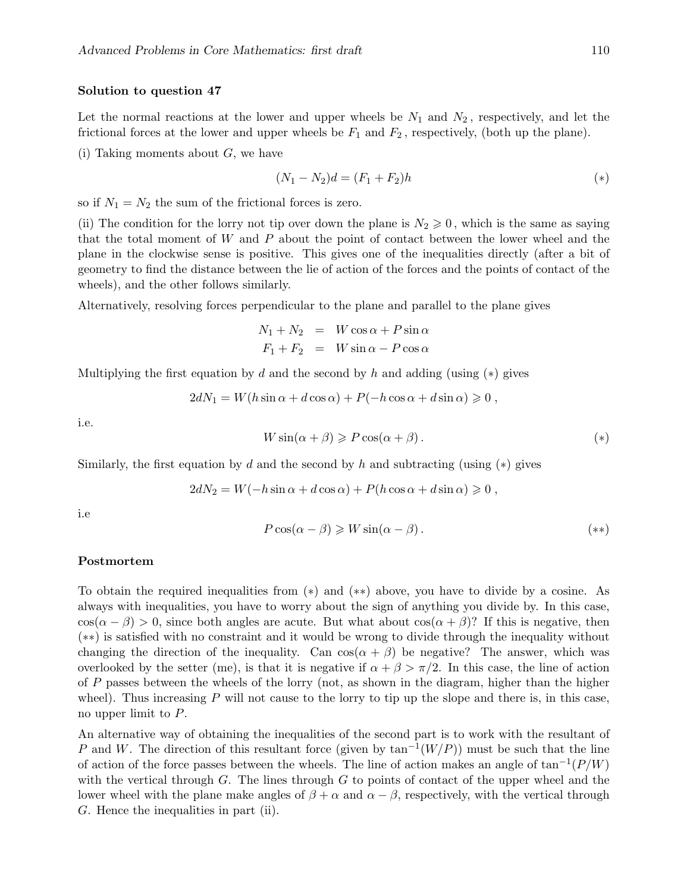Let the normal reactions at the lower and upper wheels be  $N_1$  and  $N_2$ , respectively, and let the frictional forces at the lower and upper wheels be  $F_1$  and  $F_2$ , respectively, (both up the plane).

(i) Taking moments about  $G$ , we have

$$
(N_1 - N_2)d = (F_1 + F_2)h
$$
\n<sup>(\*)</sup>

so if  $N_1 = N_2$  the sum of the frictional forces is zero.

(ii) The condition for the lorry not tip over down the plane is  $N_2 \geqslant 0$ , which is the same as saying that the total moment of  $W$  and  $P$  about the point of contact between the lower wheel and the plane in the clockwise sense is positive. This gives one of the inequalities directly (after a bit of geometry to find the distance between the lie of action of the forces and the points of contact of the wheels), and the other follows similarly.

Alternatively, resolving forces perpendicular to the plane and parallel to the plane gives

$$
N_1 + N_2 = W \cos \alpha + P \sin \alpha
$$
  

$$
F_1 + F_2 = W \sin \alpha - P \cos \alpha
$$

Multiplying the first equation by d and the second by h and adding (using  $(*)$  gives

$$
2dN_1 = W(h\sin\alpha + d\cos\alpha) + P(-h\cos\alpha + d\sin\alpha) \ge 0,
$$

i.e.

$$
W\sin(\alpha+\beta) \geqslant P\cos(\alpha+\beta). \tag{*}
$$

Similarly, the first equation by d and the second by h and subtracting (using  $(*)$  gives

$$
2dN_2 = W(-h\sin\alpha + d\cos\alpha) + P(h\cos\alpha + d\sin\alpha) \ge 0,
$$

i.e

$$
P\cos(\alpha - \beta) \ge W\sin(\alpha - \beta). \tag{**}
$$

#### Postmortem

To obtain the required inequalities from (∗) and (∗∗) above, you have to divide by a cosine. As always with inequalities, you have to worry about the sign of anything you divide by. In this case,  $\cos(\alpha - \beta) > 0$ , since both angles are acute. But what about  $\cos(\alpha + \beta)$ ? If this is negative, then (∗∗) is satisfied with no constraint and it would be wrong to divide through the inequality without changing the direction of the inequality. Can  $cos(\alpha + \beta)$  be negative? The answer, which was overlooked by the setter (me), is that it is negative if  $\alpha + \beta > \pi/2$ . In this case, the line of action of P passes between the wheels of the lorry (not, as shown in the diagram, higher than the higher wheel). Thus increasing  $P$  will not cause to the lorry to tip up the slope and there is, in this case, no upper limit to P.

An alternative way of obtaining the inequalities of the second part is to work with the resultant of P and W. The direction of this resultant force (given by  $\tan^{-1}(W/P)$ ) must be such that the line of action of the force passes between the wheels. The line of action makes an angle of  $\tan^{-1}(P/W)$ with the vertical through  $G$ . The lines through  $G$  to points of contact of the upper wheel and the lower wheel with the plane make angles of  $\beta + \alpha$  and  $\alpha - \beta$ , respectively, with the vertical through G. Hence the inequalities in part (ii).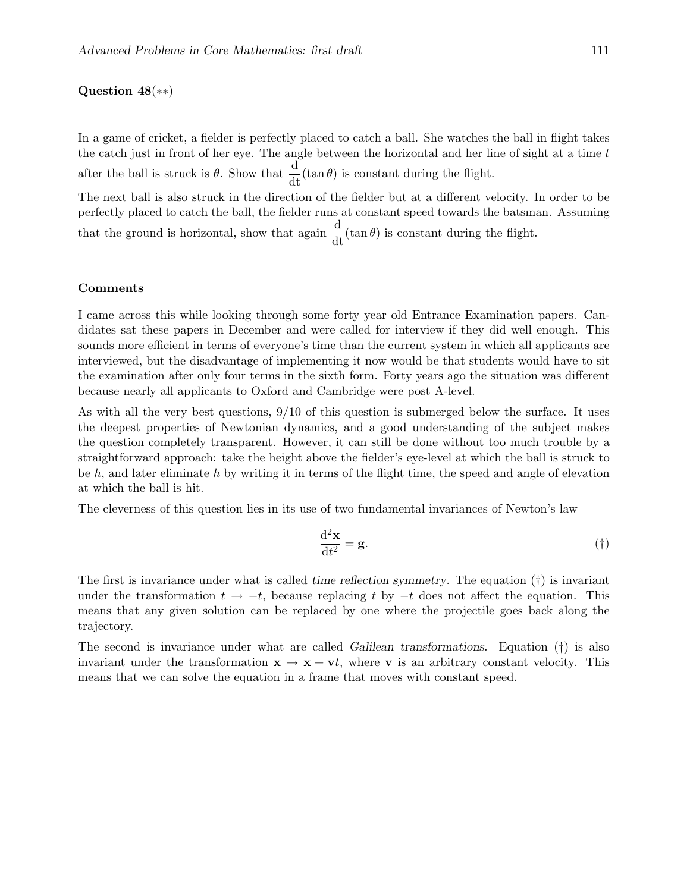# Question 48(∗∗)

In a game of cricket, a fielder is perfectly placed to catch a ball. She watches the ball in flight takes the catch just in front of her eye. The angle between the horizontal and her line of sight at a time  $t$ after the ball is struck is  $\theta$ . Show that  $\frac{d}{dt}(\tan \theta)$  is constant during the flight.

The next ball is also struck in the direction of the fielder but at a different velocity. In order to be perfectly placed to catch the ball, the fielder runs at constant speed towards the batsman. Assuming that the ground is horizontal, show that again  $\frac{d}{dt}(\tan \theta)$  is constant during the flight.

### Comments

I came across this while looking through some forty year old Entrance Examination papers. Candidates sat these papers in December and were called for interview if they did well enough. This sounds more efficient in terms of everyone's time than the current system in which all applicants are interviewed, but the disadvantage of implementing it now would be that students would have to sit the examination after only four terms in the sixth form. Forty years ago the situation was different because nearly all applicants to Oxford and Cambridge were post A-level.

As with all the very best questions, 9/10 of this question is submerged below the surface. It uses the deepest properties of Newtonian dynamics, and a good understanding of the subject makes the question completely transparent. However, it can still be done without too much trouble by a straightforward approach: take the height above the fielder's eye-level at which the ball is struck to be  $h$ , and later eliminate  $h$  by writing it in terms of the flight time, the speed and angle of elevation at which the ball is hit.

The cleverness of this question lies in its use of two fundamental invariances of Newton's law

$$
\frac{\mathrm{d}^2 \mathbf{x}}{\mathrm{d}t^2} = \mathbf{g}.\tag{\dagger}
$$

The first is invariance under what is called time reflection symmetry. The equation  $(†)$  is invariant under the transformation  $t \to -t$ , because replacing t by  $-t$  does not affect the equation. This means that any given solution can be replaced by one where the projectile goes back along the trajectory.

The second is invariance under what are called Galilean transformations. Equation  $(\dagger)$  is also invariant under the transformation  $x \to x + vt$ , where v is an arbitrary constant velocity. This means that we can solve the equation in a frame that moves with constant speed.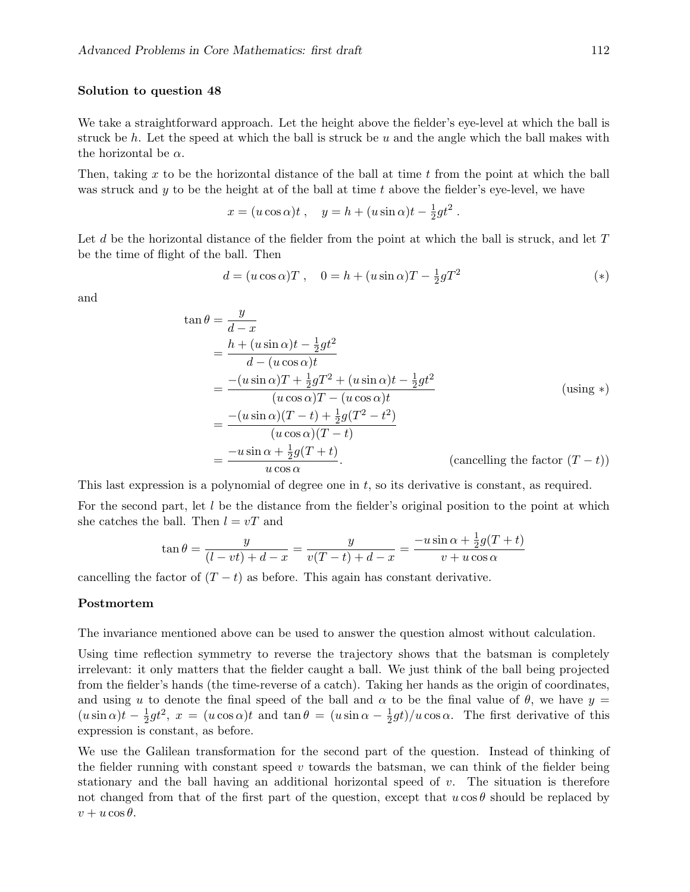We take a straightforward approach. Let the height above the fielder's eye-level at which the ball is struck be h. Let the speed at which the ball is struck be u and the angle which the ball makes with the horizontal be  $\alpha$ .

Then, taking x to be the horizontal distance of the ball at time t from the point at which the ball was struck and  $y$  to be the height at of the ball at time t above the fielder's eye-level, we have

$$
x = (u\cos\alpha)t , \quad y = h + (u\sin\alpha)t - \frac{1}{2}gt^2.
$$

Let d be the horizontal distance of the fielder from the point at which the ball is struck, and let  $T$ be the time of flight of the ball. Then

$$
d = (u\cos\alpha)T, \quad 0 = h + (u\sin\alpha)T - \frac{1}{2}gT^2
$$
\n
$$
(*)
$$

and

$$
\tan \theta = \frac{y}{d-x}
$$
\n
$$
= \frac{h + (u \sin \alpha)t - \frac{1}{2}gt^2}{d - (u \cos \alpha)t}
$$
\n
$$
= \frac{-(u \sin \alpha)T + \frac{1}{2}gT^2 + (u \sin \alpha)t - \frac{1}{2}gt^2}{(u \cos \alpha)T - (u \cos \alpha)t}
$$
\n
$$
= \frac{-(u \sin \alpha)(T - t) + \frac{1}{2}g(T^2 - t^2)}{(u \cos \alpha)(T - t)}
$$
\n
$$
= \frac{-u \sin \alpha + \frac{1}{2}g(T + t)}{u \cos \alpha}.
$$
\n(cancelling the factor  $(T - t)$ )

This last expression is a polynomial of degree one in t, so its derivative is constant, as required.

For the second part, let l be the distance from the fielder's original position to the point at which she catches the ball. Then  $l = vT$  and  $1 - \sqrt{2}$ 

$$
\tan \theta = \frac{y}{(l - vt) + d - x} = \frac{y}{v(T - t) + d - x} = \frac{-u \sin \alpha + \frac{1}{2}g(T + t)}{v + u \cos \alpha}
$$

cancelling the factor of  $(T - t)$  as before. This again has constant derivative.

### Postmortem

The invariance mentioned above can be used to answer the question almost without calculation.

Using time reflection symmetry to reverse the trajectory shows that the batsman is completely irrelevant: it only matters that the fielder caught a ball. We just think of the ball being projected from the fielder's hands (the time-reverse of a catch). Taking her hands as the origin of coordinates, and using u to denote the final speed of the ball and  $\alpha$  to be the final value of  $\theta$ , we have  $y =$  $(u \sin \alpha)t - \frac{1}{2}$  $\frac{1}{2}gt^2$ ,  $x = (u \cos \alpha)t$  and  $\tan \theta = (u \sin \alpha - \frac{1}{2})$  $\frac{1}{2}gt)/u\cos\alpha$ . The first derivative of this expression is constant, as before.

We use the Galilean transformation for the second part of the question. Instead of thinking of the fielder running with constant speed  $v$  towards the batsman, we can think of the fielder being stationary and the ball having an additional horizontal speed of  $v$ . The situation is therefore not changed from that of the first part of the question, except that  $u \cos \theta$  should be replaced by  $v + u \cos \theta$ .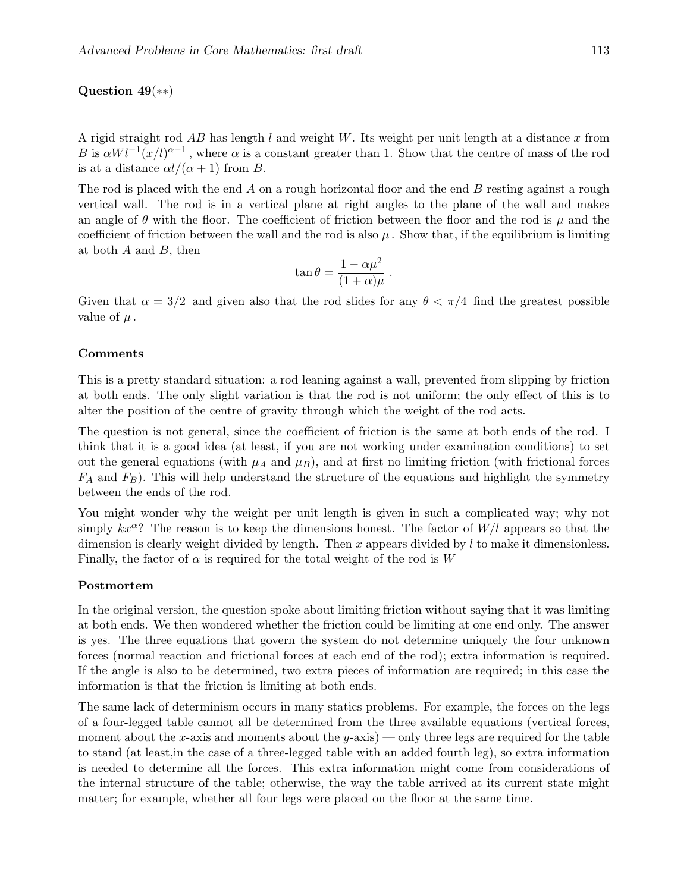# Question 49(∗∗)

A rigid straight rod AB has length l and weight W. Its weight per unit length at a distance x from B is  $\alpha Wl^{-1}(x/l)^{\alpha-1}$ , where  $\alpha$  is a constant greater than 1. Show that the centre of mass of the rod is at a distance  $\alpha l/(\alpha + 1)$  from B.

The rod is placed with the end A on a rough horizontal floor and the end B resting against a rough vertical wall. The rod is in a vertical plane at right angles to the plane of the wall and makes an angle of  $\theta$  with the floor. The coefficient of friction between the floor and the rod is  $\mu$  and the coefficient of friction between the wall and the rod is also  $\mu$ . Show that, if the equilibrium is limiting at both  $A$  and  $B$ , then

$$
\tan \theta = \frac{1 - \alpha \mu^2}{(1 + \alpha)\mu} \; .
$$

Given that  $\alpha = 3/2$  and given also that the rod slides for any  $\theta < \pi/4$  find the greatest possible value of  $\mu$ .

## Comments

This is a pretty standard situation: a rod leaning against a wall, prevented from slipping by friction at both ends. The only slight variation is that the rod is not uniform; the only effect of this is to alter the position of the centre of gravity through which the weight of the rod acts.

The question is not general, since the coefficient of friction is the same at both ends of the rod. I think that it is a good idea (at least, if you are not working under examination conditions) to set out the general equations (with  $\mu_A$  and  $\mu_B$ ), and at first no limiting friction (with frictional forces  $F_A$  and  $F_B$ ). This will help understand the structure of the equations and highlight the symmetry between the ends of the rod.

You might wonder why the weight per unit length is given in such a complicated way; why not simply  $kx^{\alpha}$ ? The reason is to keep the dimensions honest. The factor of  $W/l$  appears so that the dimension is clearly weight divided by length. Then  $x$  appears divided by  $l$  to make it dimensionless. Finally, the factor of  $\alpha$  is required for the total weight of the rod is W

### Postmortem

In the original version, the question spoke about limiting friction without saying that it was limiting at both ends. We then wondered whether the friction could be limiting at one end only. The answer is yes. The three equations that govern the system do not determine uniquely the four unknown forces (normal reaction and frictional forces at each end of the rod); extra information is required. If the angle is also to be determined, two extra pieces of information are required; in this case the information is that the friction is limiting at both ends.

The same lack of determinism occurs in many statics problems. For example, the forces on the legs of a four-legged table cannot all be determined from the three available equations (vertical forces, moment about the x-axis and moments about the y-axis) — only three legs are required for the table to stand (at least,in the case of a three-legged table with an added fourth leg), so extra information is needed to determine all the forces. This extra information might come from considerations of the internal structure of the table; otherwise, the way the table arrived at its current state might matter; for example, whether all four legs were placed on the floor at the same time.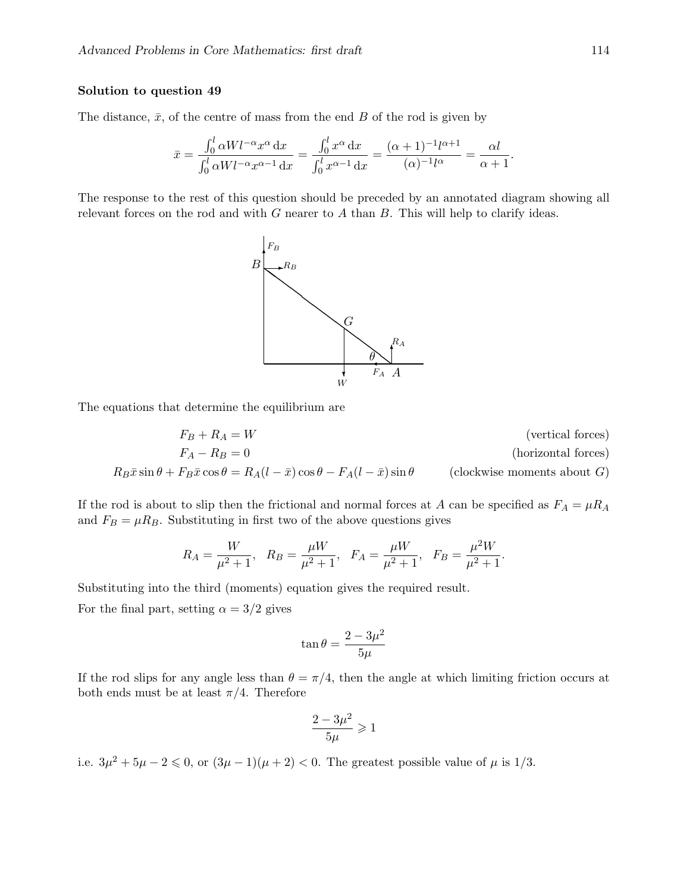The distance,  $\bar{x}$ , of the centre of mass from the end B of the rod is given by

$$
\bar{x} = \frac{\int_0^l \alpha W l^{-\alpha} x^{\alpha} dx}{\int_0^l \alpha W l^{-\alpha} x^{\alpha-1} dx} = \frac{\int_0^l x^{\alpha} dx}{\int_0^l x^{\alpha-1} dx} = \frac{(\alpha+1)^{-1} l^{\alpha+1}}{(\alpha)^{-1} l^{\alpha}} = \frac{\alpha l}{\alpha+1}.
$$

The response to the rest of this question should be preceded by an annotated diagram showing all relevant forces on the rod and with  $G$  nearer to  $A$  than  $B$ . This will help to clarify ideas.



The equations that determine the equilibrium are

$$
F_B + R_A = W
$$
 (vertical forces)  
\n
$$
F_A - R_B = 0
$$
 (horizontal forces)  
\n
$$
R_B \bar{x} \sin \theta + F_B \bar{x} \cos \theta = R_A (l - \bar{x}) \cos \theta - F_A (l - \bar{x}) \sin \theta
$$
 (clockwise moments about G)

If the rod is about to slip then the frictional and normal forces at A can be specified as  $F_A = \mu R_A$ and  $F_B = \mu R_B$ . Substituting in first two of the above questions gives

$$
R_A = \frac{W}{\mu^2 + 1}
$$
,  $R_B = \frac{\mu W}{\mu^2 + 1}$ ,  $F_A = \frac{\mu W}{\mu^2 + 1}$ ,  $F_B = \frac{\mu^2 W}{\mu^2 + 1}$ .

Substituting into the third (moments) equation gives the required result.

For the final part, setting  $\alpha = 3/2$  gives

$$
\tan \theta = \frac{2 - 3\mu^2}{5\mu}
$$

If the rod slips for any angle less than  $\theta = \pi/4$ , then the angle at which limiting friction occurs at both ends must be at least  $\pi/4$ . Therefore

$$
\frac{2-3\mu^2}{5\mu}\geqslant 1
$$

i.e.  $3\mu^2 + 5\mu - 2 \leq 0$ , or  $(3\mu - 1)(\mu + 2) < 0$ . The greatest possible value of  $\mu$  is  $1/3$ .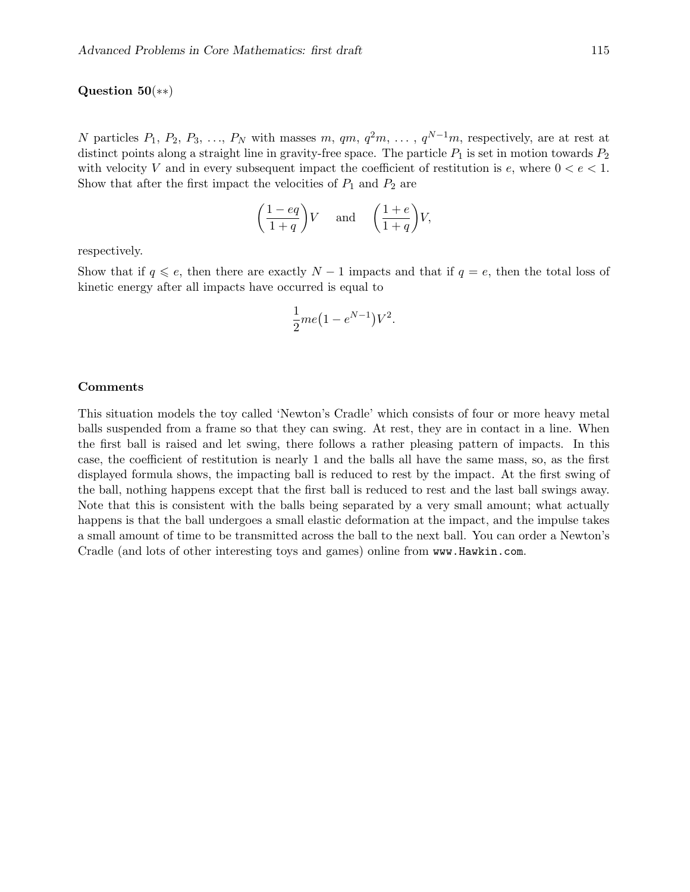## Question 50(∗∗)

N particles  $P_1, P_2, P_3, \ldots, P_N$  with masses m,  $qm, q^2m, \ldots, q^{N-1}m$ , respectively, are at rest at distinct points along a straight line in gravity-free space. The particle  $P_1$  is set in motion towards  $P_2$ with velocity V and in every subsequent impact the coefficient of restitution is  $e$ , where  $0 < e < 1$ . Show that after the first impact the velocities of  $P_1$  and  $P_2$  are

$$
\left(\frac{1-eq}{1+q}\right)V
$$
 and  $\left(\frac{1+e}{1+q}\right)V$ ,

respectively.

Show that if  $q \leq e$ , then there are exactly  $N-1$  impacts and that if  $q = e$ , then the total loss of kinetic energy after all impacts have occurred is equal to

$$
\frac{1}{2}me(1 - e^{N-1})V^2.
$$

### Comments

This situation models the toy called 'Newton's Cradle' which consists of four or more heavy metal balls suspended from a frame so that they can swing. At rest, they are in contact in a line. When the first ball is raised and let swing, there follows a rather pleasing pattern of impacts. In this case, the coefficient of restitution is nearly 1 and the balls all have the same mass, so, as the first displayed formula shows, the impacting ball is reduced to rest by the impact. At the first swing of the ball, nothing happens except that the first ball is reduced to rest and the last ball swings away. Note that this is consistent with the balls being separated by a very small amount; what actually happens is that the ball undergoes a small elastic deformation at the impact, and the impulse takes a small amount of time to be transmitted across the ball to the next ball. You can order a Newton's Cradle (and lots of other interesting toys and games) online from www.Hawkin.com.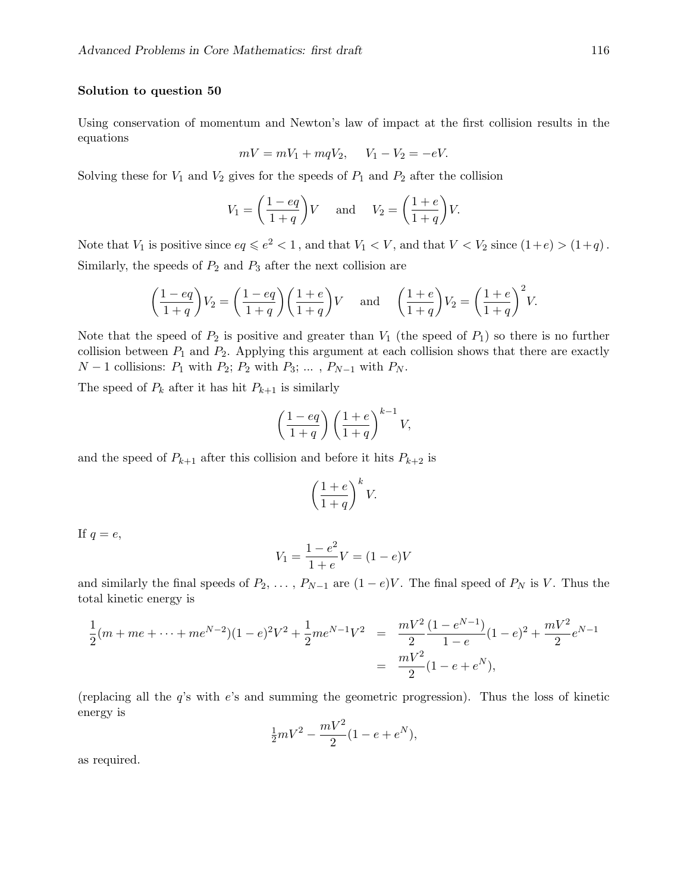Using conservation of momentum and Newton's law of impact at the first collision results in the equations

$$
mV = mV_1 + mqV_2, \quad V_1 - V_2 = -eV.
$$

Solving these for  $V_1$  and  $V_2$  gives for the speeds of  $P_1$  and  $P_2$  after the collision

$$
V_1 = \left(\frac{1 - eq}{1 + q}\right)V \quad \text{and} \quad V_2 = \left(\frac{1 + e}{1 + q}\right)V.
$$

Note that  $V_1$  is positive since  $eq \leq e^2 < 1$ , and that  $V_1 < V$ , and that  $V < V_2$  since  $(1+e) > (1+q)$ . Similarly, the speeds of  $P_2$  and  $P_3$  after the next collision are

$$
\left(\frac{1-eq}{1+q}\right)V_2 = \left(\frac{1-eq}{1+q}\right)\left(\frac{1+e}{1+q}\right)V \quad \text{and} \quad \left(\frac{1+e}{1+q}\right)V_2 = \left(\frac{1+e}{1+q}\right)^2V.
$$

Note that the speed of  $P_2$  is positive and greater than  $V_1$  (the speed of  $P_1$ ) so there is no further collision between  $P_1$  and  $P_2$ . Applying this argument at each collision shows that there are exactly  $N-1$  collisions:  $P_1$  with  $P_2$ ;  $P_2$  with  $P_3$ ; ...,  $P_{N-1}$  with  $P_N$ .

The speed of  $P_k$  after it has hit  $P_{k+1}$  is similarly

$$
\left(\frac{1-eq}{1+q}\right)\left(\frac{1+e}{1+q}\right)^{k-1}V,
$$

and the speed of  $P_{k+1}$  after this collision and before it hits  $P_{k+2}$  is

$$
\left(\frac{1+e}{1+q}\right)^k V.
$$

If  $q = e$ ,

$$
V_1 = \frac{1 - e^2}{1 + e} V = (1 - e)V
$$

and similarly the final speeds of  $P_2, \ldots, P_{N-1}$  are  $(1-e)V$ . The final speed of  $P_N$  is V. Thus the total kinetic energy is

$$
\frac{1}{2}(m + me + \dots + me^{N-2})(1 - e)^2 V^2 + \frac{1}{2}me^{N-1}V^2 = \frac{mV^2}{2}\frac{(1 - e^{N-1})}{1 - e}(1 - e)^2 + \frac{mV^2}{2}e^{N-1}
$$

$$
= \frac{mV^2}{2}(1 - e + e^N),
$$

(replacing all the  $q$ 's with  $e$ 's and summing the geometric progression). Thus the loss of kinetic energy is

$$
\frac{1}{2}mV^2 - \frac{mV^2}{2}(1 - e + e^N),
$$

as required.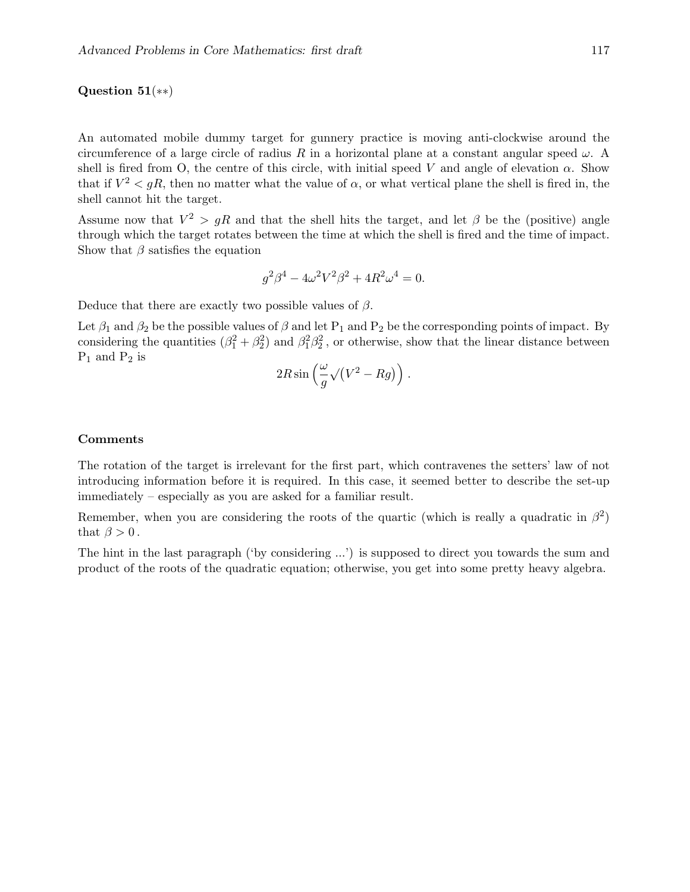# Question 51(∗∗)

An automated mobile dummy target for gunnery practice is moving anti-clockwise around the circumference of a large circle of radius R in a horizontal plane at a constant angular speed  $\omega$ . A shell is fired from O, the centre of this circle, with initial speed V and angle of elevation  $\alpha$ . Show that if  $V^2 < gR$ , then no matter what the value of  $\alpha$ , or what vertical plane the shell is fired in, the shell cannot hit the target.

Assume now that  $V^2 > gR$  and that the shell hits the target, and let  $\beta$  be the (positive) angle through which the target rotates between the time at which the shell is fired and the time of impact. Show that  $\beta$  satisfies the equation

$$
g^2 \beta^4 - 4\omega^2 V^2 \beta^2 + 4R^2 \omega^4 = 0.
$$

Deduce that there are exactly two possible values of  $\beta$ .

Let  $\beta_1$  and  $\beta_2$  be the possible values of  $\beta$  and let  $P_1$  and  $P_2$  be the corresponding points of impact. By considering the quantities  $(\beta_1^2 + \beta_2^2)$  and  $\beta_1^2 \beta_2^2$ , or otherwise, show that the linear distance between  $P_1$  and  $P_2$  is

$$
2R\sin\left(\frac{\omega}{g}\sqrt{\left(V^2 - Rg\right)}\right).
$$

## Comments

The rotation of the target is irrelevant for the first part, which contravenes the setters' law of not introducing information before it is required. In this case, it seemed better to describe the set-up immediately – especially as you are asked for a familiar result.

Remember, when you are considering the roots of the quartic (which is really a quadratic in  $\beta^2$ ) that  $\beta > 0$ .

The hint in the last paragraph ('by considering ...') is supposed to direct you towards the sum and product of the roots of the quadratic equation; otherwise, you get into some pretty heavy algebra.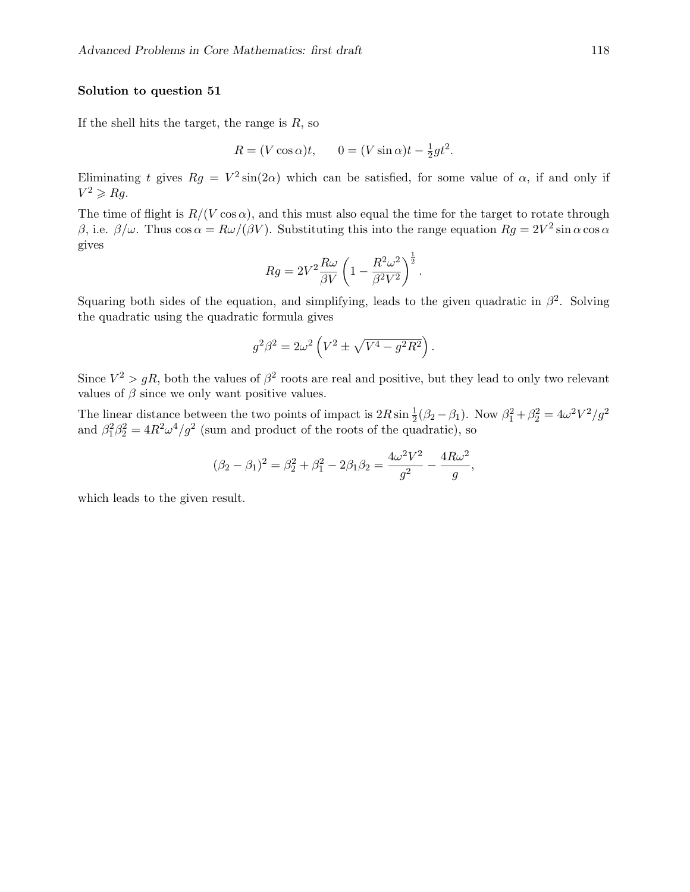If the shell hits the target, the range is  $R$ , so

$$
R = (V \cos \alpha)t, \qquad 0 = (V \sin \alpha)t - \frac{1}{2}gt^2.
$$

Eliminating t gives  $Rg = V^2 \sin(2\alpha)$  which can be satisfied, for some value of  $\alpha$ , if and only if  $V^2 \geqslant Rg$ .

The time of flight is  $R/(V \cos \alpha)$ , and this must also equal the time for the target to rotate through β, i.e.  $\beta/\omega$ . Thus  $\cos \alpha = R\omega/(\beta V)$ . Substituting this into the range equation  $Rg = 2V^2 \sin \alpha \cos \alpha$ gives

$$
Rg = 2V^2 \frac{R\omega}{\beta V} \left( 1 - \frac{R^2 \omega^2}{\beta^2 V^2} \right)^{\frac{1}{2}}.
$$

Squaring both sides of the equation, and simplifying, leads to the given quadratic in  $\beta^2$ . Solving the quadratic using the quadratic formula gives

$$
g^2\beta^2 = 2\omega^2 \left(V^2 \pm \sqrt{V^4 - g^2R^2}\right).
$$

Since  $V^2 > gR$ , both the values of  $\beta^2$  roots are real and positive, but they lead to only two relevant values of  $\beta$  since we only want positive values.

The linear distance between the two points of impact is  $2R\sin\frac{1}{2}(\beta_2-\beta_1)$ . Now  $\beta_1^2+\beta_2^2=4\omega^2V^2/g^2$ and  $\beta_1^2 \beta_2^2 = 4R^2 \omega^4/g^2$  (sum and product of the roots of the quadratic), so

$$
(\beta_2 - \beta_1)^2 = \beta_2^2 + \beta_1^2 - 2\beta_1\beta_2 = \frac{4\omega^2 V^2}{g^2} - \frac{4R\omega^2}{g}
$$

,

which leads to the given result.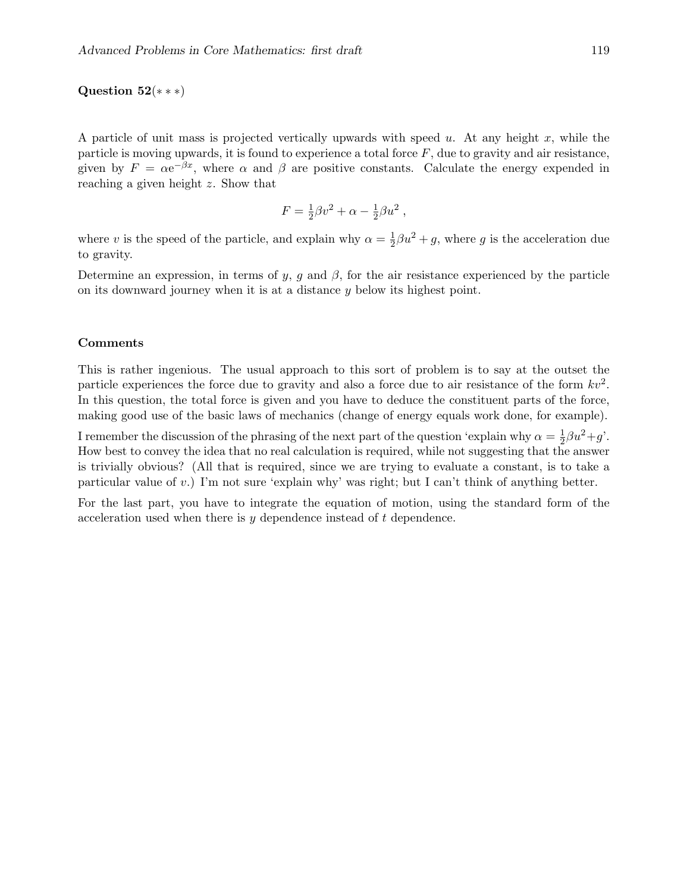# Question  $52(***)$

A particle of unit mass is projected vertically upwards with speed  $u$ . At any height  $x$ , while the particle is moving upwards, it is found to experience a total force  $F$ , due to gravity and air resistance, given by  $F = \alpha e^{-\beta x}$ , where  $\alpha$  and  $\beta$  are positive constants. Calculate the energy expended in reaching a given height z. Show that

$$
F = \frac{1}{2}\beta v^2 + \alpha - \frac{1}{2}\beta u^2 ,
$$

where v is the speed of the particle, and explain why  $\alpha = \frac{1}{2}$  $\frac{1}{2}\beta u^2 + g$ , where g is the acceleration due to gravity.

Determine an expression, in terms of y, q and  $\beta$ , for the air resistance experienced by the particle on its downward journey when it is at a distance y below its highest point.

## Comments

This is rather ingenious. The usual approach to this sort of problem is to say at the outset the particle experiences the force due to gravity and also a force due to air resistance of the form  $kv^2$ . In this question, the total force is given and you have to deduce the constituent parts of the force, making good use of the basic laws of mechanics (change of energy equals work done, for example).

I remember the discussion of the phrasing of the next part of the question 'explain why  $\alpha = \frac{1}{2}$  $\frac{1}{2}\beta u^2 + g'$ . How best to convey the idea that no real calculation is required, while not suggesting that the answer is trivially obvious? (All that is required, since we are trying to evaluate a constant, is to take a particular value of v.) I'm not sure 'explain why' was right; but I can't think of anything better.

For the last part, you have to integrate the equation of motion, using the standard form of the acceleration used when there is y dependence instead of t dependence.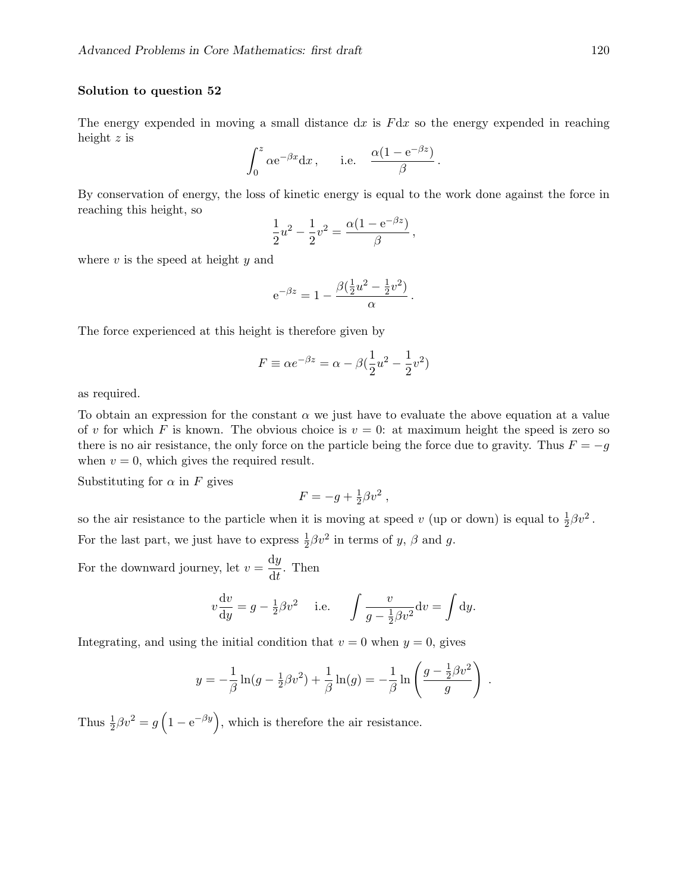The energy expended in moving a small distance  $dx$  is  $Fdx$  so the energy expended in reaching height z is

$$
\int_0^z \alpha e^{-\beta x} dx, \quad i.e. \quad \frac{\alpha (1 - e^{-\beta z})}{\beta}.
$$

By conservation of energy, the loss of kinetic energy is equal to the work done against the force in reaching this height, so

$$
\frac{1}{2}u^2 - \frac{1}{2}v^2 = \frac{\alpha(1 - e^{-\beta z})}{\beta},
$$

where  $v$  is the speed at height  $y$  and

$$
e^{-\beta z} = 1 - \frac{\beta(\frac{1}{2}u^2 - \frac{1}{2}v^2)}{\alpha}.
$$

The force experienced at this height is therefore given by

$$
F \equiv \alpha e^{-\beta z} = \alpha - \beta \left(\frac{1}{2}u^2 - \frac{1}{2}v^2\right)
$$

as required.

To obtain an expression for the constant  $\alpha$  we just have to evaluate the above equation at a value of v for which F is known. The obvious choice is  $v = 0$ : at maximum height the speed is zero so there is no air resistance, the only force on the particle being the force due to gravity. Thus  $F = -g$ when  $v = 0$ , which gives the required result.

Substituting for  $\alpha$  in F gives

$$
F = -g + \frac{1}{2}\beta v^2 ,
$$

so the air resistance to the particle when it is moving at speed v (up or down) is equal to  $\frac{1}{2}\beta v^2$ . For the last part, we just have to express  $\frac{1}{2}\beta v^2$  in terms of y,  $\beta$  and g.

For the downward journey, let  $v = \frac{dy}{dx}$  $\frac{dy}{dt}$ . Then

$$
v \frac{dv}{dy} = g - \frac{1}{2}\beta v^2
$$
 i.e.  $\int \frac{v}{g - \frac{1}{2}\beta v^2} dv = \int dy$ .

Integrating, and using the initial condition that  $v = 0$  when  $y = 0$ , gives

$$
y = -\frac{1}{\beta} \ln(g - \frac{1}{2}\beta v^2) + \frac{1}{\beta} \ln(g) = -\frac{1}{\beta} \ln\left(\frac{g - \frac{1}{2}\beta v^2}{g}\right).
$$

Thus  $\frac{1}{2}\beta v^2 = g\left(1 - e^{-\beta y}\right)$ , which is therefore the air resistance.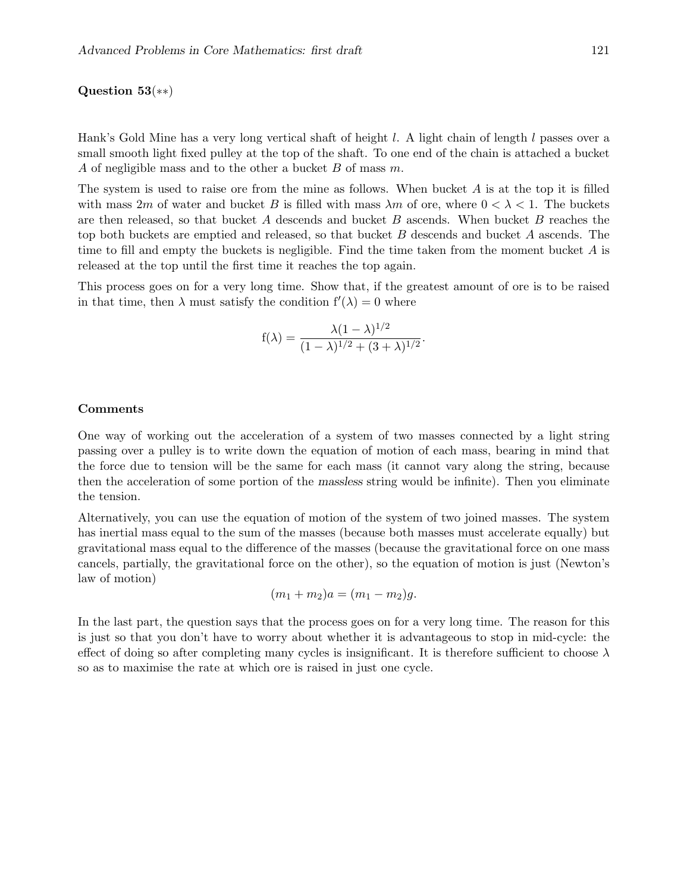# Question 53(∗∗)

Hank's Gold Mine has a very long vertical shaft of height  $l$ . A light chain of length  $l$  passes over a small smooth light fixed pulley at the top of the shaft. To one end of the chain is attached a bucket A of negligible mass and to the other a bucket B of mass m.

The system is used to raise ore from the mine as follows. When bucket  $A$  is at the top it is filled with mass 2m of water and bucket B is filled with mass  $\lambda m$  of ore, where  $0 < \lambda < 1$ . The buckets are then released, so that bucket A descends and bucket B ascends. When bucket B reaches the top both buckets are emptied and released, so that bucket  $B$  descends and bucket  $A$  ascends. The time to fill and empty the buckets is negligible. Find the time taken from the moment bucket  $A$  is released at the top until the first time it reaches the top again.

This process goes on for a very long time. Show that, if the greatest amount of ore is to be raised in that time, then  $\lambda$  must satisfy the condition  $f'(\lambda) = 0$  where

$$
f(\lambda) = \frac{\lambda (1 - \lambda)^{1/2}}{(1 - \lambda)^{1/2} + (3 + \lambda)^{1/2}}.
$$

### Comments

One way of working out the acceleration of a system of two masses connected by a light string passing over a pulley is to write down the equation of motion of each mass, bearing in mind that the force due to tension will be the same for each mass (it cannot vary along the string, because then the acceleration of some portion of the massless string would be infinite). Then you eliminate the tension.

Alternatively, you can use the equation of motion of the system of two joined masses. The system has inertial mass equal to the sum of the masses (because both masses must accelerate equally) but gravitational mass equal to the difference of the masses (because the gravitational force on one mass cancels, partially, the gravitational force on the other), so the equation of motion is just (Newton's law of motion)

$$
(m_1 + m_2)a = (m_1 - m_2)g.
$$

In the last part, the question says that the process goes on for a very long time. The reason for this is just so that you don't have to worry about whether it is advantageous to stop in mid-cycle: the effect of doing so after completing many cycles is insignificant. It is therefore sufficient to choose  $\lambda$ so as to maximise the rate at which ore is raised in just one cycle.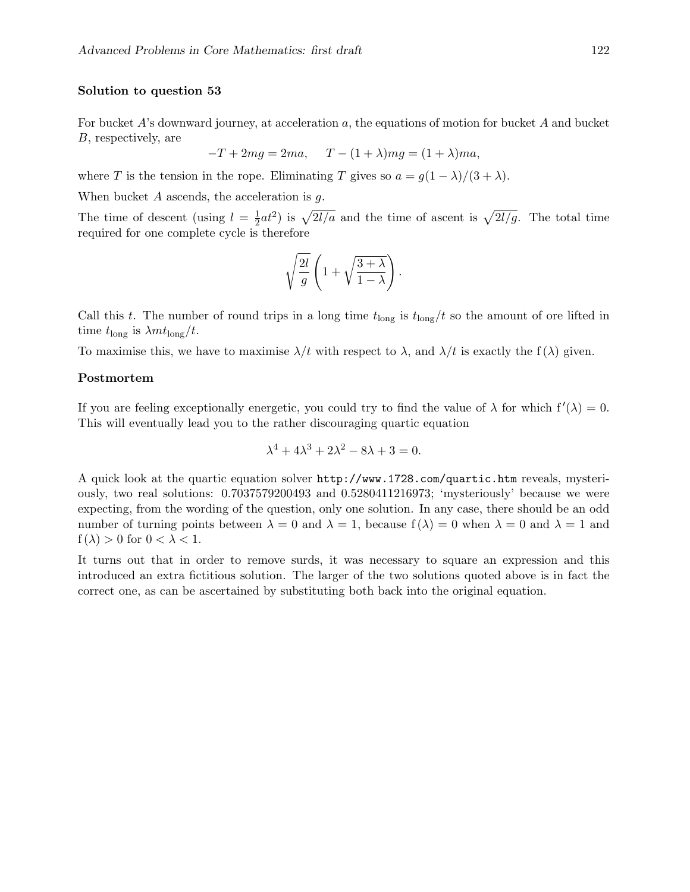For bucket  $A$ 's downward journey, at acceleration  $a$ , the equations of motion for bucket  $A$  and bucket B, respectively, are

$$
-T + 2mg = 2ma, \quad T - (1 + \lambda)mg = (1 + \lambda)ma,
$$

where T is the tension in the rope. Eliminating T gives so  $a = g(1 - \lambda)/(3 + \lambda)$ .

When bucket  $A$  ascends, the acceleration is  $q$ .

The time of descent (using  $l = \frac{1}{2}$ )  $\frac{1}{2}at^2$ ) is  $\sqrt{2l/a}$  and the time of ascent is  $\sqrt{2l/g}$ . The total time required for one complete cycle is therefore

$$
\sqrt{\frac{2l}{g}} \left( 1 + \sqrt{\frac{3+\lambda}{1-\lambda}} \right).
$$

Call this t. The number of round trips in a long time  $t_{\text{long}}$  is  $t_{\text{long}}/t$  so the amount of ore lifted in time  $t_{\text{long}}$  is  $\lambda m t_{\text{long}}/t$ .

To maximise this, we have to maximise  $\lambda/t$  with respect to  $\lambda$ , and  $\lambda/t$  is exactly the  $f(\lambda)$  given.

## Postmortem

If you are feeling exceptionally energetic, you could try to find the value of  $\lambda$  for which  $f'(\lambda) = 0$ . This will eventually lead you to the rather discouraging quartic equation

$$
\lambda^4 + 4\lambda^3 + 2\lambda^2 - 8\lambda + 3 = 0.
$$

A quick look at the quartic equation solver http://www.1728.com/quartic.htm reveals, mysteriously, two real solutions: 0.7037579200493 and 0.5280411216973; 'mysteriously' because we were expecting, from the wording of the question, only one solution. In any case, there should be an odd number of turning points between  $\lambda = 0$  and  $\lambda = 1$ , because  $f(\lambda) = 0$  when  $\lambda = 0$  and  $\lambda = 1$  and  $f(\lambda) > 0$  for  $0 < \lambda < 1$ .

It turns out that in order to remove surds, it was necessary to square an expression and this introduced an extra fictitious solution. The larger of the two solutions quoted above is in fact the correct one, as can be ascertained by substituting both back into the original equation.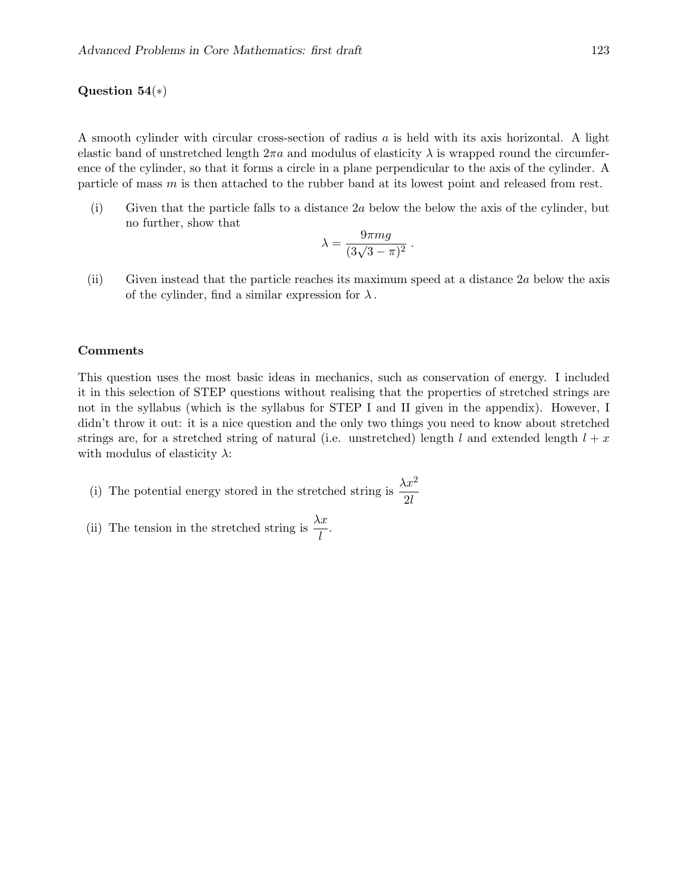## Question 54(∗)

A smooth cylinder with circular cross-section of radius  $a$  is held with its axis horizontal. A light elastic band of unstretched length  $2\pi a$  and modulus of elasticity  $\lambda$  is wrapped round the circumference of the cylinder, so that it forms a circle in a plane perpendicular to the axis of the cylinder. A particle of mass  $m$  is then attached to the rubber band at its lowest point and released from rest.

(i) Given that the particle falls to a distance  $2a$  below the below the axis of the cylinder, but no further, show that

$$
\lambda = \frac{9\pi mg}{(3\sqrt{3} - \pi)^2} \ .
$$

(ii) Given instead that the particle reaches its maximum speed at a distance 2a below the axis of the cylinder, find a similar expression for  $\lambda$ .

### Comments

This question uses the most basic ideas in mechanics, such as conservation of energy. I included it in this selection of STEP questions without realising that the properties of stretched strings are not in the syllabus (which is the syllabus for STEP I and II given in the appendix). However, I didn't throw it out: it is a nice question and the only two things you need to know about stretched strings are, for a stretched string of natural (i.e. unstretched) length l and extended length  $l + x$ with modulus of elasticity  $\lambda$ :

- (i) The potential energy stored in the stretched string is  $\frac{\lambda x^2}{2l}$
- (ii) The tension in the stretched string is  $\frac{\lambda x}{l}$ .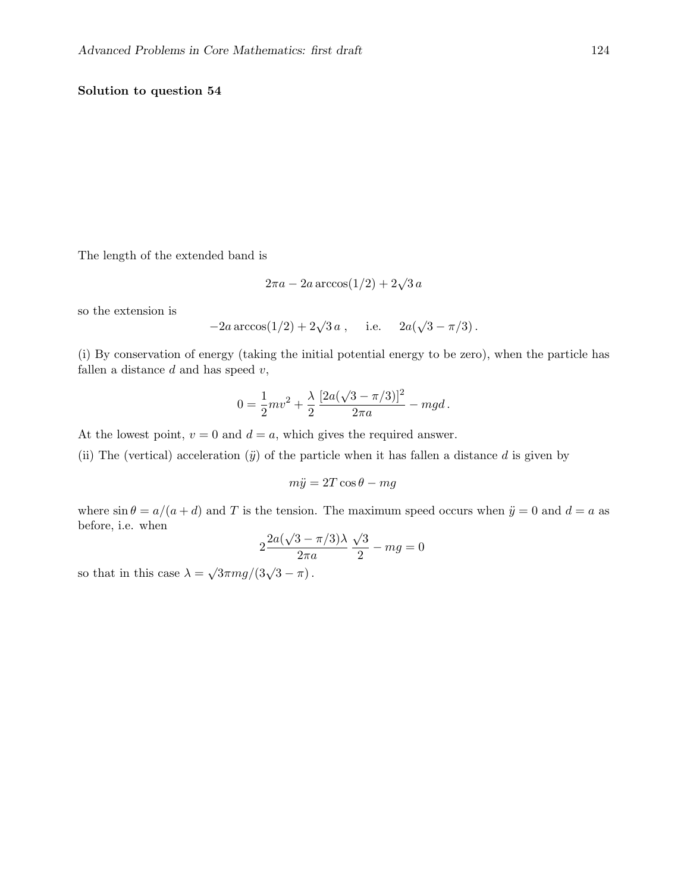The length of the extended band is

$$
2\pi a - 2a \arccos(1/2) + 2\sqrt{3} a
$$

so the extension is

$$
-2a \arccos(1/2) + 2\sqrt{3}a
$$
, i.e.  $2a(\sqrt{3} - \pi/3)$ .

(i) By conservation of energy (taking the initial potential energy to be zero), when the particle has fallen a distance  $d$  and has speed  $v$ ,

$$
0 = \frac{1}{2}mv^2 + \frac{\lambda}{2} \frac{[2a(\sqrt{3} - \pi/3)]^2}{2\pi a} - mgd.
$$

At the lowest point,  $v = 0$  and  $d = a$ , which gives the required answer.

(ii) The (vertical) acceleration  $(\ddot{y})$  of the particle when it has fallen a distance d is given by

$$
m\ddot{y} = 2T\cos\theta - mg
$$

where  $\sin \theta = a/(a+d)$  and T is the tension. The maximum speed occurs when  $\ddot{y} = 0$  and  $d = a$  as before, i.e. when √ √

$$
2\frac{2a(\sqrt{3}-\pi/3)\lambda}{2\pi a}\frac{\sqrt{3}}{2}-mg=0
$$

so that in this case  $\lambda = \sqrt{3\pi mg/(3\sqrt{3}-\pi)}$ .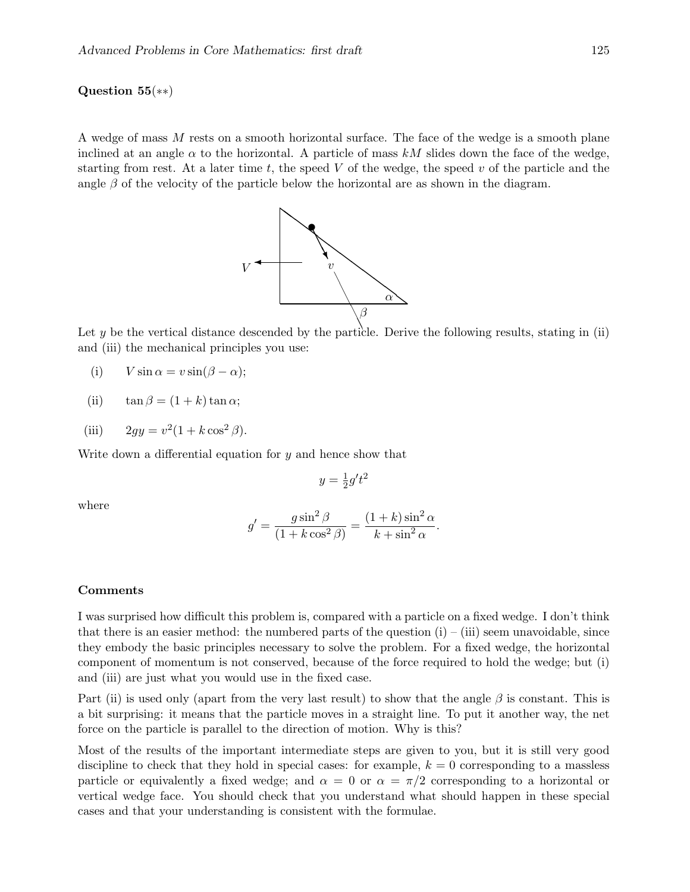## Question 55(∗∗)

A wedge of mass M rests on a smooth horizontal surface. The face of the wedge is a smooth plane inclined at an angle  $\alpha$  to the horizontal. A particle of mass kM slides down the face of the wedge, starting from rest. At a later time t, the speed V of the wedge, the speed v of the particle and the angle  $\beta$  of the velocity of the particle below the horizontal are as shown in the diagram.



Let  $y$  be the vertical distance descended by the particle. Derive the following results, stating in (ii) and (iii) the mechanical principles you use:

- (i)  $V \sin \alpha = v \sin(\beta \alpha);$
- (ii)  $\tan \beta = (1 + k) \tan \alpha$ ;
- (iii)  $2gy = v^2(1 + k \cos^2 \beta).$

Write down a differential equation for  $y$  and hence show that

$$
y = \frac{1}{2}g't^2
$$

where

$$
g' = \frac{g \sin^2 \beta}{(1 + k \cos^2 \beta)} = \frac{(1 + k) \sin^2 \alpha}{k + \sin^2 \alpha}.
$$

#### Comments

I was surprised how difficult this problem is, compared with a particle on a fixed wedge. I don't think that there is an easier method: the numbered parts of the question  $(i) - (iii)$  seem unavoidable, since they embody the basic principles necessary to solve the problem. For a fixed wedge, the horizontal component of momentum is not conserved, because of the force required to hold the wedge; but (i) and (iii) are just what you would use in the fixed case.

Part (ii) is used only (apart from the very last result) to show that the angle  $\beta$  is constant. This is a bit surprising: it means that the particle moves in a straight line. To put it another way, the net force on the particle is parallel to the direction of motion. Why is this?

Most of the results of the important intermediate steps are given to you, but it is still very good discipline to check that they hold in special cases: for example,  $k = 0$  corresponding to a massless particle or equivalently a fixed wedge; and  $\alpha = 0$  or  $\alpha = \pi/2$  corresponding to a horizontal or vertical wedge face. You should check that you understand what should happen in these special cases and that your understanding is consistent with the formulae.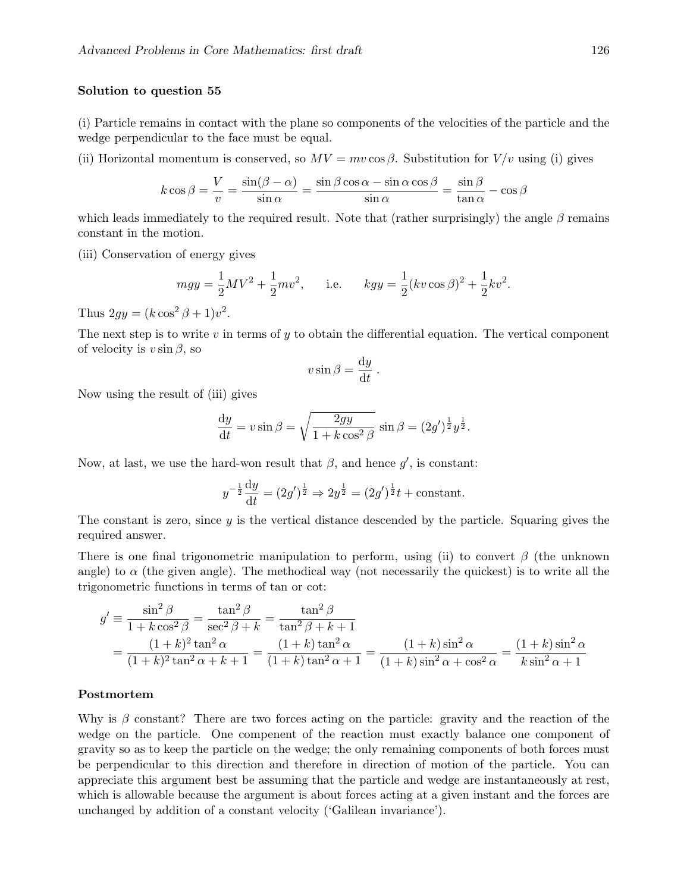(i) Particle remains in contact with the plane so components of the velocities of the particle and the wedge perpendicular to the face must be equal.

(ii) Horizontal momentum is conserved, so  $MV = mv \cos \beta$ . Substitution for  $V/v$  using (i) gives

$$
k \cos \beta = \frac{V}{v} = \frac{\sin(\beta - \alpha)}{\sin \alpha} = \frac{\sin \beta \cos \alpha - \sin \alpha \cos \beta}{\sin \alpha} = \frac{\sin \beta}{\tan \alpha} - \cos \beta
$$

which leads immediately to the required result. Note that (rather surprisingly) the angle  $\beta$  remains constant in the motion.

(iii) Conservation of energy gives

$$
mgy = \frac{1}{2}MV^2 + \frac{1}{2}mv^2, \quad \text{i.e.} \quad kyy = \frac{1}{2}(kv\cos\beta)^2 + \frac{1}{2}kv^2.
$$

Thus  $2gy = (k \cos^2 \beta + 1)v^2$ .

The next step is to write  $v$  in terms of  $y$  to obtain the differential equation. The vertical component of velocity is  $v \sin \beta$ , so

$$
v\sin\beta = \frac{\mathrm{d}y}{\mathrm{d}t}.
$$

Now using the result of (iii) gives

$$
\frac{\mathrm{d}y}{\mathrm{d}t} = v \sin \beta = \sqrt{\frac{2gy}{1 + k \cos^2 \beta}} \sin \beta = (2g')^{\frac{1}{2}} y^{\frac{1}{2}}.
$$

Now, at last, we use the hard-won result that  $\beta$ , and hence  $g'$ , is constant:

$$
y^{-\frac{1}{2}}\frac{dy}{dt} = (2g')^{\frac{1}{2}} \Rightarrow 2y^{\frac{1}{2}} = (2g')^{\frac{1}{2}}t + \text{constant}.
$$

The constant is zero, since  $y$  is the vertical distance descended by the particle. Squaring gives the required answer.

There is one final trigonometric manipulation to perform, using (ii) to convert  $\beta$  (the unknown angle) to  $\alpha$  (the given angle). The methodical way (not necessarily the quickest) is to write all the trigonometric functions in terms of tan or cot:

$$
g' = \frac{\sin^2 \beta}{1 + k \cos^2 \beta} = \frac{\tan^2 \beta}{\sec^2 \beta + k} = \frac{\tan^2 \beta}{\tan^2 \beta + k + 1}
$$
  
=  $\frac{(1 + k)^2 \tan^2 \alpha}{(1 + k)^2 \tan^2 \alpha + k + 1} = \frac{(1 + k) \tan^2 \alpha}{(1 + k) \tan^2 \alpha + 1} = \frac{(1 + k) \sin^2 \alpha}{(1 + k) \sin^2 \alpha + \cos^2 \alpha} = \frac{(1 + k) \sin^2 \alpha}{k \sin^2 \alpha + 1}$ 

# Postmortem

Why is  $\beta$  constant? There are two forces acting on the particle: gravity and the reaction of the wedge on the particle. One compenent of the reaction must exactly balance one component of gravity so as to keep the particle on the wedge; the only remaining components of both forces must be perpendicular to this direction and therefore in direction of motion of the particle. You can appreciate this argument best be assuming that the particle and wedge are instantaneously at rest, which is allowable because the argument is about forces acting at a given instant and the forces are unchanged by addition of a constant velocity ('Galilean invariance').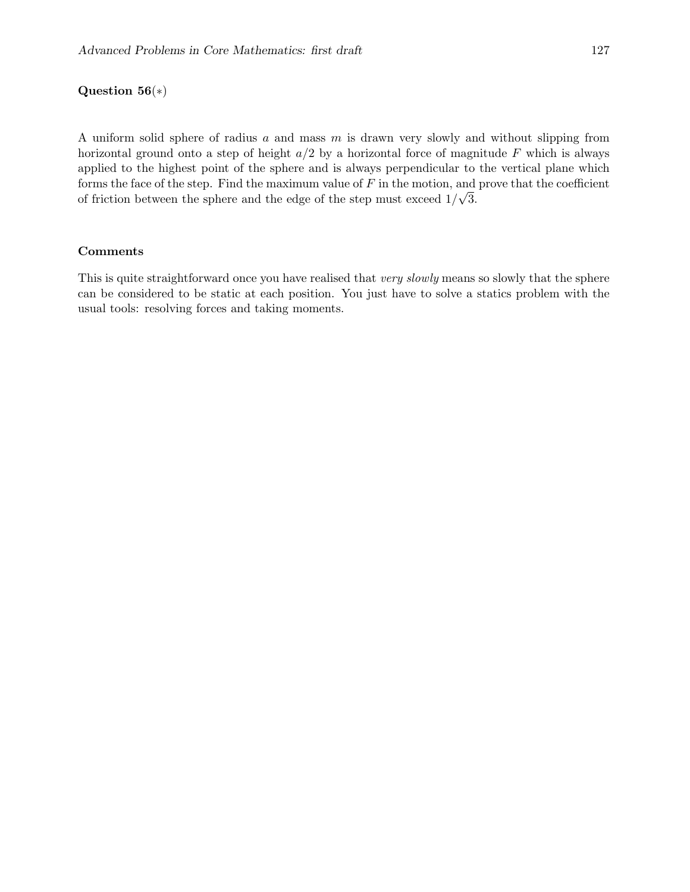# Question 56(∗)

A uniform solid sphere of radius  $a$  and mass  $m$  is drawn very slowly and without slipping from horizontal ground onto a step of height  $a/2$  by a horizontal force of magnitude F which is always applied to the highest point of the sphere and is always perpendicular to the vertical plane which forms the face of the step. Find the maximum value of F in the motion, and prove that the coefficient of friction between the sphere and the edge of the step must exceed  $1/\sqrt{3}$ .

## Comments

This is quite straightforward once you have realised that very slowly means so slowly that the sphere can be considered to be static at each position. You just have to solve a statics problem with the usual tools: resolving forces and taking moments.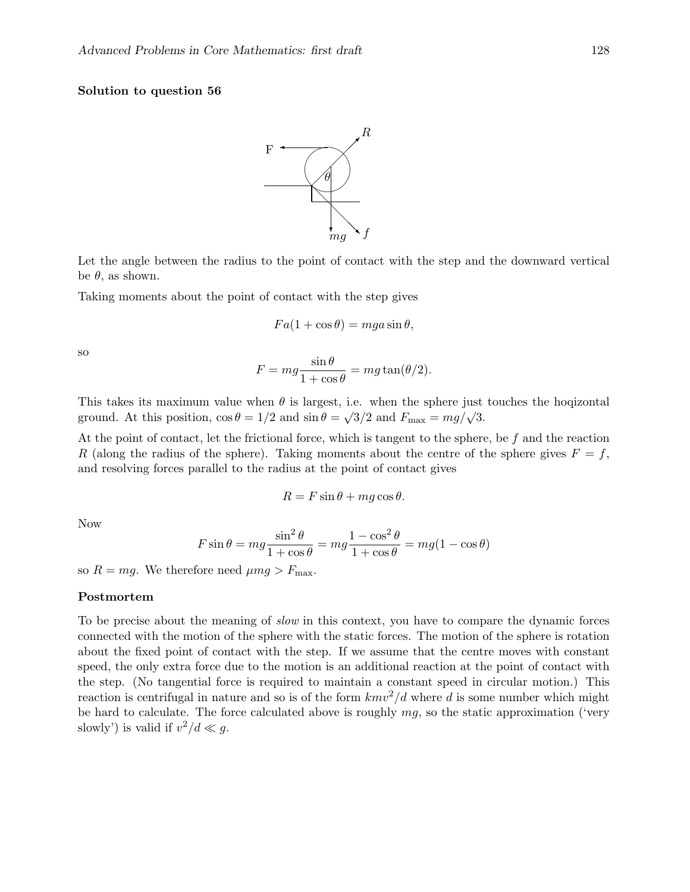

Let the angle between the radius to the point of contact with the step and the downward vertical be  $\theta$ , as shown.

Taking moments about the point of contact with the step gives

$$
Fa(1+\cos\theta) = mga\sin\theta,
$$

so

$$
F = mg \frac{\sin \theta}{1 + \cos \theta} = mg \tan(\theta/2).
$$

This takes its maximum value when  $\theta$  is largest, i.e. when the sphere just touches the hoqizontal ground. At this position,  $\cos \theta = 1/2$  and  $\sin \theta = \sqrt{3}/2$  and  $F_{\text{max}} = mg/\sqrt{3}$ .

At the point of contact, let the frictional force, which is tangent to the sphere, be  $f$  and the reaction R (along the radius of the sphere). Taking moments about the centre of the sphere gives  $F = f$ , and resolving forces parallel to the radius at the point of contact gives

$$
R = F\sin\theta + mg\cos\theta.
$$

Now

$$
F\sin\theta = mg\frac{\sin^2\theta}{1+\cos\theta} = mg\frac{1-\cos^2\theta}{1+\cos\theta} = mg(1-\cos\theta)
$$

so  $R = mg$ . We therefore need  $\mu mg > F_{\text{max}}$ .

### Postmortem

To be precise about the meaning of *slow* in this context, you have to compare the dynamic forces connected with the motion of the sphere with the static forces. The motion of the sphere is rotation about the fixed point of contact with the step. If we assume that the centre moves with constant speed, the only extra force due to the motion is an additional reaction at the point of contact with the step. (No tangential force is required to maintain a constant speed in circular motion.) This reaction is centrifugal in nature and so is of the form  $kmv^2/d$  where d is some number which might be hard to calculate. The force calculated above is roughly  $mg$ , so the static approximation ('very slowly') is valid if  $v^2/d \ll g$ .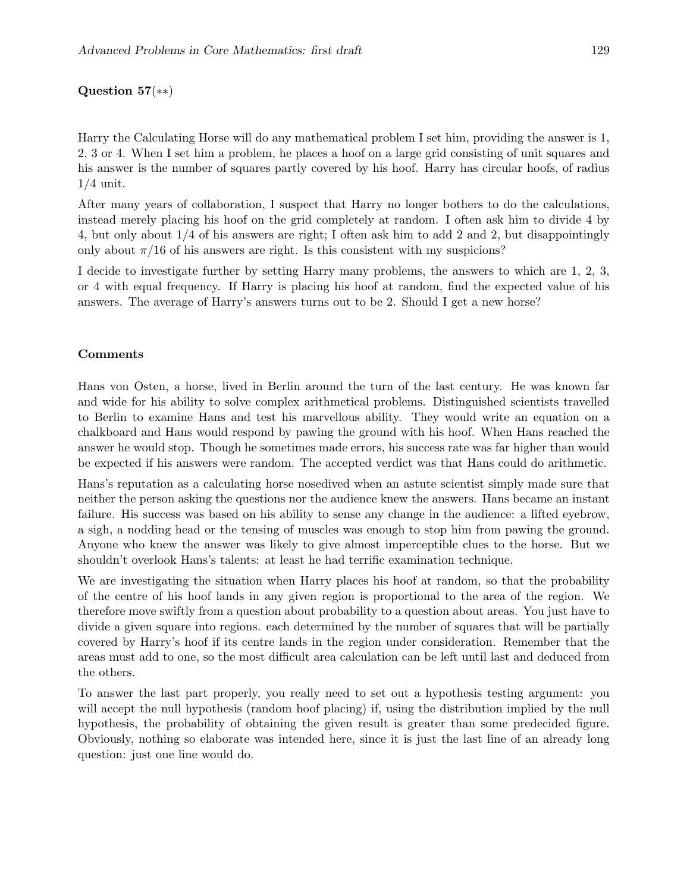# Question 57(∗∗)

Harry the Calculating Horse will do any mathematical problem I set him, providing the answer is 1, 2, 3 or 4. When I set him a problem, he places a hoof on a large grid consisting of unit squares and his answer is the number of squares partly covered by his hoof. Harry has circular hoofs, of radius 1/4 unit.

After many years of collaboration, I suspect that Harry no longer bothers to do the calculations, instead merely placing his hoof on the grid completely at random. I often ask him to divide 4 by 4, but only about 1/4 of his answers are right; I often ask him to add 2 and 2, but disappointingly only about  $\pi/16$  of his answers are right. Is this consistent with my suspicions?

I decide to investigate further by setting Harry many problems, the answers to which are 1, 2, 3, or 4 with equal frequency. If Harry is placing his hoof at random, find the expected value of his answers. The average of Harry's answers turns out to be 2. Should I get a new horse?

# Comments

Hans von Osten, a horse, lived in Berlin around the turn of the last century. He was known far and wide for his ability to solve complex arithmetical problems. Distinguished scientists travelled to Berlin to examine Hans and test his marvellous ability. They would write an equation on a chalkboard and Hans would respond by pawing the ground with his hoof. When Hans reached the answer he would stop. Though he sometimes made errors, his success rate was far higher than would be expected if his answers were random. The accepted verdict was that Hans could do arithmetic.

Hans's reputation as a calculating horse nosedived when an astute scientist simply made sure that neither the person asking the questions nor the audience knew the answers. Hans became an instant failure. His success was based on his ability to sense any change in the audience: a lifted eyebrow, a sigh, a nodding head or the tensing of muscles was enough to stop him from pawing the ground. Anyone who knew the answer was likely to give almost imperceptible clues to the horse. But we shouldn't overlook Hans's talents: at least he had terrific examination technique.

We are investigating the situation when Harry places his hoof at random, so that the probability of the centre of his hoof lands in any given region is proportional to the area of the region. We therefore move swiftly from a question about probability to a question about areas. You just have to divide a given square into regions. each determined by the number of squares that will be partially covered by Harry's hoof if its centre lands in the region under consideration. Remember that the areas must add to one, so the most difficult area calculation can be left until last and deduced from the others.

To answer the last part properly, you really need to set out a hypothesis testing argument: you will accept the null hypothesis (random hoof placing) if, using the distribution implied by the null hypothesis, the probability of obtaining the given result is greater than some predecided figure. Obviously, nothing so elaborate was intended here, since it is just the last line of an already long question: just one line would do.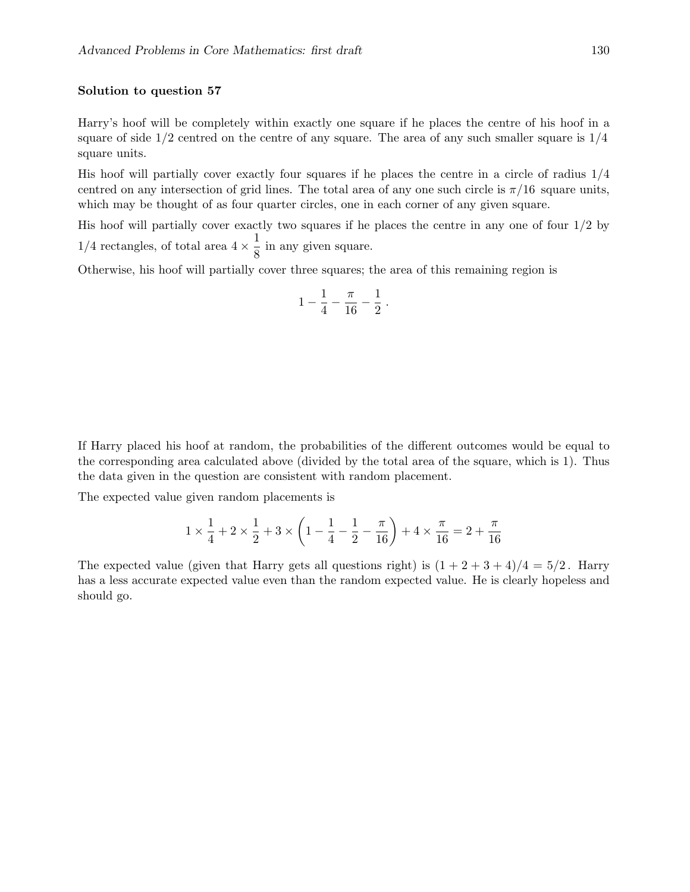Harry's hoof will be completely within exactly one square if he places the centre of his hoof in a square of side  $1/2$  centred on the centre of any square. The area of any such smaller square is  $1/4$ square units.

His hoof will partially cover exactly four squares if he places the centre in a circle of radius 1/4 centred on any intersection of grid lines. The total area of any one such circle is  $\pi/16$  square units, which may be thought of as four quarter circles, one in each corner of any given square.

His hoof will partially cover exactly two squares if he places the centre in any one of four 1/2 by 1/4 rectangles, of total area  $4 \times \frac{1}{2}$  $\frac{1}{8}$  in any given square.

Otherwise, his hoof will partially cover three squares; the area of this remaining region is

$$
1 - \frac{1}{4} - \frac{\pi}{16} - \frac{1}{2} \; .
$$

If Harry placed his hoof at random, the probabilities of the different outcomes would be equal to the corresponding area calculated above (divided by the total area of the square, which is 1). Thus the data given in the question are consistent with random placement.

The expected value given random placements is

$$
1 \times \frac{1}{4} + 2 \times \frac{1}{2} + 3 \times \left(1 - \frac{1}{4} - \frac{1}{2} - \frac{\pi}{16}\right) + 4 \times \frac{\pi}{16} = 2 + \frac{\pi}{16}
$$

The expected value (given that Harry gets all questions right) is  $(1 + 2 + 3 + 4)/4 = 5/2$ . Harry has a less accurate expected value even than the random expected value. He is clearly hopeless and should go.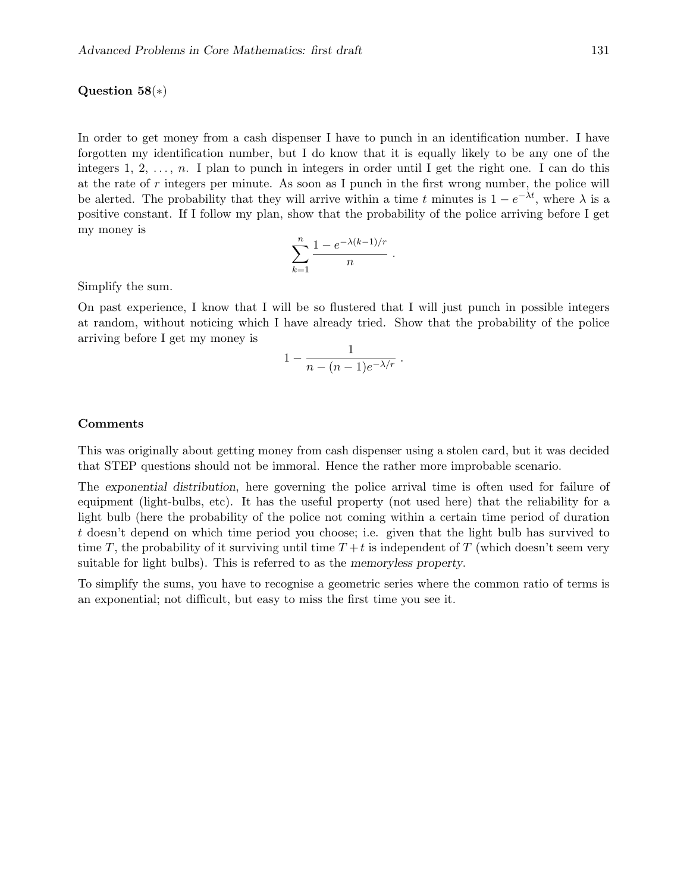## Question  $58(*)$

In order to get money from a cash dispenser I have to punch in an identification number. I have forgotten my identification number, but I do know that it is equally likely to be any one of the integers 1, 2,  $\ldots$ , n. I plan to punch in integers in order until I get the right one. I can do this at the rate of r integers per minute. As soon as I punch in the first wrong number, the police will be alerted. The probability that they will arrive within a time t minutes is  $1 - e^{-\lambda t}$ , where  $\lambda$  is a positive constant. If I follow my plan, show that the probability of the police arriving before I get my money is

$$
\sum_{k=1}^n \frac{1-e^{-\lambda(k-1)/r}}{n}.
$$

Simplify the sum.

On past experience, I know that I will be so flustered that I will just punch in possible integers at random, without noticing which I have already tried. Show that the probability of the police arriving before I get my money is

$$
1-\frac{1}{n-(n-1)e^{-\lambda/r}}.
$$

#### Comments

This was originally about getting money from cash dispenser using a stolen card, but it was decided that STEP questions should not be immoral. Hence the rather more improbable scenario.

The exponential distribution, here governing the police arrival time is often used for failure of equipment (light-bulbs, etc). It has the useful property (not used here) that the reliability for a light bulb (here the probability of the police not coming within a certain time period of duration t doesn't depend on which time period you choose; i.e. given that the light bulb has survived to time T, the probability of it surviving until time  $T + t$  is independent of T (which doesn't seem very suitable for light bulbs). This is referred to as the memoryless property.

To simplify the sums, you have to recognise a geometric series where the common ratio of terms is an exponential; not difficult, but easy to miss the first time you see it.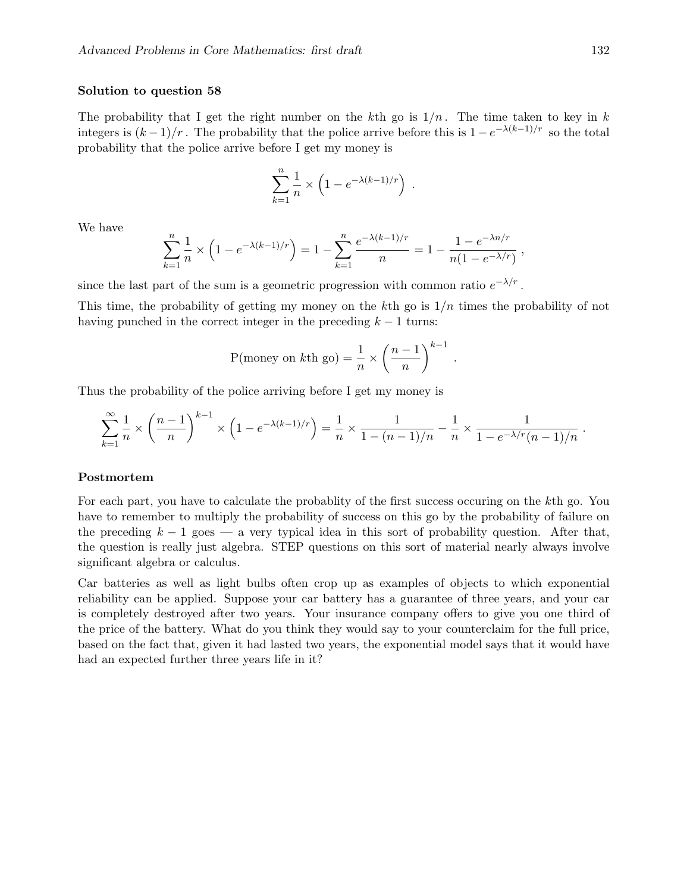The probability that I get the right number on the kth go is  $1/n$ . The time taken to key in k integers is  $(k-1)/r$ . The probability that the police arrive before this is  $1-e^{-\lambda(k-1)/r}$  so the total probability that the police arrive before I get my money is

$$
\sum_{k=1}^{n} \frac{1}{n} \times \left(1 - e^{-\lambda (k-1)/r}\right) .
$$

We have

$$
\sum_{k=1}^{n} \frac{1}{n} \times \left(1 - e^{-\lambda (k-1)/r}\right) = 1 - \sum_{k=1}^{n} \frac{e^{-\lambda (k-1)/r}}{n} = 1 - \frac{1 - e^{-\lambda n/r}}{n(1 - e^{-\lambda/r})},
$$

since the last part of the sum is a geometric progression with common ratio  $e^{-\lambda/r}$ .

This time, the probability of getting my money on the kth go is  $1/n$  times the probability of not having punched in the correct integer in the preceding  $k - 1$  turns:

P(money on kth go) = 
$$
\frac{1}{n} \times \left(\frac{n-1}{n}\right)^{k-1}
$$

.

Thus the probability of the police arriving before I get my money is

$$
\sum_{k=1}^{\infty} \frac{1}{n} \times \left(\frac{n-1}{n}\right)^{k-1} \times \left(1 - e^{-\lambda (k-1)/r}\right) = \frac{1}{n} \times \frac{1}{1 - (n-1)/n} - \frac{1}{n} \times \frac{1}{1 - e^{-\lambda/r} (n-1)/n}.
$$

### Postmortem

For each part, you have to calculate the probablity of the first success occuring on the kth go. You have to remember to multiply the probability of success on this go by the probability of failure on the preceding  $k - 1$  goes — a very typical idea in this sort of probability question. After that, the question is really just algebra. STEP questions on this sort of material nearly always involve significant algebra or calculus.

Car batteries as well as light bulbs often crop up as examples of objects to which exponential reliability can be applied. Suppose your car battery has a guarantee of three years, and your car is completely destroyed after two years. Your insurance company offers to give you one third of the price of the battery. What do you think they would say to your counterclaim for the full price, based on the fact that, given it had lasted two years, the exponential model says that it would have had an expected further three years life in it?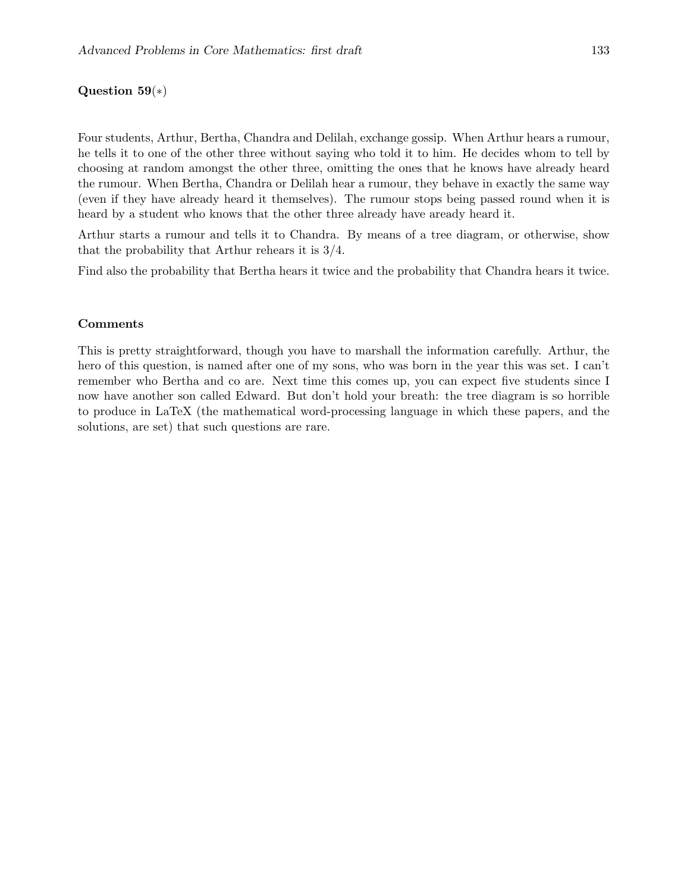# Question  $59(*)$

Four students, Arthur, Bertha, Chandra and Delilah, exchange gossip. When Arthur hears a rumour, he tells it to one of the other three without saying who told it to him. He decides whom to tell by choosing at random amongst the other three, omitting the ones that he knows have already heard the rumour. When Bertha, Chandra or Delilah hear a rumour, they behave in exactly the same way (even if they have already heard it themselves). The rumour stops being passed round when it is heard by a student who knows that the other three already have aready heard it.

Arthur starts a rumour and tells it to Chandra. By means of a tree diagram, or otherwise, show that the probability that Arthur rehears it is 3/4.

Find also the probability that Bertha hears it twice and the probability that Chandra hears it twice.

# Comments

This is pretty straightforward, though you have to marshall the information carefully. Arthur, the hero of this question, is named after one of my sons, who was born in the year this was set. I can't remember who Bertha and co are. Next time this comes up, you can expect five students since I now have another son called Edward. But don't hold your breath: the tree diagram is so horrible to produce in LaTeX (the mathematical word-processing language in which these papers, and the solutions, are set) that such questions are rare.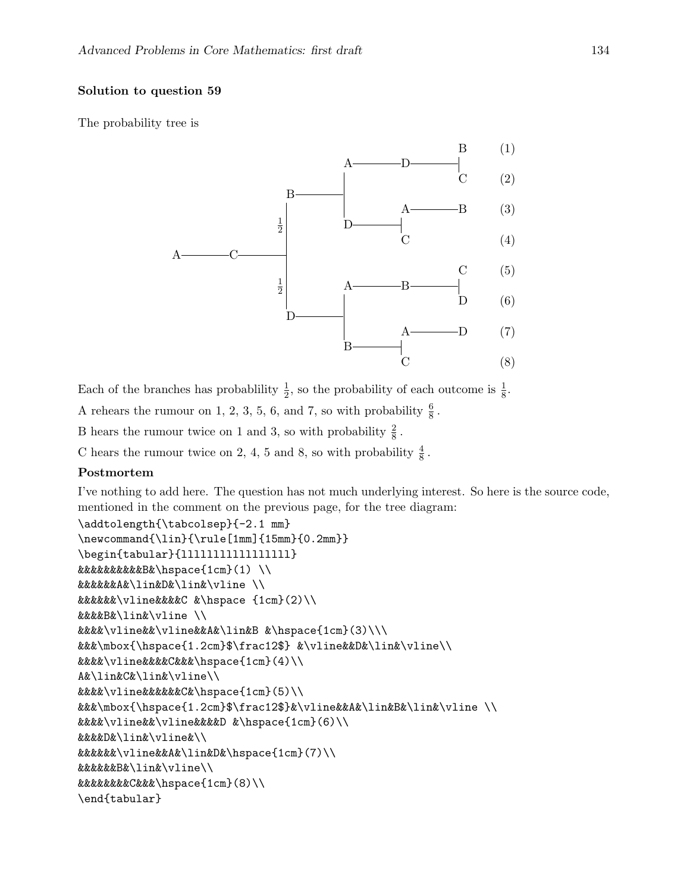The probability tree is



Each of the branches has probability  $\frac{1}{2}$ , so the probability of each outcome is  $\frac{1}{8}$ .

A rehears the rumour on 1, 2, 3, 5, 6, and 7, so with probability  $\frac{6}{8}$ .

B hears the rumour twice on 1 and 3, so with probability  $\frac{2}{8}$ .

C hears the rumour twice on 2, 4, 5 and 8, so with probability  $\frac{4}{8}$ .

## Postmortem

I've nothing to add here. The question has not much underlying interest. So here is the source code, mentioned in the comment on the previous page, for the tree diagram:

```
\addtolength{\tabcolsep}{-2.1 mm}
\newcommand{\\lin}_{\rule{0pt}{11pt}\n| \newcommand{\lin}{\rule[1mm]{15mm}{0.2mm}}
\begin{tabular}{11111111111111111111}
&&&&&&&&&&B&\hspace{1cm}(1) \\
&&&&&&A&\lin&D&\lin&\vline \\
&&&&&&\vline&&&&C &\hspace {1cm}(2)\\
&&&&B&\lin&\vline \\
&&&&\vline&&\vline&&A&\lin&B &\hspace{1cm}(3)\\\
&&&\mbox{\hspace{1.2cm}$\frac12$} &\vline&&D&\lin&\vline\\
&&&&\vline&&&&C&&&\hspace{1cm}(4)\\
A&\lin&C&\lin&\vline\\
&&&&\vline&&&&&&C&\hspace{1cm}(5)\\
&&&\mbox{\hspace{1.2cm}$\frac12$}&\vline&&A&\lin&B&\lin&\vline \\
&&&&\vline&&\vline&&&&D &\hspace{1cm}(6)\\
&&&&D&\lin&\vline&\\
&&&&&&\vline&&A&\lin&D&\hspace{1cm}(7)\\
&&&&&&B&\lin&\vline\\
&&&&&&&&C&&&\hspace{1cm}(8)\\
\end{tabular}
```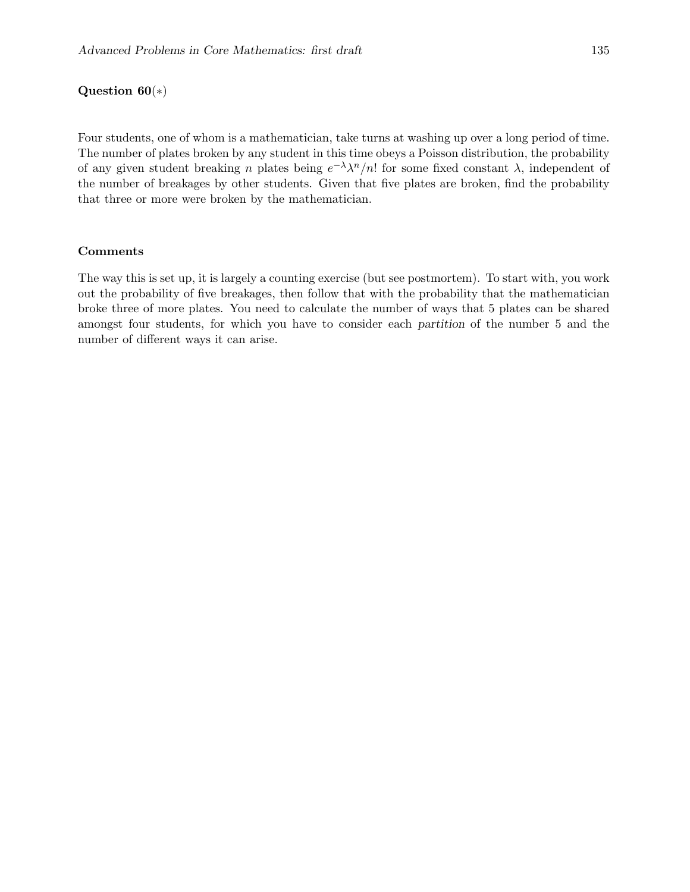# Question 60(∗)

Four students, one of whom is a mathematician, take turns at washing up over a long period of time. The number of plates broken by any student in this time obeys a Poisson distribution, the probability of any given student breaking n plates being  $e^{-\lambda} \lambda^n/n!$  for some fixed constant  $\lambda$ , independent of the number of breakages by other students. Given that five plates are broken, find the probability that three or more were broken by the mathematician.

### Comments

The way this is set up, it is largely a counting exercise (but see postmortem). To start with, you work out the probability of five breakages, then follow that with the probability that the mathematician broke three of more plates. You need to calculate the number of ways that 5 plates can be shared amongst four students, for which you have to consider each partition of the number 5 and the number of different ways it can arise.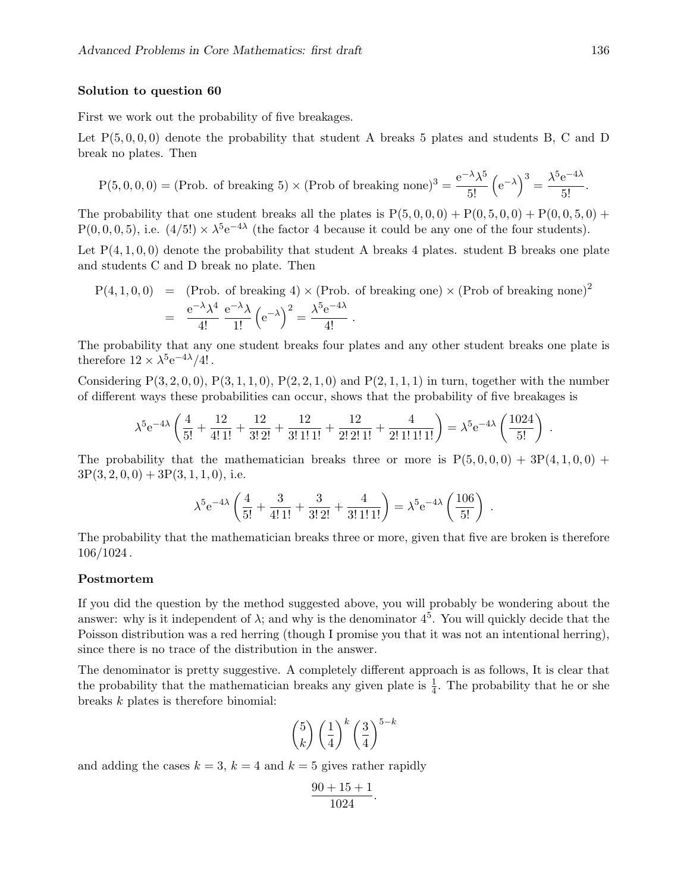First we work out the probability of five breakages.

Let  $P(5, 0, 0, 0)$  denote the probability that student A breaks 5 plates and students B, C and D break no plates. Then

$$
P(5,0,0,0) = (\text{Prob. of breaking } 5) \times (\text{Prob of breaking none})^3 = \frac{e^{-\lambda} \lambda^5}{5!} \left(e^{-\lambda}\right)^3 = \frac{\lambda^5 e^{-4\lambda}}{5!}.
$$

The probability that one student breaks all the plates is  $P(5, 0, 0, 0) + P(0, 5, 0, 0) + P(0, 0, 5, 0) +$  $P(0, 0, 0, 5)$ , i.e.  $(4/5!) \times \lambda^{5} e^{-4\lambda}$  (the factor 4 because it could be any one of the four students).

Let  $P(4, 1, 0, 0)$  denote the probability that student A breaks 4 plates. student B breaks one plate and students C and D break no plate. Then

$$
P(4, 1, 0, 0) = (Prob. of breaking 4) \times (Prob. of breaking one) \times (Prob of breaking none)2
$$
  
= 
$$
\frac{e^{-\lambda} \lambda^4}{4!} \frac{e^{-\lambda} \lambda}{1!} (e^{-\lambda})^2 = \frac{\lambda^5 e^{-4\lambda}}{4!}.
$$

The probability that any one student breaks four plates and any other student breaks one plate is therefore  $12 \times \lambda^{5} e^{-4\lambda}/4!$ .

Considering  $P(3, 2, 0, 0)$ ,  $P(3, 1, 1, 0)$ ,  $P(2, 2, 1, 0)$  and  $P(2, 1, 1, 1)$  in turn, together with the number of different ways these probabilities can occur, shows that the probability of five breakages is

$$
\lambda^5 e^{-4\lambda} \left( \frac{4}{5!} + \frac{12}{4! \, 1!} + \frac{12}{3! \, 2!} + \frac{12}{3! \, 1! \, 1!} + \frac{12}{2! \, 2! \, 1!} + \frac{4}{2! \, 1! \, 1! \, 1!} \right) = \lambda^5 e^{-4\lambda} \left( \frac{1024}{5!} \right) \; .
$$

The probability that the mathematician breaks three or more is  $P(5, 0, 0, 0) + 3P(4, 1, 0, 0) +$  $3P(3, 2, 0, 0) + 3P(3, 1, 1, 0),$  i.e.

$$
\lambda^5 e^{-4\lambda} \left( \frac{4}{5!} + \frac{3}{4! \, 1!} + \frac{3}{3! \, 2!} + \frac{4}{3! \, 1! \, 1!} \right) = \lambda^5 e^{-4\lambda} \left( \frac{106}{5!} \right) \; .
$$

The probability that the mathematician breaks three or more, given that five are broken is therefore 106/1024 .

### Postmortem

If you did the question by the method suggested above, you will probably be wondering about the answer: why is it independent of  $\lambda$ ; and why is the denominator  $4^5$ . You will quickly decide that the Poisson distribution was a red herring (though I promise you that it was not an intentional herring), since there is no trace of the distribution in the answer.

The denominator is pretty suggestive. A completely different approach is as follows, It is clear that the probability that the mathematician breaks any given plate is  $\frac{1}{4}$ . The probability that he or she breaks k plates is therefore binomial:

$$
\binom{5}{k} \left(\frac{1}{4}\right)^k \left(\frac{3}{4}\right)^{5-k}
$$

and adding the cases  $k = 3$ ,  $k = 4$  and  $k = 5$  gives rather rapidly

$$
\frac{90+15+1}{1024}.
$$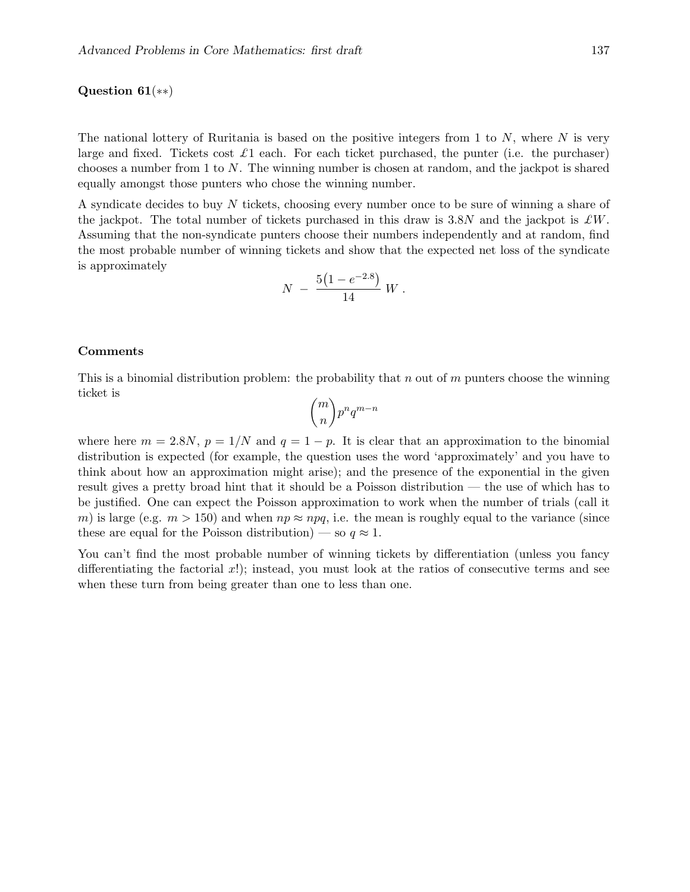# Question 61(∗∗)

The national lottery of Ruritania is based on the positive integers from 1 to  $N$ , where  $N$  is very large and fixed. Tickets cost  $\pounds 1$  each. For each ticket purchased, the punter (i.e. the purchaser) chooses a number from 1 to N. The winning number is chosen at random, and the jackpot is shared equally amongst those punters who chose the winning number.

A syndicate decides to buy N tickets, choosing every number once to be sure of winning a share of the jackpot. The total number of tickets purchased in this draw is 3.8N and the jackpot is  $\mathcal{L}W$ . Assuming that the non-syndicate punters choose their numbers independently and at random, find the most probable number of winning tickets and show that the expected net loss of the syndicate is approximately

$$
N - \frac{5(1 - e^{-2.8})}{14} W.
$$

## Comments

This is a binomial distribution problem: the probability that n out of  $m$  punters choose the winning ticket is

$$
\binom{m}{n} p^n q^{m-n}
$$

where here  $m = 2.8N$ ,  $p = 1/N$  and  $q = 1 - p$ . It is clear that an approximation to the binomial distribution is expected (for example, the question uses the word 'approximately' and you have to think about how an approximation might arise); and the presence of the exponential in the given result gives a pretty broad hint that it should be a Poisson distribution — the use of which has to be justified. One can expect the Poisson approximation to work when the number of trials (call it m) is large (e.g.  $m > 150$ ) and when  $np \approx npq$ , i.e. the mean is roughly equal to the variance (since these are equal for the Poisson distribution) — so  $q \approx 1$ .

You can't find the most probable number of winning tickets by differentiation (unless you fancy differentiating the factorial  $x$ !); instead, you must look at the ratios of consecutive terms and see when these turn from being greater than one to less than one.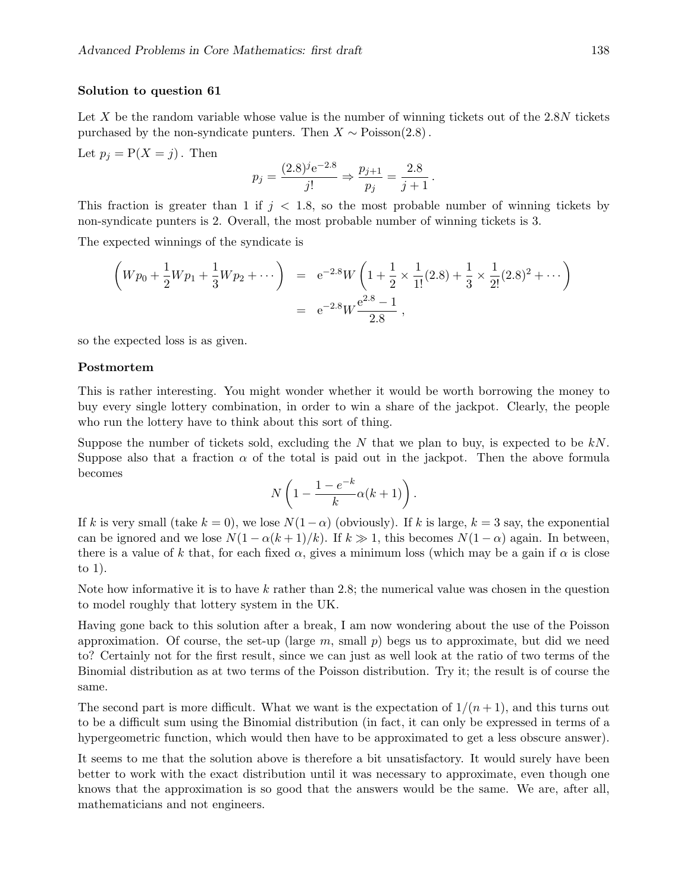Let  $X$  be the random variable whose value is the number of winning tickets out of the 2.8N tickets purchased by the non-syndicate punters. Then  $X \sim \text{Poisson}(2.8)$ .

Let  $p_j = P(X = j)$ . Then

$$
p_j = \frac{(2.8)^j e^{-2.8}}{j!} \Rightarrow \frac{p_{j+1}}{p_j} = \frac{2.8}{j+1}.
$$

This fraction is greater than 1 if  $j < 1.8$ , so the most probable number of winning tickets by non-syndicate punters is 2. Overall, the most probable number of winning tickets is 3.

The expected winnings of the syndicate is

$$
\left(Wp_0 + \frac{1}{2}Wp_1 + \frac{1}{3}Wp_2 + \cdots \right) = e^{-2.8}W \left( 1 + \frac{1}{2} \times \frac{1}{1!} (2.8) + \frac{1}{3} \times \frac{1}{2!} (2.8)^2 + \cdots \right)
$$
  
=  $e^{-2.8}W \frac{e^{2.8} - 1}{2.8}$ ,

so the expected loss is as given.

### Postmortem

This is rather interesting. You might wonder whether it would be worth borrowing the money to buy every single lottery combination, in order to win a share of the jackpot. Clearly, the people who run the lottery have to think about this sort of thing.

Suppose the number of tickets sold, excluding the N that we plan to buy, is expected to be  $kN$ . Suppose also that a fraction  $\alpha$  of the total is paid out in the jackpot. Then the above formula becomes

$$
N\left(1-\frac{1-e^{-k}}{k}\alpha(k+1)\right).
$$

If k is very small (take  $k = 0$ ), we lose  $N(1 - \alpha)$  (obviously). If k is large,  $k = 3$  say, the exponential can be ignored and we lose  $N(1 - \alpha(k+1)/k)$ . If  $k \gg 1$ , this becomes  $N(1 - \alpha)$  again. In between, there is a value of k that, for each fixed  $\alpha$ , gives a minimum loss (which may be a gain if  $\alpha$  is close to 1).

Note how informative it is to have  $k$  rather than 2.8; the numerical value was chosen in the question to model roughly that lottery system in the UK.

Having gone back to this solution after a break, I am now wondering about the use of the Poisson approximation. Of course, the set-up (large m, small  $p$ ) begs us to approximate, but did we need to? Certainly not for the first result, since we can just as well look at the ratio of two terms of the Binomial distribution as at two terms of the Poisson distribution. Try it; the result is of course the same.

The second part is more difficult. What we want is the expectation of  $1/(n+1)$ , and this turns out to be a difficult sum using the Binomial distribution (in fact, it can only be expressed in terms of a hypergeometric function, which would then have to be approximated to get a less obscure answer).

It seems to me that the solution above is therefore a bit unsatisfactory. It would surely have been better to work with the exact distribution until it was necessary to approximate, even though one knows that the approximation is so good that the answers would be the same. We are, after all, mathematicians and not engineers.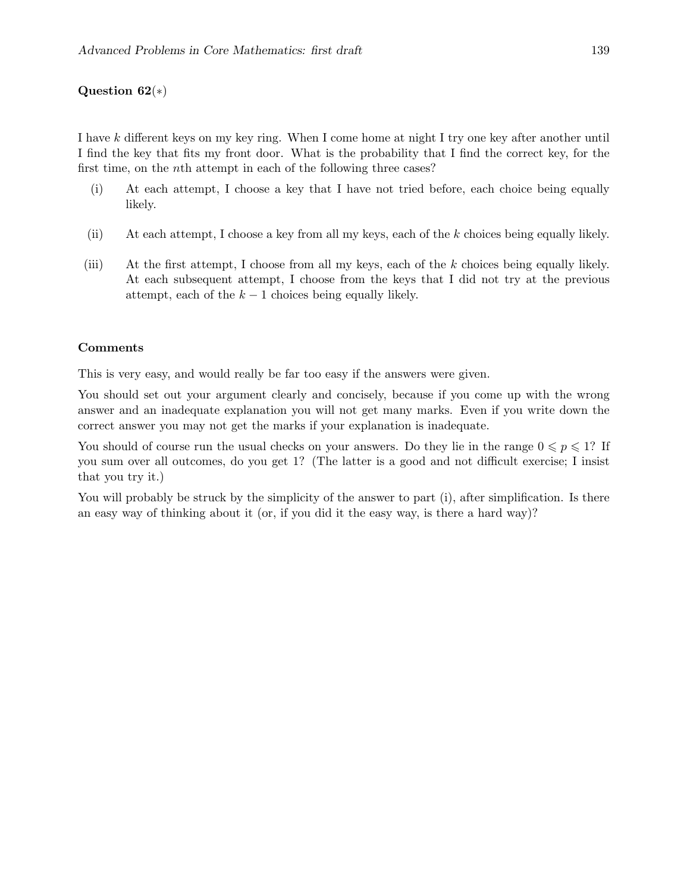# Question  $62(*)$

I have k different keys on my key ring. When I come home at night I try one key after another until I find the key that fits my front door. What is the probability that I find the correct key, for the first time, on the nth attempt in each of the following three cases?

- (i) At each attempt, I choose a key that I have not tried before, each choice being equally likely.
- (ii) At each attempt, I choose a key from all my keys, each of the k choices being equally likely.
- (iii) At the first attempt, I choose from all my keys, each of the k choices being equally likely. At each subsequent attempt, I choose from the keys that I did not try at the previous attempt, each of the  $k-1$  choices being equally likely.

## Comments

This is very easy, and would really be far too easy if the answers were given.

You should set out your argument clearly and concisely, because if you come up with the wrong answer and an inadequate explanation you will not get many marks. Even if you write down the correct answer you may not get the marks if your explanation is inadequate.

You should of course run the usual checks on your answers. Do they lie in the range  $0 \leqslant p \leqslant 1$ ? If you sum over all outcomes, do you get 1? (The latter is a good and not difficult exercise; I insist that you try it.)

You will probably be struck by the simplicity of the answer to part (i), after simplification. Is there an easy way of thinking about it (or, if you did it the easy way, is there a hard way)?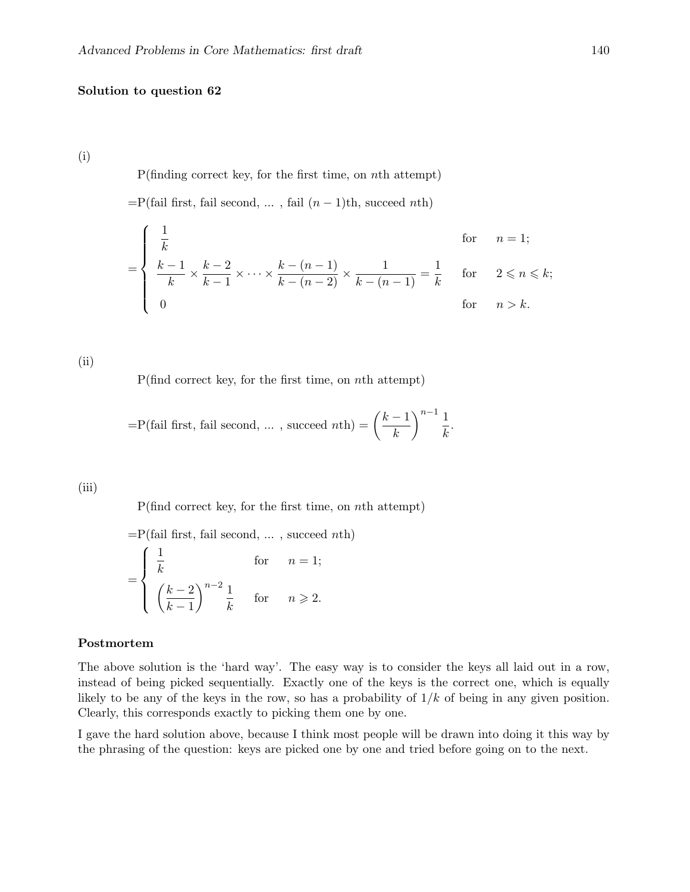(i)

P(finding correct key, for the first time, on nth attempt)

 $=$ P(fail first, fail second, ..., fail  $(n-1)$ th, succeed *nth*)

$$
= \begin{cases} \frac{1}{k} & \text{for } n = 1; \\ \frac{k-1}{k} \times \frac{k-2}{k-1} \times \dots \times \frac{k-(n-1)}{k-(n-2)} \times \frac{1}{k-(n-1)} = \frac{1}{k} & \text{for } 2 \leq n \leq k; \\ 0 & \text{for } n > k. \end{cases}
$$

 $(ii)$ 

P(find correct key, for the first time, on nth attempt)

=P(fail first, fail second, ... , succeed 
$$
n
$$
th) =  $\left(\frac{k-1}{k}\right)^{n-1} \frac{1}{k}$ .

(iii)

P(find correct key, for the first time, on nth attempt)

 $=$ P(fail first, fail second, ..., succeed *nth*) =  $\sqrt{ }$  $\int$  $\overline{\mathcal{L}}$ 1  $\frac{1}{k}$  for  $n = 1$ ;  $k-2$  $k-1$  $\setminus^{n-2}$  1  $\frac{1}{k}$  for  $n \geqslant 2$ .

### Postmortem

The above solution is the 'hard way'. The easy way is to consider the keys all laid out in a row, instead of being picked sequentially. Exactly one of the keys is the correct one, which is equally likely to be any of the keys in the row, so has a probability of  $1/k$  of being in any given position. Clearly, this corresponds exactly to picking them one by one.

I gave the hard solution above, because I think most people will be drawn into doing it this way by the phrasing of the question: keys are picked one by one and tried before going on to the next.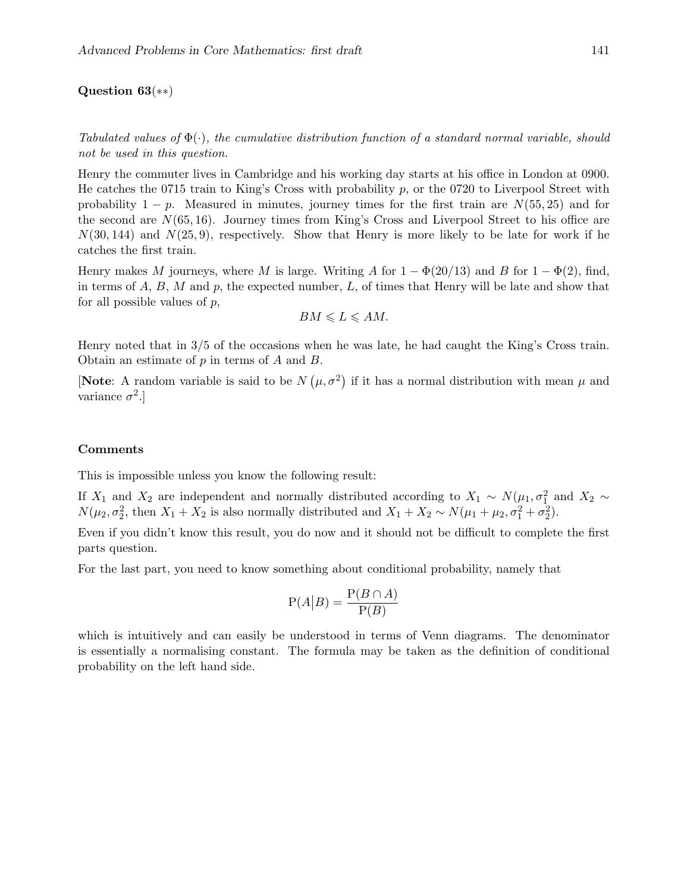## Question 63(∗∗)

Tabulated values of  $\Phi(\cdot)$ , the cumulative distribution function of a standard normal variable, should not be used in this question.

Henry the commuter lives in Cambridge and his working day starts at his office in London at 0900. He catches the 0715 train to King's Cross with probability p, or the 0720 to Liverpool Street with probability  $1 - p$ . Measured in minutes, journey times for the first train are  $N(55, 25)$  and for the second are  $N(65, 16)$ . Journey times from King's Cross and Liverpool Street to his office are  $N(30, 144)$  and  $N(25, 9)$ , respectively. Show that Henry is more likely to be late for work if he catches the first train.

Henry makes M journeys, where M is large. Writing A for  $1 - \Phi(20/13)$  and B for  $1 - \Phi(2)$ , find, in terms of A, B, M and p, the expected number, L, of times that Henry will be late and show that for all possible values of  $p$ ,

$$
BM \leqslant L \leqslant AM.
$$

Henry noted that in 3/5 of the occasions when he was late, he had caught the King's Cross train. Obtain an estimate of  $p$  in terms of  $A$  and  $B$ .

**[Note:** A random variable is said to be  $N(\mu, \sigma^2)$  if it has a normal distribution with mean  $\mu$  and variance  $\sigma^2$ .

### Comments

This is impossible unless you know the following result:

If  $X_1$  and  $X_2$  are independent and normally distributed according to  $X_1 \sim N(\mu_1, \sigma_1^2$  and  $X_2 \sim$  $N(\mu_2, \sigma_2^2, \text{ then } X_1 + X_2 \text{ is also normally distributed and } X_1 + X_2 \sim N(\mu_1 + \mu_2, \sigma_1^2 + \sigma_2^2).$ 

Even if you didn't know this result, you do now and it should not be difficult to complete the first parts question.

For the last part, you need to know something about conditional probability, namely that

$$
P(A|B) = \frac{P(B \cap A)}{P(B)}
$$

which is intuitively and can easily be understood in terms of Venn diagrams. The denominator is essentially a normalising constant. The formula may be taken as the definition of conditional probability on the left hand side.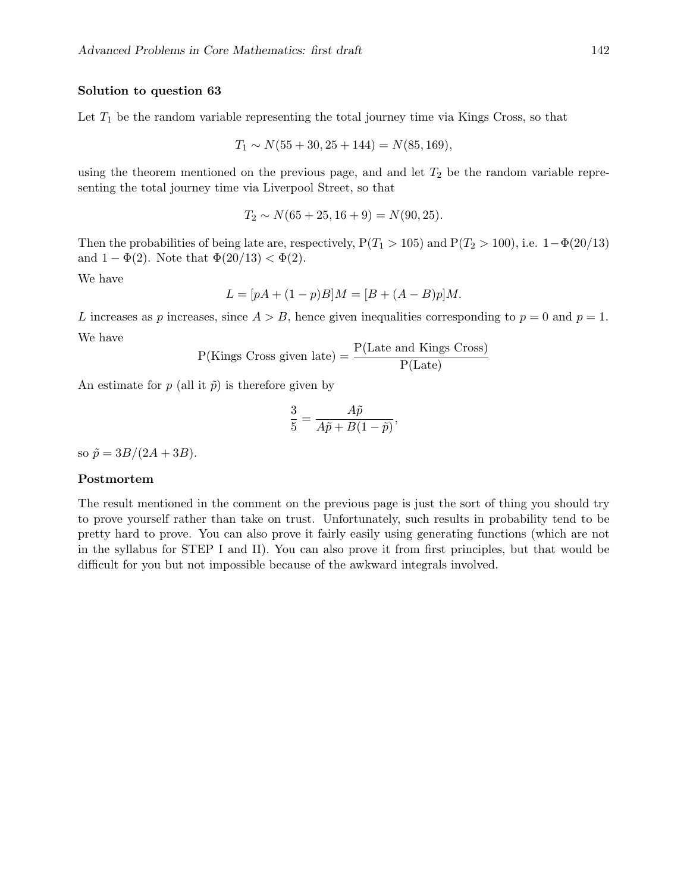Let  $T_1$  be the random variable representing the total journey time via Kings Cross, so that

$$
T_1 \sim N(55 + 30, 25 + 144) = N(85, 169),
$$

using the theorem mentioned on the previous page, and and let  $T_2$  be the random variable representing the total journey time via Liverpool Street, so that

$$
T_2 \sim N(65 + 25, 16 + 9) = N(90, 25).
$$

Then the probabilities of being late are, respectively,  $P(T_1 > 105)$  and  $P(T_2 > 100)$ , i.e.  $1-\Phi(20/13)$ and  $1 - \Phi(2)$ . Note that  $\Phi(20/13) < \Phi(2)$ .

We have

$$
L = [pA + (1-p)B]M = [B + (A - B)p]M.
$$

L increases as p increases, since  $A > B$ , hence given inequalities corresponding to  $p = 0$  and  $p = 1$ . We have

$$
P(Kings Cross given late) = \frac{P(Late and Kings Cross)}{P(Late)}
$$

An estimate for  $p$  (all it  $\tilde{p}$ ) is therefore given by

$$
\frac{3}{5} = \frac{A\tilde{p}}{A\tilde{p} + B(1-\tilde{p})},
$$

so  $\tilde{p} = 3B/(2A + 3B)$ .

### Postmortem

The result mentioned in the comment on the previous page is just the sort of thing you should try to prove yourself rather than take on trust. Unfortunately, such results in probability tend to be pretty hard to prove. You can also prove it fairly easily using generating functions (which are not in the syllabus for STEP I and II). You can also prove it from first principles, but that would be difficult for you but not impossible because of the awkward integrals involved.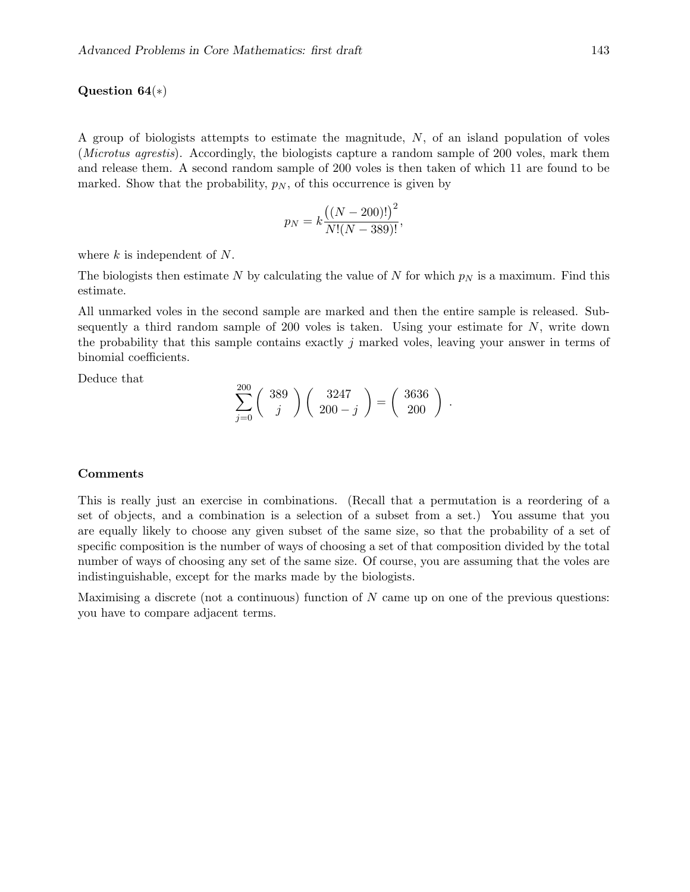# Question 64(∗)

A group of biologists attempts to estimate the magnitude, N, of an island population of voles (Microtus agrestis). Accordingly, the biologists capture a random sample of 200 voles, mark them and release them. A second random sample of 200 voles is then taken of which 11 are found to be marked. Show that the probability,  $p_N$ , of this occurrence is given by

$$
p_N = k \frac{((N - 200)!)^2}{N!(N - 389)!}
$$

where  $k$  is independent of  $N$ .

The biologists then estimate N by calculating the value of N for which  $p<sub>N</sub>$  is a maximum. Find this estimate.

All unmarked voles in the second sample are marked and then the entire sample is released. Subsequently a third random sample of 200 voles is taken. Using your estimate for  $N$ , write down the probability that this sample contains exactly j marked voles, leaving your answer in terms of binomial coefficients.

Deduce that

$$
\sum_{j=0}^{200} \left(\begin{array}{c} 389\\j \end{array}\right) \left(\begin{array}{c} 3247\\200-j \end{array}\right) = \left(\begin{array}{c} 3636\\200 \end{array}\right) \; .
$$

#### Comments

This is really just an exercise in combinations. (Recall that a permutation is a reordering of a set of objects, and a combination is a selection of a subset from a set.) You assume that you are equally likely to choose any given subset of the same size, so that the probability of a set of specific composition is the number of ways of choosing a set of that composition divided by the total number of ways of choosing any set of the same size. Of course, you are assuming that the voles are indistinguishable, except for the marks made by the biologists.

Maximising a discrete (not a continuous) function of  $N$  came up on one of the previous questions: you have to compare adjacent terms.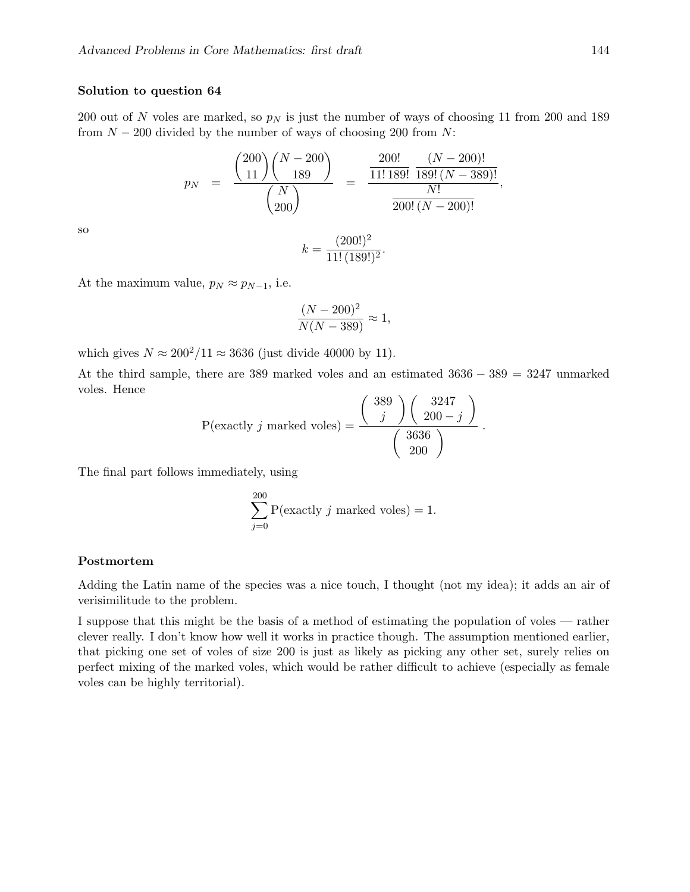200 out of N voles are marked, so  $p<sub>N</sub>$  is just the number of ways of choosing 11 from 200 and 189 from  $N - 200$  divided by the number of ways of choosing 200 from N:

$$
p_N = \frac{\binom{200}{11}\binom{N-200}{189}}{\binom{N}{200}} = \frac{\frac{200!}{11!189!} \frac{(N-200)!}{189!(N-389)!}}{\frac{N!}{200!(N-200)!}},
$$

so

$$
k = \frac{(200!)^2}{11!(189!)^2}.
$$

At the maximum value,  $p_N \approx p_{N-1}$ , i.e.

$$
\frac{(N - 200)^2}{N(N - 389)} \approx 1,
$$

which gives  $N \approx 200^2/11 \approx 3636$  (just divide 40000 by 11).

At the third sample, there are 389 marked voles and an estimated 3636 − 389 = 3247 unmarked voles. Hence

$$
P(\text{exactly } j \text{ marked roles}) = \frac{\binom{389}{j} \binom{3247}{200-j}}{\binom{3636}{200}}.
$$

The final part follows immediately, using

$$
\sum_{j=0}^{200} \text{P}(\text{exactly } j \text{ marked poles}) = 1.
$$

#### Postmortem

Adding the Latin name of the species was a nice touch, I thought (not my idea); it adds an air of verisimilitude to the problem.

I suppose that this might be the basis of a method of estimating the population of voles — rather clever really. I don't know how well it works in practice though. The assumption mentioned earlier, that picking one set of voles of size 200 is just as likely as picking any other set, surely relies on perfect mixing of the marked voles, which would be rather difficult to achieve (especially as female voles can be highly territorial).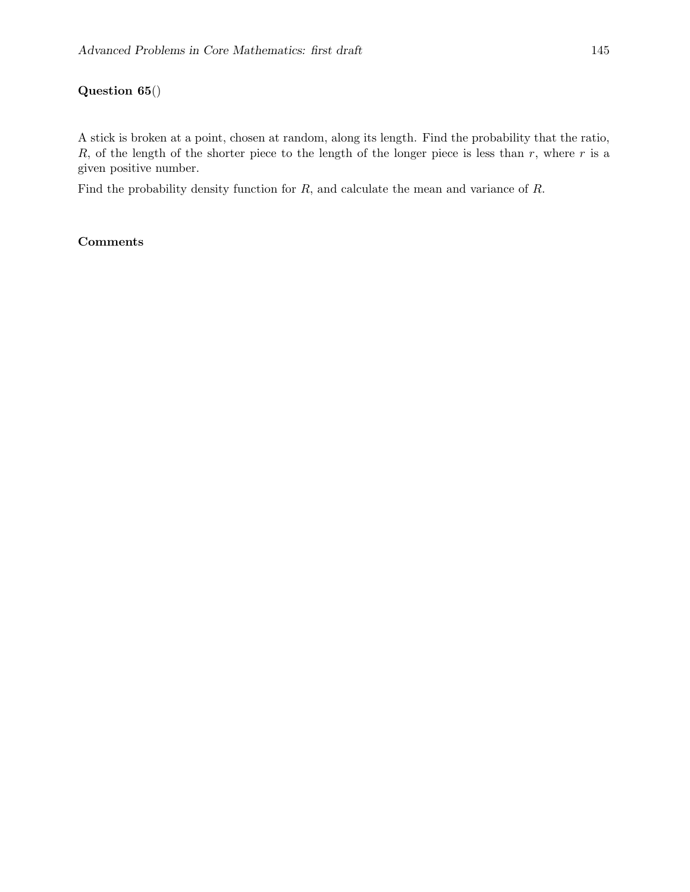# Question 65()

A stick is broken at a point, chosen at random, along its length. Find the probability that the ratio,  $R$ , of the length of the shorter piece to the length of the longer piece is less than  $r$ , where  $r$  is a given positive number.

Find the probability density function for R, and calculate the mean and variance of R.

### Comments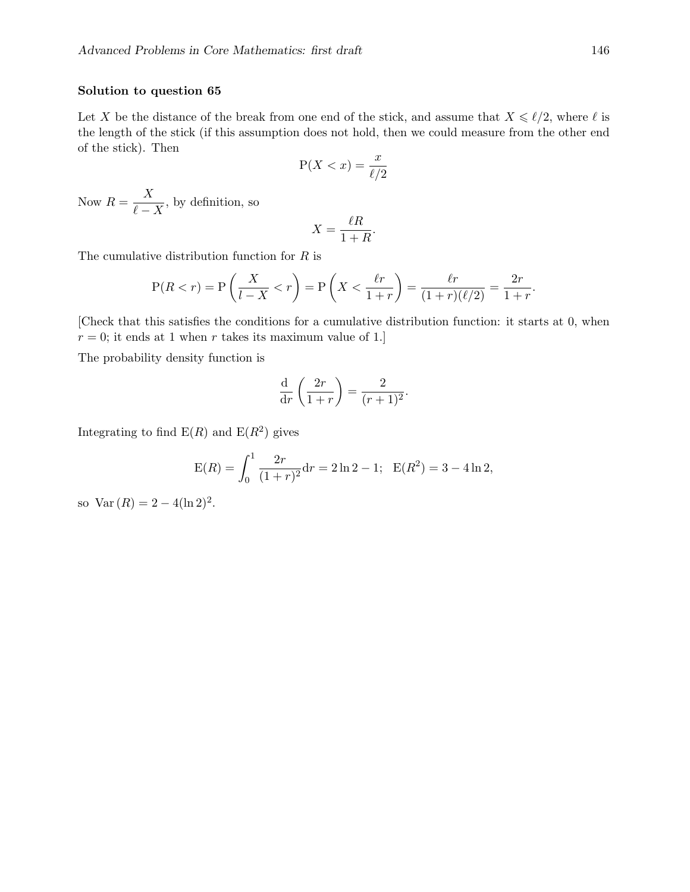#### Solution to question 65

Let X be the distance of the break from one end of the stick, and assume that  $X \le \ell/2$ , where  $\ell$  is the length of the stick (if this assumption does not hold, then we could measure from the other end of the stick). Then

$$
\mathcal{P}(X < x) = \frac{x}{\ell/2}
$$

Now  $R = \frac{X}{a}$  $\frac{1}{\ell - X}$ , by definition, so

$$
X = \frac{\ell R}{1 + R}.
$$

The cumulative distribution function for R is

$$
P(R < r) = P\left(\frac{X}{l - X} < r\right) = P\left(X < \frac{\ell r}{1 + r}\right) = \frac{\ell r}{(1 + r)(\ell/2)} = \frac{2r}{1 + r}.
$$

[Check that this satisfies the conditions for a cumulative distribution function: it starts at 0, when  $r = 0$ ; it ends at 1 when r takes its maximum value of 1.

The probability density function is

$$
\frac{\mathrm{d}}{\mathrm{d}r}\left(\frac{2r}{1+r}\right) = \frac{2}{(r+1)^2}.
$$

Integrating to find  $E(R)$  and  $E(R^2)$  gives

$$
E(R) = \int_0^1 \frac{2r}{(1+r)^2} dr = 2 \ln 2 - 1; \quad E(R^2) = 3 - 4 \ln 2,
$$

so  $Var(R) = 2 - 4(ln 2)^{2}$ .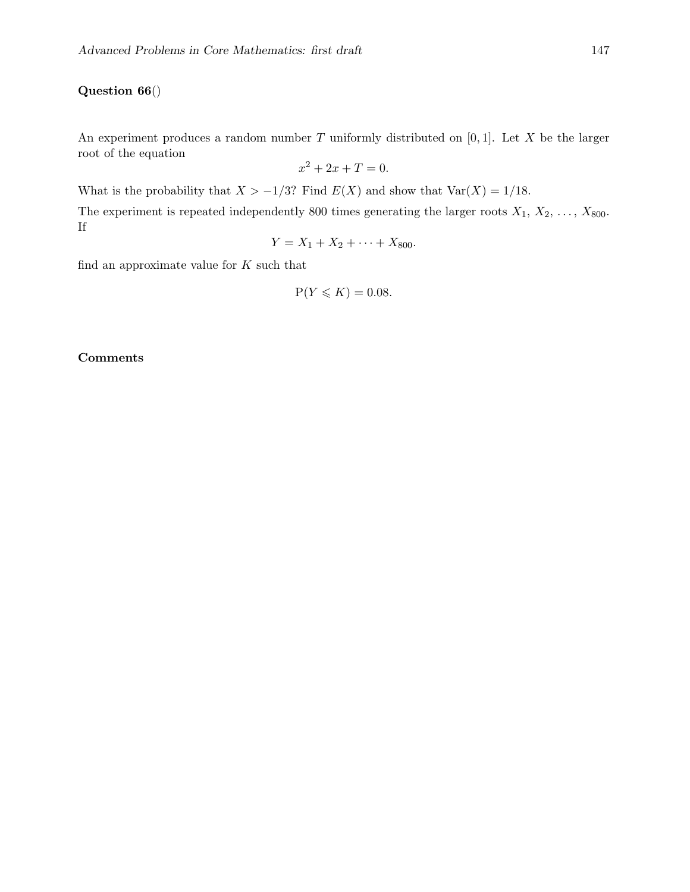## Question 66()

An experiment produces a random number  $T$  uniformly distributed on [0, 1]. Let  $X$  be the larger root of the equation

$$
x^2 + 2x + T = 0.
$$

What is the probability that  $X > -1/3$ ? Find  $E(X)$  and show that  $Var(X) = 1/18$ .

The experiment is repeated independently 800 times generating the larger roots  $X_1, X_2, \ldots, X_{800}$ . If

$$
Y = X_1 + X_2 + \cdots + X_{800}.
$$

find an approximate value for  $K$  such that

$$
P(Y \leqslant K) = 0.08.
$$

### Comments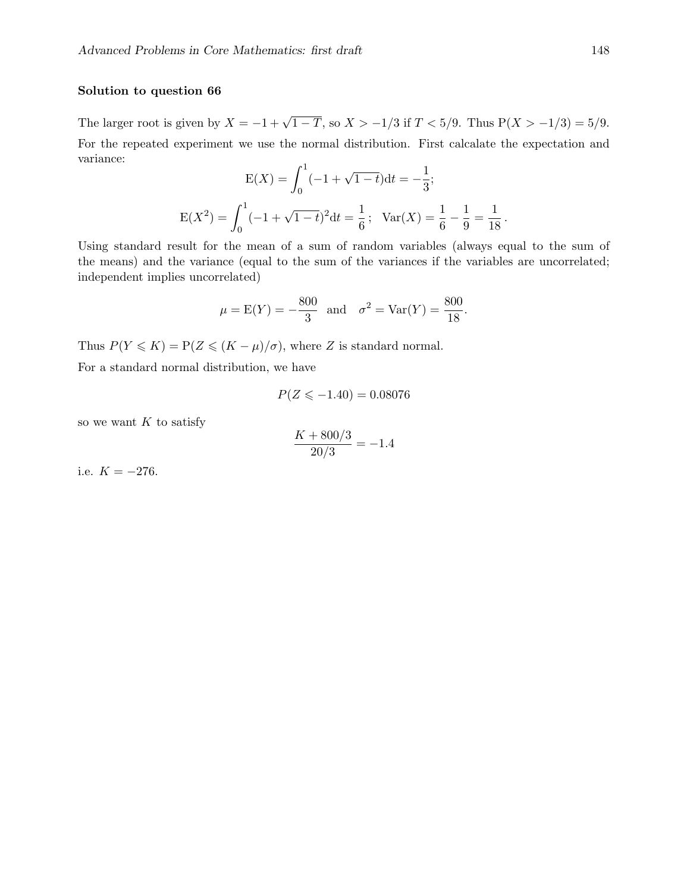#### Solution to question 66

The larger root is given by  $X = -1 + \sqrt{1-T}$ , so  $X > -1/3$  if  $T < 5/9$ . Thus  $P(X > -1/3) = 5/9$ . For the repeated experiment we use the normal distribution. First calcalate the expectation and variance: 1

$$
E(X) = \int_0^1 (-1 + \sqrt{1 - t}) dt = -\frac{1}{3};
$$
  
\n
$$
E(X^2) = \int_0^1 (-1 + \sqrt{1 - t})^2 dt = \frac{1}{6}; \quad Var(X) = \frac{1}{6} - \frac{1}{9} = \frac{1}{18}.
$$

Using standard result for the mean of a sum of random variables (always equal to the sum of the means) and the variance (equal to the sum of the variances if the variables are uncorrelated; independent implies uncorrelated)

$$
\mu = E(Y) = -\frac{800}{3}
$$
 and  $\sigma^2 = Var(Y) = \frac{800}{18}$ .

Thus  $P(Y \leq K) = P(Z \leq (K - \mu)/\sigma)$ , where Z is standard normal.

For a standard normal distribution, we have

$$
P(Z \le -1.40) = 0.08076
$$

so we want  $K$  to satisfy

$$
\frac{K + 800/3}{20/3} = -1.4
$$

i.e.  $K = -276$ .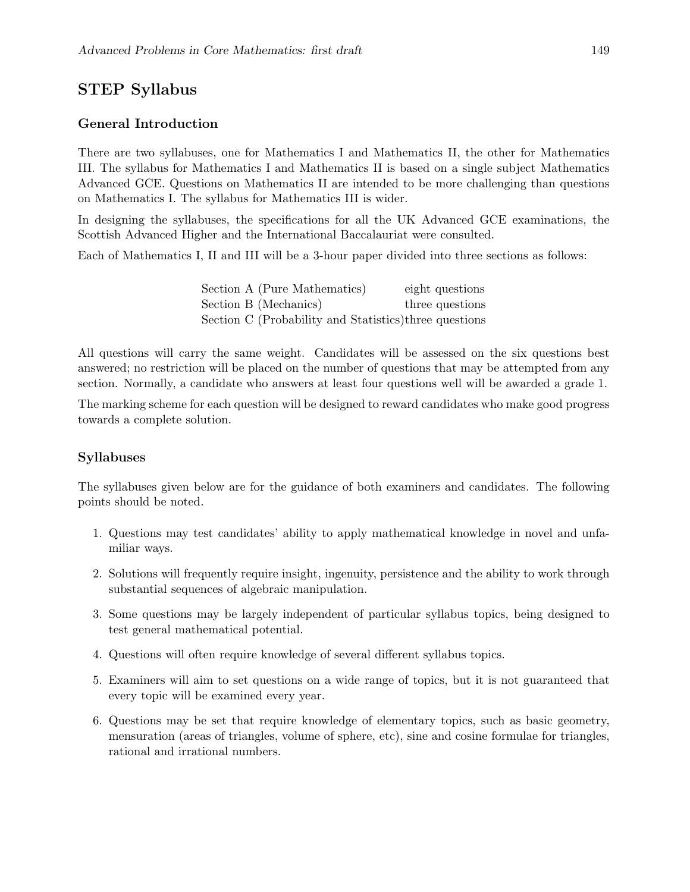# STEP Syllabus

### General Introduction

There are two syllabuses, one for Mathematics I and Mathematics II, the other for Mathematics III. The syllabus for Mathematics I and Mathematics II is based on a single subject Mathematics Advanced GCE. Questions on Mathematics II are intended to be more challenging than questions on Mathematics I. The syllabus for Mathematics III is wider.

In designing the syllabuses, the specifications for all the UK Advanced GCE examinations, the Scottish Advanced Higher and the International Baccalauriat were consulted.

Each of Mathematics I, II and III will be a 3-hour paper divided into three sections as follows:

Section A (Pure Mathematics) eight questions Section B (Mechanics) three questions Section C (Probability and Statistics)three questions

All questions will carry the same weight. Candidates will be assessed on the six questions best answered; no restriction will be placed on the number of questions that may be attempted from any section. Normally, a candidate who answers at least four questions well will be awarded a grade 1.

The marking scheme for each question will be designed to reward candidates who make good progress towards a complete solution.

#### Syllabuses

The syllabuses given below are for the guidance of both examiners and candidates. The following points should be noted.

- 1. Questions may test candidates' ability to apply mathematical knowledge in novel and unfamiliar ways.
- 2. Solutions will frequently require insight, ingenuity, persistence and the ability to work through substantial sequences of algebraic manipulation.
- 3. Some questions may be largely independent of particular syllabus topics, being designed to test general mathematical potential.
- 4. Questions will often require knowledge of several different syllabus topics.
- 5. Examiners will aim to set questions on a wide range of topics, but it is not guaranteed that every topic will be examined every year.
- 6. Questions may be set that require knowledge of elementary topics, such as basic geometry, mensuration (areas of triangles, volume of sphere, etc), sine and cosine formulae for triangles, rational and irrational numbers.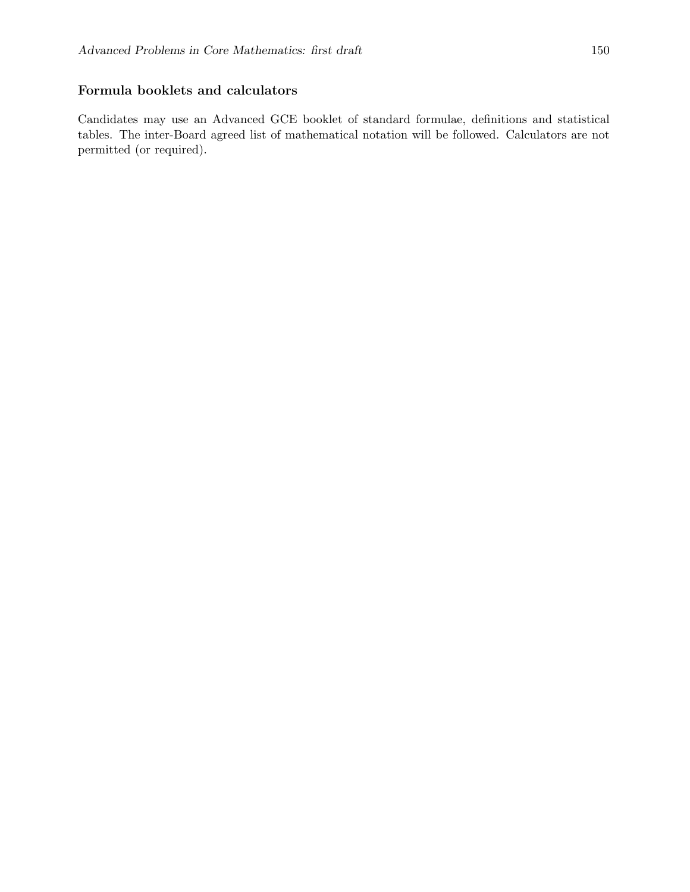## Formula booklets and calculators

Candidates may use an Advanced GCE booklet of standard formulae, definitions and statistical tables. The inter-Board agreed list of mathematical notation will be followed. Calculators are not permitted (or required).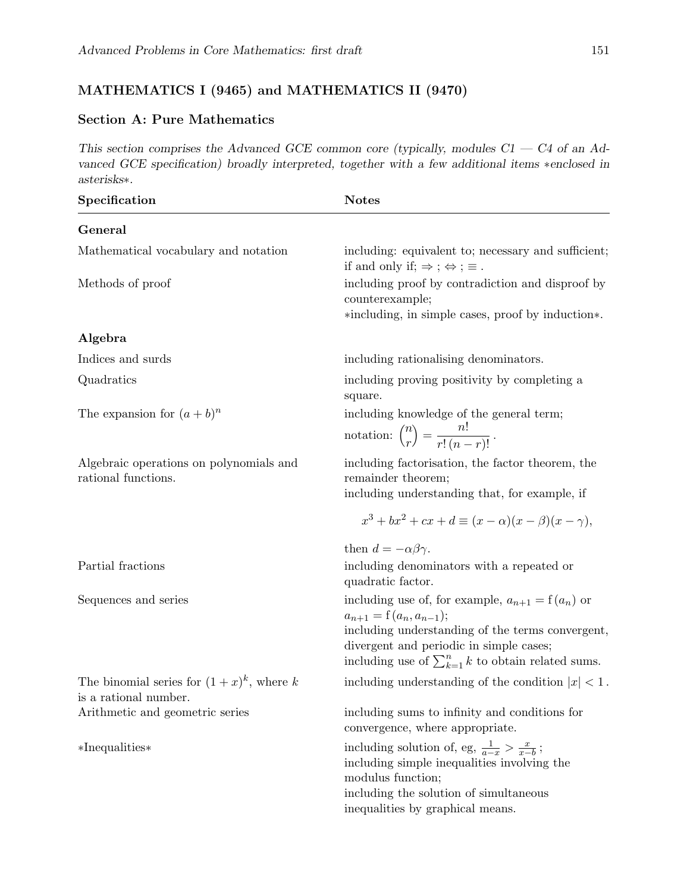# MATHEMATICS I (9465) and MATHEMATICS II (9470)

# Section A: Pure Mathematics

This section comprises the Advanced GCE common core (typically, modules  $C1 - C4$  of an Advanced GCE specification) broadly interpreted, together with a few additional items ∗enclosed in asterisks∗.

| Specification                                                        | <b>Notes</b>                                                                                                                                                                                                                                       |
|----------------------------------------------------------------------|----------------------------------------------------------------------------------------------------------------------------------------------------------------------------------------------------------------------------------------------------|
| General                                                              |                                                                                                                                                                                                                                                    |
| Mathematical vocabulary and notation                                 | including: equivalent to; necessary and sufficient;<br>if and only if; $\Rightarrow$ ; $\Leftrightarrow$ ; $\equiv$ .                                                                                                                              |
| Methods of proof                                                     | including proof by contradiction and disproof by<br>counterexample;<br>*including, in simple cases, proof by induction*.                                                                                                                           |
| Algebra                                                              |                                                                                                                                                                                                                                                    |
| Indices and surds                                                    | including rationalising denominators.                                                                                                                                                                                                              |
| Quadratics                                                           | including proving positivity by completing a<br>square.                                                                                                                                                                                            |
| The expansion for $(a + b)^n$                                        | including knowledge of the general term;<br>notation: $\displaystyle\binom{n}{r}=\frac{n!}{r!\,(n-r)!}$ .                                                                                                                                          |
| Algebraic operations on polynomials and<br>rational functions.       | including factorisation, the factor theorem, the<br>remainder theorem;<br>including understanding that, for example, if                                                                                                                            |
|                                                                      | $x^3 + bx^2 + cx + d \equiv (x - \alpha)(x - \beta)(x - \gamma),$                                                                                                                                                                                  |
|                                                                      | then $d = -\alpha \beta \gamma$ .                                                                                                                                                                                                                  |
| Partial fractions                                                    | including denominators with a repeated or<br>quadratic factor.                                                                                                                                                                                     |
| Sequences and series                                                 | including use of, for example, $a_{n+1} = f(a_n)$ or<br>$a_{n+1} = f(a_n, a_{n-1});$<br>including understanding of the terms convergent,<br>divergent and periodic in simple cases;<br>including use of $\sum_{k=1}^{n} k$ to obtain related sums. |
| The binomial series for $(1+x)^k$ , where k<br>is a rational number. | including understanding of the condition $ x  < 1$ .                                                                                                                                                                                               |
| Arithmetic and geometric series                                      | including sums to infinity and conditions for<br>convergence, where appropriate.                                                                                                                                                                   |
| $*Inequalities*$                                                     | including solution of, eg, $\frac{1}{a-x} > \frac{x}{x-b}$ ;<br>including simple inequalities involving the<br>modulus function;<br>including the solution of simultaneous<br>inequalities by graphical means.                                     |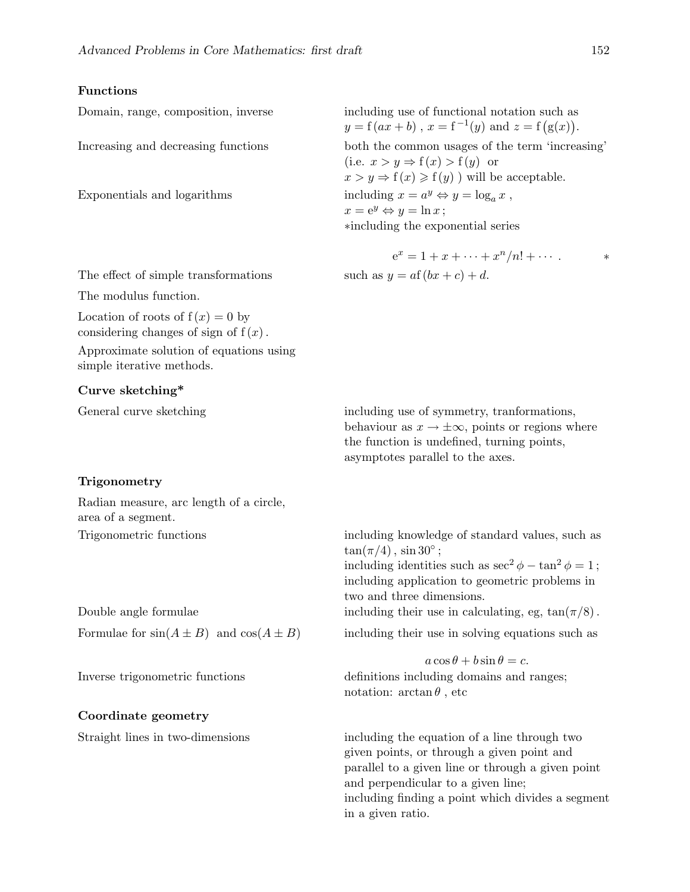#### Functions

Increasing and decreasing functions both the common usages of the term 'increasing'

Exponentials and logarithms

Domain, range, composition, inverse including use of functional notation such as  $y = f(ax + b)$ ,  $x = f^{-1}(y)$  and  $z = f(g(x))$ .

> (i.e.  $x > y \Rightarrow f(x) > f(y)$  or  $x > y \Rightarrow f(x) \geq f(y)$  will be acceptable. including  $x = a^y \Leftrightarrow y = \log_a x$ ,  $x = e^y \Leftrightarrow y = \ln x$ ; ∗including the exponential series

$$
e^x = 1 + x + \dots + x^n/n! + \dots \qquad *
$$

The effect of simple transformations such as  $y = af(bx + c) + d$ .

The modulus function.

Location of roots of  $f(x) = 0$  by considering changes of sign of  $f(x)$ .

Approximate solution of equations using simple iterative methods.

#### Curve sketching\*

#### Trigonometry

Radian measure, arc length of a circle, area of a segment.

Double angle formulae including their use in calculating, eg,  $tan(\pi/8)$ .

#### Coordinate geometry

General curve sketching including use of symmetry, tranformations, behaviour as  $x \to \pm \infty$ , points or regions where the function is undefined, turning points, asymptotes parallel to the axes.

Trigonometric functions including knowledge of standard values, such as  $tan(\pi/4)$ ,  $sin 30^\circ$ ; including identities such as  $\sec^2 \phi - \tan^2 \phi = 1$ ; including application to geometric problems in

two and three dimensions.

Formulae for  $sin(A \pm B)$  and  $cos(A \pm B)$  including their use in solving equations such as

 $a \cos \theta + b \sin \theta = c.$ Inverse trigonometric functions definitions including domains and ranges; notation:  $\arctan \theta$ , etc

Straight lines in two-dimensions including the equation of a line through two given points, or through a given point and parallel to a given line or through a given point and perpendicular to a given line; including finding a point which divides a segment in a given ratio.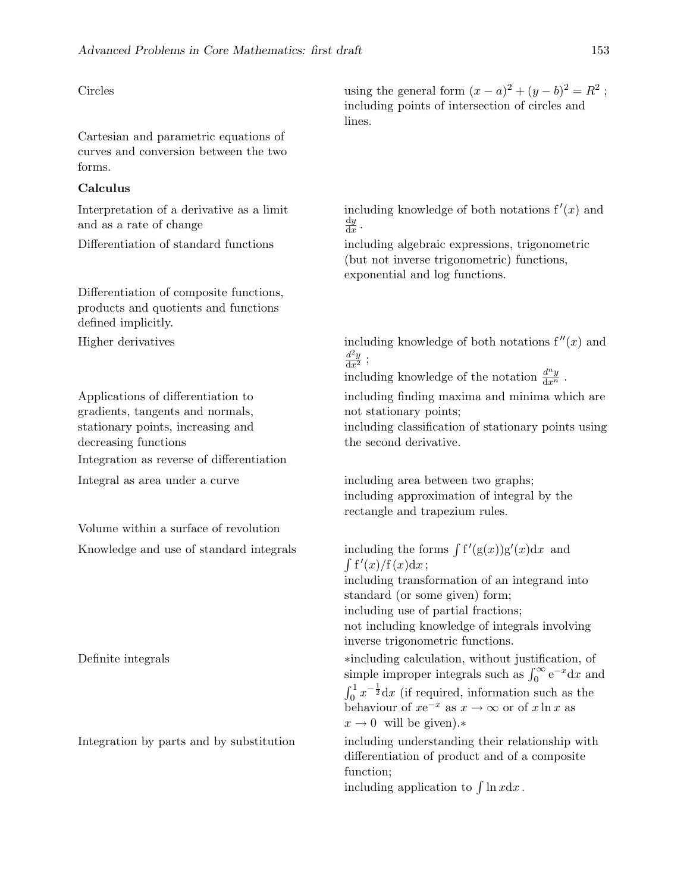Cartesian and parametric equations of curves and conversion between the two forms.

#### Calculus

Interpretation of a derivative as a limit and as a rate of change

Differentiation of composite functions, products and quotients and functions defined implicitly.

Applications of differentiation to gradients, tangents and normals, stationary points, increasing and decreasing functions Integration as reverse of differentiation Integral as area under a curve including area between two graphs;

Volume within a surface of revolution Knowledge and use of standard integrals

Circles using the general form  $(x-a)^2 + (y-b)^2 = R^2$ ; including points of intersection of circles and lines.

> including knowledge of both notations  $f'(x)$  and  $_{\rm dy}$  $\frac{\mathrm{d}y}{\mathrm{d}x}$  .

Differentiation of standard functions including algebraic expressions, trigonometric (but not inverse trigonometric) functions, exponential and log functions.

Higher derivatives including knowledge of both notations  $f''(x)$  and  $rac{d^2y}{dx^2}$ ;

including knowledge of the notation  $\frac{d^n y}{dx^n}$ .

including finding maxima and minima which are not stationary points;

including classification of stationary points using the second derivative.

including approximation of integral by the rectangle and trapezium rules.

 $f'(g(x))g'(x)dx$  and  $\int f'(x)/f(x)dx;$ including transformation of an integrand into standard (or some given) form; including use of partial fractions; not including knowledge of integrals involving inverse trigonometric functions.

Definite integrals ∗including calculation, without justification, of simple improper integrals such as  $\int_0^\infty e^{-x} dx$  and  $\int_0^1 x^{-\frac{1}{2}} dx$  (if required, information such as the behaviour of  $xe^{-x}$  as  $x \to \infty$  or of  $x \ln x$  as  $x \to 0$  will be given).\*

Integration by parts and by substitution including understanding their relationship with differentiation of product and of a composite function;

including application to  $\int \ln x dx$ .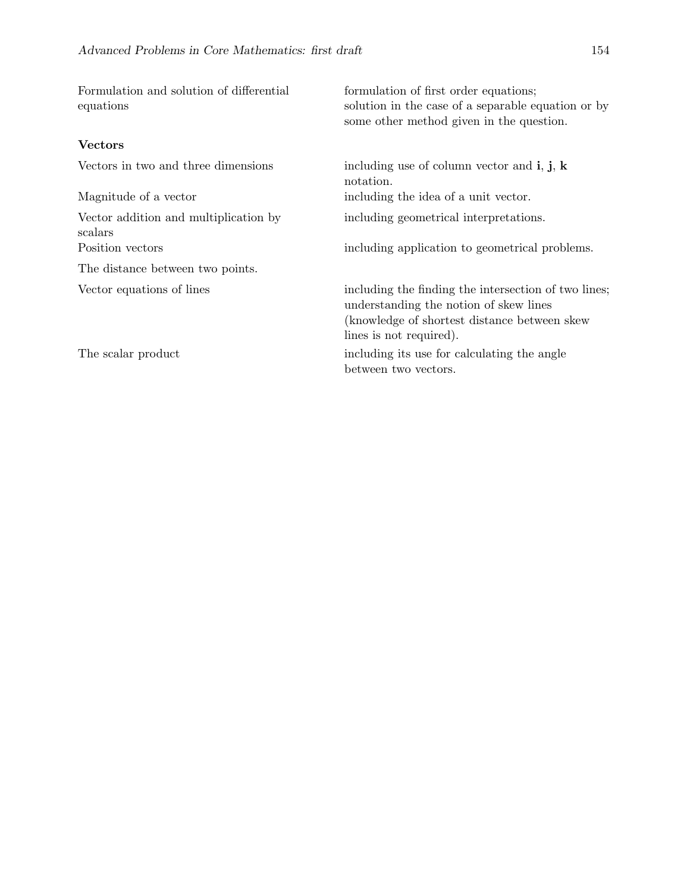Formulation and solution of differential equations

#### Vectors

Vector addition and multiplication by scalars The distance between two points.

formulation of first order equations; solution in the case of a separable equation or by some other method given in the question.

Vectors in two and three dimensions including use of column vector and **i**, **j**, **k** notation. Magnitude of a vector including the idea of a unit vector. including geometrical interpretations.

Position vectors including application to geometrical problems.

Vector equations of lines including the finding the intersection of two lines; understanding the notion of skew lines (knowledge of shortest distance between skew lines is not required). The scalar product including its use for calculating the angle

between two vectors.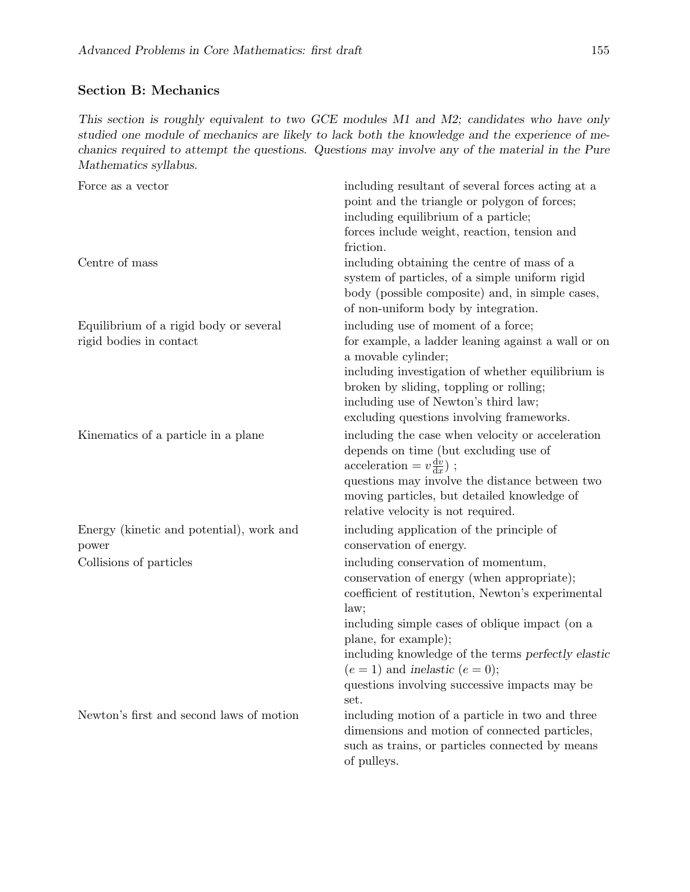## Section B: Mechanics

This section is roughly equivalent to two GCE modules M1 and M2; candidates who have only studied one module of mechanics are likely to lack both the knowledge and the experience of mechanics required to attempt the questions. Questions may involve any of the material in the Pure Mathematics syllabus.

| Force as a vector                                                 | including resultant of several forces acting at a<br>point and the triangle or polygon of forces;<br>including equilibrium of a particle;<br>forces include weight, reaction, tension and<br>friction.                                                                                                                                                                         |
|-------------------------------------------------------------------|--------------------------------------------------------------------------------------------------------------------------------------------------------------------------------------------------------------------------------------------------------------------------------------------------------------------------------------------------------------------------------|
| Centre of mass                                                    | including obtaining the centre of mass of a<br>system of particles, of a simple uniform rigid<br>body (possible composite) and, in simple cases,<br>of non-uniform body by integration.                                                                                                                                                                                        |
| Equilibrium of a rigid body or several<br>rigid bodies in contact | including use of moment of a force;<br>for example, a ladder leaning against a wall or on<br>a movable cylinder;<br>including investigation of whether equilibrium is<br>broken by sliding, toppling or rolling;<br>including use of Newton's third law;<br>excluding questions involving frameworks.                                                                          |
| Kinematics of a particle in a plane                               | including the case when velocity or acceleration<br>depends on time (but excluding use of<br>acceleration = $v \frac{dv}{dx}$ ) ;<br>questions may involve the distance between two<br>moving particles, but detailed knowledge of<br>relative velocity is not required.                                                                                                       |
| Energy (kinetic and potential), work and<br>power                 | including application of the principle of<br>conservation of energy.                                                                                                                                                                                                                                                                                                           |
| Collisions of particles                                           | including conservation of momentum,<br>conservation of energy (when appropriate);<br>coefficient of restitution, Newton's experimental<br>law;<br>including simple cases of oblique impact (on a<br>plane, for example);<br>including knowledge of the terms perfectly elastic<br>$(e = 1)$ and inelastic $(e = 0)$ ;<br>questions involving successive impacts may be<br>set. |
| Newton's first and second laws of motion                          | including motion of a particle in two and three<br>dimensions and motion of connected particles,<br>such as trains, or particles connected by means<br>of pulleys.                                                                                                                                                                                                             |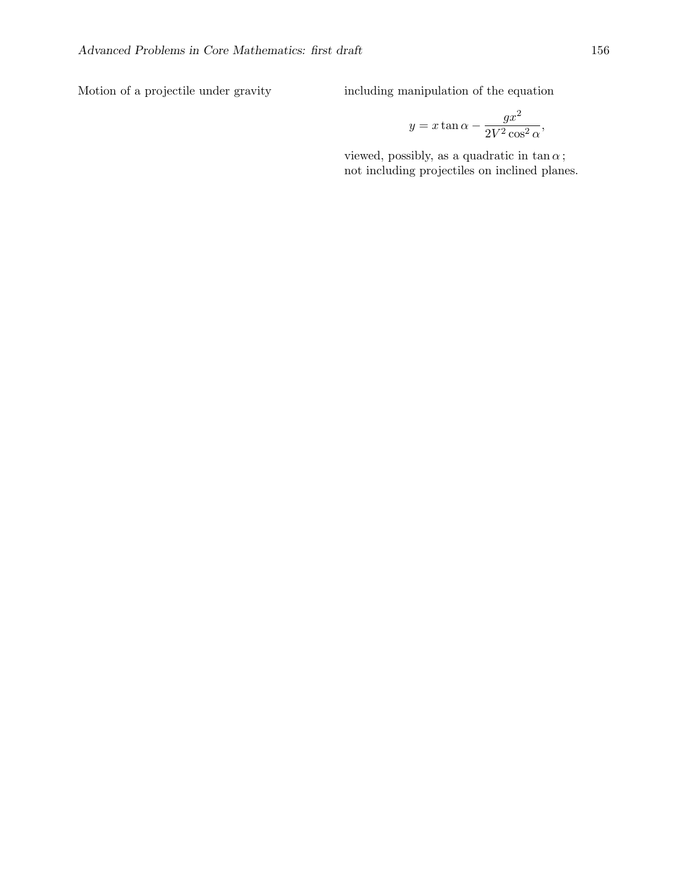Motion of a projectile under gravity including manipulation of the equation

$$
y = x \tan \alpha - \frac{gx^2}{2V^2 \cos^2 \alpha},
$$

viewed, possibly, as a quadratic in  $\tan \alpha$ ; not including projectiles on inclined planes.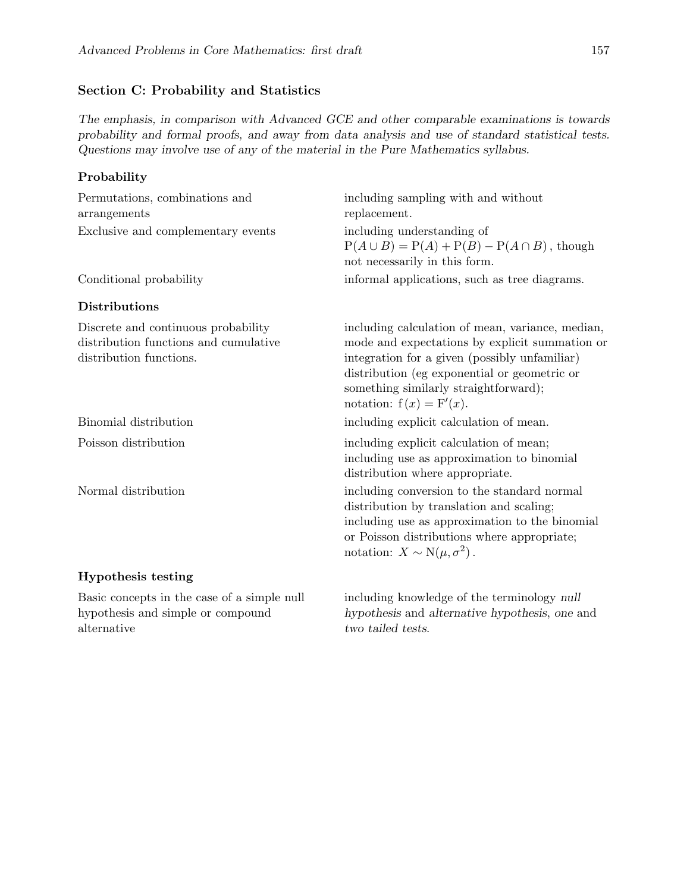## Section C: Probability and Statistics

The emphasis, in comparison with Advanced GCE and other comparable examinations is towards probability and formal proofs, and away from data analysis and use of standard statistical tests. Questions may involve use of any of the material in the Pure Mathematics syllabus.

## Probability

| Permutations, combinations and<br>arrangements                                                          | including sampling with and without<br>replacement.                                                                                                                                                                                                                        |
|---------------------------------------------------------------------------------------------------------|----------------------------------------------------------------------------------------------------------------------------------------------------------------------------------------------------------------------------------------------------------------------------|
| Exclusive and complementary events                                                                      | including understanding of<br>$P(A \cup B) = P(A) + P(B) - P(A \cap B)$ , though<br>not necessarily in this form.                                                                                                                                                          |
| Conditional probability                                                                                 | informal applications, such as tree diagrams.                                                                                                                                                                                                                              |
| <b>Distributions</b>                                                                                    |                                                                                                                                                                                                                                                                            |
| Discrete and continuous probability<br>distribution functions and cumulative<br>distribution functions. | including calculation of mean, variance, median,<br>mode and expectations by explicit summation or<br>integration for a given (possibly unfamiliar)<br>distribution (eg exponential or geometric or<br>something similarly straightforward);<br>notation: $f(x) = F'(x)$ . |
| Binomial distribution                                                                                   | including explicit calculation of mean.                                                                                                                                                                                                                                    |
| Poisson distribution                                                                                    | including explicit calculation of mean;<br>including use as approximation to binomial<br>distribution where appropriate.                                                                                                                                                   |
| Normal distribution                                                                                     | including conversion to the standard normal<br>distribution by translation and scaling;<br>including use as approximation to the binomial<br>or Poisson distributions where appropriate;<br>notation: $X \sim N(\mu, \sigma^2)$ .                                          |
| <b>Hypothesis testing</b>                                                                               |                                                                                                                                                                                                                                                                            |
| יו יו ה<br>$\sim$ $\sim$ $\sim$ $\sim$ $\sim$ $\sim$ $\sim$ $\sim$                                      |                                                                                                                                                                                                                                                                            |

Basic concepts in the case of a simple null hypothesis and simple or compound alternative

including knowledge of the terminology null hypothesis and alternative hypothesis, one and two tailed tests.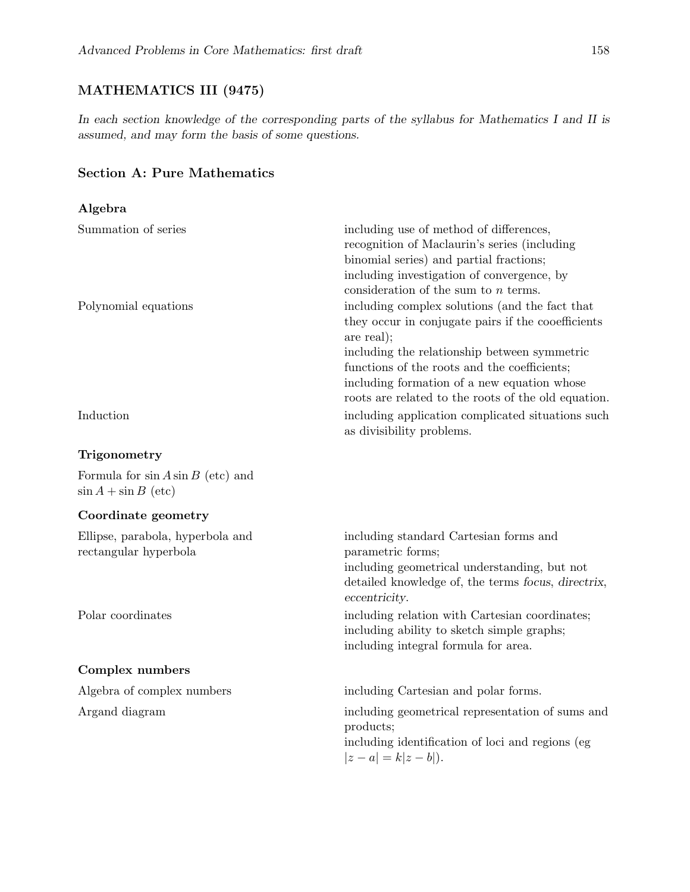# MATHEMATICS III (9475)

In each section knowledge of the corresponding parts of the syllabus for Mathematics I and II is assumed, and may form the basis of some questions.

# Section A: Pure Mathematics

| Algebra                                                          |                                                                                                                                                                                                                                                                                                                          |
|------------------------------------------------------------------|--------------------------------------------------------------------------------------------------------------------------------------------------------------------------------------------------------------------------------------------------------------------------------------------------------------------------|
| Summation of series                                              | including use of method of differences,<br>recognition of Maclaurin's series (including<br>binomial series) and partial fractions;<br>including investigation of convergence, by<br>consideration of the sum to $n$ terms.                                                                                               |
| Polynomial equations                                             | including complex solutions (and the fact that<br>they occur in conjugate pairs if the cooefficients<br>are real);<br>including the relationship between symmetric<br>functions of the roots and the coefficients;<br>including formation of a new equation whose<br>roots are related to the roots of the old equation. |
| Induction                                                        | including application complicated situations such<br>as divisibility problems.                                                                                                                                                                                                                                           |
| Trigonometry                                                     |                                                                                                                                                                                                                                                                                                                          |
| Formula for $\sin A \sin B$ (etc) and<br>$\sin A + \sin B$ (etc) |                                                                                                                                                                                                                                                                                                                          |
| Coordinate geometry                                              |                                                                                                                                                                                                                                                                                                                          |
| Ellipse, parabola, hyperbola and<br>rectangular hyperbola        | including standard Cartesian forms and<br>parametric forms;<br>including geometrical understanding, but not<br>detailed knowledge of, the terms focus, directrix,<br>eccentricity.                                                                                                                                       |
| Polar coordinates                                                | including relation with Cartesian coordinates;<br>including ability to sketch simple graphs;<br>including integral formula for area.                                                                                                                                                                                     |
| Complex numbers                                                  |                                                                                                                                                                                                                                                                                                                          |
| Algebra of complex numbers                                       | including Cartesian and polar forms.                                                                                                                                                                                                                                                                                     |
| Argand diagram                                                   | including geometrical representation of sums and<br>products;<br>including identification of loci and regions (eg<br>$ z-a =k z-b $ ).                                                                                                                                                                                   |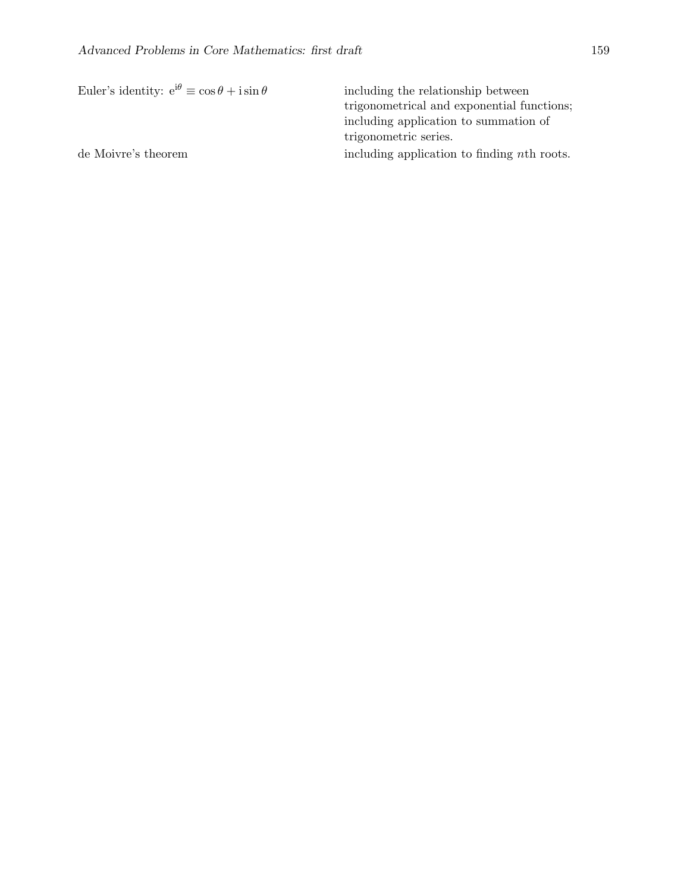| including the relationship between          |
|---------------------------------------------|
| trigonometrical and exponential functions;  |
| including application to summation of       |
| trigonometric series.                       |
| including application to finding nth roots. |
|                                             |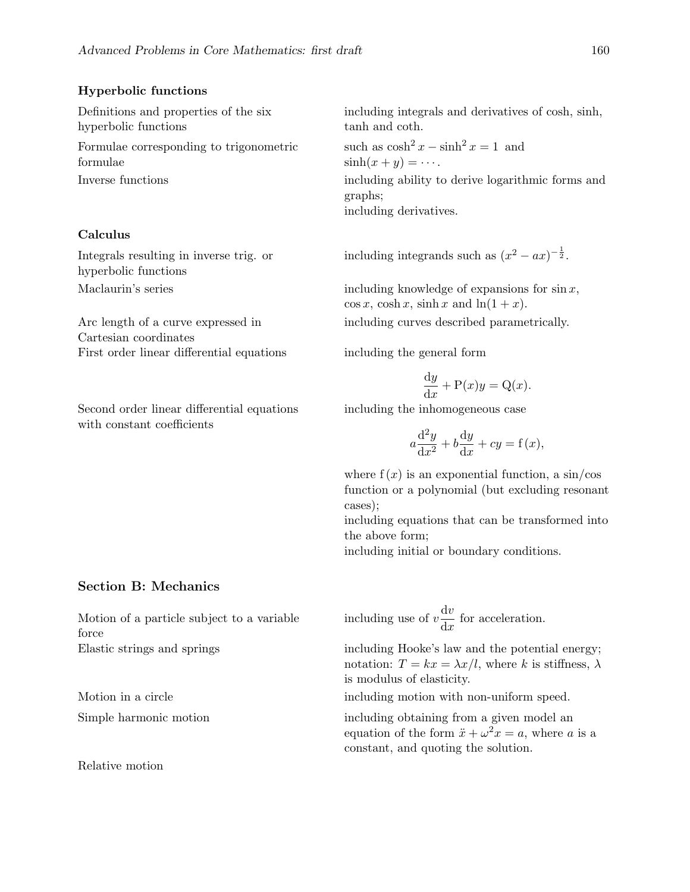#### Hyperbolic functions

Definitions and properties of the six hyperbolic functions

Formulae corresponding to trigonometric formulae

#### Calculus

Integrals resulting in inverse trig. or hyperbolic functions

Arc length of a curve expressed in Cartesian coordinates First order linear differential equations including the general form

Second order linear differential equations with constant coefficients

including integrals and derivatives of cosh, sinh, tanh and coth. such as  $\cosh^2 x - \sinh^2 x = 1$  and  $\sinh(x+y) = \cdots$ . Inverse functions including ability to derive logarithmic forms and graphs;

including derivatives.

including integrands such as  $(x^2 - ax)^{-\frac{1}{2}}$ .

Maclaurin's series including knowledge of expansions for sin x,  $\cos x$ ,  $\cosh x$ ,  $\sinh x$  and  $\ln(1+x)$ . including curves described parametrically.

$$
\frac{\mathrm{d}y}{\mathrm{d}x} + \mathrm{P}(x)y = \mathrm{Q}(x).
$$

including the inhomogeneous case

$$
a\frac{\mathrm{d}^2 y}{\mathrm{d}x^2} + b\frac{\mathrm{d}y}{\mathrm{d}x} + cy = f(x),
$$

where  $f(x)$  is an exponential function, a  $\sin/\cos$ function or a polynomial (but excluding resonant cases);

including equations that can be transformed into the above form;

including initial or boundary conditions.

#### Section B: Mechanics

Motion of a particle subject to a variable force

Relative motion

including use of  $v \frac{dv}{dt}$  $\frac{d}{dx}$  for acceleration.

Elastic strings and springs including Hooke's law and the potential energy; notation:  $T = kx = \lambda x/l$ , where k is stiffness,  $\lambda$ is modulus of elasticity.

Motion in a circle including motion with non-uniform speed.

Simple harmonic motion including obtaining from a given model and solution including obtaining from a given model and equation of the form  $\ddot{x} + \omega^2 x = a$ , where a is a constant, and quoting the solution.